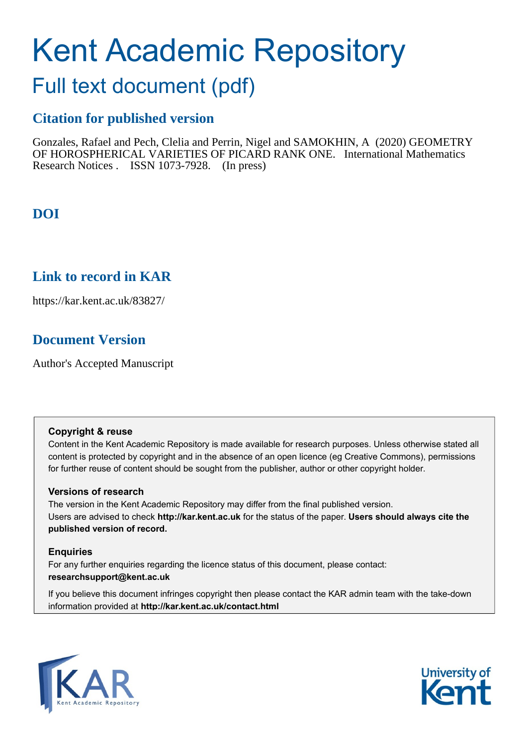# Kent Academic Repository

## Full text document (pdf)

## **Citation for published version**

Gonzales, Rafael and Pech, Clelia and Perrin, Nigel and SAMOKHIN, A (2020) GEOMETRY OF HOROSPHERICAL VARIETIES OF PICARD RANK ONE. International Mathematics Research Notices . ISSN 1073-7928. (In press)

## **DOI**

## **Link to record in KAR**

https://kar.kent.ac.uk/83827/

## **Document Version**

Author's Accepted Manuscript

#### **Copyright & reuse**

Content in the Kent Academic Repository is made available for research purposes. Unless otherwise stated all content is protected by copyright and in the absence of an open licence (eg Creative Commons), permissions for further reuse of content should be sought from the publisher, author or other copyright holder.

#### **Versions of research**

The version in the Kent Academic Repository may differ from the final published version. Users are advised to check **http://kar.kent.ac.uk** for the status of the paper. **Users should always cite the published version of record.**

#### **Enquiries**

For any further enquiries regarding the licence status of this document, please contact: **researchsupport@kent.ac.uk**

If you believe this document infringes copyright then please contact the KAR admin team with the take-down information provided at **http://kar.kent.ac.uk/contact.html**



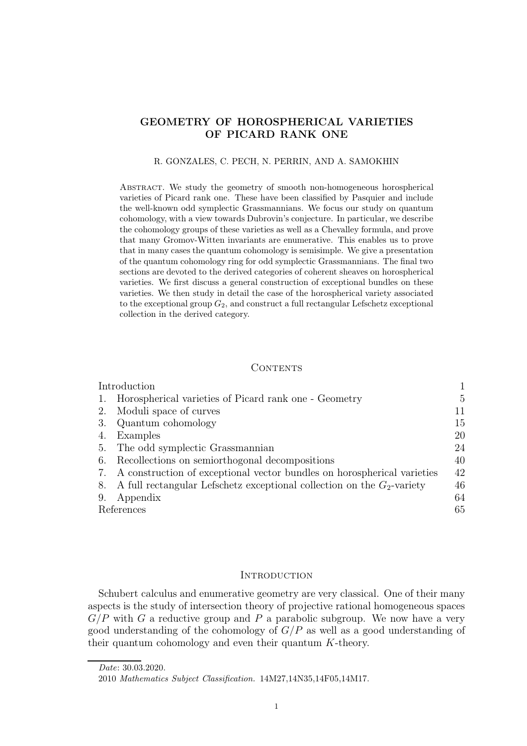#### GEOMETRY OF HOROSPHERICAL VARIETIES OF PICARD RANK ONE

#### R. GONZALES, C. PECH, N. PERRIN, AND A. SAMOKHIN

Abstract. We study the geometry of smooth non-homogeneous horospherical varieties of Picard rank one. These have been classified by Pasquier and include the well-known odd symplectic Grassmannians. We focus our study on quantum cohomology, with a view towards Dubrovin's conjecture. In particular, we describe the cohomology groups of these varieties as well as a Chevalley formula, and prove that many Gromov-Witten invariants are enumerative. This enables us to prove that in many cases the quantum cohomology is semisimple. We give a presentation of the quantum cohomology ring for odd symplectic Grassmannians. The final two sections are devoted to the derived categories of coherent sheaves on horospherical varieties. We first discuss a general construction of exceptional bundles on these varieties. We then study in detail the case of the horospherical variety associated to the exceptional group  $G_2$ , and construct a full rectangular Lefschetz exceptional collection in the derived category.

#### CONTENTS

|    | Introduction                                                              |    |  |
|----|---------------------------------------------------------------------------|----|--|
|    | Horospherical varieties of Picard rank one - Geometry                     | 5  |  |
| 2. | Moduli space of curves                                                    | 11 |  |
| 3. | Quantum cohomology                                                        | 15 |  |
| 4. | Examples                                                                  | 20 |  |
| 5. | The odd symplectic Grassmannian                                           | 24 |  |
| 6. | Recollections on semiorthogonal decompositions                            | 40 |  |
| 7. | A construction of exceptional vector bundles on horospherical varieties   | 42 |  |
| 8. | A full rectangular Lefschetz exceptional collection on the $G_2$ -variety | 46 |  |
| 9. | Appendix                                                                  | 64 |  |
|    | References                                                                |    |  |

#### **INTRODUCTION**

Schubert calculus and enumerative geometry are very classical. One of their many aspects is the study of intersection theory of projective rational homogeneous spaces  $G/P$  with G a reductive group and P a parabolic subgroup. We now have a very good understanding of the cohomology of  $G/P$  as well as a good understanding of their quantum cohomology and even their quantum K-theory.

Date: 30.03.2020.

<sup>2010</sup> Mathematics Subject Classification. 14M27,14N35,14F05,14M17.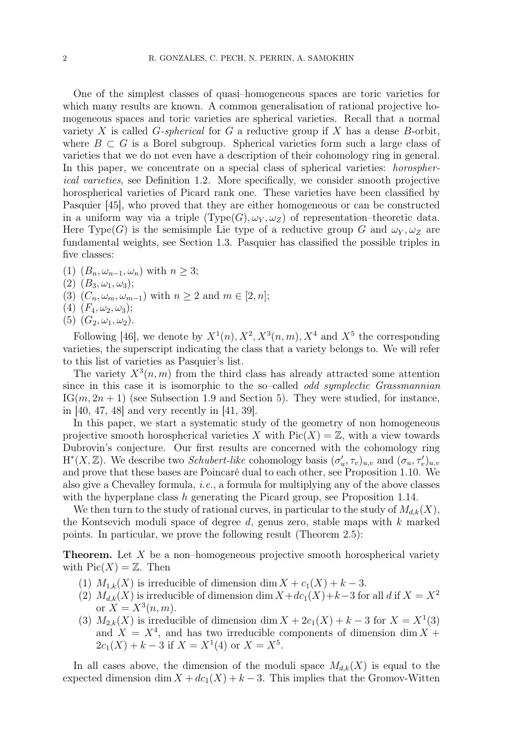One of the simplest classes of quasi–homogeneous spaces are toric varieties for which many results are known. A common generalisation of rational projective homogeneous spaces and toric varieties are spherical varieties. Recall that a normal variety X is called  $G$ -spherical for G a reductive group if X has a dense B-orbit, where  $B \subset G$  is a Borel subgroup. Spherical varieties form such a large class of varieties that we do not even have a description of their cohomology ring in general. In this paper, we concentrate on a special class of spherical varieties: *horospher*ical varieties, see Definition 1.2. More specifically, we consider smooth projective horospherical varieties of Picard rank one. These varieties have been classified by Pasquier [45], who proved that they are either homogeneous or can be constructed in a uniform way via a triple  $(\text{Type}(G), \omega_Y, \omega_Z)$  of representation–theoretic data. Here Type(G) is the semisimple Lie type of a reductive group G and  $\omega_Y$ ,  $\omega_Z$  are fundamental weights, see Section 1.3. Pasquier has classified the possible triples in five classes:

- (1)  $(B_n, \omega_{n-1}, \omega_n)$  with  $n \geq 3$ ;
- (2)  $(B_3, \omega_1, \omega_3);$
- (3)  $(C_n, \omega_m, \omega_{m-1})$  with  $n \geq 2$  and  $m \in [2, n]$ ;
- (4)  $(F_4, \omega_2, \omega_3);$
- (5)  $(G_2, \omega_1, \omega_2)$ .

Following [46], we denote by  $X^1(n)$ ,  $X^2$ ,  $X^3(n, m)$ ,  $X^4$  and  $X^5$  the corresponding varieties, the superscript indicating the class that a variety belongs to. We will refer to this list of varieties as Pasquier's list.

The variety  $X^3(n, m)$  from the third class has already attracted some attention since in this case it is isomorphic to the so-called *odd symplectic Grassmannian*  $IG(m, 2n + 1)$  (see Subsection 1.9 and Section 5). They were studied, for instance, in [40, 47, 48] and very recently in [41, 39].

In this paper, we start a systematic study of the geometry of non homogeneous projective smooth horospherical varieties X with  $Pic(X) = \mathbb{Z}$ , with a view towards Dubrovin's conjecture. Our first results are concerned with the cohomology ring H<sup>\*</sup>(X, Z). We describe two *Schubert-like* cohomology basis  $(\sigma'_u, \tau_v)_{u,v}$  and  $(\sigma_u, \tau'_v)_{u,v}$ and prove that these bases are Poincaré dual to each other, see Proposition 1.10. We also give a Chevalley formula, i.e., a formula for multiplying any of the above classes with the hyperplane class h generating the Picard group, see Proposition 1.14.

We then turn to the study of rational curves, in particular to the study of  $M_{d,k}(X)$ , the Kontsevich moduli space of degree  $d$ , genus zero, stable maps with  $k$  marked points. In particular, we prove the following result (Theorem 2.5):

**Theorem.** Let  $X$  be a non-homogeneous projective smooth horospherical variety with  $Pic(X) = \mathbb{Z}$ . Then

- (1)  $M_{1,k}(X)$  is irreducible of dimension dim  $X + c_1(X) + k 3$ .
- (2)  $M_{d,k}(X)$  is irreducible of dimension dim  $X + dc_1(X) + k-3$  for all d if  $X = X^2$ or  $X = X^3(n, m)$ .
- (3)  $M_{2,k}(X)$  is irreducible of dimension dim  $X + 2c_1(X) + k 3$  for  $X = X^1(3)$ and  $X = X^4$ , and has two irreducible components of dimension dim X +  $2c_1(X) + k - 3$  if  $X = X^1(4)$  or  $X = X^5$ .

In all cases above, the dimension of the moduli space  $M_{d,k}(X)$  is equal to the expected dimension dim  $X + dc_1(X) + k - 3$ . This implies that the Gromov-Witten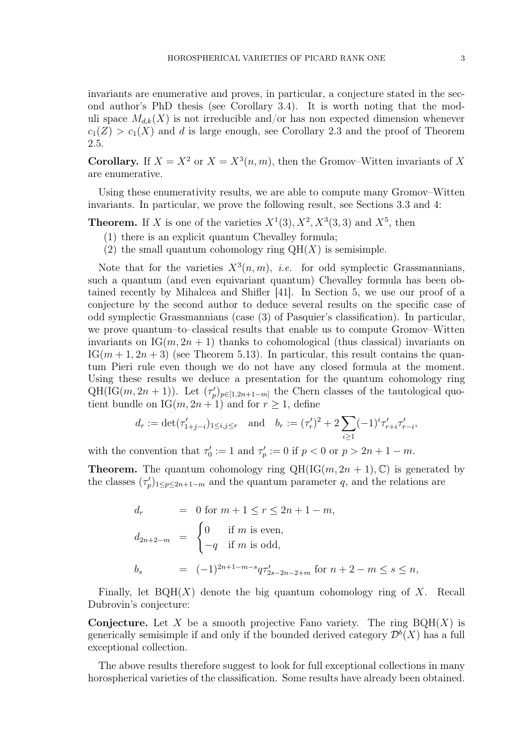invariants are enumerative and proves, in particular, a conjecture stated in the second author's PhD thesis (see Corollary 3.4). It is worth noting that the moduli space  $M_{d,k}(X)$  is not irreducible and/or has non expected dimension whenever  $c_1(Z) > c_1(X)$  and d is large enough, see Corollary 2.3 and the proof of Theorem

**Corollary.** If  $X = X^2$  or  $X = X^3(n, m)$ , then the Gromov–Witten invariants of X are enumerative.

Using these enumerativity results, we are able to compute many Gromov–Witten invariants. In particular, we prove the following result, see Sections 3.3 and 4:

**Theorem.** If X is one of the varieties  $X^1(3)$ ,  $X^2$ ,  $X^3(3,3)$  and  $X^5$ , then

(1) there is an explicit quantum Chevalley formula;

2.5.

(2) the small quantum cohomology ring  $QH(X)$  is semisimple.

Note that for the varieties  $X^3(n,m)$ , *i.e.* for odd symplectic Grassmannians, such a quantum (and even equivariant quantum) Chevalley formula has been obtained recently by Mihalcea and Shifler [41]. In Section 5, we use our proof of a conjecture by the second author to deduce several results on the specific case of odd symplectic Grassmannians (case (3) of Pasquier's classification). In particular, we prove quantum–to–classical results that enable us to compute Gromov–Witten invariants on  $IG(m, 2n + 1)$  thanks to cohomological (thus classical) invariants on  $IG(m+1, 2n+3)$  (see Theorem 5.13). In particular, this result contains the quantum Pieri rule even though we do not have any closed formula at the moment. Using these results we deduce a presentation for the quantum cohomology ring QH(IG(m, 2n + 1)). Let  $(\tau_p')_{p \in [1,2n+1-m]}$  the Chern classes of the tautological quotient bundle on  $IG(m, 2n + 1)$  and for  $r \ge 1$ , define

$$
d_r := \det(\tau'_{1+j-i})_{1 \le i,j \le r}
$$
 and  $b_r := (\tau'_r)^2 + 2 \sum_{i \ge 1} (-1)^i \tau'_{r+i} \tau'_{r-i}$ ,

with the convention that  $\tau'_0 := 1$  and  $\tau'_p := 0$  if  $p < 0$  or  $p > 2n + 1 - m$ .

**Theorem.** The quantum cohomology ring  $QH(IG(m, 2n + 1), \mathbb{C})$  is generated by the classes  $(\tau_p')_{1 \leq p \leq 2n+1-m}$  and the quantum parameter q, and the relations are

$$
d_r = 0 \text{ for } m+1 \le r \le 2n+1-m,
$$
  
\n
$$
d_{2n+2-m} = \begin{cases} 0 & \text{if } m \text{ is even,} \\ -q & \text{if } m \text{ is odd,} \end{cases}
$$
  
\n
$$
b_s = (-1)^{2n+1-m-s} q \tau'_{2s-2n-2+m} \text{ for } n+2-m \le s \le n,
$$

Finally, let  $BQH(X)$  denote the big quantum cohomology ring of X. Recall Dubrovin's conjecture:

**Conjecture.** Let X be a smooth projective Fano variety. The ring  $BQH(X)$  is generically semisimple if and only if the bounded derived category  $\mathcal{D}^b(X)$  has a full exceptional collection.

The above results therefore suggest to look for full exceptional collections in many horospherical varieties of the classification. Some results have already been obtained.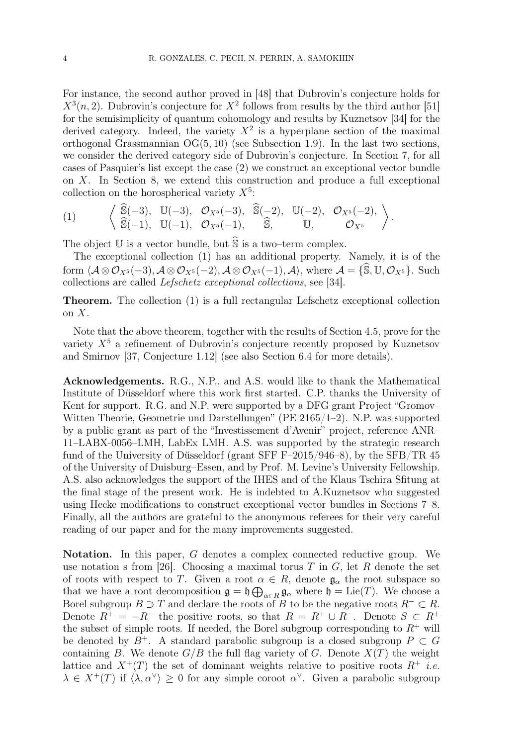For instance, the second author proved in [48] that Dubrovin's conjecture holds for  $X^3(n, 2)$ . Dubrovin's conjecture for  $X^2$  follows from results by the third author [51] for the semisimplicity of quantum cohomology and results by Kuznetsov [34] for the derived category. Indeed, the variety  $X^2$  is a hyperplane section of the maximal orthogonal Grassmannian OG(5, 10) (see Subsection 1.9). In the last two sections, we consider the derived category side of Dubrovin's conjecture. In Section 7, for all cases of Pasquier's list except the case (2) we construct an exceptional vector bundle on X. In Section 8, we extend this construction and produce a full exceptional collection on the horospherical variety  $X^5$ :

(1) 
$$
\left\langle \begin{array}{cc} \widehat{\mathbb{S}}(-3), & \mathbb{U}(-3), & \mathcal{O}_{X^5}(-3), & \widehat{\mathbb{S}}(-2), & \mathbb{U}(-2), & \mathcal{O}_{X^5}(-2), \\ \widehat{\mathbb{S}}(-1), & \mathbb{U}(-1), & \mathcal{O}_{X^5}(-1), & \widehat{\mathbb{S}}, & \mathbb{U}, & \mathcal{O}_{X^5} \end{array} \right\rangle.
$$

The object  $\mathbb U$  is a vector bundle, but  $\widehat{\mathbb S}$  is a two–term complex.

The exceptional collection (1) has an additional property. Namely, it is of the form  $\mathcal{A} \otimes \mathcal{O}_{X^5}(-3), \mathcal{A} \otimes \mathcal{O}_{X^5}(-2), \mathcal{A} \otimes \mathcal{O}_{X^5}(-1), \mathcal{A} \rangle$ , where  $\mathcal{A} = \{\hat{\mathbf{S}}, \mathbb{U}, \mathcal{O}_{X^5}\}.$  Such collections are called Lefschetz exceptional collections, see [34].

Theorem. The collection (1) is a full rectangular Lefschetz exceptional collection on  $X$ .

Note that the above theorem, together with the results of Section 4.5, prove for the variety  $X^5$  a refinement of Dubrovin's conjecture recently proposed by Kuznetsov and Smirnov [37, Conjecture 1.12] (see also Section 6.4 for more details).

Acknowledgements. R.G., N.P., and A.S. would like to thank the Mathematical Institute of Düsseldorf where this work first started. C.P. thanks the University of Kent for support. R.G. and N.P. were supported by a DFG grant Project "Gromov– Witten Theorie, Geometrie und Darstellungen" (PE 2165/1–2). N.P. was supported by a public grant as part of the "Investissement d'Avenir" project, reference ANR– 11–LABX-0056–LMH, LabEx LMH. A.S. was supported by the strategic research fund of the University of Düsseldorf (grant SFF F–2015/946–8), by the SFB/TR 45 of the University of Duisburg–Essen, and by Prof. M. Levine's University Fellowship. A.S. also acknowledges the support of the IHES and of the Klaus Tschira Sfitung at the final stage of the present work. He is indebted to A.Kuznetsov who suggested using Hecke modifications to construct exceptional vector bundles in Sections 7–8. Finally, all the authors are grateful to the anonymous referees for their very careful reading of our paper and for the many improvements suggested.

Notation. In this paper, G denotes a complex connected reductive group. We use notation s from [26]. Choosing a maximal torus T in  $G$ , let R denote the set of roots with respect to T. Given a root  $\alpha \in R$ , denote  $\mathfrak{g}_{\alpha}$  the root subspace so that we have a root decomposition  $\mathfrak{g} = \mathfrak{h} \bigoplus_{\alpha \in R} \mathfrak{g}_{\alpha}$  where  $\mathfrak{h} = \text{Lie}(T)$ . We choose a Borel subgroup  $B \supset T$  and declare the roots of B to be the negative roots  $R^{-} \subset R$ . Denote  $R^+ = -R^-$  the positive roots, so that  $R = R^+ \cup R^-$ . Denote  $S \subset R^+$ the subset of simple roots. If needed, the Borel subgroup corresponding to  $R^+$  will be denoted by  $B^+$ . A standard parabolic subgroup is a closed subgroup  $P \subset G$ containing B. We denote  $G/B$  the full flag variety of G. Denote  $X(T)$  the weight lattice and  $X^+(T)$  the set of dominant weights relative to positive roots  $R^+$  *i.e.*  $\lambda \in X^+(T)$  if  $\langle \lambda, \alpha^\vee \rangle \geq 0$  for any simple coroot  $\alpha^\vee$ . Given a parabolic subgroup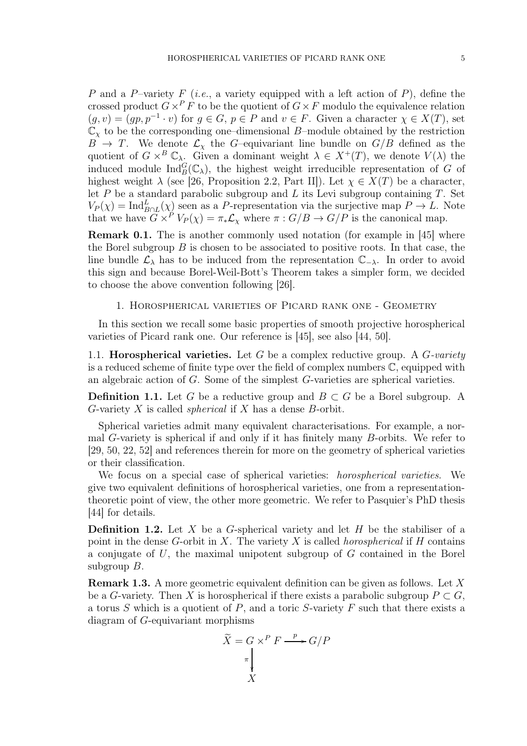P and a P–variety F (*i.e.*, a variety equipped with a left action of P), define the crossed product  $G \times^P F$  to be the quotient of  $G \times F$  modulo the equivalence relation  $(g, v) = (gp, p^{-1} \cdot v)$  for  $g \in G$ ,  $p \in P$  and  $v \in F$ . Given a character  $\chi \in X(T)$ , set  $\mathbb{C}_{\chi}$  to be the corresponding one–dimensional B–module obtained by the restriction  $B \rightarrow T$ . We denote  $\mathcal{L}_{\chi}$  the G-equivariant line bundle on  $G/B$  defined as the quotient of  $G \times^B \mathbb{C}_{\lambda}$ . Given a dominant weight  $\lambda \in X^+(T)$ , we denote  $V(\lambda)$  the induced module  $\text{Ind}_{B}^{G}(\mathbb{C}_{\lambda})$ , the highest weight irreducible representation of G of highest weight  $\lambda$  (see [26, Proposition 2.2, Part II]). Let  $\chi \in X(T)$  be a character, let  $P$  be a standard parabolic subgroup and  $L$  its Levi subgroup containing  $T$ . Set  $V_P(\chi) = \text{Ind}_{B \cap L}^L(\chi)$  seen as a P-representation via the surjective map  $P \to L$ . Note that we have  $G \times^P V_P(\chi) = \pi_* \mathcal{L}_{\chi}$  where  $\pi : G/B \to G/P$  is the canonical map.

Remark 0.1. The is another commonly used notation (for example in [45] where the Borel subgroup  $B$  is chosen to be associated to positive roots. In that case, the line bundle  $\mathcal{L}_{\lambda}$  has to be induced from the representation  $\mathbb{C}_{-\lambda}$ . In order to avoid this sign and because Borel-Weil-Bott's Theorem takes a simpler form, we decided to choose the above convention following [26].

#### 1. Horospherical varieties of Picard rank one - Geometry

In this section we recall some basic properties of smooth projective horospherical varieties of Picard rank one. Our reference is [45], see also [44, 50].

1.1. **Horospherical varieties.** Let G be a complex reductive group. A  $G$ -variety is a reduced scheme of finite type over the field of complex numbers C, equipped with an algebraic action of G. Some of the simplest G-varieties are spherical varieties.

**Definition 1.1.** Let G be a reductive group and  $B \subset G$  be a Borel subgroup. A G-variety X is called *spherical* if X has a dense B-orbit.

Spherical varieties admit many equivalent characterisations. For example, a normal G-variety is spherical if and only if it has finitely many B-orbits. We refer to [29, 50, 22, 52] and references therein for more on the geometry of spherical varieties or their classification.

We focus on a special case of spherical varieties: horospherical varieties. We give two equivalent definitions of horospherical varieties, one from a representationtheoretic point of view, the other more geometric. We refer to Pasquier's PhD thesis [44] for details.

**Definition 1.2.** Let X be a G-spherical variety and let H be the stabiliser of a point in the dense G-orbit in X. The variety X is called *horospherical* if  $H$  contains a conjugate of  $U$ , the maximal unipotent subgroup of  $G$  contained in the Borel subgroup  $B$ .

Remark 1.3. A more geometric equivalent definition can be given as follows. Let X be a G-variety. Then X is horospherical if there exists a parabolic subgroup  $P \subset G$ , a torus  $S$  which is a quotient of  $P$ , and a toric  $S$ -variety  $F$  such that there exists a diagram of G-equivariant morphisms

$$
\widetilde{X} = G \times^P F \xrightarrow{\quad p \quad} G/P
$$
\n
$$
\uparrow
$$
\n
$$
X
$$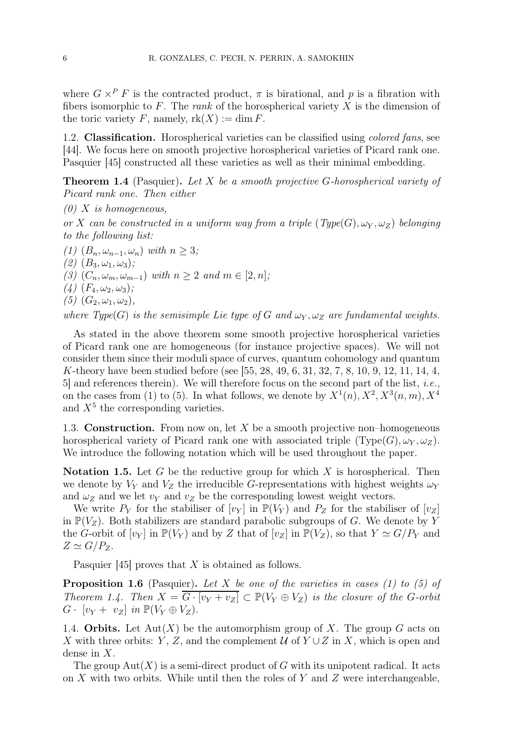where  $G \times^P F$  is the contracted product,  $\pi$  is birational, and p is a fibration with fibers isomorphic to F. The rank of the horospherical variety X is the dimension of the toric variety F, namely,  $rk(X) := \dim F$ .

1.2. Classification. Horospherical varieties can be classified using colored fans, see [44]. We focus here on smooth projective horospherical varieties of Picard rank one. Pasquier [45] constructed all these varieties as well as their minimal embedding.

**Theorem 1.4** (Pasquier). Let X be a smooth projective G-horospherical variety of Picard rank one. Then either

 $(0)$  X is homogeneous,

or X can be constructed in a uniform way from a triple  $(Type(G), \omega_Y, \omega_Z)$  belonging to the following list:

(1)  $(B_n, \omega_{n-1}, \omega_n)$  with  $n \geq 3$ ;

(2)  $(B_3, \omega_1, \omega_3);$ 

(3)  $(C_n, \omega_m, \omega_{m-1})$  with  $n \geq 2$  and  $m \in [2, n]$ ;

 $(4)$   $(F_4, \omega_2, \omega_3);$ 

(5)  $(G_2, \omega_1, \omega_2),$ 

where Type(G) is the semisimple Lie type of G and  $\omega_Y$ ,  $\omega_Z$  are fundamental weights.

As stated in the above theorem some smooth projective horospherical varieties of Picard rank one are homogeneous (for instance projective spaces). We will not consider them since their moduli space of curves, quantum cohomology and quantum K-theory have been studied before (see [55, 28, 49, 6, 31, 32, 7, 8, 10, 9, 12, 11, 14, 4,  $5$ ] and references therein). We will therefore focus on the second part of the list, *i.e.*, on the cases from (1) to (5). In what follows, we denote by  $X^1(n)$ ,  $X^2$ ,  $X^3(n, m)$ ,  $X^4$ and  $X<sup>5</sup>$  the corresponding varieties.

1.3. **Construction.** From now on, let  $X$  be a smooth projective non-homogeneous horospherical variety of Picard rank one with associated triple  $(\text{Type}(G), \omega_Y, \omega_Z)$ . We introduce the following notation which will be used throughout the paper.

**Notation 1.5.** Let G be the reductive group for which  $X$  is horospherical. Then we denote by  $V_Y$  and  $V_Z$  the irreducible G-representations with highest weights  $\omega_Y$ and  $\omega_Z$  and we let  $v_Y$  and  $v_Z$  be the corresponding lowest weight vectors.

We write  $P_Y$  for the stabiliser of  $[v_Y]$  in  $\mathbb{P}(V_Y)$  and  $P_Z$  for the stabiliser of  $[v_Z]$ in  $\mathbb{P}(V_Z)$ . Both stabilizers are standard parabolic subgroups of G. We denote by Y the G-orbit of  $[v_Y]$  in  $\mathbb{P}(V_Y)$  and by Z that of  $[v_Z]$  in  $\mathbb{P}(V_Z)$ , so that  $Y \simeq G/P_Y$  and  $Z \simeq G/P_Z$ .

Pasquier [45] proves that X is obtained as follows.

**Proposition 1.6** (Pasquier). Let X be one of the varieties in cases (1) to (5) of Theorem 1.4. Then  $X = \overline{G \cdot [v_Y + v_Z]} \subset \mathbb{P}(V_Y \oplus V_Z)$  is the closure of the G-orbit  $G \cdot [v_Y + v_Z]$  in  $\mathbb{P}(V_Y \oplus V_Z)$ .

1.4. Orbits. Let  ${\rm Aut}(X)$  be the automorphism group of X. The group G acts on X with three orbits: Y, Z, and the complement  $\mathcal{U}$  of  $Y \cup Z$  in X, which is open and dense in X.

The group  $Aut(X)$  is a semi-direct product of G with its unipotent radical. It acts on  $X$  with two orbits. While until then the roles of  $Y$  and  $Z$  were interchangeable,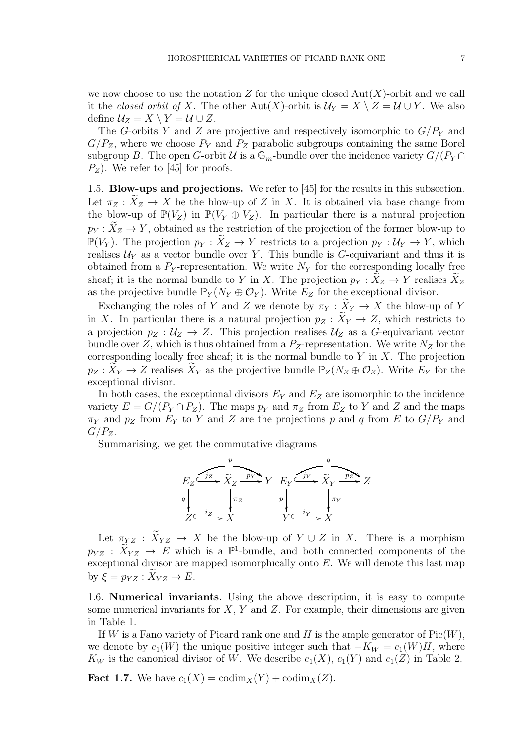we now choose to use the notation Z for the unique closed  $Aut(X)$ -orbit and we call it the *closed orbit of X*. The other Aut(X)-orbit is  $\mathcal{U}_Y = X \setminus Z = \mathcal{U} \cup Y$ . We also define  $\mathcal{U}_Z = X \setminus Y = \mathcal{U} \cup Z$ .

The G-orbits Y and Z are projective and respectively isomorphic to  $G/P<sub>Y</sub>$  and  $G/P_Z$ , where we choose  $P_Y$  and  $P_Z$  parabolic subgroups containing the same Borel subgroup B. The open G-orbit U is a  $\mathbb{G}_m$ -bundle over the incidence variety  $G/(P_Y \cap$  $P_Z$ ). We refer to [45] for proofs.

1.5. Blow-ups and projections. We refer to [45] for the results in this subsection. Let  $\pi_Z : \widetilde{X}_Z \to X$  be the blow-up of Z in X. It is obtained via base change from the blow-up of  $\mathbb{P}(V_Z)$  in  $\mathbb{P}(V_Y \oplus V_Z)$ . In particular there is a natural projection  $p_Y : X_Z \to Y$ , obtained as the restriction of the projection of the former blow-up to  $\mathbb{P}(V_Y)$ . The projection  $p_Y : \widetilde{X}_Z \to Y$  restricts to a projection  $p_Y : \mathcal{U}_Y \to Y$ , which realises  $\mathcal{U}_Y$  as a vector bundle over Y. This bundle is G-equivariant and thus it is obtained from a  $P_Y$ -representation. We write  $N_Y$  for the corresponding locally free sheaf; it is the normal bundle to Y in X. The projection  $p_Y : X_Z \to Y$  realises  $X_Z$ as the projective bundle  $\mathbb{P}_Y(N_Y \oplus \mathcal{O}_Y)$ . Write  $E_Z$  for the exceptional divisor.

Exchanging the roles of Y and Z we denote by  $\pi_Y : \widetilde{X}_Y \to X$  the blow-up of Y in X. In particular there is a natural projection  $p_Z : \widetilde{X}_Y \to Z$ , which restricts to a projection  $p_Z : U_Z \to Z$ . This projection realises  $U_Z$  as a G-equivariant vector bundle over Z, which is thus obtained from a  $P_Z$ -representation. We write  $N_Z$  for the corresponding locally free sheaf; it is the normal bundle to  $Y$  in  $X$ . The projection  $p_Z: X_Y \to Z$  realises  $X_Y$  as the projective bundle  $\mathbb{P}_Z(N_Z \oplus \mathcal{O}_Z)$ . Write  $E_Y$  for the exceptional divisor.

In both cases, the exceptional divisors  $E_Y$  and  $E_Z$  are isomorphic to the incidence variety  $E = G/(P_Y \cap P_Z)$ . The maps  $p_Y$  and  $\pi_Z$  from  $E_Z$  to Y and Z and the maps  $\pi_Y$  and  $p_Z$  from  $E_Y$  to Y and Z are the projections p and q from E to  $G/P_Y$  and  $G/P_Z$ .

Summarising, we get the commutative diagrams



Let  $\pi_{YZ} : \widetilde{X}_{YZ} \to X$  be the blow-up of  $Y \cup Z$  in X. There is a morphism  $p_{YZ}$ :  $\widetilde{X}_{YZ} \to E$  which is a  $\mathbb{P}^1$ -bundle, and both connected components of the exceptional divisor are mapped isomorphically onto  $E$ . We will denote this last map by  $\xi = p_{YZ} : X_{YZ} \to E$ .

1.6. Numerical invariants. Using the above description, it is easy to compute some numerical invariants for  $X, Y$  and  $Z$ . For example, their dimensions are given in Table 1.

If W is a Fano variety of Picard rank one and H is the ample generator of  $Pic(W)$ , we denote by  $c_1(W)$  the unique positive integer such that  $-K_W = c_1(W)H$ , where  $K_W$  is the canonical divisor of W. We describe  $c_1(X)$ ,  $c_1(Y)$  and  $c_1(Z)$  in Table 2.

**Fact 1.7.** We have  $c_1(X) = \text{codim}_X(Y) + \text{codim}_X(Z)$ .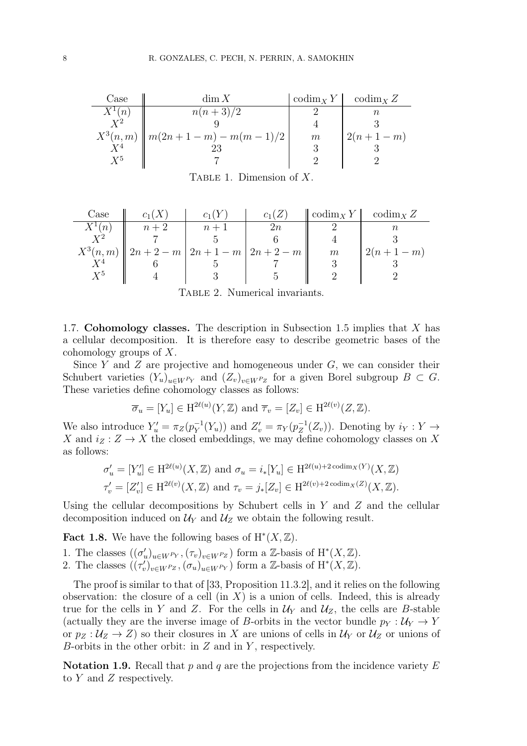| Case                 | dim X                                | $\operatorname{codim}_X Y$ | $\operatorname{codim}_X Z$ |
|----------------------|--------------------------------------|----------------------------|----------------------------|
| $X^1(n)$             | $n(n+3)/2$                           |                            |                            |
| $\rm \overline{Y^2}$ |                                      |                            |                            |
|                      | $X^3(n,m)$    $m(2n+1-m) - m(m-1)/2$ | m                          | $2(n+1-m)$                 |
| $Y^4$                |                                      |                            |                            |
| $X^5$                |                                      |                            |                            |

TABLE 1. Dimension of  $X$ .

| $\text{Case}$ | $c_1(X)$                                    | $c_1$ ( ) |        | $\operatorname{codim}_X Y$ | codim <sub>X</sub> $Z$ |
|---------------|---------------------------------------------|-----------|--------|----------------------------|------------------------|
| $X^1(n)$      | $n+2$                                       | $n+1$     | $2n \$ |                            |                        |
| $X^2$         |                                             |           |        |                            |                        |
|               | $X^3(n,m)$   $2n+2-m$   $2n+1-m$   $2n+2-m$ |           |        | $m\,$                      | $2(n+1-m)$             |
| $X^4$         |                                             |           |        |                            |                        |
| $\rm Y^5$     |                                             |           |        |                            |                        |

Table 2. Numerical invariants.

1.7. Cohomology classes. The description in Subsection 1.5 implies that X has a cellular decomposition. It is therefore easy to describe geometric bases of the cohomology groups of X.

Since Y and Z are projective and homogeneous under  $G$ , we can consider their Schubert varieties  $(Y_u)_{u\in W^{P_Y}}$  and  $(Z_v)_{v\in W^{P_Z}}$  for a given Borel subgroup  $B\subset G$ . These varieties define cohomology classes as follows:

$$
\overline{\sigma}_u = [Y_u] \in \mathrm{H}^{2\ell(u)}(Y,\mathbb{Z}) \text{ and } \overline{\tau}_v = [Z_v] \in \mathrm{H}^{2\ell(v)}(Z,\mathbb{Z}).
$$

We also introduce  $Y'_u = \pi_Z(p_Y^{-1})$  $Y^{-1}(Y_u)$  and  $Z'_v = \pi_Y(p_Z^{-1})$  $Z_Z^{-1}(Z_v)$ . Denoting by  $i_Y: Y \to Y$ X and  $i_Z : Z \to X$  the closed embeddings, we may define cohomology classes on X as follows:

$$
\sigma'_u = [Y'_u] \in \mathrm{H}^{2\ell(u)}(X,\mathbb{Z}) \text{ and } \sigma_u = i_*[Y_u] \in \mathrm{H}^{2\ell(u)+2 \operatorname{codim}_X(Y)}(X,\mathbb{Z})
$$
  

$$
\tau'_v = [Z'_v] \in \mathrm{H}^{2\ell(v)}(X,\mathbb{Z}) \text{ and } \tau_v = j_*[Z_v] \in \mathrm{H}^{2\ell(v)+2 \operatorname{codim}_X(Z)}(X,\mathbb{Z}).
$$

Using the cellular decompositions by Schubert cells in  $Y$  and  $Z$  and the cellular decomposition induced on  $\mathcal{U}_Y$  and  $\mathcal{U}_Z$  we obtain the following result.

**Fact 1.8.** We have the following bases of  $H^*(X, \mathbb{Z})$ .

- 1. The classes  $((\sigma'_u)_{u \in W^{P_Y}}, (\tau_v)_{v \in W^{P_Z}})$  form a Z-basis of H<sup>\*</sup>(X, Z).
- 2. The classes  $((\tau_v')_{v \in W^{P_Z}}, (\sigma_u)_{u \in W^{P_Y}})$  form a Z-basis of H<sup>\*</sup> $(X, \mathbb{Z})$ .

The proof is similar to that of [33, Proposition 11.3.2], and it relies on the following observation: the closure of a cell  $(in X)$  is a union of cells. Indeed, this is already true for the cells in Y and Z. For the cells in  $\mathcal{U}_Y$  and  $\mathcal{U}_Z$ , the cells are B-stable (actually they are the inverse image of B-orbits in the vector bundle  $p_Y : U_Y \to Y$ or  $p_Z : U_Z \to Z$ ) so their closures in X are unions of cells in  $U_Y$  or  $U_Z$  or unions of B-orbits in the other orbit: in  $Z$  and in  $Y$ , respectively.

**Notation 1.9.** Recall that p and q are the projections from the incidence variety E to  $Y$  and  $Z$  respectively.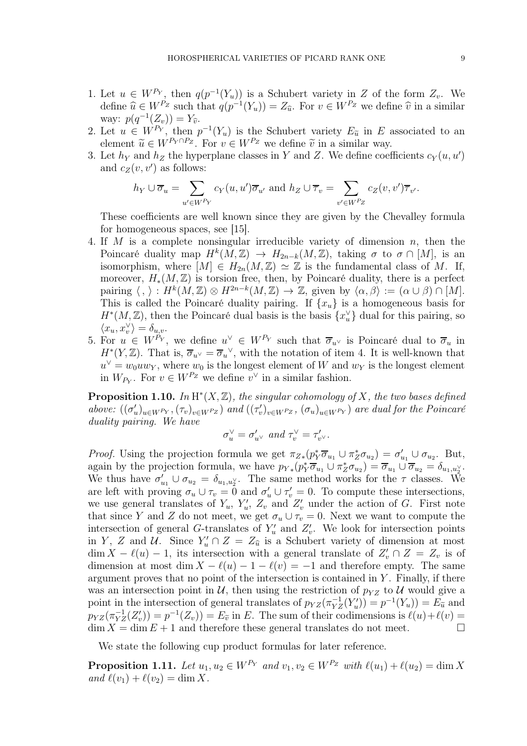- 1. Let  $u \in W^{P_Y}$ , then  $q(p^{-1}(Y_u))$  is a Schubert variety in Z of the form  $Z_v$ . We define  $\widehat{u} \in W^{P_Z}$  such that  $q(p^{-1}(Y_u)) = Z_{\widehat{u}}$ . For  $v \in W^{P_Z}$  we define  $\widehat{v}$  in a similar way:  $p(q^{-1}(Z_v)) = Y_{\widehat{v}}.$
- 2. Let  $u \in W^{P_Y}$ , then  $p^{-1}(Y_u)$  is the Schubert variety  $E_{\tilde{u}}$  in E associated to an element  $\widetilde{u} \in W^{P_Y \cap P_Z}$ . For  $v \in W^{P_Z}$  we define  $\widetilde{v}$  in a similar way.
- 3. Let  $h_Y$  and  $h_Z$  the hyperplane classes in Y and Z. We define coefficients  $c_Y(u, u')$ and  $c_Z(v, v')$  as follows:

$$
h_Y \cup \overline{\sigma}_u = \sum_{u' \in W^{P_Y}} c_Y(u, u') \overline{\sigma}_{u'}
$$
 and  $h_Z \cup \overline{\tau}_v = \sum_{v' \in W^{P_Z}} c_Z(v, v') \overline{\tau}_{v'}$ .

These coefficients are well known since they are given by the Chevalley formula for homogeneous spaces, see [15].

- 4. If M is a complete nonsingular irreducible variety of dimension  $n$ , then the Poincaré duality map  $H^k(M, \mathbb{Z}) \to H_{2n-k}(M, \mathbb{Z})$ , taking  $\sigma$  to  $\sigma \cap [M]$ , is an isomorphism, where  $[M] \in H_{2n}(M, \mathbb{Z}) \simeq \mathbb{Z}$  is the fundamental class of M. If, moreover,  $H_*(M,\mathbb{Z})$  is torsion free, then, by Poincaré duality, there is a perfect pairing  $\langle , \rangle : H^k(M, \mathbb{Z}) \otimes H^{2n-k}(M, \mathbb{Z}) \to \mathbb{Z}$ , given by  $\langle \alpha, \beta \rangle := (\alpha \cup \beta) \cap [M].$ This is called the Poincaré duality pairing. If  $\{x_u\}$  is a homogeneous basis for  $H^*(M, \mathbb{Z})$ , then the Poincaré dual basis is the basis  $\{x_u^{\vee}\}\$  dual for this pairing, so  $\langle x_u, x_v^{\vee} \rangle = \delta_{u,v}.$
- 5. For  $u \in W^{P_Y}$ , we define  $u^{\vee} \in W^{P_Y}$  such that  $\overline{\sigma}_{u^{\vee}}$  is Poincaré dual to  $\overline{\sigma}_u$  in  $H^*(Y,\mathbb{Z})$ . That is,  $\overline{\sigma}_{u^{\vee}} = \overline{\sigma}_u^{\vee}$ , with the notation of item 4. It is well-known that  $u^{\vee} = w_0 u w_Y$ , where  $w_0$  is the longest element of W and  $w_Y$  is the longest element in  $W_{P_Y}$ . For  $v \in W^{P_Z}$  we define  $v^{\vee}$  in a similar fashion.

**Proposition 1.10.** In  $H^*(X, \mathbb{Z})$ , the singular cohomology of X, the two bases defined above:  $((\sigma'_u)_{u\in W^{P_Y}}, (\tau_v)_{v\in W^{P_Z}})$  and  $((\tau'_v)_{v\in W^{P_Z}}, (\sigma_u)_{u\in W^{P_Y}})$  are dual for the Poincaré duality pairing. We have

$$
\sigma_u^{\vee} = \sigma_{u^{\vee}}' \text{ and } \tau_v^{\vee} = \tau_{v^{\vee}}'.
$$

*Proof.* Using the projection formula we get  $\pi_{Z*}(p_Y^*\overline{\sigma}_{u_1} \cup \pi_Z^*\sigma_{u_2}) = \sigma'_{u_1} \cup \sigma_{u_2}$ . But, again by the projection formula, we have  $p_{Y*}(p_{Y}^{*}\overline{\sigma}_{u_{1}} \cup \pi_{Z}^{*}\sigma_{u_{2}}) = \overline{\sigma}_{u_{1}} \cup \overline{\sigma}_{u_{2}} = \delta_{u_{1},u_{2}^{\vee}}$ . We thus have  $\sigma'_{u_1} \cup \sigma_{u_2} = \delta_{u_1, u_2}$ . The same method works for the  $\tau$  classes. We are left with proving  $\sigma_u \cup \tau_v = \overline{0}$  and  $\sigma'_u \cup \tau'_v = 0$ . To compute these intersections, we use general translates of  $Y_u$ ,  $Y'_u$ ,  $Z_v$  and  $Z'_v$  under the action of G. First note that since Y and Z do not meet, we get  $\sigma_u \cup \tau_v = 0$ . Next we want to compute the intersection of general G-translates of  $Y'_u$  and  $Z'_v$ . We look for intersection points in Y, Z and U. Since  $Y'_u \cap Z = Z_{\hat{u}}$  is a Schubert variety of dimension at most  $\dim X - \ell(u) - 1$ , its intersection with a general translate of  $Z'_v \cap Z = Z_v$  is of dimension at most dim  $X - \ell(u) - 1 - \ell(v) = -1$  and therefore empty. The same argument proves that no point of the intersection is contained in Y . Finally, if there was an intersection point in  $U$ , then using the restriction of  $p_{YZ}$  to  $U$  would give a point in the intersection of general translates of  $p_{YZ}(\pi_{YZ}^{-1}(Y_u')) = p^{-1}(Y_u)) = E_{\tilde{u}}$  and  $p_{YZ}(\pi_{YZ}^{-1}(Z'_v)) = p^{-1}(Z_v) = E_{\tilde{v}}$  in E. The sum of their codimensions is  $\ell(u) + \ell(v) =$  $\dim X = \dim E + 1$  and therefore these general translates do not meet.

We state the following cup product formulas for later reference.

**Proposition 1.11.** Let  $u_1, u_2 \in W^{P_Y}$  and  $v_1, v_2 \in W^{P_Z}$  with  $\ell(u_1) + \ell(u_2) = \dim X$ and  $\ell(v_1) + \ell(v_2) = \dim X$ .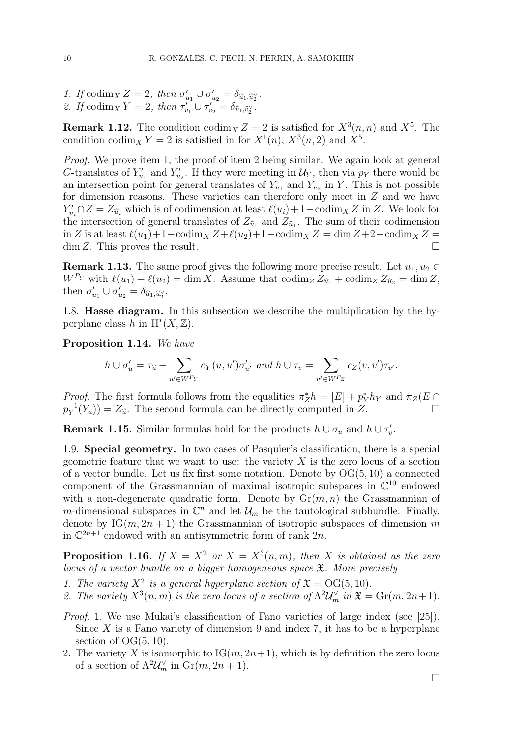1. If  $\operatorname{codim}_X Z = 2$ , then  $\sigma'_{u_1} \cup \sigma'_{u_2} = \delta_{\widehat{u}_1, \widehat{u}_2}.$ 2. If  $\operatorname{codim}_X Y = 2$ , then  $\tau'_{v_1} \cup \tau'_{v_2} = \delta_{\widehat{v}_1, \widehat{v}_2}$ .

**Remark 1.12.** The condition  $\text{codim}_X Z = 2$  is satisfied for  $X^3(n,n)$  and  $X^5$ . The condition codim<sub>X</sub>  $Y = 2$  is satisfied in for  $X^1(n)$ ,  $X^3(n, 2)$  and  $X^5$ .

Proof. We prove item 1, the proof of item 2 being similar. We again look at general G-translates of  $Y'_{u_1}$  and  $Y'_{u_2}$ . If they were meeting in  $\mathcal{U}_Y$ , then via  $p_Y$  there would be an intersection point for general translates of  $Y_{u_1}$  and  $Y_{u_2}$  in Y. This is not possible for dimension reasons. These varieties can therefore only meet in Z and we have  $Y'_{u_i} \cap Z = Z_{\widehat{u}_i}$  which is of codimension at least  $\ell(u_i)+1-\text{codim}_X Z$  in Z. We look for the intersection of general translates of  $Z_{\hat{u}_1}$  and  $Z_{\hat{u}_1}$ . The sum of their codimension in Z is at least  $\ell(u_1)+1-\text{codim}_X Z+\ell(u_2)+1-\text{codim}_X Z = \dim Z+2-\text{codim}_X Z =$  $\dim Z$ . This proves the result.

**Remark 1.13.** The same proof gives the following more precise result. Let  $u_1, u_2 \in$  $W^{P_Y}$  with  $\ell(u_1) + \ell(u_2) = \dim X$ . Assume that  $\operatorname{codim}_Z Z_{\widehat{u}_1} + \operatorname{codim}_Z Z_{\widehat{u}_2} = \dim Z$ , then  $\sigma'_{u_1} \cup \sigma'_{u_2} = \delta_{\widehat{u}_1, \widehat{u}_2^{\vee}}$ .

1.8. Hasse diagram. In this subsection we describe the multiplication by the hyperplane class h in  $H^*(X, \mathbb{Z})$ .

Proposition 1.14. We have

$$
h \cup \sigma'_u = \tau_{\widehat{u}} + \sum_{u' \in W^{P_Y}} c_Y(u, u') \sigma'_{u'} \text{ and } h \cup \tau_v = \sum_{v' \in W^{P_Z}} c_Z(v, v') \tau_{v'}.
$$

*Proof.* The first formula follows from the equalities  $\pi_Z^* h = [E] + p_Y^* h_Y$  and  $\pi_Z(E \cap E)$  $p_Y^{-1}$  $Y(Y_u) = Z_{\widehat{u}}$ . The second formula can be directly computed in Z.

**Remark 1.15.** Similar formulas hold for the products  $h \cup \sigma_u$  and  $h \cup \tau'_v$ .

1.9. Special geometry. In two cases of Pasquier's classification, there is a special geometric feature that we want to use: the variety  $X$  is the zero locus of a section of a vector bundle. Let us fix first some notation. Denote by  $OG(5, 10)$  a connected component of the Grassmannian of maximal isotropic subspaces in  $\mathbb{C}^{10}$  endowed with a non-degenerate quadratic form. Denote by  $\mathrm{Gr}(m, n)$  the Grassmannian of m-dimensional subspaces in  $\mathbb{C}^n$  and let  $\mathcal{U}_m$  be the tautological subbundle. Finally, denote by  $IG(m, 2n + 1)$  the Grassmannian of isotropic subspaces of dimension m in  $\mathbb{C}^{2n+1}$  endowed with an antisymmetric form of rank  $2n$ .

**Proposition 1.16.** If  $X = X^2$  or  $X = X^3(n,m)$ , then X is obtained as the zero locus of a vector bundle on a bigger homogeneous space  $\mathfrak{X}$ . More precisely

- 1. The variety  $X^2$  is a general hyperplane section of  $\mathfrak{X} = \mathrm{OG}(5, 10)$ .
- 2. The variety  $X^3(n,m)$  is the zero locus of a section of  $\Lambda^2 \mathcal{U}_m^{\vee}$  in  $\mathfrak{X} = \mathrm{Gr}(m,2n+1)$ .
- Proof. 1. We use Mukai's classification of Fano varieties of large index (see [25]). Since  $X$  is a Fano variety of dimension 9 and index 7, it has to be a hyperplane section of  $OG(5, 10)$ .
- 2. The variety X is isomorphic to  $IG(m, 2n+1)$ , which is by definition the zero locus of a section of  $\Lambda^2 \mathcal{U}_m^{\vee}$  in  $\text{Gr}(m, 2n+1)$ .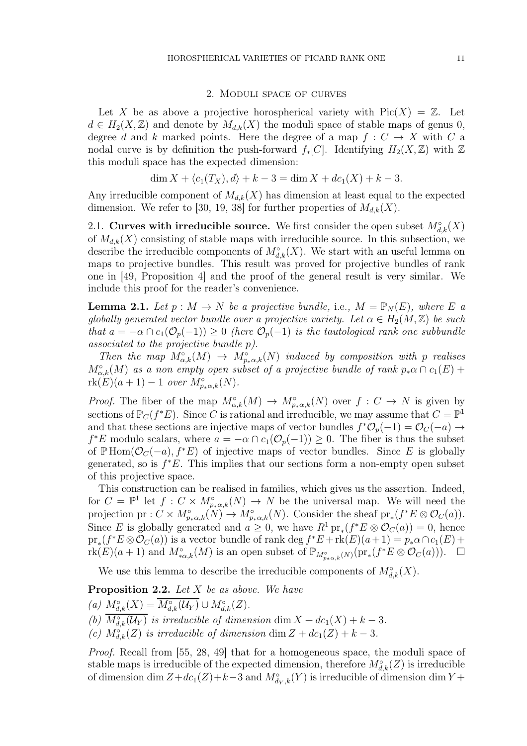#### 2. Moduli space of curves

Let X be as above a projective horospherical variety with  $Pic(X) = \mathbb{Z}$ . Let  $d \in H_2(X,\mathbb{Z})$  and denote by  $M_{d,k}(X)$  the moduli space of stable maps of genus 0, degree d and k marked points. Here the degree of a map  $f: C \to X$  with C a nodal curve is by definition the push-forward  $f_*[C]$ . Identifying  $H_2(X,\mathbb{Z})$  with  $\mathbb Z$ this moduli space has the expected dimension:

$$
\dim X + \langle c_1(T_X), d \rangle + k - 3 = \dim X + dc_1(X) + k - 3.
$$

Any irreducible component of  $M_{d,k}(X)$  has dimension at least equal to the expected dimension. We refer to [30, 19, 38] for further properties of  $M_{d,k}(X)$ .

2.1. Curves with irreducible source. We first consider the open subset  $M_{d,k}^{\circ}(X)$ of  $M_{d,k}(X)$  consisting of stable maps with irreducible source. In this subsection, we describe the irreducible components of  $M^{\circ}_{d,k}(X)$ . We start with an useful lemma on maps to projective bundles. This result was proved for projective bundles of rank one in [49, Proposition 4] and the proof of the general result is very similar. We include this proof for the reader's convenience.

**Lemma 2.1.** Let  $p : M \to N$  be a projective bundle, i.e.,  $M = \mathbb{P}_N(E)$ , where E a globally generated vector bundle over a projective variety. Let  $\alpha \in H_2(M, \mathbb{Z})$  be such that  $a = -\alpha \cap c_1(\mathcal{O}_p(-1)) \geq 0$  (here  $\mathcal{O}_p(-1)$ ) is the tautological rank one subbundle associated to the projective bundle p).

Then the map  $M^{\circ}_{\alpha,k}(M) \to M^{\circ}_{p_*\alpha,k}(N)$  induced by composition with p realises  $M^{\circ}_{\alpha,k}(M)$  as a non empty open subset of a projective bundle of rank  $p_*\alpha \cap c_1(E)$  +  $rk(E)(a+1)-1$  over  $M_{p_{*}\alpha,k}^{\circ}(N)$ .

*Proof.* The fiber of the map  $M^{\circ}_{\alpha,k}(M) \to M^{\circ}_{p_*\alpha,k}(N)$  over  $f: C \to N$  is given by sections of  $\mathbb{P}_C(f^*E)$ . Since C is rational and irreducible, we may assume that  $C = \mathbb{P}^1$ and that these sections are injective maps of vector bundles  $f^*\mathcal{O}_p(-1) = \mathcal{O}_C(-a) \rightarrow$  $f^*E$  modulo scalars, where  $a = -\alpha \cap c_1(\mathcal{O}_p(-1)) \geq 0$ . The fiber is thus the subset of PHom( $\mathcal{O}_C(-a)$ ,  $f^*E$ ) of injective maps of vector bundles. Since E is globally generated, so is  $f^*E$ . This implies that our sections form a non-empty open subset of this projective space.

This construction can be realised in families, which gives us the assertion. Indeed, for  $C = \mathbb{P}^1$  let  $f: C \times M_{p*\alpha,k}^{\circ}(N) \to N$  be the universal map. We will need the projection pr :  $C \times M_{p_{*\alpha,k}}^{\circ}(N) \to M_{p_{*\alpha,k}}^{\circ}(N)$ . Consider the sheaf pr<sub>\*</sub>( $f^*E \otimes \mathcal{O}_C(a)$ ). Since E is globally generated and  $a \geq 0$ , we have  $R^1 \text{pr}_*(f^*E \otimes \mathcal{O}_C(a)) = 0$ , hence  $pr_*(f^*E\otimes \mathcal{O}_C(a))$  is a vector bundle of rank deg  $f^*E + \text{rk}(E)(a+1) = p_*\alpha \cap c_1(E) +$  $\text{rk}(E)(a+1)$  and  $M^{\circ}_{*\alpha,k}(M)$  is an open subset of  $\mathbb{P}_{M^{\circ}_{p*\alpha,k}(N)}(\text{pr}_{*}(f^{*}E \otimes \mathcal{O}_{C}(a)))$ .  $\Box$ 

We use this lemma to describe the irreducible components of  $M^{\circ}_{d,k}(X)$ .

**Proposition 2.2.** Let  $X$  be as above. We have

(a)  $M^{\circ}_{d,k}(X) = \overline{M^{\circ}_{d,k}(U_Y)} \cup M^{\circ}_{d,k}(Z)$ .

(b)  $M^{\circ}_{d,k}(\mathcal{U}_Y)$  is irreducible of dimension dim  $X + dc_1(X) + k - 3$ .

(c)  $M^{\circ}_{d,k}(Z)$  is irreducible of dimension dim  $Z + dc_1(Z) + k - 3$ .

Proof. Recall from [55, 28, 49] that for a homogeneous space, the moduli space of stable maps is irreducible of the expected dimension, therefore  $M^{\circ}_{d,k}(Z)$  is irreducible of dimension dim  $Z + d c_1(Z) + k - 3$  and  $M^{\circ}_{d_Y,k}(Y)$  is irreducible of dimension dim Y +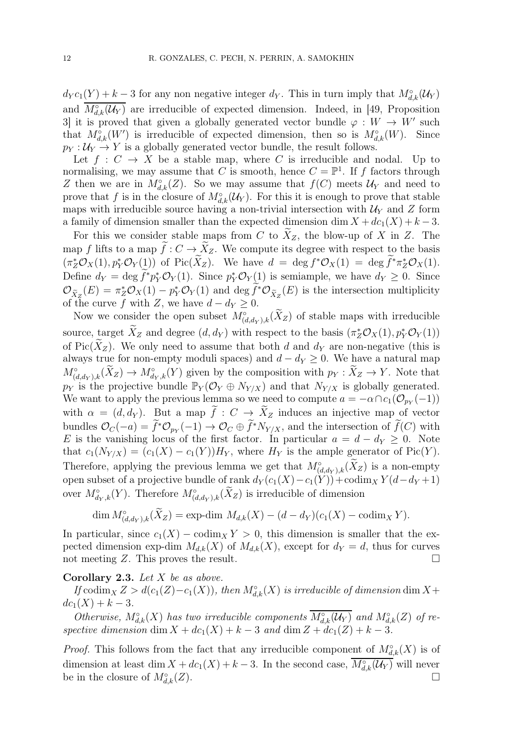$d_Y c_1(Y) + k - 3$  for any non negative integer  $d_Y$ . This in turn imply that  $M^{\circ}_{d,k}(\mathcal{U}_Y)$ and  $M^{\circ}_{d,k}(\mathcal{U}_Y)$  are irreducible of expected dimension. Indeed, in [49, Proposition 3 it is proved that given a globally generated vector bundle  $\varphi: W \to W'$  such that  $M^{\circ}_{d,k}(W')$  is irreducible of expected dimension, then so is  $M^{\circ}_{d,k}(W)$ . Since  $p_Y : U_Y \to Y$  is a globally generated vector bundle, the result follows.

Let  $f: C \to X$  be a stable map, where C is irreducible and nodal. Up to normalising, we may assume that C is smooth, hence  $C = \mathbb{P}^1$ . If f factors through Z then we are in  $M^{\circ}_{d,k}(Z)$ . So we may assume that  $f(C)$  meets  $\mathcal{U}_Y$  and need to prove that f is in the closure of  $M^{\circ}_{d,k}(\mathcal{U}_Y)$ . For this it is enough to prove that stable maps with irreducible source having a non-trivial intersection with  $\mathcal{U}_Y$  and Z form a family of dimension smaller than the expected dimension dim  $X + dc_1(X) + k - 3$ .

For this we consider stable maps from C to  $X_Z$ , the blow-up of X in Z. The map f lifts to a map  $f: C \to X_Z$ . We compute its degree with respect to the basis  $(\pi_Z^* \mathcal{O}_X(1), p_Y^* \mathcal{O}_Y(1))$  of Pic $(X_Z)$ . We have  $d = \deg f^* \mathcal{O}_X(1) = \deg f^* \pi_Z^* \mathcal{O}_X(1)$ . Define  $d_Y = \deg f^* p_Y^* \mathcal{O}_Y(1)$ . Since  $p_Y^* \mathcal{O}_Y(1)$  is semiample, we have  $d_Y \geq 0$ . Since  $\mathcal{O}_{\tilde{X}_Z}(E) = \pi_Z^* \mathcal{O}_X(1) - p_Y^* \mathcal{O}_Y(1)$  and  $\deg f^* \mathcal{O}_{\tilde{X}_Z}(E)$  is the intersection multiplicity of the curve f with Z, we have  $d - d_Y \geq 0$ .

Now we consider the open subset  $M^{\circ}_{(d,d_Y),k}(\tilde{X}_Z)$  of stable maps with irreducible source, target  $\tilde{X}_Z$  and degree  $(d, d_Y)$  with respect to the basis  $(\pi_Z^* \mathcal{O}_X(1), p_Y^* \mathcal{O}_Y(1))$ of Pic(X<sub>Z</sub>). We only need to assume that both d and  $d_Y$  are non-negative (this is always true for non-empty moduli spaces) and  $d - d_Y \geq 0$ . We have a natural map  $M^{\circ}_{(d,d_Y),k}(X_Z) \to M^{\circ}_{d_Y,k}(Y)$  given by the composition with  $p_Y : X_Z \to Y$ . Note that  $p_Y$  is the projective bundle  $\mathbb{P}_Y(\mathcal{O}_Y \oplus N_{Y/X})$  and that  $N_{Y/X}$  is globally generated. We want to apply the previous lemma so we need to compute  $a = -\alpha \cap c_1(\mathcal{O}_{p_Y}(-1))$ with  $\alpha = (d, d_Y)$ . But a map  $\tilde{f}: C \to \tilde{X}_Z$  induces an injective map of vector bundles  $\mathcal{O}_C(-a) = f^*\mathcal{O}_{p_Y}(-1) \to \mathcal{O}_C \oplus f^*N_{Y/X}$ , and the intersection of  $f(C)$  with E is the vanishing locus of the first factor. In particular  $a = d - d_Y \geq 0$ . Note that  $c_1(N_{Y/X}) = (c_1(X) - c_1(Y))H_Y$ , where  $H_Y$  is the ample generator of Pic(Y). Therefore, applying the previous lemma we get that  $M^{\circ}_{(d,d_Y),k}(X_Z)$  is a non-empty open subset of a projective bundle of rank  $d_Y(c_1(X)-c_1(Y)) + \text{codim}_XY(d-d_Y+1)$ over  $M^{\circ}_{d_Y,k}(Y)$ . Therefore  $M^{\circ}_{(d,d_Y),k}(\tilde{X}_Z)$  is irreducible of dimension

$$
\dim M_{(d,d_Y),k}^{\circ}(\widetilde{X}_Z) = \exp\text{-dim } M_{d,k}(X) - (d - d_Y)(c_1(X) - \text{codim}_X Y).
$$

In particular, since  $c_1(X) - \text{codim}_X Y > 0$ , this dimension is smaller that the expected dimension exp-dim  $M_{d,k}(X)$  of  $M_{d,k}(X)$ , except for  $d_Y = d$ , thus for curves not meeting Z. This proves the result.

#### Corollary 2.3. Let  $X$  be as above.

If codim<sub>X</sub>  $Z > d(c_1(Z) - c_1(X))$ , then  $M^{\circ}_{d,k}(X)$  is irreducible of dimension dim  $X +$  $dc_1(X) + k - 3.$ 

Otherwise,  $M^{\circ}_{d,k}(X)$  has two irreducible components  $\overline{M^{\circ}_{d,k}(\mathcal{U}_Y)}$  and  $M^{\circ}_{d,k}(Z)$  of respective dimension dim  $X + dc_1(X) + k - 3$  and dim  $Z + dc_1(Z) + k - 3$ .

*Proof.* This follows from the fact that any irreducible component of  $M^{\circ}_{d,k}(X)$  is of dimension at least dim  $X + dc_1(X) + k - 3$ . In the second case,  $M^{\circ}_{d,k}(\mathcal{U}_Y)$  will never be in the closure of  $M^{\circ}_{d,k}(Z)$ .  $\bigcup_{d,k}^{\circ}(Z).$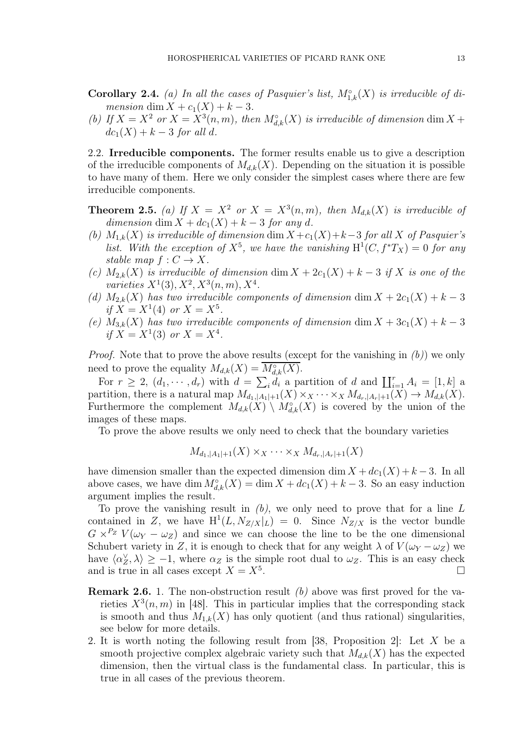**Corollary 2.4.** (a) In all the cases of Pasquier's list,  $M_{1,k}^{\circ}(X)$  is irreducible of dimension dim  $X + c_1(X) + k - 3$ .

(b) If  $X = X^2$  or  $X = X^3(n, m)$ , then  $M^{\circ}_{d,k}(X)$  is irreducible of dimension dim  $X +$  $dc_1(X) + k - 3$  for all d.

2.2. Irreducible components. The former results enable us to give a description of the irreducible components of  $M_{d,k}(X)$ . Depending on the situation it is possible to have many of them. Here we only consider the simplest cases where there are few irreducible components.

**Theorem 2.5.** (a) If  $X = X^2$  or  $X = X^3(n,m)$ , then  $M_{d,k}(X)$  is irreducible of dimension dim  $X + dc_1(X) + k - 3$  for any d.

- (b)  $M_{1,k}(X)$  is irreducible of dimension dim  $X + c_1(X) + k-3$  for all X of Pasquier's list. With the exception of  $X^5$ , we have the vanishing  $H^1(C, f^*T_X) = 0$  for any stable map  $f: C \to X$ .
- (c)  $M_{2,k}(X)$  is irreducible of dimension dim  $X + 2c_1(X) + k 3$  if X is one of the varieties  $X^1(3), X^2, X^3(n, m), X^4$ .
- (d)  $M_{2,k}(X)$  has two irreducible components of dimension dim  $X + 2c_1(X) + k 3$ if  $X = X^1(4)$  or  $X = X^5$ .
- (e)  $M_{3,k}(X)$  has two irreducible components of dimension dim  $X + 3c_1(X) + k 3$ if  $X = X^1(3)$  or  $X = X^4$ .

*Proof.* Note that to prove the above results (except for the vanishing in  $(b)$ ) we only need to prove the equality  $M_{d,k}(X) = M^{\circ}_{d,k}(X)$ .

For  $r \geq 2$ ,  $(d_1, \dots, d_r)$  with  $d = \sum_i d_i$  a partition of d and  $\prod_{i=1}^r A_i = [1, k]$  a partition, there is a natural map  $M_{d_1,|A_1|+1}(X) \times_X \cdots \times_X M_{d_r,|A_r|+1}(X) \to M_{d,k}(X)$ . Furthermore the complement  $M_{d,k}(X) \setminus M_{d,k}^{\circ}(X)$  is covered by the union of the images of these maps.

To prove the above results we only need to check that the boundary varieties

$$
M_{d_1,|A_1|+1}(X) \times_X \cdots \times_X M_{d_r,|A_r|+1}(X)
$$

have dimension smaller than the expected dimension dim  $X + dc_1(X) + k - 3$ . In all above cases, we have dim  $M^{\circ}_{d,k}(X) = \dim X + d c_1(X) + k - 3$ . So an easy induction argument implies the result.

To prove the vanishing result in  $(b)$ , we only need to prove that for a line L contained in Z, we have  $H^1(L, N_{Z/X}|_L) = 0$ . Since  $N_{Z/X}$  is the vector bundle  $G \times^{P_Z} V(\omega_Y - \omega_Z)$  and since we can choose the line to be the one dimensional Schubert variety in Z, it is enough to check that for any weight  $\lambda$  of  $V(\omega_Y - \omega_Z)$  we have  $\langle \alpha_Z^{\vee}, \lambda \rangle \geq -1$ , where  $\alpha_Z$  is the simple root dual to  $\omega_Z$ . This is an easy check and is true in all cases except  $X = X^5$ . . The contract of the contract of  $\Box$ 

- **Remark 2.6.** 1. The non-obstruction result  $(b)$  above was first proved for the varieties  $X^3(n, m)$  in [48]. This in particular implies that the corresponding stack is smooth and thus  $M_{1,k}(X)$  has only quotient (and thus rational) singularities, see below for more details.
- 2. It is worth noting the following result from [38, Proposition 2]: Let X be a smooth projective complex algebraic variety such that  $M_{d,k}(X)$  has the expected dimension, then the virtual class is the fundamental class. In particular, this is true in all cases of the previous theorem.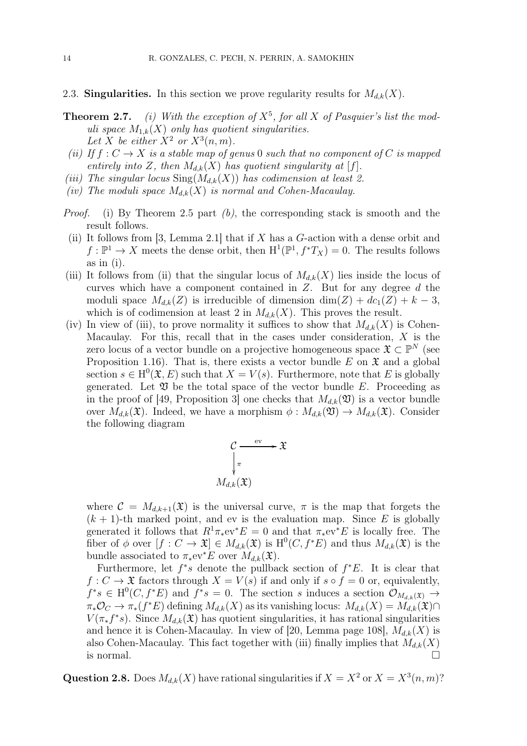- 2.3. Singularities. In this section we prove regularity results for  $M_{d,k}(X)$ .
- **Theorem 2.7.** (i) With the exception of  $X^5$ , for all X of Pasquier's list the moduli space  $M_{1,k}(X)$  only has quotient singularities. Let X be either  $X^2$  or  $X^3(n,m)$ .
- (ii) If  $f: C \to X$  is a stable map of genus 0 such that no component of C is mapped entirely into Z, then  $M_{d,k}(X)$  has quotient singularity at [f].
- (iii) The singular locus  $\text{Sing}(M_{d,k}(X))$  has codimension at least 2.
- (iv) The moduli space  $M_{d,k}(X)$  is normal and Cohen-Macaulay.
- *Proof.* (i) By Theorem 2.5 part  $(b)$ , the corresponding stack is smooth and the result follows.
- (ii) It follows from [3, Lemma 2.1] that if  $X$  has a  $G$ -action with a dense orbit and  $f: \mathbb{P}^1 \to X$  meets the dense orbit, then  $H^1(\mathbb{P}^1, f^*T_X) = 0$ . The results follows as in (i).
- (iii) It follows from (ii) that the singular locus of  $M_{d,k}(X)$  lies inside the locus of curves which have a component contained in  $Z$ . But for any degree  $d$  the moduli space  $M_{d,k}(Z)$  is irreducible of dimension dim(Z) + dc<sub>1</sub>(Z) + k – 3, which is of codimension at least 2 in  $M_{d,k}(X)$ . This proves the result.
- (iv) In view of (iii), to prove normality it suffices to show that  $M_{d,k}(X)$  is Cohen-Macaulay. For this, recall that in the cases under consideration,  $X$  is the zero locus of a vector bundle on a projective homogeneous space  $\mathfrak{X} \subset \mathbb{P}^N$  (see Proposition 1.16). That is, there exists a vector bundle E on  $\mathfrak{X}$  and a global section  $s \in H^0(\mathfrak{X}, E)$  such that  $X = V(s)$ . Furthermore, note that E is globally generated. Let  $\mathfrak V$  be the total space of the vector bundle E. Proceeding as in the proof of [49, Proposition 3] one checks that  $M_{d,k}(\mathfrak{V})$  is a vector bundle over  $M_{d,k}(\mathfrak{X})$ . Indeed, we have a morphism  $\phi: M_{d,k}(\mathfrak{Y}) \to M_{d,k}(\mathfrak{X})$ . Consider the following diagram

$$
\mathcal{C} \xrightarrow{\text{ev}} \mathfrak{X}
$$
\n
$$
\sqrt{\pi}
$$
\n
$$
M_{d,k}(\mathfrak{X})
$$

where  $\mathcal{C} = M_{d,k+1}(\mathfrak{X})$  is the universal curve,  $\pi$  is the map that forgets the  $(k + 1)$ -th marked point, and ev is the evaluation map. Since E is globally generated it follows that  $R^1 \pi_* \text{ev}^* E = 0$  and that  $\pi_* \text{ev}^* E$  is locally free. The fiber of  $\phi$  over  $[f: C \to \mathfrak{X}] \in M_{d,k}(\mathfrak{X})$  is  $H^0(C, f^*E)$  and thus  $M_{d,k}(\mathfrak{X})$  is the bundle associated to  $\pi_*$ ev<sup>∗</sup>E over  $M_{d,k}(\mathfrak{X})$ .

Furthermore, let  $f^*s$  denote the pullback section of  $f^*E$ . It is clear that  $f: C \to \mathfrak{X}$  factors through  $X = V(s)$  if and only if  $s \circ f = 0$  or, equivalently,  $f^*s \in H^0(C, f^*E)$  and  $f^*s = 0$ . The section s induces a section  $\mathcal{O}_{M_{d,k}(\mathfrak{X})} \to$  $\pi_*\mathcal{O}_C \to \pi_*(f^*E)$  defining  $M_{d,k}(X)$  as its vanishing locus:  $M_{d,k}(X) = M_{d,k}(\mathfrak{X}) \cap$  $V(\pi_* f^*s)$ . Since  $M_{d,k}(\mathfrak{X})$  has quotient singularities, it has rational singularities and hence it is Cohen-Macaulay. In view of [20, Lemma page 108],  $M_{d,k}(X)$  is also Cohen-Macaulay. This fact together with (iii) finally implies that  $M_{d,k}(X)$ is normal.  $\Box$ 

**Question 2.8.** Does  $M_{d,k}(X)$  have rational singularities if  $X = X^2$  or  $X = X^3(n,m)$ ?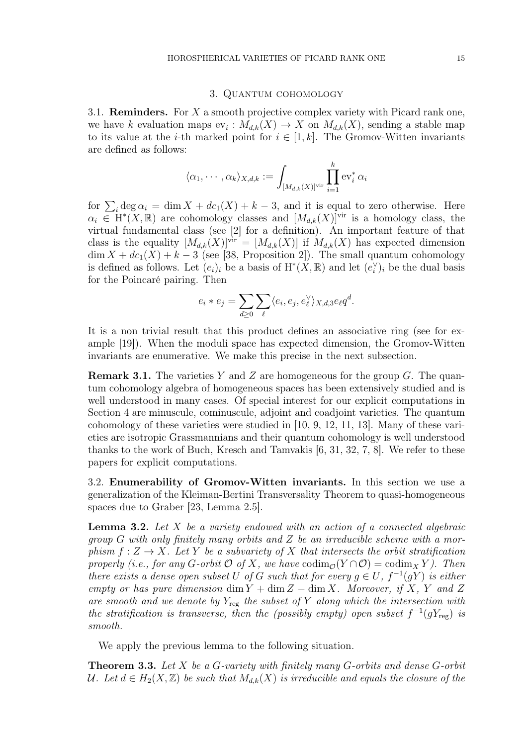#### 3. Quantum cohomology

3.1. **Reminders.** For  $X$  a smooth projective complex variety with Picard rank one, we have k evaluation maps  $ev_i: M_{d,k}(X) \to X$  on  $M_{d,k}(X)$ , sending a stable map to its value at the *i*-th marked point for  $i \in [1, k]$ . The Gromov-Witten invariants are defined as follows:

$$
\langle \alpha_1, \cdots, \alpha_k \rangle_{X,d,k} := \int_{[M_{d,k}(X)]^{\mathrm{vir}}} \prod_{i=1}^k \mathrm{ev}_i^* \, \alpha_i
$$

for  $\sum_i \deg \alpha_i = \dim X + d c_1(X) + k - 3$ , and it is equal to zero otherwise. Here  $\alpha_i \in H^*(X,\mathbb{R})$  are cohomology classes and  $[M_{d,k}(X)]^{\text{vir}}$  is a homology class, the virtual fundamental class (see [2] for a definition). An important feature of that class is the equality  $[M_{d,k}(X)]^{\text{vir}} = [M_{d,k}(X)]$  if  $M_{d,k}(X)$  has expected dimension  $\dim X + dc_1(X) + k - 3$  (see [38, Proposition 2]). The small quantum cohomology is defined as follows. Let  $(e_i)_i$  be a basis of  $H^*(X, \mathbb{R})$  and let  $(e_i^{\vee})_i$  be the dual basis for the Poincaré pairing. Then

$$
e_i * e_j = \sum_{d \geq 0} \sum_{\ell} \langle e_i, e_j, e_{\ell}^{\vee} \rangle_{X,d,3} e_{\ell} q^d.
$$

It is a non trivial result that this product defines an associative ring (see for example [19]). When the moduli space has expected dimension, the Gromov-Witten invariants are enumerative. We make this precise in the next subsection.

**Remark 3.1.** The varieties Y and Z are homogeneous for the group  $G$ . The quantum cohomology algebra of homogeneous spaces has been extensively studied and is well understood in many cases. Of special interest for our explicit computations in Section 4 are minuscule, cominuscule, adjoint and coadjoint varieties. The quantum cohomology of these varieties were studied in [10, 9, 12, 11, 13]. Many of these varieties are isotropic Grassmannians and their quantum cohomology is well understood thanks to the work of Buch, Kresch and Tamvakis [6, 31, 32, 7, 8]. We refer to these papers for explicit computations.

3.2. Enumerability of Gromov-Witten invariants. In this section we use a generalization of the Kleiman-Bertini Transversality Theorem to quasi-homogeneous spaces due to Graber [23, Lemma 2.5].

**Lemma 3.2.** Let  $X$  be a variety endowed with an action of a connected algebraic group G with only finitely many orbits and Z be an irreducible scheme with a morphism  $f: Z \to X$ . Let Y be a subvariety of X that intersects the orbit stratification properly (i.e., for any G-orbit  $\mathcal O$  of X, we have  $\text{codim}_{\mathcal O}(Y\cap \mathcal O)=\text{codim}_X Y$ ). Then there exists a dense open subset U of G such that for every  $g \in U$ ,  $f^{-1}(gY)$  is either empty or has pure dimension  $\dim Y + \dim Z - \dim X$ . Moreover, if X, Y and Z are smooth and we denote by  $Y_{\text{reg}}$  the subset of Y along which the intersection with the stratification is transverse, then the (possibly empty) open subset  $f^{-1}(gY_{reg})$  is smooth.

We apply the previous lemma to the following situation.

**Theorem 3.3.** Let X be a G-variety with finitely many G-orbits and dense G-orbit U. Let  $d \in H_2(X,\mathbb{Z})$  be such that  $M_{d,k}(X)$  is irreducible and equals the closure of the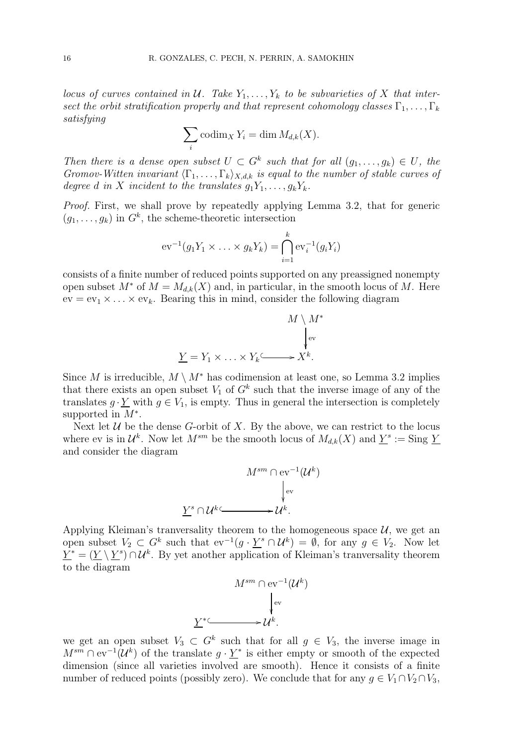locus of curves contained in U. Take  $Y_1, \ldots, Y_k$  to be subvarieties of X that intersect the orbit stratification properly and that represent cohomology classes  $\Gamma_1, \ldots, \Gamma_k$ satisfying

$$
\sum_{i} \operatorname{codim}_{X} Y_{i} = \dim M_{d,k}(X).
$$

Then there is a dense open subset  $U \subset G^k$  such that for all  $(g_1, \ldots, g_k) \in U$ , the Gromov-Witten invariant  $\langle \Gamma_1, \ldots, \Gamma_k \rangle_{X,d,k}$  is equal to the number of stable curves of degree d in X incident to the translates  $g_1Y_1, \ldots, g_kY_k$ .

Proof. First, we shall prove by repeatedly applying Lemma 3.2, that for generic  $(g_1, \ldots, g_k)$  in  $G^k$ , the scheme-theoretic intersection

$$
ev^{-1}(g_1 Y_1 \times \ldots \times g_k Y_k) = \bigcap_{i=1}^k ev_i^{-1}(g_i Y_i)
$$

consists of a finite number of reduced points supported on any preassigned nonempty open subset  $M^*$  of  $M = M_{d,k}(X)$  and, in particular, in the smooth locus of M. Here  $ev = ev_1 \times \ldots \times ev_k$ . Bearing this in mind, consider the following diagram

$$
M \setminus M^*
$$
  
 
$$
\downarrow_{ev}
$$
  

$$
\underline{Y} = Y_1 \times \ldots \times Y_k \xrightarrow{f} X^k.
$$

Since M is irreducible,  $M \setminus M^*$  has codimension at least one, so Lemma 3.2 implies that there exists an open subset  $V_1$  of  $G^k$  such that the inverse image of any of the translates  $g \cdot Y$  with  $g \in V_1$ , is empty. Thus in general the intersection is completely supported in  $M^*$ .

Next let  $U$  be the dense G-orbit of X. By the above, we can restrict to the locus where ev is in  $\mathcal{U}^k$ . Now let  $M^{sm}$  be the smooth locus of  $M_{d,k}(X)$  and  $\underline{Y}^s := \text{Sing }\underline{Y}$ and consider the diagram

$$
M^{sm} \cap \text{ev}^{-1}(\mathcal{U}^k)
$$

$$
\downarrow^{\text{ev}}_{\text{ev}}
$$

$$
\underline{Y}^s \cap \mathcal{U}^k \longrightarrow \mathcal{U}^k.
$$

Applying Kleiman's tranversality theorem to the homogeneous space  $U$ , we get an open subset  $V_2 \subset G^k$  such that  $ev^{-1}(g \cdot \underline{Y}^s \cap \mathcal{U}^k) = \emptyset$ , for any  $g \in V_2$ . Now let  $Y^* = (\underline{Y} \setminus \underline{Y}^s) \cap \mathcal{U}^k$ . By yet another application of Kleiman's tranversality theorem to the diagram

$$
M^{sm} \cap \text{ev}^{-1}(\mathcal{U} \downarrow \text{ev})
$$

$$
\downarrow^{\text{ev}} \downarrow^{\text{ev}}
$$

$$
\underline{Y}^* \longrightarrow \mathcal{U}^k.
$$

 $^k)$ 

we get an open subset  $V_3 \subset G^k$  such that for all  $g \in V_3$ , the inverse image in  $M^{sm} \cap \text{ev}^{-1}(\mathcal{U}^k)$  of the translate  $g \cdot \underline{Y}^*$  is either empty or smooth of the expected dimension (since all varieties involved are smooth). Hence it consists of a finite number of reduced points (possibly zero). We conclude that for any  $g \in V_1 \cap V_2 \cap V_3$ ,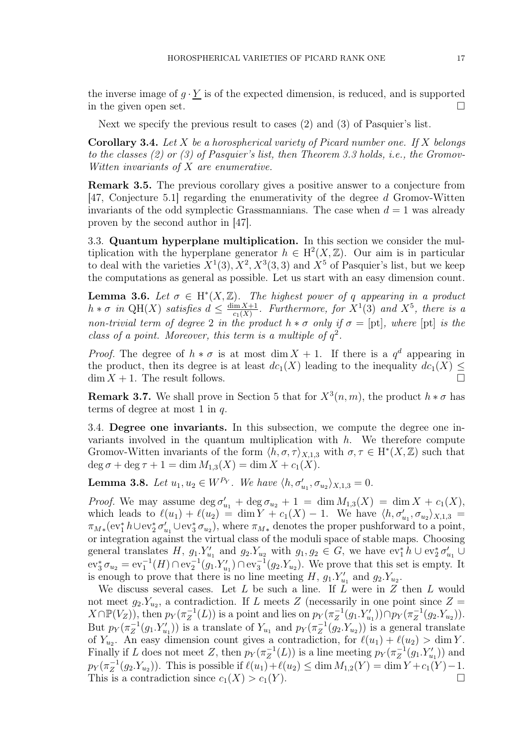the inverse image of  $g \cdot Y$  is of the expected dimension, is reduced, and is supported in the given open set.  $\square$ 

Next we specify the previous result to cases (2) and (3) of Pasquier's list.

**Corollary 3.4.** Let  $X$  be a horospherical variety of Picard number one. If  $X$  belongs to the classes (2) or (3) of Pasquier's list, then Theorem 3.3 holds, i.e., the Gromov-Witten invariants of X are enumerative.

Remark 3.5. The previous corollary gives a positive answer to a conjecture from [47, Conjecture 5.1] regarding the enumerativity of the degree d Gromov-Witten invariants of the odd symplectic Grassmannians. The case when  $d = 1$  was already proven by the second author in [47].

3.3. Quantum hyperplane multiplication. In this section we consider the multiplication with the hyperplane generator  $h \in H^2(X, \mathbb{Z})$ . Our aim is in particular to deal with the varieties  $X^1(3), X^2, X^3(3,3)$  and  $X^5$  of Pasquier's list, but we keep the computations as general as possible. Let us start with an easy dimension count.

**Lemma 3.6.** Let  $\sigma \in H^*(X, \mathbb{Z})$ . The highest power of q appearing in a product  $h * \sigma$  in QH(X) satisfies  $d \leq \frac{\dim X + 1}{c_1(X)}$  $\frac{\dim X + 1}{c_1(X)}$ . Furthermore, for  $X^1(3)$  and  $X^5$ , there is a non-trivial term of degree 2 in the product  $h * \sigma$  only if  $\sigma = [\text{pt}]$ , where  $[\text{pt}]$  is the class of a point. Moreover, this term is a multiple of  $q^2$ .

*Proof.* The degree of  $h * \sigma$  is at most dim  $X + 1$ . If there is a  $q^d$  appearing in the product, then its degree is at least  $dc_1(X)$  leading to the inequality  $dc_1(X) \leq$  $\dim X + 1$ . The result follows.

**Remark 3.7.** We shall prove in Section 5 that for  $X^3(n,m)$ , the product  $h * \sigma$  has terms of degree at most 1 in q.

3.4. Degree one invariants. In this subsection, we compute the degree one invariants involved in the quantum multiplication with  $h$ . We therefore compute Gromov-Witten invariants of the form  $\langle h, \sigma, \tau \rangle_{X,1,3}$  with  $\sigma, \tau \in H^*(X, \mathbb{Z})$  such that  $\deg \sigma + \deg \tau + 1 = \dim M_{1,3}(X) = \dim X + c_1(X).$ 

**Lemma 3.8.** Let  $u_1, u_2 \in W^{P_Y}$ . We have  $\langle h, \sigma'_{u_1}, \sigma_{u_2} \rangle_{X,1,3} = 0$ .

*Proof.* We may assume  $\deg \sigma'_{u_1} + \deg \sigma_{u_2} + 1 = \dim M_{1,3}(X) = \dim X + c_1(X)$ , which leads to  $\ell(u_1) + \ell(u_2) = \dim Y + c_1(X) - 1$ . We have  $\langle h, \sigma'_{u_1}, \sigma_{u_2} \rangle_{X,1,3} =$  $\pi_{M*}(\mathrm{ev}_1^* h \cup \mathrm{ev}_2^* \sigma'_{u_1} \cup \mathrm{ev}_3^* \sigma_{u_2}),$  where  $\pi_{M*}$  denotes the proper pushforward to a point, or integration against the virtual class of the moduli space of stable maps. Choosing general translates  $H$ ,  $g_1.Y'_{u_1}$  and  $g_2.Y_{u_2}$  with  $g_1, g_2 \in G$ , we have  $ev_1^* h \cup ev_2^* \sigma'_{u_1} \cup$  $ev_3^* \sigma_{u_2} = ev_1^{-1}(H) \cap ev_2^{-1}(g_1.Y'_{u_1}) \cap ev_3^{-1}(g_2.Y_{u_2}).$  We prove that this set is empty. It is enough to prove that there is no line meeting  $H$ ,  $g_1.Y'_{u_1}$  and  $g_2.Y_{u_2}$ .

We discuss several cases. Let  $L$  be such a line. If  $L$  were in  $Z$  then  $L$  would not meet  $g_2.Y_{u_2}$ , a contradiction. If L meets Z (necessarily in one point since  $Z =$  $X \cap \mathbb{P}(V_Z)$ , then  $p_Y(\pi_Z^{-1})$  $Z_Z^{-1}(L)$ ) is a point and lies on  $p_Y(\pi_Z^{-1})$  $\mathcal{L}_Z^{-1}(g_1.Y'_{u_1})) \cap p_Y(\pi_Z^{-1})$  $Z^1(g_2.Y_{u_2})$ . But  $p_Y(\pi_Z^{-1})$  $Z_Z^{-1}(g_1.Y'_{u_1})$  is a translate of  $Y_{u_1}$  and  $p_Y(\pi_Z^{-1})$  $Z^{-1}(g_2.Y_{u_2})$  is a general translate of  $Y_{u_2}$ . An easy dimension count gives a contradiction, for  $\ell(u_1) + \ell(u_2) > \dim Y$ . Finally if L does not meet Z, then  $p_Y(\pi_Z^{-1})$  $Z_Z^{-1}(L)$ ) is a line meeting  $p_Y(\pi_Z^{-1})$  $Z^{-1}(g_1.Y'_{u_1})$  and  $p_Y(\pi_Z^{-1}$  $Z_Z^{-1}(g_2.Y_{u_2})$ ). This is possible if  $\ell(u_1)+\ell(u_2) \leq \dim M_{1,2}(Y) = \dim Y + c_1(Y) - 1$ . This is a contradiction since  $c_1(X) > c_1(Y)$ .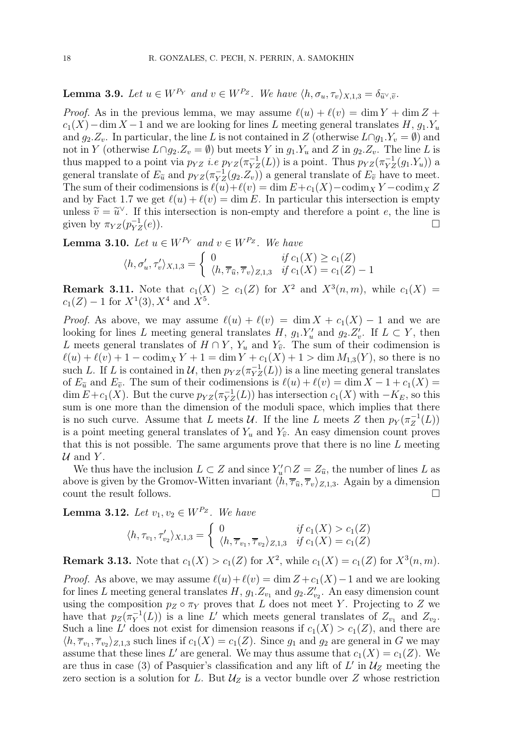**Lemma 3.9.** Let  $u \in W^{P_Y}$  and  $v \in W^{P_Z}$ . We have  $\langle h, \sigma_u, \tau_v \rangle_{X}$   $_1$   $_3 = \delta_{\widetilde{\eta}^{\vee}}$   $\widetilde{\eta}$ .

*Proof.* As in the previous lemma, we may assume  $\ell(u) + \ell(v) = \dim Y + \dim Z +$  $c_1(X)$  – dim X – 1 and we are looking for lines L meeting general translates H,  $g_1.Y_u$ and  $g_2.Z_v$ . In particular, the line L is not contained in Z (otherwise  $L \cap g_1.Y_v = \emptyset$ ) and not in Y (otherwise  $L \cap g_2.Z_v = \emptyset$ ) but meets Y in  $g_1.Y_u$  and Z in  $g_2.Z_v$ . The line L is thus mapped to a point via  $p_{YZ}$  *i.e*  $p_{YZ}(\pi_{YZ}^{-1}(L))$  is a point. Thus  $p_{YZ}(\pi_{YZ}^{-1}(g_1.Y_u))$  a general translate of  $E_{\tilde{u}}$  and  $p_{YZ}(\pi_{YZ}^{-1}(g_2, Z_v))$  a general translate of  $E_{\tilde{v}}$  have to meet. The sum of their codimensions is  $\ell(u)+\ell(v) = \dim E + c_1(X) - \text{codim}_X Y - \text{codim}_X Z$ and by Fact 1.7 we get  $\ell(u) + \ell(v) = \dim E$ . In particular this intersection is empty unless  $\widetilde{v} = \widetilde{u}^{\vee}$ . If this intersection is non-empty and therefore a point e, the line is given by  $\pi_{YZ}(p_{YZ}^{-1})$  $\Gamma_{YZ}^{-1}(e)$ ).

**Lemma 3.10.** Let  $u \in W^{P_Y}$  and  $v \in W^{P_Z}$ . We have

$$
\langle h, \sigma'_u, \tau'_v \rangle_{X,1,3} = \begin{cases} 0 & \text{if } c_1(X) \ge c_1(Z) \\ \langle h, \overline{\tau}_{\widehat{u}}, \overline{\tau}_v \rangle_{Z,1,3} & \text{if } c_1(X) = c_1(Z) - 1 \end{cases}
$$

**Remark 3.11.** Note that  $c_1(X) \geq c_1(Z)$  for  $X^2$  and  $X^3(n,m)$ , while  $c_1(X)$  $c_1(Z) - 1$  for  $X^1(3), X^4$  and  $X^5$ .

*Proof.* As above, we may assume  $\ell(u) + \ell(v) = \dim X + c_1(X) - 1$  and we are looking for lines L meeting general translates H,  $g_1.Y'_u$  and  $g_2.Z'_v$ . If  $L \subset Y$ , then L meets general translates of  $H \cap Y$ ,  $Y_u$  and  $Y_{\hat{v}}$ . The sum of their codimension is  $\ell(u) + \ell(v) + 1 - \operatorname{codim}_X Y + 1 = \dim Y + c_1(X) + 1 > \dim M_{1,3}(Y)$ , so there is no such L. If L is contained in  $\mathcal{U}$ , then  $p_{YZ}(\pi_{YZ}^{-1}(L))$  is a line meeting general translates of  $E_{\tilde{u}}$  and  $E_{\tilde{v}}$ . The sum of their codimensions is  $\ell(u) + \ell(v) = \dim X - 1 + c_1(X) =$ dim  $E + c_1(X)$ . But the curve  $p_{YZ}(\pi_{YZ}^{-1}(L))$  has intersection  $c_1(X)$  with  $-K_E$ , so this sum is one more than the dimension of the moduli space, which implies that there is no such curve. Assume that L meets  $\mathcal{U}$ . If the line L meets Z then  $p_Y(\pi_Z^{-1})$  $Z^{^{-1}}(L))$ is a point meeting general translates of  $Y_u$  and  $Y_{\hat{v}}$ . An easy dimension count proves that this is not possible. The same arguments prove that there is no line  $L$  meeting  $U$  and Y.

We thus have the inclusion  $L \subset Z$  and since  $Y'_\n\llcorner u \cap Z = Z_{\widehat{u}}$ , the number of lines L as above is given by the Gromov-Witten invariant  $\langle h, \overline{\tau}_{\hat{u}}, \overline{\tau}_{v} \rangle_{Z,1,3}$ . Again by a dimension count the result follows. count the result follows.

Lemma 3.12. Let  $v_1, v_2 \in W^{P_Z}$ . We have

$$
\langle h, \tau_{v_1}, \tau'_{v_2} \rangle_{X,1,3} = \begin{cases} 0 & \text{if } c_1(X) > c_1(Z) \\ \langle h, \overline{\tau}_{v_1}, \overline{\tau}_{v_2} \rangle_{Z,1,3} & \text{if } c_1(X) = c_1(Z) \end{cases}
$$

**Remark 3.13.** Note that  $c_1(X) > c_1(Z)$  for  $X^2$ , while  $c_1(X) = c_1(Z)$  for  $X^3(n, m)$ .

*Proof.* As above, we may assume  $\ell(u) + \ell(v) = \dim Z + c_1(X) - 1$  and we are looking for lines L meeting general translates  $H$ ,  $g_1.Z_{v_1}$  and  $g_2.Z'_{v_2}$ . An easy dimension count using the composition  $p_Z \circ \pi_Y$  proves that L does not meet Y. Projecting to Z we have that  $p_Z(\pi_Y^{-1})$  $Y(Y^{-1}(L))$  is a line L' which meets general translates of  $Z_{v_1}$  and  $Z_{v_2}$ . Such a line L' does not exist for dimension reasons if  $c_1(X) > c_1(Z)$ , and there are  $\langle h, \overline{\tau}_{v_1}, \overline{\tau}_{v_2} \rangle_{Z,1,3}$  such lines if  $c_1(X) = c_1(Z)$ . Since  $g_1$  and  $g_2$  are general in G we may assume that these lines L' are general. We may thus assume that  $c_1(X) = c_1(Z)$ . We are thus in case (3) of Pasquier's classification and any lift of  $L'$  in  $\mathcal{U}_Z$  meeting the zero section is a solution for L. But  $\mathcal{U}_Z$  is a vector bundle over Z whose restriction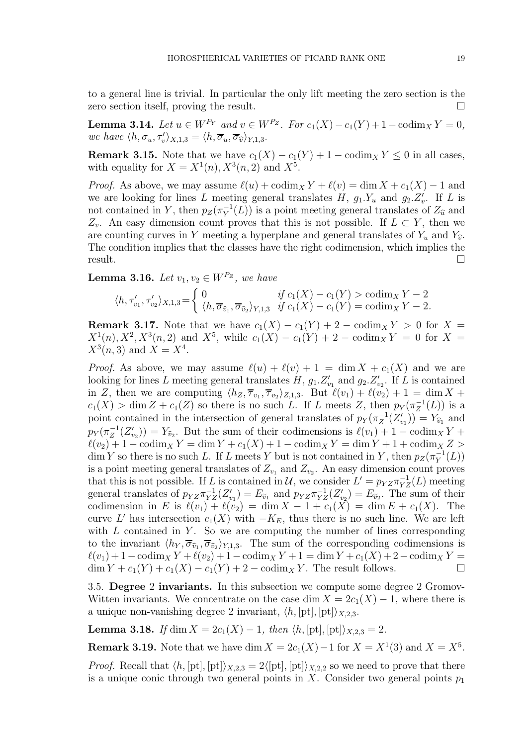to a general line is trivial. In particular the only lift meeting the zero section is the zero section itself, proving the result.

Lemma 3.14. Let  $u \in W^{P_Y}$  and  $v \in W^{P_Z}$ . For  $c_1(X) - c_1(Y) + 1 - \text{codim}_X Y = 0$ , we have  $\langle h, \sigma_u, \tau_v' \rangle_{X,1,3} = \langle h, \overline{\sigma}_u, \overline{\sigma}_{\widehat{v}} \rangle_{Y,1,3}$ .

**Remark 3.15.** Note that we have  $c_1(X) - c_1(Y) + 1 - \text{codim}_X Y \leq 0$  in all cases, with equality for  $X = X^1(n)$ ,  $X^3(n, 2)$  and  $X^5$ .

*Proof.* As above, we may assume  $\ell(u) + \text{codim}_X Y + \ell(v) = \dim X + c_1(X) - 1$  and we are looking for lines L meeting general translates H,  $g_1.Y_u$  and  $g_2.Z'_v$ . If L is not contained in Y, then  $p_Z(\pi_Y^{-1})$  $Y(Y|L)$  is a point meeting general translates of  $Z_{\hat{u}}$  and  $Z_v$ . An easy dimension count proves that this is not possible. If  $L \subset Y$ , then we are counting curves in Y meeting a hyperplane and general translates of  $Y_u$  and  $Y_{\hat{v}}$ . The condition implies that the classes have the right codimension, which implies the  $result.$   $\Box$ 

Lemma 3.16. Let  $v_1, v_2 \in W^{P_Z}$ , we have

$$
\langle h, \tau'_{v_1}, \tau'_{v_2} \rangle_{X,1,3} = \begin{cases} 0 & \text{if } c_1(X) - c_1(Y) > \operatorname{codim}_X Y - 2 \\ \langle h, \overline{\sigma}_{\widehat{v}_1}, \overline{\sigma}_{\widehat{v}_2} \rangle_{Y,1,3} & \text{if } c_1(X) - c_1(Y) = \operatorname{codim}_X Y - 2. \end{cases}
$$

**Remark 3.17.** Note that we have  $c_1(X) - c_1(Y) + 2 - \text{codim}_X Y > 0$  for  $X =$  $X^1(n), X^2, X^3(n,2)$  and  $X^5$ , while  $c_1(X) - c_1(Y) + 2 - \text{codim}_X Y = 0$  for  $X =$  $X^3(n,3)$  and  $X=X^4$ .

*Proof.* As above, we may assume  $\ell(u) + \ell(v) + 1 = \dim X + c_1(X)$  and we are looking for lines L meeting general translates  $H$ ,  $g_1.Z'_{v_1}$  and  $g_2.Z'_{v_2}$ . If L is contained in Z, then we are computing  $\langle h_Z, \overline{\tau}_{v_1}, \overline{\tau}_{v_2} \rangle_{Z,1,3}$ . But  $\ell(v_1) + \ell(v_2) + 1 = \dim X +$  $c_1(X) > \dim Z + c_1(Z)$  so there is no such L. If L meets Z, then  $p_Y(\pi_Z^{-1})$  $Z^{-1}(L)$ ) is a point contained in the intersection of general translates of  $p_Y(\pi_Z^{-1})$  $Z_Z^{-1}(Z'_{v_1}) = Y_{\widehat{v}_1}$  and  $p_Y(\pi_Z^{-1}$  $Z_Z^{-1}(Z'_{v_2}) = Y_{\widehat{v}_2}$ . But the sum of their codimensions is  $\ell(v_1) + 1 - \text{codim}_X Y +$  $\ell(v_2) + 1 - \operatorname{codim}_X Y = \dim Y + c_1(X) + 1 - \operatorname{codim}_X Y = \dim Y + 1 + \operatorname{codim}_X Z >$  $\dim Y$  so there is no such L. If L meets Y but is not contained in Y, then  $p_Z(\pi_Y^{-1})$  $Y^{-1}(L))$ is a point meeting general translates of  $Z_{v_1}$  and  $Z_{v_2}$ . An easy dimension count proves that this is not possible. If L is contained in U, we consider  $L' = p_{YZ} \pi_{YZ}^{-1}(L)$  meeting general translates of  $p_{YZ}\pi_{YZ}^{-1}(Z_{v_1}') = E_{\tilde{v}_1}$  and  $p_{YZ}\pi_{YZ}^{-1}(Z_{v_2}') = E_{\tilde{v}_2}$ . The sum of their codimension in E is  $\ell(v_1) + \ell(v_2) = \dim X - 1 + c_1(X) = \dim E + c_1(X)$ . The curve L' has intersection  $c_1(X)$  with  $-K_E$ , thus there is no such line. We are left with  $L$  contained in  $Y$ . So we are computing the number of lines corresponding to the invariant  $\langle h_Y, \overline{\sigma}_{\widehat{v}_1}, \overline{\sigma}_{\widehat{v}_2} \rangle_{Y,1,3}$ . The sum of the corresponding codimensions is  $\ell(v_1) + 1 - \operatorname{codim}_X Y + \ell(v_2) + 1 - \operatorname{codim}_X Y + 1 = \dim Y + c_1(X) + 2 - \operatorname{codim}_X Y =$  $\dim Y + c_1(Y) + c_1(X) - c_1(Y) + 2 - \operatorname{codim}_X Y$ . The result follows.

3.5. Degree 2 invariants. In this subsection we compute some degree 2 Gromov-Witten invariants. We concentrate on the case dim  $X = 2c_1(X) - 1$ , where there is a unique non-vanishing degree 2 invariant,  $\langle h, [\text{pt}], [\text{pt}] \rangle_{X,2,3}$ .

**Lemma 3.18.** If dim  $X = 2c_1(X) - 1$ , then  $\langle h, [\text{pt}], [\text{pt}]\rangle_{X,2,3} = 2$ .

**Remark 3.19.** Note that we have dim  $X = 2c_1(X) - 1$  for  $X = X^1(3)$  and  $X = X^5$ .

*Proof.* Recall that  $\langle h, [\text{pt}], [\text{pt}]\rangle_{X,2,3} = 2\langle [\text{pt}], [\text{pt}]\rangle_{X,2,2}$  so we need to prove that there is a unique conic through two general points in X. Consider two general points  $p_1$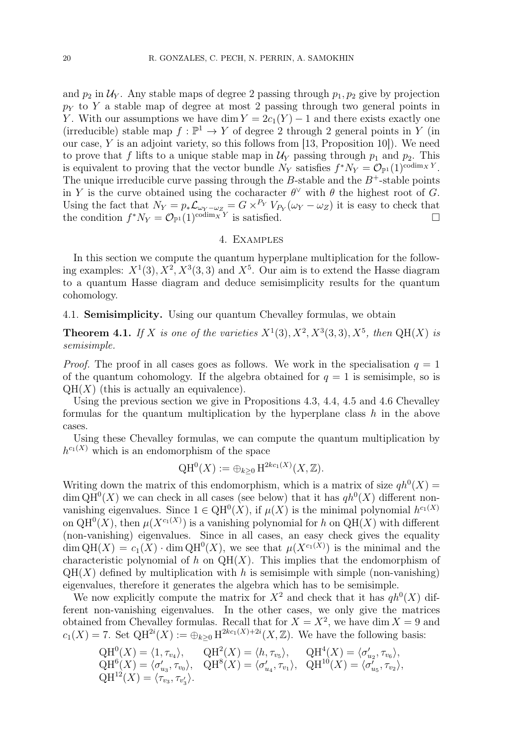and  $p_2$  in  $\mathcal{U}_Y$ . Any stable maps of degree 2 passing through  $p_1, p_2$  give by projection  $p_Y$  to Y a stable map of degree at most 2 passing through two general points in Y. With our assumptions we have dim  $Y = 2c_1(Y) - 1$  and there exists exactly one (irreducible) stable map  $f: \mathbb{P}^1 \to Y$  of degree 2 through 2 general points in Y (in our case,  $Y$  is an adjoint variety, so this follows from [13, Proposition 10]). We need to prove that f lifts to a unique stable map in  $\mathcal{U}_Y$  passing through  $p_1$  and  $p_2$ . This is equivalent to proving that the vector bundle  $N_Y$  satisfies  $f^*N_Y = \mathcal{O}_{\mathbb{P}^1}(1)^{\text{codim}_X Y}$ . The unique irreducible curve passing through the B-stable and the  $B^+$ -stable points in Y is the curve obtained using the cocharacter  $\theta^{\vee}$  with  $\theta$  the highest root of G. Using the fact that  $N_Y = p_* \mathcal{L}_{\omega_Y - \omega_Z} = G \times^{P_Y} V_{P_Y}(\omega_Y - \omega_Z)$  it is easy to check that the condition  $f^*N_Y = \mathcal{O}_{\mathbb{P}^1}(1)^{\text{codim}_XY}$  is satisfied.

#### 4. Examples

In this section we compute the quantum hyperplane multiplication for the following examples:  $X^1(3), X^2, X^3(3,3)$  and  $X^5$ . Our aim is to extend the Hasse diagram to a quantum Hasse diagram and deduce semisimplicity results for the quantum cohomology.

4.1. Semisimplicity. Using our quantum Chevalley formulas, we obtain

**Theorem 4.1.** If X is one of the varieties  $X^1(3)$ ,  $X^2$ ,  $X^3(3,3)$ ,  $X^5$ , then QH(X) is semisimple.

*Proof.* The proof in all cases goes as follows. We work in the specialisation  $q = 1$ of the quantum cohomology. If the algebra obtained for  $q = 1$  is semisimple, so is  $QH(X)$  (this is actually an equivalence).

Using the previous section we give in Propositions 4.3, 4.4, 4.5 and 4.6 Chevalley formulas for the quantum multiplication by the hyperplane class  $h$  in the above cases.

Using these Chevalley formulas, we can compute the quantum multiplication by  $h^{c_1(X)}$  which is an endomorphism of the space

$$
\mathrm{QH}^0(X) := \oplus_{k \geq 0} \mathrm{H}^{2kc_1(X)}(X, \mathbb{Z}).
$$

Writing down the matrix of this endomorphism, which is a matrix of size  $qh^0(X)$  $\dim \mathrm{QH}^{0}(X)$  we can check in all cases (see below) that it has  $q h^{0}(X)$  different nonvanishing eigenvalues. Since  $1 \in QH^0(X)$ , if  $\mu(X)$  is the minimal polynomial  $h^{c_1(X)}$ on  $QH^{0}(X)$ , then  $\mu(X^{c_1(X)})$  is a vanishing polynomial for h on  $QH(X)$  with different (non-vanishing) eigenvalues. Since in all cases, an easy check gives the equality  $\dim QH(X) = c_1(X) \cdot \dim QH^0(X)$ , we see that  $\mu(X^{c_1(X)})$  is the minimal and the characteristic polynomial of h on  $QH(X)$ . This implies that the endomorphism of  $QH(X)$  defined by multiplication with h is semisimple with simple (non-vanishing) eigenvalues, therefore it generates the algebra which has to be semisimple.

We now explicitly compute the matrix for  $X^2$  and check that it has  $q h^0(X)$  different non-vanishing eigenvalues. In the other cases, we only give the matrices obtained from Chevalley formulas. Recall that for  $X = X^2$ , we have dim  $X = 9$  and  $c_1(X) = 7$ . Set  $QH^{2i}(X) := \bigoplus_{k \geq 0} H^{2kc_1(X)+2i}(X,\mathbb{Z})$ . We have the following basis:

$$
QH0(X) = \langle 1, \tau_{v_4} \rangle, \qquad QH2(X) = \langle h, \tau_{v_5} \rangle, \qquad QH4(X) = \langle \sigma'_{u_2}, \tau_{v_6} \rangle, QH6(X) = \langle \sigma'_{u_3}, \tau_{v_0} \rangle, \qquad QH8(X) = \langle \sigma'_{u_4}, \tau_{v_1} \rangle, \qquad QH10(X) = \langle \sigma'_{u_5}, \tau_{v_2} \rangle, QH12(X) = \langle \tau_{v_3}, \tau_{v'_3} \rangle.
$$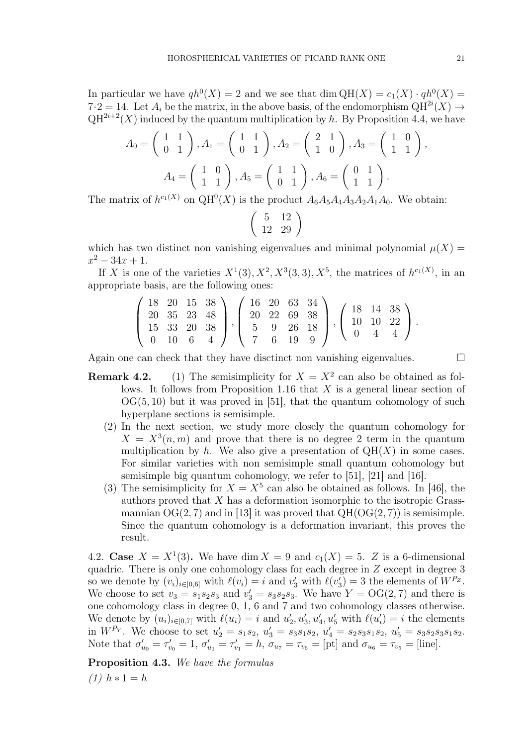In particular we have  $qh^0(X) = 2$  and we see that dim  $QH(X) = c_1(X) \cdot qh^0(X) =$  $7·2 = 14$ . Let  $A_i$  be the matrix, in the above basis, of the endomorphism  $QH^{2i}(X) \rightarrow$  $QH^{2i+2}(X)$  induced by the quantum multiplication by h. By Proposition 4.4, we have

$$
A_0 = \begin{pmatrix} 1 & 1 \\ 0 & 1 \end{pmatrix}, A_1 = \begin{pmatrix} 1 & 1 \\ 0 & 1 \end{pmatrix}, A_2 = \begin{pmatrix} 2 & 1 \\ 1 & 0 \end{pmatrix}, A_3 = \begin{pmatrix} 1 & 0 \\ 1 & 1 \end{pmatrix}
$$

$$
A_4 = \begin{pmatrix} 1 & 0 \\ 1 & 1 \end{pmatrix}, A_5 = \begin{pmatrix} 1 & 1 \\ 0 & 1 \end{pmatrix}, A_6 = \begin{pmatrix} 0 & 1 \\ 1 & 1 \end{pmatrix}.
$$

The matrix of  $h^{c_1(X)}$  on  $QH^0(X)$  is the product  $A_6A_5A_4A_3A_2A_1A_0$ . We obtain:

$$
\left(\begin{array}{cc}5 & 12 \\12 & 29\end{array}\right)
$$

which has two distinct non vanishing eigenvalues and minimal polynomial  $\mu(X) =$  $x^2 - 34x + 1.$ 

If X is one of the varieties  $X^1(3), X^2, X^3(3,3), X^5$ , the matrices of  $h^{c_1(X)}$ , in an appropriate basis, are the following ones:

$$
\left(\begin{array}{cccc}\n18 & 20 & 15 & 38 \\
20 & 35 & 23 & 48 \\
15 & 33 & 20 & 38 \\
0 & 10 & 6 & 4\n\end{array}\right), \left(\begin{array}{cccc}\n16 & 20 & 63 & 34 \\
20 & 22 & 69 & 38 \\
5 & 9 & 26 & 18 \\
7 & 6 & 19 & 9\n\end{array}\right), \left(\begin{array}{cccc}\n18 & 14 & 38 \\
10 & 10 & 22 \\
0 & 4 & 4\n\end{array}\right).
$$

Again one can check that they have disctinct non vanishing eigenvalues.  $\Box$ 

- **Remark 4.2.** (1) The semisimplicity for  $X = X^2$  can also be obtained as follows. It follows from Proposition 1.16 that  $X$  is a general linear section of  $OG(5, 10)$  but it was proved in [51], that the quantum cohomology of such hyperplane sections is semisimple.
	- (2) In the next section, we study more closely the quantum cohomology for  $X = X<sup>3</sup>(n, m)$  and prove that there is no degree 2 term in the quantum multiplication by h. We also give a presentation of  $QH(X)$  in some cases. For similar varieties with non semisimple small quantum cohomology but semisimple big quantum cohomology, we refer to [51], [21] and [16].
	- (3) The semisimplicity for  $X = X^5$  can also be obtained as follows. In [46], the authors proved that X has a deformation isomorphic to the isotropic Grassmannian  $\mathrm{OG}(2,7)$  and in [13] it was proved that  $\mathrm{QH}(\mathrm{OG}(2,7))$  is semisimple. Since the quantum cohomology is a deformation invariant, this proves the result.

4.2. Case  $X = X^1(3)$ . We have dim  $X = 9$  and  $c_1(X) = 5$ . Z is a 6-dimensional quadric. There is only one cohomology class for each degree in Z except in degree 3 so we denote by  $(v_i)_{i \in [0,6]}$  with  $\ell(v_i) = i$  and  $v'_3$  with  $\ell(v'_3) = 3$  the elements of  $W^{P_Z}$ . We choose to set  $v_3 = s_1 s_2 s_3$  and  $v'_3 = s_3 s_2 s_3$ . We have  $Y = \text{OG}(2, 7)$  and there is one cohomology class in degree 0, 1, 6 and 7 and two cohomology classes otherwise. We denote by  $(u_i)_{i\in[0,7]}$  with  $\ell(u_i)=i$  and  $u'_2, u'_3, u'_4, u'_5$  with  $\ell(u'_i)=i$  the elements in  $W^{P_Y}$ . We choose to set  $u'_2 = s_1 s_2$ ,  $u'_3 = s_3 s_1 s_2$ ,  $u'_4 = s_2 s_3 s_1 s_2$ ,  $u'_5 = s_3 s_2 s_3 s_1 s_2$ . Note that  $\sigma'_{u_0} = \tau'_{v_0} = 1$ ,  $\sigma'_{u_1} = \tau'_{v_1} = h$ ,  $\sigma_{u_7} = \tau_{v_6} = [\text{pt}]$  and  $\sigma_{u_6} = \tau_{v_5} = [\text{line}].$ 

Proposition 4.3. We have the formulas  $(1)$   $h * 1 = h$ 

,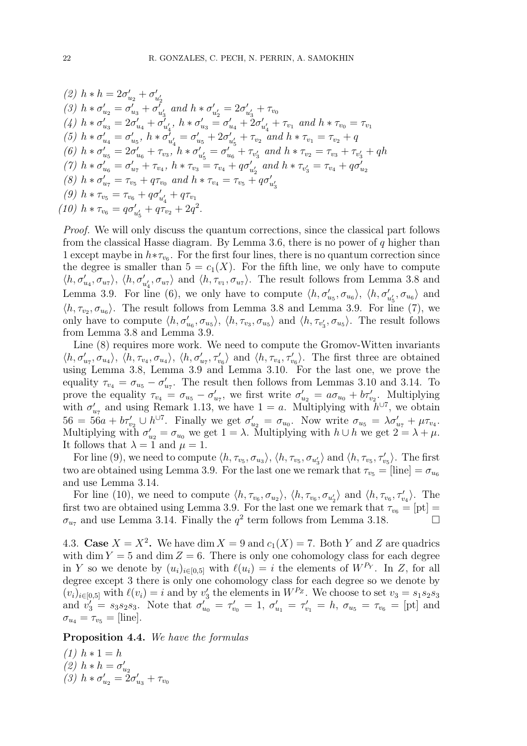(2) 
$$
h * h = 2\sigma'_{u_2} + \sigma'_{u'_2}
$$
  
\n(3)  $h * \sigma'_{u_2} = \sigma'_{u_3} + \sigma'_{u'_3}$  and  $h * \sigma'_{u'_2} = 2\sigma'_{u'_3} + \tau_{v_0}$   
\n(4)  $h * \sigma'_{u_3} = 2\sigma'_{u_4} + \sigma'_{u'_4}$ ,  $h * \sigma'_{u_3} = \sigma'_{u_4} + 2\sigma'_{u'_4} + \tau_{v_1}$  and  $h * \tau_{v_0} = \tau_{v_1}$   
\n(5)  $h * \sigma'_{u_4} = \sigma'_{u_5}$ ,  $h * \sigma'_{u'_4} = \sigma'_{u_5} + 2\sigma'_{u'_5} + \tau_{v_2}$  and  $h * \tau_{v_1} = \tau_{v_2} + q$   
\n(6)  $h * \sigma'_{u_5} = 2\sigma'_{u_6} + \tau_{v_3}$ ,  $h * \sigma'_{u'_5} = \sigma'_{u_6} + \tau_{v'_3}$  and  $h * \tau_{v_2} = \tau_{v_3} + \tau_{v'_3} + qh$   
\n(7)  $h * \sigma'_{u_6} = \sigma'_{u_7} + \tau_{v_4}$ ,  $h * \tau_{v_3} = \tau_{v_4} + q\sigma'_{u'_2}$  and  $h * \tau_{v'_3} = \tau_{v_4} + q\sigma'_{u_2}$   
\n(8)  $h * \sigma'_{u_7} = \tau_{v_5} + q\tau_{v_0}$  and  $h * \tau_{v_4} = \tau_{v_5} + q\sigma'_{u'_3}$   
\n(9)  $h * \tau_{v_5} = \tau_{v_6} + q\sigma'_{u'_4} + q\tau_{v_1}$   
\n(10)  $h * \tau_{v_6} = q\sigma'_{u'_5} + q\tau_{v_2} + 2q^2$ .

Proof. We will only discuss the quantum corrections, since the classical part follows from the classical Hasse diagram. By Lemma 3.6, there is no power of  $q$  higher than 1 except maybe in  $h * \tau_{v_6}$ . For the first four lines, there is no quantum correction since the degree is smaller than  $5 = c_1(X)$ . For the fifth line, we only have to compute  $\langle h, \sigma'_{u_4}, \sigma_{u_7} \rangle$ ,  $\langle h, \sigma'_{u'_4}, \sigma_{u_7} \rangle$  and  $\langle h, \tau_{v_1}, \sigma_{u_7} \rangle$ . The result follows from Lemma 3.8 and Lemma 3.9. For line (6), we only have to compute  $\langle h, \sigma'_{u_5}, \sigma_{u_6} \rangle$ ,  $\langle h, \sigma'_{u'_5}, \sigma_{u_6} \rangle$  and  $\langle h, \tau_{v_2}, \sigma_{u_6} \rangle$ . The result follows from Lemma 3.8 and Lemma 3.9. For line (7), we only have to compute  $\langle h, \sigma'_{u_6}, \sigma_{u_5} \rangle$ ,  $\langle h, \tau_{v_3}, \sigma_{u_5} \rangle$  and  $\langle h, \tau_{v'_3}, \sigma_{u_5} \rangle$ . The result follows from Lemma 3.8 and Lemma 3.9.

Line (8) requires more work. We need to compute the Gromov-Witten invariants  $\langle h, \sigma'_{u_7}, \sigma_{u_4} \rangle$ ,  $\langle h, \tau_{v_4}, \sigma_{u_4} \rangle$ ,  $\langle h, \sigma'_{u_7}, \tau'_{v_6} \rangle$  and  $\langle h, \tau_{v_4}, \tau'_{v_6} \rangle$ . The first three are obtained using Lemma 3.8, Lemma 3.9 and Lemma 3.10. For the last one, we prove the equality  $\tau_{v_4} = \sigma_{u_5} - \sigma'_{u_7}$ . The result then follows from Lemmas 3.10 and 3.14. To prove the equality  $\tau_{v_4} = \sigma_{u_5} - \sigma'_{u_7}$ , we first write  $\sigma'_{u_2} = a\sigma_{u_0} + b\tau'_{v_2}$ . Multiplying with  $\sigma'_{u_7}$  and using Remark 1.13, we have  $1 = a$ . Multiplying with  $h^{\cup 7}$ , we obtain  $56 = 56a + b\tau'_{v_2} \cup h^{\cup 7}$ . Finally we get  $\sigma'_{u_2} = \sigma_{u_0}$ . Now write  $\sigma_{u_5} = \lambda \sigma'_{u_7} + \mu \tau_{v_4}$ . Multiplying with  $\sigma'_{u_2} = \sigma_{u_0}$  we get  $1 = \lambda$ . Multiplying with  $h \cup h$  we get  $2 = \lambda + \mu$ . It follows that  $\lambda = 1$  and  $\mu = 1$ .

For line (9), we need to compute  $\langle h, \tau_{v_5}, \sigma_{u_3} \rangle$ ,  $\langle h, \tau_{v_5}, \sigma_{u'_3} \rangle$  and  $\langle h, \tau_{v_5}, \tau'_{v_5} \rangle$ . The first two are obtained using Lemma 3.9. For the last one we remark that  $\tau_{v_5} = [\text{line}] = \sigma_{u_6}$ and use Lemma 3.14.

For line (10), we need to compute  $\langle h, \tau_{v_6}, \sigma_{u_2} \rangle$ ,  $\langle h, \tau_{v_6}, \sigma_{u'_2} \rangle$  and  $\langle h, \tau_{v_6}, \tau'_{v_4} \rangle$ . The first two are obtained using Lemma 3.9. For the last one we remark that  $\tau_{v_6} = [pt] =$  $\sigma_{u_7}$  and use Lemma 3.14. Finally the  $q^2$  term follows from Lemma 3.18.

4.3. Case  $X = X^2$ . We have dim  $X = 9$  and  $c_1(X) = 7$ . Both Y and Z are quadrics with dim  $Y = 5$  and dim  $Z = 6$ . There is only one cohomology class for each degree in Y so we denote by  $(u_i)_{i\in[0,5]}$  with  $\ell(u_i)=i$  the elements of  $W^{P_Y}$ . In Z, for all degree except 3 there is only one cohomology class for each degree so we denote by  $(v_i)_{i\in[0,5]}$  with  $\ell(v_i)=i$  and by  $v'_3$  the elements in  $W^{P_Z}$ . We choose to set  $v_3=s_1s_2s_3$ and  $v'_3 = s_3 s_2 s_3$ . Note that  $\sigma'_{u_0} = \tau'_{v_0} = 1$ ,  $\sigma'_{u_1} = \tau'_{v_1} = h$ ,  $\sigma_{u_5} = \tau_{v_6} = [\text{pt}]$  and  $\sigma_{u_4} = \tau_{v_5} =$  [line].

Proposition 4.4. We have the formulas

(1) 
$$
h * 1 = h
$$
  
(2)  $h * h = \sigma'_{u_2}$   
(3)  $h * \sigma'_{u_2} = 2\sigma'_{u_3} + \tau_{v_0}$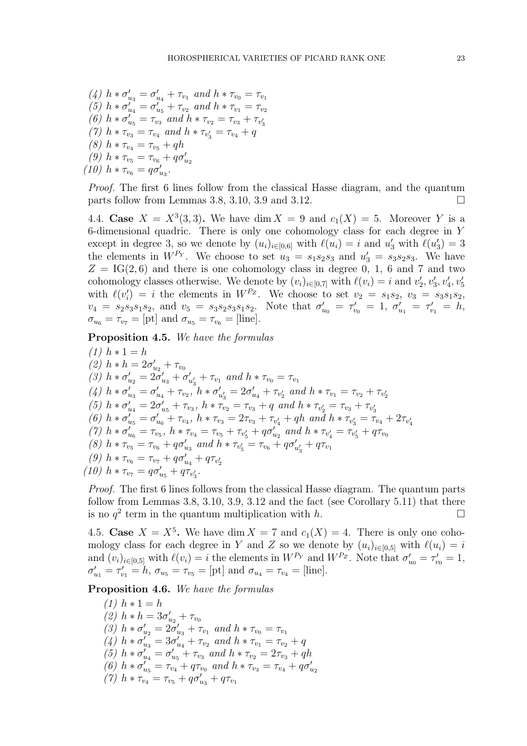(4) 
$$
h * \sigma'_{u_3} = \sigma'_{u_4} + \tau_{v_1}
$$
 and  $h * \tau_{v_0} = \tau_{v_1}$   
\n(5)  $h * \sigma'_{u_4} = \sigma'_{u_5} + \tau_{v_2}$  and  $h * \tau_{v_1} = \tau_{v_2}$   
\n(6)  $h * \sigma'_{u_5} = \tau_{v_3}$  and  $h * \tau_{v_2} = \tau_{v_3} + \tau_{v'_3}$   
\n(7)  $h * \tau_{v_3} = \tau_{v_4}$  and  $h * \tau_{v'_3} = \tau_{v_4} + q$   
\n(8)  $h * \tau_{v_4} = \tau_{v_5} + qh$   
\n(9)  $h * \tau_{v_5} = \tau_{v_6} + q\sigma'_{u_2}$   
\n(10)  $h * \tau_{v_6} = q\sigma'_{u_3}$ .

Proof. The first 6 lines follow from the classical Hasse diagram, and the quantum parts follow from Lemmas 3.8, 3.10, 3.9 and 3.12.

4.4. Case  $X = X^3(3,3)$ . We have dim  $X = 9$  and  $c_1(X) = 5$ . Moreover Y is a 6-dimensional quadric. There is only one cohomology class for each degree in Y except in degree 3, so we denote by  $(u_i)_{i\in[0,6]}$  with  $\ell(u_i) = i$  and  $u'_3$  with  $\ell(u'_3) = 3$ the elements in  $W^{P_Y}$ . We choose to set  $u_3 = s_1 s_2 s_3$  and  $u'_3 = s_3 s_2 s_3$ . We have  $Z = IG(2, 6)$  and there is one cohomology class in degree 0, 1, 6 and 7 and two cohomology classes otherwise. We denote by  $(v_i)_{i\in[0,7]}$  with  $\ell(v_i) = i$  and  $v'_2, v'_3, v'_4, v'_5$ with  $\ell(v_i') = i$  the elements in  $W^{P_Z}$ . We choose to set  $v_2 = s_1 s_2$ ,  $v_3 = s_3 s_1 s_2$ ,  $v_4 = s_2 s_3 s_1 s_2$ , and  $v_5 = s_3 s_2 s_3 s_1 s_2$ . Note that  $\sigma'_{u_0} = \tau'_{v_0} = 1$ ,  $\sigma'_{u_1} = \tau'_{v_1} = h$ ,  $\sigma_{u_6} = \tau_{v_7} = [\text{pt}]$  and  $\sigma_{u_5} = \tau_{v_6} = [\text{line}].$ 

Proposition 4.5. We have the formulas

(1)  $h * 1 = h$ (2)  $h * h = 2\sigma'_{u_2} + \tau_{v_0}$ (3)  $h * \sigma'_{u_2} = 2 \sigma'_{u_3} + \sigma'_{v_3}$  $\tau'_{u'_3} + \tau_{v_1}$  and  $h * \tau_{v_0} = \tau_{v_1}$ (4)  $h * \sigma'_{u_3} = \sigma'_{u_4} + \tau_{v_2}, h * \sigma'_{u'_3} = 2\sigma'_{u_4} + \tau_{v'_2}$  and  $h * \tau_{v_1} = \tau_{v_2} + \tau_{v'_2}$ (5)  $h * \sigma'_{u_4} = 2\sigma'_{u_5} + \tau_{v_3}, h * \tau_{v_2} = \tau_{v_3} + q$  and  $h * \tau_{v'_2} = \tau_{v_3} + \tau_{v'_3}$ (6)  $h * \sigma'_{u_5} = \sigma'_{u_6} + \tau_{v_4}, h * \tau_{v_3} = 2\tau_{v_3} + \tau_{v'_4} + qh \text{ and } h * \tau_{v'_3} = \tau_{v_4} + 2\tau_{v'_4}$ (7)  $h * \sigma'_{u_6} = \tau_{v_5}, h * \tau_{v_4} = \tau_{v_5} + \tau_{v'_5} + q \sigma'_{u_2}$  and  $h * \tau_{v'_4} = \tau_{v'_5} + q \tau_{v_0}$ (8)  $h * \tau_{v_5} = \tau_{v_6} + q \sigma'_{u_3}$  and  $h * \tau_{v'_5} = \tau_{v_6} + q \sigma'_{u'_3} + q \tau_{v_1}$ (9)  $h * \tau_{v_6} = \tau_{v_7} + q \sigma'_{u_4} + q \tau_{v'_2}$ (10)  $h * \tau_{v_7} = q \sigma'_{u_5} + q \tau_{v'_3}$ .

Proof. The first 6 lines follows from the classical Hasse diagram. The quantum parts follow from Lemmas 3.8, 3.10, 3.9, 3.12 and the fact (see Corollary 5.11) that there is no  $q^2$  term in the quantum multiplication with h.

4.5. Case  $X = X^5$ . We have dim  $X = 7$  and  $c_1(X) = 4$ . There is only one cohomology class for each degree in Y and Z so we denote by  $(u_i)_{i\in[0,5]}$  with  $\ell(u_i)=i$ and  $(v_i)_{i\in[0,5]}$  with  $\ell(v_i)=i$  the elements in  $W^{P_Y}$  and  $W^{P_Z}$ . Note that  $\sigma'_{u_0}=\tau'_{v_0}=1$ ,  $\sigma'_{u_1} = \tau'_{v_1} = h$ ,  $\sigma_{u_5} = \tau_{v_5} = [\text{pt}]$  and  $\sigma_{u_4} = \tau_{v_4} = [\text{line}].$ 

Proposition 4.6. We have the formulas

 $(1)$   $h * 1 = h$ (2)  $h * h = 3\sigma'_{u_2} + \tau_{v_0}$ (3)  $h * \sigma'_{u_2} = 2\bar{\sigma}'_{u_3} + \tau_{v_1}$  and  $h * \tau_{v_0} = \tau_{v_1}$ (4)  $h * \sigma'_{u_3} = 3\sigma'_{u_4} + \tau_{v_2}$  and  $h * \tau_{v_1} = \tau_{v_2} + q$ (5)  $h * \sigma'_{u_4} = \sigma'_{u_5} + \tau_{v_3}$  and  $h * \tau_{v_2} = 2\tau_{v_3} + qh$ (6)  $h * \sigma'_{u_5} = \tau_{v_4} + q \tau_{v_0}$  and  $h * \tau_{v_3} = \tau_{v_4} + q \sigma'_{u_2}$ (7)  $h * \tau_{v_4} = \tau_{v_5} + q \sigma'_{u_3} + q \tau_{v_1}$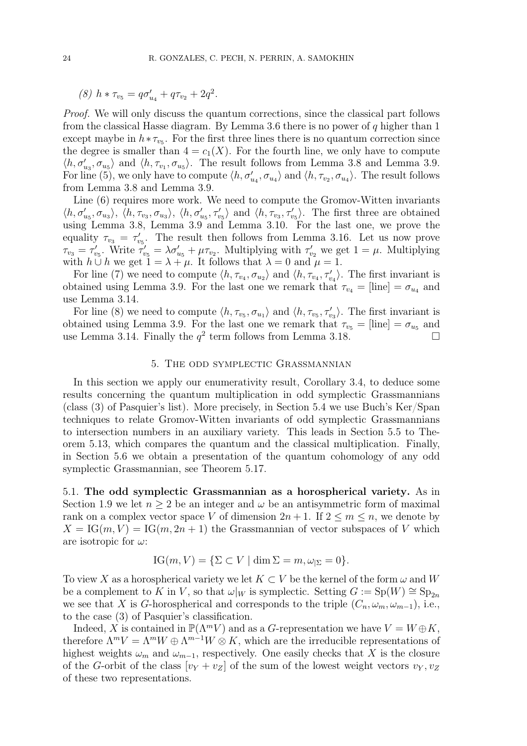$$
(8) h * \tau_{v_5} = q \sigma'_{u_4} + q \tau_{v_2} + 2q^2.
$$

Proof. We will only discuss the quantum corrections, since the classical part follows from the classical Hasse diagram. By Lemma 3.6 there is no power of  $q$  higher than 1 except maybe in  $h * \tau_{v_5}$ . For the first three lines there is no quantum correction since the degree is smaller than  $4 = c_1(X)$ . For the fourth line, we only have to compute  $\langle h, \sigma'_{u_3}, \sigma_{u_5} \rangle$  and  $\langle h, \tau_{v_1}, \sigma_{u_5} \rangle$ . The result follows from Lemma 3.8 and Lemma 3.9. For line (5), we only have to compute  $\langle h, \sigma'_{u_4}, \sigma_{u_4} \rangle$  and  $\langle h, \tau_{v_2}, \sigma_{u_4} \rangle$ . The result follows from Lemma 3.8 and Lemma 3.9.

Line (6) requires more work. We need to compute the Gromov-Witten invariants  $\langle h, \sigma'_{u_5}, \sigma_{u_3} \rangle$ ,  $\langle h, \tau_{v_3}, \sigma_{u_3} \rangle$ ,  $\langle h, \sigma'_{u_5}, \tau'_{v_5} \rangle$  and  $\langle h, \tau_{v_3}, \tau'_{v_5} \rangle$ . The first three are obtained using Lemma 3.8, Lemma 3.9 and Lemma 3.10. For the last one, we prove the equality  $\tau_{v_3} = \tau'_{v_5}$ . The result then follows from Lemma 3.16. Let us now prove  $\tau_{v_3} = \tau'_{v_5}$ . Write  $\tau'_{v_5} = \lambda \sigma'_{u_5} + \mu \tau_{v_2}$ . Multiplying with  $\tau'_{v_2}$  we get  $1 = \mu$ . Multiplying with  $h \cup h$  we get  $1 = \lambda + \mu$ . It follows that  $\lambda = 0$  and  $\mu = 1$ .

For line (7) we need to compute  $\langle h, \tau_{v_4}, \sigma_{u_2} \rangle$  and  $\langle h, \tau_{v_4}, \tau'_{v_4} \rangle$ . The first invariant is obtained using Lemma 3.9. For the last one we remark that  $\tau_{v_4} = |$ line $| = \sigma_{u_4}$  and use Lemma 3.14.

For line (8) we need to compute  $\langle h, \tau_{v_5}, \sigma_{u_1} \rangle$  and  $\langle h, \tau_{v_5}, \tau'_{v_3} \rangle$ . The first invariant is obtained using Lemma 3.9. For the last one we remark that  $\tau_{v_5} = [\text{line}] = \sigma_{u_5}$  and use Lemma 3.14. Finally the  $q^2$  term follows from Lemma 3.18.

#### 5. The odd symplectic Grassmannian

In this section we apply our enumerativity result, Corollary 3.4, to deduce some results concerning the quantum multiplication in odd symplectic Grassmannians (class (3) of Pasquier's list). More precisely, in Section 5.4 we use Buch's Ker/Span techniques to relate Gromov-Witten invariants of odd symplectic Grassmannians to intersection numbers in an auxiliary variety. This leads in Section 5.5 to Theorem 5.13, which compares the quantum and the classical multiplication. Finally, in Section 5.6 we obtain a presentation of the quantum cohomology of any odd symplectic Grassmannian, see Theorem 5.17.

5.1. The odd symplectic Grassmannian as a horospherical variety. As in Section 1.9 we let  $n \geq 2$  be an integer and  $\omega$  be an antisymmetric form of maximal rank on a complex vector space V of dimension  $2n + 1$ . If  $2 \le m \le n$ , we denote by  $X = \text{IG}(m, V) = \text{IG}(m, 2n + 1)$  the Grassmannian of vector subspaces of V which are isotropic for  $\omega$ :

$$
IG(m, V) = \{ \Sigma \subset V \mid \dim \Sigma = m, \omega_{|\Sigma} = 0 \}.
$$

To view X as a horospherical variety we let  $K\subset V$  be the kernel of the form  $\omega$  and W be a complement to K in V, so that  $\omega|_W$  is symplectic. Setting  $G := Sp(W) \cong Sp_{2n}$ we see that X is G-horospherical and corresponds to the triple  $(C_n, \omega_m, \omega_{m-1})$ , i.e., to the case (3) of Pasquier's classification.

Indeed, X is contained in  $\mathbb{P}(\Lambda^m V)$  and as a G-representation we have  $V = W \oplus K$ , therefore  $\Lambda^m V = \Lambda^m W \oplus \Lambda^{m-1} W \otimes K$ , which are the irreducible representations of highest weights  $\omega_m$  and  $\omega_{m-1}$ , respectively. One easily checks that X is the closure of the G-orbit of the class  $[v_Y + v_Z]$  of the sum of the lowest weight vectors  $v_Y, v_Z$ of these two representations.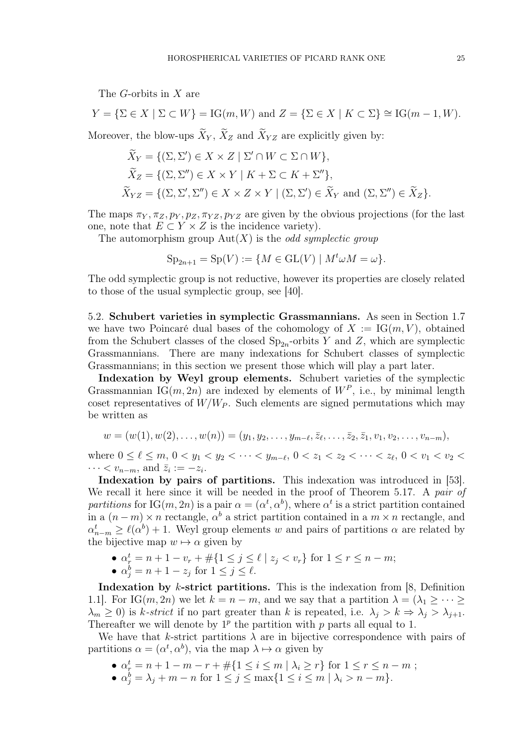The G-orbits in X are

$$
Y = \{ \Sigma \in X \mid \Sigma \subset W \} = \text{IG}(m, W) \text{ and } Z = \{ \Sigma \in X \mid K \subset \Sigma \} \cong \text{IG}(m - 1, W).
$$

Moreover, the blow-ups  $\widetilde{X}_Y$ ,  $\widetilde{X}_Z$  and  $\widetilde{X}_{YZ}$  are explicitly given by:

$$
\tilde{X}_Y = \{ (\Sigma, \Sigma') \in X \times Z \mid \Sigma' \cap W \subset \Sigma \cap W \},
$$
  
\n
$$
\tilde{X}_Z = \{ (\Sigma, \Sigma'') \in X \times Y \mid K + \Sigma \subset K + \Sigma'' \},
$$
  
\n
$$
\tilde{X}_{YZ} = \{ (\Sigma, \Sigma', \Sigma'') \in X \times Z \times Y \mid (\Sigma, \Sigma') \in \tilde{X}_Y \text{ and } (\Sigma, \Sigma'') \in \tilde{X}_Z \}.
$$

The maps  $\pi_Y, \pi_Z, p_Y, p_Z, \pi_{YZ}, p_{YZ}$  are given by the obvious projections (for the last one, note that  $E \subset Y \times Z$  is the incidence variety).

The automorphism group  $Aut(X)$  is the *odd symplectic group* 

$$
Sp_{2n+1} = Sp(V) := \{ M \in GL(V) \mid M^t \omega M = \omega \}.
$$

The odd symplectic group is not reductive, however its properties are closely related to those of the usual symplectic group, see [40].

5.2. Schubert varieties in symplectic Grassmannians. As seen in Section 1.7 we have two Poincaré dual bases of the cohomology of  $X := \operatorname{IG}(m, V)$ , obtained from the Schubert classes of the closed  $\text{Sp}_{2n}$ -orbits Y and Z, which are symplectic Grassmannians. There are many indexations for Schubert classes of symplectic Grassmannians; in this section we present those which will play a part later.

Indexation by Weyl group elements. Schubert varieties of the symplectic Grassmannian IG $(m, 2n)$  are indexed by elements of  $W^P$ , i.e., by minimal length coset representatives of  $W/W_P$ . Such elements are signed permutations which may be written as

$$
w = (w(1), w(2), \ldots, w(n)) = (y_1, y_2, \ldots, y_{m-\ell}, \overline{z}_{\ell}, \ldots, \overline{z}_2, \overline{z}_1, v_1, v_2, \ldots, v_{n-m}),
$$

where  $0 \leq \ell \leq m$ ,  $0 < y_1 < y_2 < \cdots < y_{m-\ell}$ ,  $0 < z_1 < z_2 < \cdots < z_{\ell}$ ,  $0 < v_1 < v_2 <$  $\cdots < v_{n-m}$ , and  $\bar{z}_i := -z_i$ .

Indexation by pairs of partitions. This indexation was introduced in [53]. We recall it here since it will be needed in the proof of Theorem 5.17. A pair of partitions for IG $(m, 2n)$  is a pair  $\alpha = (\alpha^t, \alpha^b)$ , where  $\alpha^t$  is a strict partition contained in a  $(n-m) \times n$  rectangle,  $\alpha^b$  a strict partition contained in a  $m \times n$  rectangle, and  $\alpha_{n-m}^t \geq \ell(\alpha^b) + 1$ . Weyl group elements w and pairs of partitions  $\alpha$  are related by the bijective map  $w \mapsto \alpha$  given by

- $\alpha_r^t = n + 1 v_r + \#\{1 \le j \le \ell \mid z_j < v_r\}$  for  $1 \le r \le n m$ ;
- $\alpha_j^b = n + 1 z_j$  for  $1 \le j \le \ell$ .

Indexation by  $k$ -strict partitions. This is the indexation from [8, Definition 1.1. For IG $(m, 2n)$  we let  $k = n - m$ , and we say that a partition  $\lambda = (\lambda_1 \geq \cdots \geq$  $\lambda_m \geq 0$ ) is k-strict if no part greater than k is repeated, i.e.  $\lambda_j > k \Rightarrow \lambda_j > \lambda_{j+1}$ . Thereafter we will denote by  $1^p$  the partition with p parts all equal to 1.

We have that k-strict partitions  $\lambda$  are in bijective correspondence with pairs of partitions  $\alpha = (\alpha^t, \alpha^b)$ , via the map  $\lambda \mapsto \alpha$  given by

- $\alpha_r^t = n + 1 m r + \#\{1 \le i \le m \mid \lambda_i \ge r\}$  for  $1 \le r \le n m$ ;
- $\alpha_j^b = \lambda_j + m n$  for  $1 \le j \le \max\{1 \le i \le m \mid \lambda_i > n m\}.$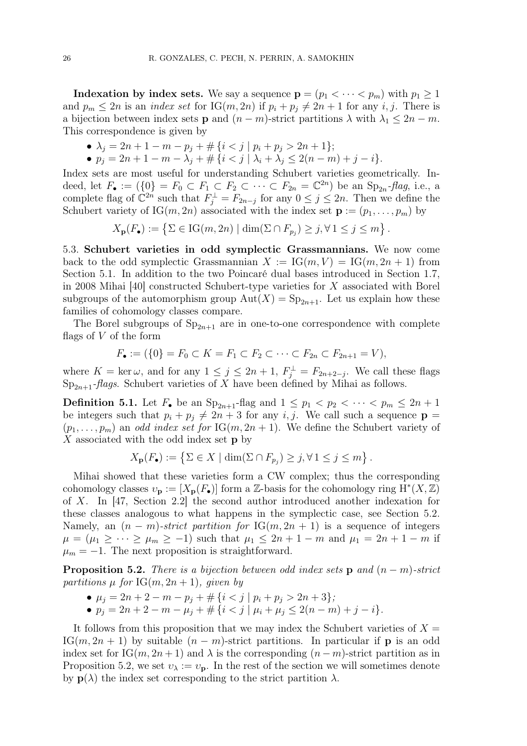**Indexation by index sets.** We say a sequence  $\mathbf{p} = (p_1 < \cdots < p_m)$  with  $p_1 \geq 1$ and  $p_m \leq 2n$  is an *index set* for IG $(m, 2n)$  if  $p_i + p_j \neq 2n + 1$  for any *i*, *j*. There is a bijection between index sets **p** and  $(n - m)$ -strict partitions  $\lambda$  with  $\lambda_1 \leq 2n - m$ . This correspondence is given by

- $\lambda_j = 2n + 1 m p_j + \# \{i < j \mid p_i + p_j > 2n + 1\};$
- $p_j = 2n + 1 m \lambda_j' + \# \{ i < j \mid \lambda_i + \lambda_j \leq 2(n m) + j i \}.$

Index sets are most useful for understanding Schubert varieties geometrically. Indeed, let  $F_{\bullet} := (\{0\} = F_0 \subset F_1 \subset F_2 \subset \cdots \subset F_{2n} = \mathbb{C}^{2n})$  be an  $\text{Sp}_{2n}$ -flag, i.e., a complete flag of  $\mathbb{C}^{2n}$  such that  $F_j^{\perp} = F_{2n-j}$  for any  $0 \le j \le 2n$ . Then we define the Schubert variety of IG $(m, 2n)$  associated with the index set  $\mathbf{p} := (p_1, \ldots, p_m)$  by

$$
X_{\mathbf{p}}(F_{\bullet}) := \left\{ \Sigma \in \mathrm{IG}(m, 2n) \mid \dim(\Sigma \cap F_{p_j}) \ge j, \forall 1 \le j \le m \right\}.
$$

5.3. Schubert varieties in odd symplectic Grassmannians. We now come back to the odd symplectic Grassmannian  $X := \text{IG}(m, V) = \text{IG}(m, 2n + 1)$  from Section 5.1. In addition to the two Poincaré dual bases introduced in Section 1.7, in 2008 Mihai [40] constructed Schubert-type varieties for X associated with Borel subgroups of the automorphism group  $Aut(X) = Sp_{2n+1}$ . Let us explain how these families of cohomology classes compare.

The Borel subgroups of  $Sp_{2n+1}$  are in one-to-one correspondence with complete flags of V of the form

$$
F_{\bullet} := (\{0\} = F_0 \subset K = F_1 \subset F_2 \subset \cdots \subset F_{2n} \subset F_{2n+1} = V),
$$

where  $K = \ker \omega$ , and for any  $1 \leq j \leq 2n + 1$ ,  $F_j^{\perp} = F_{2n+2-j}$ . We call these flags  $Sp_{2n+1}$ -*flags*. Schubert varieties of X have been defined by Mihai as follows.

**Definition 5.1.** Let  $F_{\bullet}$  be an  $Sp_{2n+1}$ -flag and  $1 \leq p_1 < p_2 < \cdots < p_m \leq 2n+1$ be integers such that  $p_i + p_j \neq 2n + 3$  for any i, j. We call such a sequence  $p =$  $(p_1, \ldots, p_m)$  an *odd index set for* IG $(m, 2n + 1)$ . We define the Schubert variety of  $X$  associated with the odd index set  $p$  by

$$
X_{\mathbf{p}}(F_{\bullet}) := \left\{ \Sigma \in X \mid \dim(\Sigma \cap F_{p_j}) \ge j, \forall 1 \le j \le m \right\}.
$$

Mihai showed that these varieties form a CW complex; thus the corresponding cohomology classes  $v_{\mathbf{p}} := [X_{\mathbf{p}}(F_{\bullet})]$  form a Z-basis for the cohomology ring  $\overline{H}^*(X, \mathbb{Z})$ of X. In [47, Section 2.2] the second author introduced another indexation for these classes analogous to what happens in the symplectic case, see Section 5.2. Namely, an  $(n - m)$ -strict partition for IG $(m, 2n + 1)$  is a sequence of integers  $\mu = (\mu_1 \geq \cdots \geq \mu_m \geq -1)$  such that  $\mu_1 \leq 2n + 1 - m$  and  $\mu_1 = 2n + 1 - m$  if  $\mu_m = -1$ . The next proposition is straightforward.

**Proposition 5.2.** There is a bijection between odd index sets **p** and  $(n - m)$ -strict partitions  $\mu$  for IG(m, 2n + 1), given by

•  $\mu_i = 2n + 2 - m - p_i + \# \{i \leq j \mid p_i + p_j > 2n + 3\};$ 

• 
$$
p_j = 2n + 2 - m - \mu_j + \# \{i < j \mid \mu_i + \mu_j \leq 2(n - m) + j - i\}.
$$

It follows from this proposition that we may index the Schubert varieties of  $X =$ IG $(m, 2n + 1)$  by suitable  $(n - m)$ -strict partitions. In particular if **p** is an odd index set for IG(m, 2n + 1) and  $\lambda$  is the corresponding  $(n - m)$ -strict partition as in Proposition 5.2, we set  $v_{\lambda} := v_{p}$ . In the rest of the section we will sometimes denote by  $p(\lambda)$  the index set corresponding to the strict partition  $\lambda$ .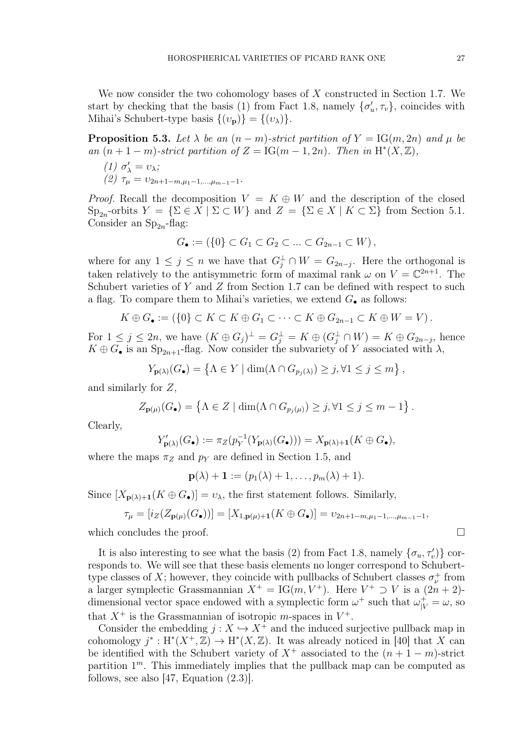We now consider the two cohomology bases of X constructed in Section 1.7. We start by checking that the basis (1) from Fact 1.8, namely  $\{\sigma'_u, \tau_v\}$ , coincides with Mihai's Schubert-type basis  $\{(v_{\mathbf{p}})\} = \{(v_{\lambda})\}.$ 

**Proposition 5.3.** Let  $\lambda$  be an  $(n - m)$ -strict partition of  $Y = IG(m, 2n)$  and  $\mu$  be an  $(n+1-m)$ -strict partition of  $Z = IG(m-1, 2n)$ . Then in  $H^*(X, \mathbb{Z})$ ,

(1) 
$$
\sigma'_{\lambda} = \upsilon_{\lambda};
$$
  
(2)  $\tau_{\mu} = \upsilon_{2n+1-m,\mu_1-1,\dots,\mu_{m-1}-1}.$ 

*Proof.* Recall the decomposition  $V = K \oplus W$  and the description of the closed  $\text{Sp}_{2n}$ -orbits  $Y = \{\Sigma \in X \mid \Sigma \subset W\}$  and  $Z = \{\Sigma \in X \mid K \subset \Sigma\}$  from Section 5.1. Consider an  $Sp_{2n}$ -flag:

$$
G_{\bullet} := (\{0\} \subset G_1 \subset G_2 \subset \ldots \subset G_{2n-1} \subset W),
$$

where for any  $1 \leq j \leq n$  we have that  $G_j^{\perp} \cap W = G_{2n-j}$ . Here the orthogonal is taken relatively to the antisymmetric form of maximal rank  $\omega$  on  $V = \mathbb{C}^{2n+1}$ . The Schubert varieties of  $Y$  and  $Z$  from Section 1.7 can be defined with respect to such a flag. To compare them to Mihai's varieties, we extend  $G_{\bullet}$  as follows:

$$
K \oplus G_{\bullet} := (\{0\} \subset K \subset K \oplus G_1 \subset \cdots \subset K \oplus G_{2n-1} \subset K \oplus W = V).
$$

For  $1 \leq j \leq 2n$ , we have  $(K \oplus G_j)^{\perp} = G_j^{\perp} = K \oplus (G_j^{\perp} \cap W) = K \oplus G_{2n-j}$ , hence  $K \oplus G_{\bullet}$  is an  $\text{Sp}_{2n+1}$ -flag. Now consider the subvariety of Y associated with  $\lambda$ ,

$$
Y_{\mathbf{p}(\lambda)}(G_{\bullet}) = \left\{ \Lambda \in Y \mid \dim(\Lambda \cap G_{p_j(\lambda)}) \ge j, \forall 1 \le j \le m \right\},\
$$

and similarly for Z,

$$
Z_{\mathbf{p}(\mu)}(G_{\bullet}) = \left\{ \Lambda \in Z \mid \dim(\Lambda \cap G_{p_j(\mu)}) \geq j, \forall 1 \leq j \leq m - 1 \right\}.
$$

Clearly,

$$
Y'_{\mathbf{p}(\lambda)}(G_{\bullet}) := \pi_Z(p_Y^{-1}(Y_{\mathbf{p}(\lambda)}(G_{\bullet}))) = X_{\mathbf{p}(\lambda)+1}(K \oplus G_{\bullet}),
$$

where the maps  $\pi_Z$  and  $p_Y$  are defined in Section 1.5, and

$$
\mathbf{p}(\lambda)+1:=(p_1(\lambda)+1,\ldots,p_m(\lambda)+1).
$$

Since  $[X_{\mathbf{p}(\lambda)+1}(K \oplus G_{\bullet})] = v_{\lambda}$ , the first statement follows. Similarly,

$$
\tau_{\mu} = [i_Z(Z_{\mathbf{p}(\mu)}(G_{\bullet}))] = [X_{1,\mathbf{p}(\mu)+1}(K \oplus G_{\bullet})] = \nu_{2n+1-m,\mu_1-1,\dots,\mu_{m-1}-1},
$$

which concludes the proof.  $\Box$ 

It is also interesting to see what the basis (2) from Fact 1.8, namely  $\{\sigma_u, \tau_v \}$  corresponds to. We will see that these basis elements no longer correspond to Schuberttype classes of X; however, they coincide with pullbacks of Schubert classes  $\sigma_{\nu}^{+}$  from a larger symplectic Grassmannian  $X^+ = IG(m, V^+)$ . Here  $V^+ \supset V$  is a  $(2n + 2)$ dimensional vector space endowed with a symplectic form  $\omega^+$  such that  $\omega_{|V}^+ = \omega$ , so that  $X^+$  is the Grassmannian of isotropic *m*-spaces in  $V^+$ .

Consider the embedding  $j : X \hookrightarrow X^+$  and the induced surjective pullback map in cohomology  $j^* : H^*(X^+, \mathbb{Z}) \to H^*(X, \mathbb{Z})$ . It was already noticed in [40] that X can be identified with the Schubert variety of  $X^+$  associated to the  $(n+1-m)$ -strict partition  $1<sup>m</sup>$ . This immediately implies that the pullback map can be computed as follows, see also [47, Equation (2.3)].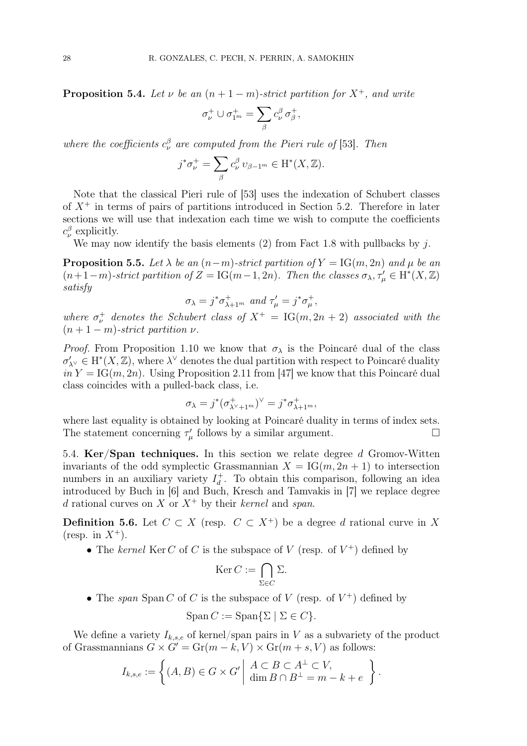**Proposition 5.4.** Let v be an  $(n+1-m)$ -strict partition for  $X^+$ , and write

$$
\sigma_{\nu}^{+} \cup \sigma_{1^{m}}^{+} = \sum_{\beta} c_{\nu}^{\beta} \sigma_{\beta}^{+},
$$

where the coefficients  $c_{\nu}^{\beta}$  are computed from the Pieri rule of [53]. Then

$$
j^*\sigma_{\nu}^+ = \sum_{\beta} c_{\nu}^{\beta} \, v_{\beta-1^m} \in \mathrm{H}^*(X, \mathbb{Z}).
$$

Note that the classical Pieri rule of [53] uses the indexation of Schubert classes of  $X^+$  in terms of pairs of partitions introduced in Section 5.2. Therefore in later sections we will use that indexation each time we wish to compute the coefficients  $c_{\nu}^{\beta}$  explicitly.

We may now identify the basis elements  $(2)$  from Fact 1.8 with pullbacks by j.

**Proposition 5.5.** Let  $\lambda$  be an  $(n-m)$ -strict partition of  $Y = \text{IG}(m, 2n)$  and  $\mu$  be an  $(n+1-m)$ -strict partition of  $Z = IG(m-1, 2n)$ . Then the classes  $\sigma_{\lambda}, \tau_{\mu}' \in H^*(X, \mathbb{Z})$ satisfy

$$
\sigma_\lambda = j^*\sigma_{\lambda+1^m}^+ \text{ and } \tau'_\mu = j^*\sigma_\mu^+,
$$

where  $\sigma_{\nu}^{+}$  denotes the Schubert class of  $X^{+} = IG(m, 2n + 2)$  associated with the  $(n+1-m)$ -strict partition  $\nu$ .

*Proof.* From Proposition 1.10 we know that  $\sigma_{\lambda}$  is the Poincaré dual of the class  $\sigma'_{\lambda^\vee} \in \mathrm{H}^*(X,\mathbb{Z})$ , where  $\lambda^\vee$  denotes the dual partition with respect to Poincaré duality  $in Y = IG(m, 2n)$ . Using Proposition 2.11 from [47] we know that this Poincaré dual class coincides with a pulled-back class, i.e.

$$
\sigma_{\lambda} = j^* (\sigma^+_{\lambda^\vee + 1^m})^\vee = j^* \sigma^+_{\lambda + 1^m},
$$

where last equality is obtained by looking at Poincaré duality in terms of index sets. The statement concerning  $\tau'_{\mu}$  follows by a similar argument.

5.4. Ker/Span techniques. In this section we relate degree d Gromov-Witten invariants of the odd symplectic Grassmannian  $X = IG(m, 2n + 1)$  to intersection numbers in an auxiliary variety  $I_d^+$  $_d^+$ . To obtain this comparison, following an idea introduced by Buch in [6] and Buch, Kresch and Tamvakis in [7] we replace degree d rational curves on X or  $X^+$  by their kernel and span.

**Definition 5.6.** Let  $C \subset X$  (resp.  $C \subset X^+$ ) be a degree d rational curve in X (resp. in  $X^+$ ).

• The kernel Ker C of C is the subspace of V (resp. of  $V^+$ ) defined by

$$
\operatorname{Ker} C := \bigcap_{\Sigma \in C} \Sigma.
$$

• The span Span C of C is the subspace of V (resp. of  $V^+$ ) defined by

$$
\operatorname{Span} C := \operatorname{Span} \{ \Sigma \mid \Sigma \in C \}.
$$

We define a variety  $I_{k,s,e}$  of kernel/span pairs in V as a subvariety of the product of Grassmannians  $G \times G' = \text{Gr}(m - k, V) \times \text{Gr}(m + s, V)$  as follows:

$$
I_{k,s,e} := \left\{ (A,B) \in G \times G' \mid \begin{array}{c} A \subset B \subset A^{\perp} \subset V, \\ \dim B \cap B^{\perp} = m - k + e \end{array} \right\}.
$$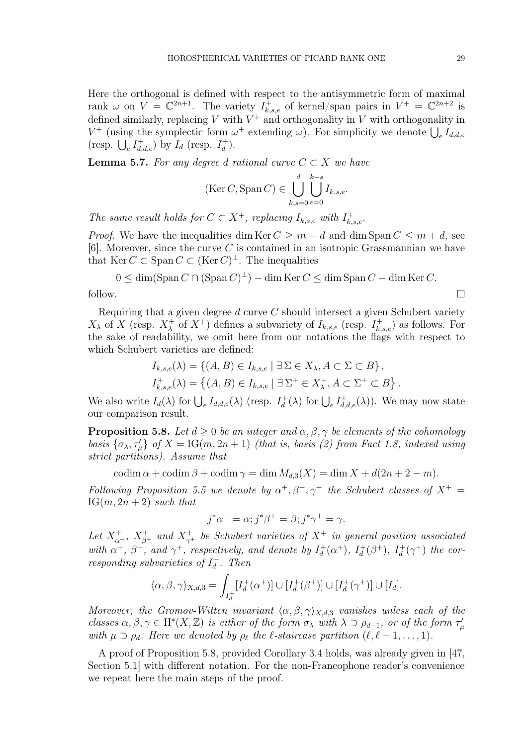Here the orthogonal is defined with respect to the antisymmetric form of maximal rank  $\omega$  on  $V = \mathbb{C}^{2n+1}$ . The variety  $I_{k,s,e}^+$  of kernel/span pairs in  $V^+ = \mathbb{C}^{2n+2}$  is defined similarly, replacing V with  $V^+$  and orthogonality in V with orthogonality in  $V^+$  (using the symplectic form  $\omega^+$  extending  $\omega$ ). For simplicity we denote  $\bigcup_e I_{d,d,e}$ (resp.  $\bigcup_e I_{d,d,e}^+$ ) by  $I_d$  (resp.  $I_d^+$  $\binom{+}{d}$ .

**Lemma 5.7.** For any degree d rational curve  $C \subset X$  we have

$$
(\text{Ker } C, \text{Span } C) \in \bigcup_{k,s=0}^d \bigcup_{e=0}^{k+s} I_{k,s,e}.
$$

The same result holds for  $C \subset X^+$ , replacing  $I_{k,s,e}$  with  $I_{k,s,e}^+$ .

*Proof.* We have the inequalities dim Ker  $C \geq m - d$  and dim Span  $C \leq m + d$ , see [6]. Moreover, since the curve  $C$  is contained in an isotropic Grassmannian we have that  $\text{Ker } C \subset \text{Span } C \subset (\text{Ker } C)^{\perp}$ . The inequalities

$$
0 \le \dim(\text{Span } C \cap (\text{Span } C)^{\perp}) - \dim \text{Ker } C \le \dim \text{Span } C - \dim \text{Ker } C.
$$
 follow.

Requiring that a given degree  $d$  curve  $C$  should intersect a given Schubert variety  $X_{\lambda}$  of X (resp.  $X_{\lambda}^{+}$ <sup>+</sup> of  $X^+$ ) defines a subvariety of  $I_{k,s,e}$  (resp.  $I_{k,s,e}^+$ ) as follows. For the sake of readability, we omit here from our notations the flags with respect to which Schubert varieties are defined:

$$
I_{k,s,e}(\lambda) = \{(A, B) \in I_{k,s,e} \mid \exists \Sigma \in X_{\lambda}, A \subset \Sigma \subset B\},
$$
  

$$
I_{k,s,e}^+(\lambda) = \{(A, B) \in I_{k,s,e} \mid \exists \Sigma^+ \in X_{\lambda}^+, A \subset \Sigma^+ \subset B\}.
$$

We also write  $I_d(\lambda)$  for  $\bigcup_e I_{d,d,e}(\lambda)$  (resp.  $I_d^+$  $d_d^+(\lambda)$  for  $\bigcup_e I_{d,d,e}^+(\lambda)$ . We may now state our comparison result.

**Proposition 5.8.** Let  $d \geq 0$  be an integer and  $\alpha, \beta, \gamma$  be elements of the cohomology basis  $\{\sigma_{\lambda}, \tau_{\mu}'\}$  of  $X = \text{IG}(m, 2n + 1)$  (that is, basis (2) from Fact 1.8, indexed using strict partitions). Assume that

codim  $\alpha$  + codim  $\beta$  + codim  $\gamma$  = dim  $M_{d,3}(X)$  = dim  $X + d(2n + 2 - m)$ .

Following Proposition 5.5 we denote by  $\alpha^+$ ,  $\beta^+$ ,  $\gamma^+$  the Schubert classes of  $X^+$  =  $IG(m, 2n + 2)$  such that

$$
j^*\alpha^+ = \alpha; j^*\beta^+ = \beta; j^*\gamma^+ = \gamma.
$$

Let  $X^+_{\alpha^{+}}$ ,  $X^+_{\beta^{+}}$  and  $X^+_{\gamma^{+}}$  be Schubert varieties of  $X^+$  in general position associated with  $\alpha^+$ ,  $\beta^+$ , and  $\gamma^+$ , respectively, and denote by  $I_d^+$  $d^+(\alpha^+),\ I_d^+$  $J_d^+(\beta^+),\ I_d^+$  $d^+(\gamma^+)$  the corresponding subvarieties of  $I_d^+$  $\frac{1}{d}$ . Then

$$
\langle \alpha, \beta, \gamma \rangle_{X,d,3} = \int_{I_d^+} [I_d^+(\alpha^+)] \cup [I_d^+(\beta^+)] \cup [I_d^+(\gamma^+)] \cup [I_d].
$$

Moreover, the Gromov-Witten invariant  $\langle \alpha, \beta, \gamma \rangle_{X,d,3}$  vanishes unless each of the classes  $\alpha, \beta, \gamma \in H^*(X, \mathbb{Z})$  is either of the form  $\sigma_\lambda$  with  $\lambda \supset \rho_{d-1}$ , or of the form  $\tau'_\mu$ with  $\mu \supset \rho_d$ . Here we denoted by  $\rho_\ell$  the  $\ell$ -staircase partition  $(\ell, \ell-1, \ldots, 1)$ .

A proof of Proposition 5.8, provided Corollary 3.4 holds, was already given in [47, Section 5.1] with different notation. For the non-Francophone reader's convenience we repeat here the main steps of the proof.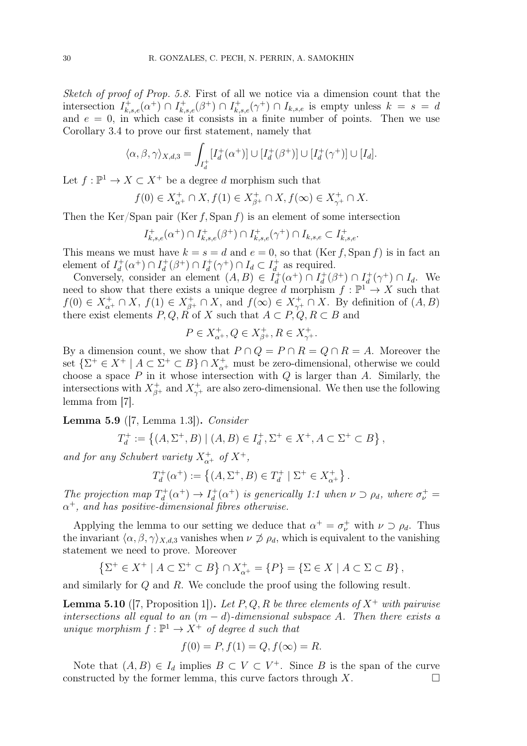Sketch of proof of Prop. 5.8. First of all we notice via a dimension count that the intersection  $I_{k,s,e}^+(\alpha^+) \cap I_{k,s,e}^+(\beta^+) \cap I_{k,s,e}^+(\gamma^+) \cap I_{k,s,e}$  is empty unless  $k = s = d$ and  $e = 0$ , in which case it consists in a finite number of points. Then we use Corollary 3.4 to prove our first statement, namely that

$$
\langle \alpha, \beta, \gamma \rangle_{X,d,3} = \int_{I_d^+} [I_d^+(\alpha^+)] \cup [I_d^+(\beta^+)] \cup [I_d^+(\gamma^+)] \cup [I_d].
$$

Let  $f: \mathbb{P}^1 \to X \subset X^+$  be a degree d morphism such that

$$
f(0) \in X_{\alpha^+}^+ \cap X, f(1) \in X_{\beta^+}^+ \cap X, f(\infty) \in X_{\gamma^+}^+ \cap X.
$$

Then the Ker/Span pair (Ker f, Span f) is an element of some intersection

$$
I_{k,s,e}^{+}(\alpha^{+})\cap I_{k,s,e}^{+}(\beta^{+})\cap I_{k,s,e}^{+}(\gamma^{+})\cap I_{k,s,e}\subset I_{k,s,e}^{+}.
$$

This means we must have  $k = s = d$  and  $e = 0$ , so that  $(\text{Ker } f, \text{Span } f)$  is in fact an element of  $I_d^+$  $d^+( \alpha^+) \cap I_d^+$  $d^+(\beta^+) \cap I_d^+$  $d^+(\gamma^+) \cap I_d \subset I_d^+$  $_d^+$  as required.

Conversely, consider an element  $(A, B) \in I_d^+$  $d^+(a^+) \cap I_d^+$  $d^+(\beta^+) \cap I_d^+$  $d^+(\gamma^+) \cap I_d$ . We need to show that there exists a unique degree d morphism  $f: \mathbb{P}^1 \to X$  such that  $f(0) \in X_{\alpha^+}^+ \cap X$ ,  $f(1) \in X_{\beta^+}^+ \cap X$ , and  $f(\infty) \in X_{\gamma^+}^+ \cap X$ . By definition of  $(A, B)$ there exist elements  $P, Q, R$  of X such that  $A \subset P, Q, R \subset B$  and

$$
P \in X_{\alpha^+}^+, Q \in X_{\beta^+}^+, R \in X_{\gamma^+}^+.
$$

By a dimension count, we show that  $P \cap Q = P \cap R = Q \cap R = A$ . Moreover the set  $\{\Sigma^+\in X^+\mid A\subset \Sigma^+\subset B\}\cap X_{\alpha^+}^+$  must be zero-dimensional, otherwise we could choose a space  $P$  in it whose intersection with  $Q$  is larger than  $A$ . Similarly, the intersections with  $X_{\beta^+}^+$  and  $X_{\gamma^+}^+$  are also zero-dimensional. We then use the following lemma from [7].

**Lemma 5.9** ([7, Lemma 1.3]). *Consider* 

$$
T_d^+ := \{ (A, \Sigma^+, B) \mid (A, B) \in I_d^+, \Sigma^+ \in X^+, A \subset \Sigma^+ \subset B \},\
$$

and for any Schubert variety  $X^+_{\alpha^+}$  of  $X^+$ ,

$$
T_d^+(\alpha^+) := \left\{ (A, \Sigma^+, B) \in T_d^+ \mid \Sigma^+ \in X_{\alpha^+}^+ \right\}.
$$

The projection map  $T_d^+$  $d^+(a^+) \to I_d^+$  $d_d^+(\alpha^+)$  is generically 1:1 when  $\nu \supset \rho_d$ , where  $\sigma_{\nu}^+ =$  $\alpha^+$ , and has positive-dimensional fibres otherwise.

Applying the lemma to our setting we deduce that  $\alpha^+ = \sigma^+_{\nu}$  with  $\nu \supset \rho_d$ . Thus the invariant  $\langle \alpha, \beta, \gamma \rangle_{X,d,3}$  vanishes when  $\nu \not\supset \rho_d$ , which is equivalent to the vanishing statement we need to prove. Moreover

$$
\{\Sigma^+ \in X^+ \mid A \subset \Sigma^+ \subset B\} \cap X_{\alpha^+}^+ = \{P\} = \{\Sigma \in X \mid A \subset \Sigma \subset B\},\
$$

and similarly for Q and R. We conclude the proof using the following result.

**Lemma 5.10** ([7, Proposition 1]). Let P, Q, R be three elements of  $X^+$  with pairwise intersections all equal to an  $(m - d)$ -dimensional subspace A. Then there exists a unique morphism  $f: \mathbb{P}^1 \to X^+$  of degree d such that

$$
f(0) = P, f(1) = Q, f(\infty) = R.
$$

Note that  $(A, B) \in I_d$  implies  $B \subset V \subset V^+$ . Since B is the span of the curve constructed by the former lemma, this curve factors through  $X$ .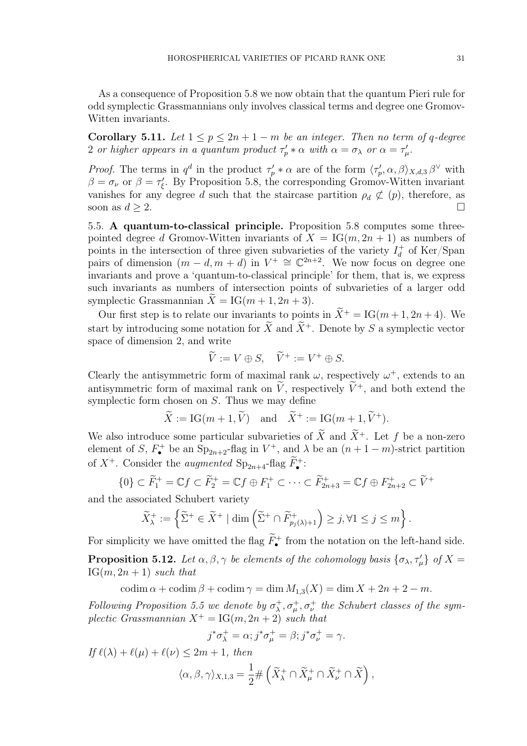As a consequence of Proposition 5.8 we now obtain that the quantum Pieri rule for odd symplectic Grassmannians only involves classical terms and degree one Gromov-Witten invariants.

Corollary 5.11. Let  $1 \leq p \leq 2n + 1 - m$  be an integer. Then no term of q-degree 2 or higher appears in a quantum product  $\tau'_p * \alpha$  with  $\alpha = \sigma_\lambda$  or  $\alpha = \tau'_\mu$ .

*Proof.* The terms in  $q^d$  in the product  $\tau_p' * \alpha$  are of the form  $\langle \tau_p', \alpha, \beta \rangle_{X,d,3} \beta^\vee$  with  $\beta = \sigma_{\nu}$  or  $\beta = \tau_{\xi}'$ . By Proposition 5.8, the corresponding Gromov-Witten invariant vanishes for any degree d such that the staircase partition  $\rho_d \not\subset (p)$ , therefore, as soon as  $d \geq 2$ .

5.5. A quantum-to-classical principle. Proposition 5.8 computes some threepointed degree d Gromov-Witten invariants of  $X = IG(m, 2n + 1)$  as numbers of points in the intersection of three given subvarieties of the variety  $I_d^+$  $_d^+$  of Ker/Span pairs of dimension  $(m-d, m+d)$  in  $V^+ \cong \mathbb{C}^{2n+2}$ . We now focus on degree one invariants and prove a 'quantum-to-classical principle' for them, that is, we express such invariants as numbers of intersection points of subvarieties of a larger odd symplectic Grassmannian  $X = IG(m + 1, 2n + 3)$ .

Our first step is to relate our invariants to points in  $\widetilde{X}^+ = IG(m + 1, 2n + 4)$ . We start by introducing some notation for  $\widetilde{X}$  and  $\widetilde{X}^+$ . Denote by S a symplectic vector space of dimension 2, and write

$$
\widetilde{V} := V \oplus S, \quad \widetilde{V}^+ := V^+ \oplus S.
$$

Clearly the antisymmetric form of maximal rank  $\omega$ , respectively  $\omega^+$ , extends to an antisymmetric form of maximal rank on  $\tilde{V}$ , respectively  $\tilde{V}^+$ , and both extend the symplectic form chosen on S. Thus we may define

$$
\widetilde{X} := \text{IG}(m+1, \widetilde{V}) \text{ and } \widetilde{X}^+ := \text{IG}(m+1, \widetilde{V}^+).
$$

We also introduce some particular subvarieties of  $\widetilde{X}$  and  $\widetilde{X}^+$ . Let f be a non-zero element of S,  $F_{\bullet}^{+}$  be an  $Sp_{2n+2}$ -flag in  $V^{+}$ , and  $\lambda$  be an  $(n+1-m)$ -strict partition of  $X^+$ . Consider the *augmented*  $Sp_{2n+4}$ -flag  $F_{\bullet}^+$ :

$$
\{0\} \subset \widetilde{F}_1^+ = \mathbb{C}f \subset \widetilde{F}_2^+ = \mathbb{C}f \oplus F_1^+ \subset \cdots \subset \widetilde{F}_{2n+3}^+ = \mathbb{C}f \oplus F_{2n+2}^+ \subset \widetilde{V}^+
$$

and the associated Schubert variety

$$
\widetilde{X}^+_{\lambda} := \left\{ \widetilde{\Sigma}^+ \in \widetilde{X}^+ \mid \dim \left( \widetilde{\Sigma}^+ \cap \widetilde{F}^+_{p_j(\lambda)+1} \right) \geq j, \forall 1 \leq j \leq m \right\}.
$$

For simplicity we have omitted the flag  $\ddot{F}_{\bullet}^{+}$  from the notation on the left-hand side.

**Proposition 5.12.** Let  $\alpha, \beta, \gamma$  be elements of the cohomology basis  $\{\sigma_{\lambda}, \tau_{\mu}'\}$  of  $X =$  $IG(m, 2n + 1)$  such that

codim  $\alpha$  + codim  $\beta$  + codim  $\gamma$  = dim  $M_{1,3}(X)$  = dim  $X + 2n + 2 - m$ .

Following Proposition 5.5 we denote by  $\sigma_{\lambda}^{+}$  $\lambda^+_\lambda, \sigma^+_\mu, \sigma^+_\nu$  the Schubert classes of the symplectic Grassmannian  $X^+ = IG(m, 2n + 2)$  such that

$$
j^*\sigma^+_{\lambda} = \alpha; j^*\sigma^+_{\mu} = \beta; j^*\sigma^+_{\nu} = \gamma.
$$

If  $\ell(\lambda) + \ell(\mu) + \ell(\nu) \leq 2m + 1$ , then

$$
\langle \alpha, \beta, \gamma \rangle_{X,1,3} = \frac{1}{2} \# \left( \widetilde{X}^+_{\lambda} \cap \widetilde{X}^+_{\mu} \cap \widetilde{X}^+_{\nu} \cap \widetilde{X} \right),
$$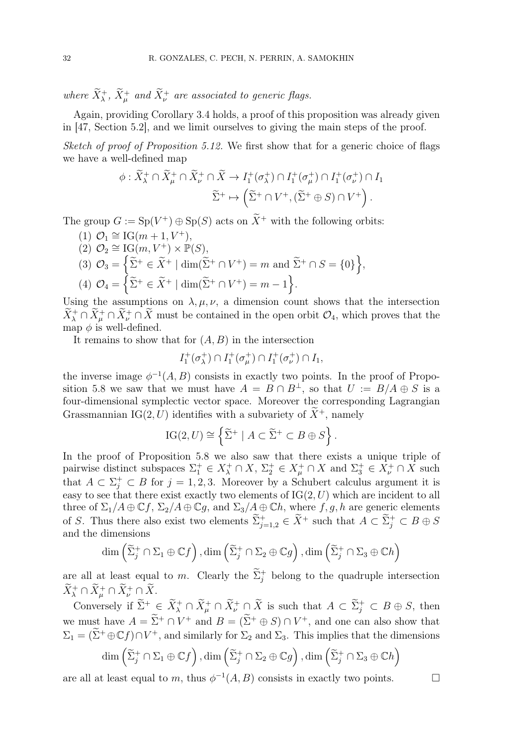where  $\widetilde{X}^{+}_{\lambda}$ ,  $\widetilde{X}^{+}_{\mu}$  and  $\widetilde{X}^{+}_{\nu}$  are associated to generic flags.

Again, providing Corollary 3.4 holds, a proof of this proposition was already given in [47, Section 5.2], and we limit ourselves to giving the main steps of the proof.

Sketch of proof of Proposition 5.12. We first show that for a generic choice of flags we have a well-defined map

$$
\phi : \widetilde{X}_{\lambda}^{+} \cap \widetilde{X}_{\mu}^{+} \cap \widetilde{X}_{\nu}^{+} \cap \widetilde{X} \to I_{1}^{+}(\sigma_{\lambda}^{+}) \cap I_{1}^{+}(\sigma_{\mu}^{+}) \cap I_{1}^{+}(\sigma_{\nu}^{+}) \cap I_{1}
$$

$$
\widetilde{\Sigma}^{+} \mapsto \left(\widetilde{\Sigma}^{+} \cap V^{+}, (\widetilde{\Sigma}^{+} \oplus S) \cap V^{+}\right).
$$

The group  $G := Sp(V^+) \oplus Sp(S)$  acts on  $\overline{X}^+$  with the following orbits:

- (1)  $\mathcal{O}_1 \cong \text{IG}(m+1, V^+),$
- $(2)$   $\mathcal{O}_2 \cong \text{IG}(m, V^+) \times \mathbb{P}(S)$ ,

(3) 
$$
\mathcal{O}_3 = \left\{ \tilde{\Sigma}^+ \in \tilde{X}^+ \mid \dim(\tilde{\Sigma}^+ \cap V^+) = m \text{ and } \tilde{\Sigma}^+ \cap S = \{0\} \right\},\
$$

$$
(4) \ \mathcal{O}_4 = \left\{ \widetilde{\Sigma}^+ \in \widetilde{X}^+ \mid \dim(\widetilde{\Sigma}^+ \cap V^+) = m - 1 \right\}
$$

Using the assumptions on  $\lambda, \mu, \nu$ , a dimension count shows that the intersection  $X^+_{\lambda} \cap X^+_{\mu} \cap X^+_{\nu} \cap X$  must be contained in the open orbit  $\mathcal{O}_4$ , which proves that the map  $\phi$  is well-defined.

.

It remains to show that for  $(A, B)$  in the intersection

$$
I_1^+(\sigma_{\lambda}^+) \cap I_1^+(\sigma_{\mu}^+) \cap I_1^+(\sigma_{\nu}^+) \cap I_1,
$$

the inverse image  $\phi^{-1}(A, B)$  consists in exactly two points. In the proof of Proposition 5.8 we saw that we must have  $A = B \cap B^{\perp}$ , so that  $U := B/A \oplus S$  is a four-dimensional symplectic vector space. Moreover the corresponding Lagrangian Grassmannian IG(2, U) identifies with a subvariety of  $\widetilde{X}^+$ , namely

$$
IG(2, U) \cong \left\{ \widetilde{\Sigma}^+ \mid A \subset \widetilde{\Sigma}^+ \subset B \oplus S \right\}.
$$

In the proof of Proposition 5.8 we also saw that there exists a unique triple of pairwise distinct subspaces  $\Sigma_1^+ \in X_\lambda^+ \cap X$ ,  $\Sigma_2^+ \in X_\mu^+ \cap X$  and  $\Sigma_3^+ \in X_\nu^+ \cap X$  such that  $A \subset \Sigma_j^+ \subset B$  for  $j = 1, 2, 3$ . Moreover by a Schubert calculus argument it is easy to see that there exist exactly two elements of  $IG(2, U)$  which are incident to all three of  $\Sigma_1/A \oplus \mathbb{C}f$ ,  $\Sigma_2/A \oplus \mathbb{C}g$ , and  $\Sigma_3/A \oplus \mathbb{C}h$ , where  $f, g, h$  are generic elements of S. Thus there also exist two elements  $\tilde{\Sigma}_{j=1,2}^+ \in \tilde{X}^+$  such that  $A \subset \tilde{\Sigma}_j^+ \subset B \oplus S$ and the dimensions

$$
\dim\left(\widetilde{\Sigma}_{j}^{+}\cap\Sigma_{1}\oplus\mathbb{C}f\right),\dim\left(\widetilde{\Sigma}_{j}^{+}\cap\Sigma_{2}\oplus\mathbb{C}g\right),\dim\left(\widetilde{\Sigma}_{j}^{+}\cap\Sigma_{3}\oplus\mathbb{C}h\right)
$$

are all at least equal to m. Clearly the  $\tilde{\Sigma}_{j}^{+}$  belong to the quadruple intersection  $\widetilde{X}^+_\lambda \cap \widetilde{X}^+_\mu \cap \widetilde{X}^+_\nu \cap \widetilde{X}$ .

Conversely if  $\tilde{\Sigma}^+ \in \tilde{X}^+_{\lambda} \cap \tilde{X}^+_{\mu} \cap \tilde{X}^+_{\nu} \cap \tilde{X}$  is such that  $A \subset \tilde{\Sigma}^+_{j} \subset B \oplus S$ , then we must have  $A = \Sigma^+ \cap V^+$  and  $B = (\Sigma^+ \oplus S) \cap V^+$ , and one can also show that  $\Sigma_1 = (\widetilde{\Sigma}^+ \oplus \mathbb{C}f) \cap V^+$ , and similarly for  $\Sigma_2$  and  $\Sigma_3$ . This implies that the dimensions

$$
\dim\left(\widetilde{\Sigma}_{j}^{+}\cap\Sigma_{1}\oplus\mathbb{C}f\right),\dim\left(\widetilde{\Sigma}_{j}^{+}\cap\Sigma_{2}\oplus\mathbb{C}g\right),\dim\left(\widetilde{\Sigma}_{j}^{+}\cap\Sigma_{3}\oplus\mathbb{C}h\right)
$$

are all at least equal to m, thus  $\phi^{-1}(A, B)$  consists in exactly two points.

$$
\qquad \qquad \Box
$$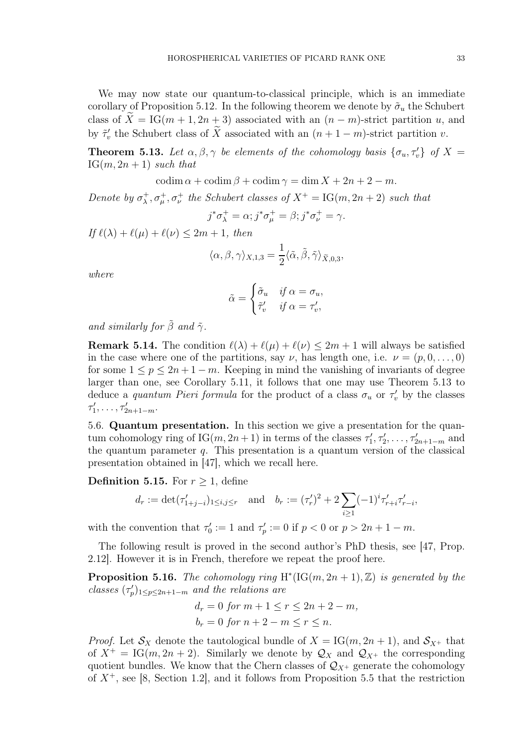We may now state our quantum-to-classical principle, which is an immediate corollary of Proposition 5.12. In the following theorem we denote by  $\tilde{\sigma}_u$  the Schubert class of  $X = IG(m + 1, 2n + 3)$  associated with an  $(n - m)$ -strict partition u, and by  $\tilde{\tau}'_v$  the Schubert class of  $\tilde{X}$  associated with an  $(n+1-m)$ -strict partition v.

**Theorem 5.13.** Let  $\alpha, \beta, \gamma$  be elements of the cohomology basis  $\{\sigma_u, \tau_v\}$  of  $X =$  $IG(m, 2n + 1)$  such that

codim  $\alpha$  + codim  $\beta$  + codim  $\gamma$  = dim  $X + 2n + 2 - m$ .

Denote by  $\sigma_{\lambda}^{+}$  $\lambda^+_{\lambda}, \sigma^+_{\mu}, \sigma^+_{\nu}$  the Schubert classes of  $X^+ = \text{IG}(m, 2n + 2)$  such that

$$
j^*\sigma^+_{\lambda} = \alpha; j^*\sigma^+_{\mu} = \beta; j^*\sigma^+_{\nu} = \gamma.
$$

If  $\ell(\lambda) + \ell(\mu) + \ell(\nu) \leq 2m + 1$ , then

$$
\langle \alpha, \beta, \gamma \rangle_{X,1,3} = \frac{1}{2} \langle \tilde{\alpha}, \tilde{\beta}, \tilde{\gamma} \rangle_{\tilde{X},0,3},
$$

where

$$
\tilde{\alpha} = \begin{cases} \tilde{\sigma}_u & \text{if } \alpha = \sigma_u, \\ \tilde{\tau}'_v & \text{if } \alpha = \tau'_v, \end{cases}
$$

and similarly for  $\tilde{\beta}$  and  $\tilde{\gamma}$ .

**Remark 5.14.** The condition  $\ell(\lambda) + \ell(\mu) + \ell(\nu) \leq 2m + 1$  will always be satisfied in the case where one of the partitions, say  $\nu$ , has length one, i.e.  $\nu = (p, 0, \ldots, 0)$ for some  $1 \leq p \leq 2n + 1 - m$ . Keeping in mind the vanishing of invariants of degree larger than one, see Corollary 5.11, it follows that one may use Theorem 5.13 to deduce a *quantum Pieri formula* for the product of a class  $\sigma_u$  or  $\tau'_v$  by the classes  $\tau'_1, \ldots, \tau'_{2n+1-m}.$ 

5.6. Quantum presentation. In this section we give a presentation for the quantum cohomology ring of  $IG(m, 2n + 1)$  in terms of the classes  $\tau'_1, \tau'_2, \ldots, \tau'_{2n+1-m}$  and the quantum parameter  $q$ . This presentation is a quantum version of the classical presentation obtained in [47], which we recall here.

**Definition 5.15.** For  $r \geq 1$ , define

$$
d_r := \det(\tau'_{1+j-i})_{1 \le i,j \le r}
$$
 and  $b_r := (\tau'_r)^2 + 2 \sum_{i \ge 1} (-1)^i \tau'_{r+i} \tau'_{r-i}$ ,

with the convention that  $\tau'_0 := 1$  and  $\tau'_p := 0$  if  $p < 0$  or  $p > 2n + 1 - m$ .

The following result is proved in the second author's PhD thesis, see [47, Prop. 2.12]. However it is in French, therefore we repeat the proof here.

**Proposition 5.16.** The cohomology ring  $H^*(IG(m, 2n + 1), Z)$  is generated by the classes  $(\tau_p')_{1 \leq p \leq 2n+1-m}$  and the relations are

$$
d_r = 0 \text{ for } m+1 \le r \le 2n+2-m,
$$
  

$$
b_r = 0 \text{ for } n+2-m \le r \le n.
$$

*Proof.* Let  $S_X$  denote the tautological bundle of  $X = IG(m, 2n + 1)$ , and  $S_{X^+}$  that of  $X^+ = IG(m, 2n + 2)$ . Similarly we denote by  $\mathcal{Q}_X$  and  $\mathcal{Q}_{X^+}$  the corresponding quotient bundles. We know that the Chern classes of  $\mathcal{Q}_{X^+}$  generate the cohomology of  $X^+$ , see [8, Section 1.2], and it follows from Proposition 5.5 that the restriction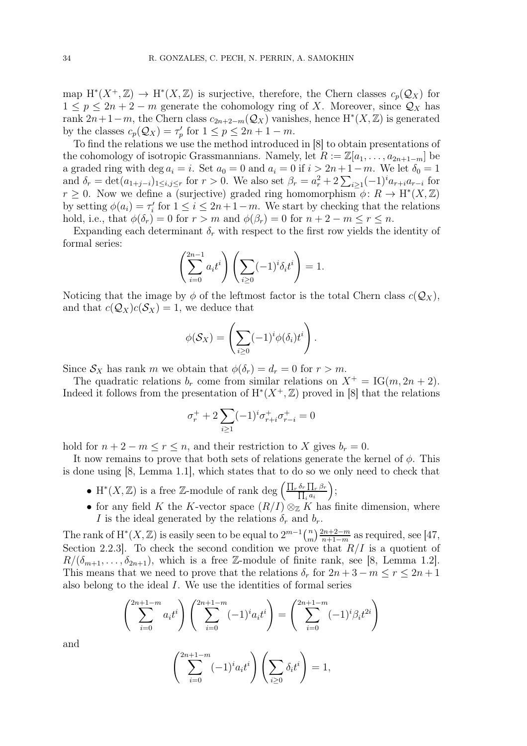map  $H^*(X^+, \mathbb{Z}) \to H^*(X, \mathbb{Z})$  is surjective, therefore, the Chern classes  $c_p(\mathcal{Q}_X)$  for  $1 \leq p \leq 2n + 2 - m$  generate the cohomology ring of X. Moreover, since  $\mathcal{Q}_X$  has rank  $2n+1-m$ , the Chern class  $c_{2n+2-m}(\mathcal{Q}_X)$  vanishes, hence  $H^*(X,\mathbb{Z})$  is generated by the classes  $c_p(\mathcal{Q}_X) = \tau'_p$  for  $1 \le p \le 2n + 1 - m$ .

To find the relations we use the method introduced in [8] to obtain presentations of the cohomology of isotropic Grassmannians. Namely, let  $R := \mathbb{Z}[a_1, \ldots, a_{2n+1-m}]$  be a graded ring with deg  $a_i = i$ . Set  $a_0 = 0$  and  $a_i = 0$  if  $i > 2n + 1 - m$ . We let  $\delta_0 = 1$ and  $\delta_r = \det(a_{1+j-i})_{1 \leq i,j \leq r}$  for  $r > 0$ . We also set  $\beta_r = a_r^2 + 2 \sum_{i \geq 1} (-1)^i a_{r+i} a_{r-i}$  for  $r \geq 0$ . Now we define a (surjective) graded ring homomorphism  $\phi: R \to H^*(X, \mathbb{Z})$ by setting  $\phi(a_i) = \tau'_i$  for  $1 \leq i \leq 2n + 1 - m$ . We start by checking that the relations hold, i.e., that  $\phi(\delta_r) = 0$  for  $r > m$  and  $\phi(\beta_r) = 0$  for  $n + 2 - m \le r \le n$ .

Expanding each determinant  $\delta_r$  with respect to the first row yields the identity of formal series:

$$
\left(\sum_{i=0}^{2n-1} a_i t^i\right) \left(\sum_{i\geq 0} (-1)^i \delta_i t^i\right) = 1.
$$

Noticing that the image by  $\phi$  of the leftmost factor is the total Chern class  $c(Q_X)$ , and that  $c(\mathcal{Q}_X)c(\mathcal{S}_X) = 1$ , we deduce that

$$
\phi(\mathcal{S}_X) = \left(\sum_{i\geq 0} (-1)^i \phi(\delta_i) t^i\right).
$$

Since  $S_X$  has rank m we obtain that  $\phi(\delta_r) = d_r = 0$  for  $r > m$ .

The quadratic relations  $b_r$  come from similar relations on  $X^+ = IG(m, 2n + 2)$ . Indeed it follows from the presentation of  $H^*(X^+, \mathbb{Z})$  proved in [8] that the relations

$$
\sigma_r^+ + 2\sum_{i\geq 1} (-1)^i \sigma_{r+i}^+ \sigma_{r-i}^+ = 0
$$

hold for  $n + 2 - m \le r \le n$ , and their restriction to X gives  $b_r = 0$ .

It now remains to prove that both sets of relations generate the kernel of  $\phi$ . This is done using [8, Lemma 1.1], which states that to do so we only need to check that

- H<sup>\*</sup>(X, Z) is a free Z-module of rank deg  $\left(\frac{\prod_r \delta_r \prod_r \beta_r}{\prod_{r=1}^r \delta_r}\right)$  $_i a_i$ ;
- for any field K the K-vector space  $(R/I) \otimes_{\mathbb{Z}} K$  has finite dimension, where I is the ideal generated by the relations  $\delta_r$  and  $b_r$ .

The rank of  $H^*(X, \mathbb{Z})$  is easily seen to be equal to  $2^{m-1} {n \choose m}$  $\binom{n}{m} \frac{2n+2-m}{n+1-m}$  $\frac{2n+2-m}{n+1-m}$  as required, see [47, Section 2.2.3. To check the second condition we prove that  $R/I$  is a quotient of  $R/(\delta_{m+1},\ldots,\delta_{2n+1}),$  which is a free Z-module of finite rank, see [8, Lemma 1.2]. This means that we need to prove that the relations  $\delta_r$  for  $2n + 3 - m \le r \le 2n + 1$ also belong to the ideal I. We use the identities of formal series

$$
\left(\sum_{i=0}^{2n+1-m} a_i t^i\right) \left(\sum_{i=0}^{2n+1-m} (-1)^i a_i t^i\right) = \left(\sum_{i=0}^{2n+1-m} (-1)^i \beta_i t^{2i}\right)
$$

and

$$
\left(\sum_{i=0}^{2n+1-m} (-1)^i a_i t^i\right) \left(\sum_{i\geq 0} \delta_i t^i\right) = 1,
$$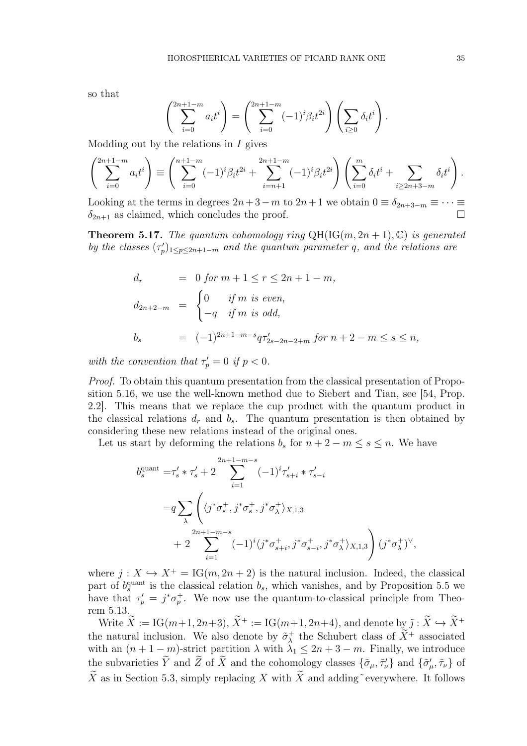so that

$$
\left(\sum_{i=0}^{2n+1-m} a_i t^i\right) = \left(\sum_{i=0}^{2n+1-m} (-1)^i \beta_i t^{2i}\right) \left(\sum_{i\geq 0} \delta_i t^i\right).
$$

Modding out by the relations in  $I$  gives

$$
\left(\sum_{i=0}^{2n+1-m} a_i t^i\right) \equiv \left(\sum_{i=0}^{n+1-m} (-1)^i \beta_i t^{2i} + \sum_{i=n+1}^{2n+1-m} (-1)^i \beta_i t^{2i}\right) \left(\sum_{i=0}^m \delta_i t^i + \sum_{i\ge 2n+3-m} \delta_i t^i\right).
$$

Looking at the terms in degrees  $2n+3-m$  to  $2n+1$  we obtain  $0 \equiv \delta_{2n+3-m} \equiv \cdots \equiv$  $\delta_{2n+1}$  as claimed, which concludes the proof.

**Theorem 5.17.** The quantum cohomology ring  $QH(IG(m, 2n + 1), \mathbb{C})$  is generated by the classes  $(\tau_p')_{1 \leq p \leq 2n+1-m}$  and the quantum parameter q, and the relations are

$$
d_r = 0 \text{ for } m+1 \le r \le 2n+1-m,
$$
  
\n
$$
d_{2n+2-m} = \begin{cases} 0 & \text{if } m \text{ is even,} \\ -q & \text{if } m \text{ is odd,} \end{cases}
$$
  
\n
$$
b_s = (-1)^{2n+1-m-s} q \tau'_{2s-2n-2+m} \text{ for } n+2-m \le s \le n,
$$

with the convention that  $\tau'_p = 0$  if  $p < 0$ .

Proof. To obtain this quantum presentation from the classical presentation of Proposition 5.16, we use the well-known method due to Siebert and Tian, see [54, Prop. 2.2]. This means that we replace the cup product with the quantum product in the classical relations  $d_r$  and  $b_s$ . The quantum presentation is then obtained by considering these new relations instead of the original ones.

Let us start by deforming the relations  $b_s$  for  $n + 2 - m \leq s \leq n$ . We have

$$
b_s^{\text{quant}} = \tau_s' * \tau_s' + 2 \sum_{i=1}^{2n+1-m-s} (-1)^i \tau_{s+i}' * \tau_{s-i}'
$$
  
= $q \sum_{\lambda} \left( \langle j^* \sigma_s^+, j^* \sigma_s^+, j^* \sigma_\lambda^+ \rangle_{X,1,3} + 2 \sum_{i=1}^{2n+1-m-s} (-1)^i \langle j^* \sigma_{s+i}^+, j^* \sigma_{s-i}^+, j^* \sigma_\lambda^+ \rangle_{X,1,3} \right) (\dot{j}^* \sigma_\lambda^+)^{\vee},$ 

where  $j: X \hookrightarrow X^+ = \text{IG}(m, 2n + 2)$  is the natural inclusion. Indeed, the classical part of  $b_s^{\text{quant}}$  is the classical relation  $b_s$ , which vanishes, and by Proposition 5.5 we have that  $\tau_p' = j^* \sigma_p^+$ . We now use the quantum-to-classical principle from Theorem 5.13.

Write  $\widetilde{X} := \text{IG}(m+1, 2n+3), \widetilde{X}^+ := \text{IG}(m+1, 2n+4),$  and denote by  $\widetilde{j}: \widetilde{X} \hookrightarrow \widetilde{X}^+$ the natural inclusion. We also denote by  $\tilde{\sigma}_{\lambda}^{+}$ <sup>+</sup> the Schubert class of  $\overline{X}^+$  associated with an  $(n + 1 - m)$ -strict partition  $\lambda$  with  $\lambda_1 \leq 2n + 3 - m$ . Finally, we introduce the subvarieties  $\overline{Y}$  and  $\overline{Z}$  of  $\overline{X}$  and the cohomology classes  $\{\tilde{\sigma}_{\mu}, \tilde{\tau}_{\nu}\}\$  and  $\{\tilde{\sigma}'_{\mu}, \tilde{\tau}_{\nu}\}$  of  $\widetilde{X}$  as in Section 5.3, simply replacing X with  $\widetilde{X}$  and adding everywhere. It follows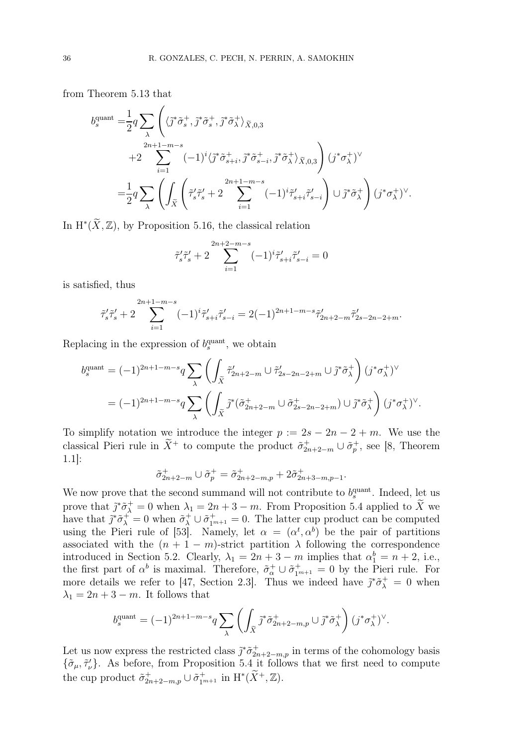from Theorem 5.13 that

$$
\begin{split} b^{\text{quant}}_s = & \frac{1}{2} q \sum_{\lambda} \left( \langle \tilde{\jmath}^* \tilde{\sigma}^+_s, \tilde{\jmath}^* \tilde{\sigma}^+_s, \tilde{\jmath}^* \tilde{\sigma}^+_{\lambda} \rangle_{\tilde{X},0,3} \right. \\ & \qquad \qquad + 2 \sum_{i=1}^{2n+1-m-s} (-1)^i \langle \tilde{\jmath}^* \tilde{\sigma}^+_{s+i}, \tilde{\jmath}^* \tilde{\sigma}^+_{s-i}, \tilde{\jmath}^* \tilde{\sigma}^+_{\lambda} \rangle_{\tilde{X},0,3} \right) (\boldsymbol{j}^* \sigma^+_{\lambda})^{\vee} \\ = & \frac{1}{2} q \sum_{\lambda} \left( \int_{\tilde{X}} \left( \tilde{\tau}^{\prime}_s \tilde{\tau}^{\prime}_s + 2 \sum_{i=1}^{2n+1-m-s} (-1)^i \tilde{\tau}^{\prime}_{s+i} \tilde{\tau}^{\prime}_{s-i} \right) \cup \tilde{\jmath}^* \tilde{\sigma}^+_{\lambda} \right) (\boldsymbol{j}^* \sigma^+_{\lambda})^{\vee}. \end{split}
$$

In  $H^*(\widetilde{X}, \mathbb{Z})$ , by Proposition 5.16, the classical relation

$$
\tilde{\tau}_{s}'\tilde{\tau}_{s}' + 2 \sum_{i=1}^{2n+2-m-s} (-1)^{i} \tilde{\tau}_{s+i}'\tilde{\tau}_{s-i}' = 0
$$

is satisfied, thus

$$
\tilde{\tau}'_s \tilde{\tau}'_s + 2 \sum_{i=1}^{2n+1-m-s} (-1)^i \tilde{\tau}'_{s+i} \tilde{\tau}'_{s-i} = 2(-1)^{2n+1-m-s} \tilde{\tau}'_{2n+2-m} \tilde{\tau}'_{2s-2n-2+m}.
$$

Replacing in the expression of  $b_s^{\text{quant}}$ , we obtain

$$
b_s^{\text{quant}} = (-1)^{2n+1-m-s} q \sum_{\lambda} \left( \int_{\tilde{X}} \tilde{\tau}'_{2n+2-m} \cup \tilde{\tau}'_{2s-2n-2+m} \cup \tilde{j}^* \tilde{\sigma}_\lambda^+ \right) (j^* \sigma_\lambda^+)^{\vee}
$$
  
= 
$$
(-1)^{2n+1-m-s} q \sum_{\lambda} \left( \int_{\tilde{X}} \tilde{j}^* (\tilde{\sigma}_{2n+2-m}^+ \cup \tilde{\sigma}_{2s-2n-2+m}^+) \cup \tilde{j}^* \tilde{\sigma}_\lambda^+ \right) (j^* \sigma_\lambda^+)^{\vee}.
$$

To simplify notation we introduce the integer  $p := 2s - 2n - 2 + m$ . We use the classical Pieri rule in  $\tilde{X}^+$  to compute the product  $\tilde{\sigma}_{2n+2-m}^+ \cup \tilde{\sigma}_p^+$ , see [8, Theorem 1.1]:

$$
\tilde{\sigma}_{2n+2-m}^{+} \cup \tilde{\sigma}_{p}^{+} = \tilde{\sigma}_{2n+2-m,p}^{+} + 2\tilde{\sigma}_{2n+3-m,p-1}^{+}.
$$

We now prove that the second summand will not contribute to  $b_s^{\text{quant}}$ . Indeed, let us prove that  $\tilde{j}^*\tilde{\sigma}^+_{\lambda} = 0$  when  $\lambda_1 = 2n + 3 - m$ . From Proposition 5.4 applied to X we have that  $\tilde{j}^*\tilde{\sigma}_\lambda^+ = 0$  when  $\tilde{\sigma}_\lambda^+ \cup \tilde{\sigma}_{1^{m+1}}^+ = 0$ . The latter cup product can be computed using the Pieri rule of [53]. Namely, let  $\alpha = (\alpha^t, \alpha^b)$  be the pair of partitions associated with the  $(n + 1 - m)$ -strict partition  $\lambda$  following the correspondence introduced in Section 5.2. Clearly,  $\lambda_1 = 2n + 3 - m$  implies that  $\alpha_1^b = n + 2$ , i.e., the first part of  $\alpha^b$  is maximal. Therefore,  $\tilde{\sigma}_{\alpha}^+ \cup \tilde{\sigma}_{1^{m+1}}^+ = 0$  by the Pieri rule. For more details we refer to [47, Section 2.3]. Thus we indeed have  $\tilde{j}^*\tilde{\sigma}^+_{\lambda} = 0$  when  $\lambda_1 = 2n + 3 - m$ . It follows that

$$
b_s^{\text{quant}} = (-1)^{2n+1-m-s} q \sum_{\lambda} \left( \int_{\widetilde{X}} \widetilde{\jmath}^* \widetilde{\sigma}_{2n+2-m,p}^+ \cup \widetilde{\jmath}^* \widetilde{\sigma}_{\lambda}^+ \right) (\widetilde{\jmath}^* \sigma_{\lambda}^+)^{\vee}.
$$

Let us now express the restricted class  $\tilde{j}^*\tilde{\sigma}_{2n+2-m,p}^+$  in terms of the cohomology basis  $\{\tilde{\sigma}_{\mu}, \tilde{\tau}'_{\nu}\}.$  As before, from Proposition 5.4 it follows that we first need to compute the cup product  $\tilde{\sigma}_{2n+2-m,p}^+ \cup \tilde{\sigma}_{1^{m+1}}^+$  in  $\mathrm{H}^*(\widetilde{X}^+, \mathbb{Z})$ .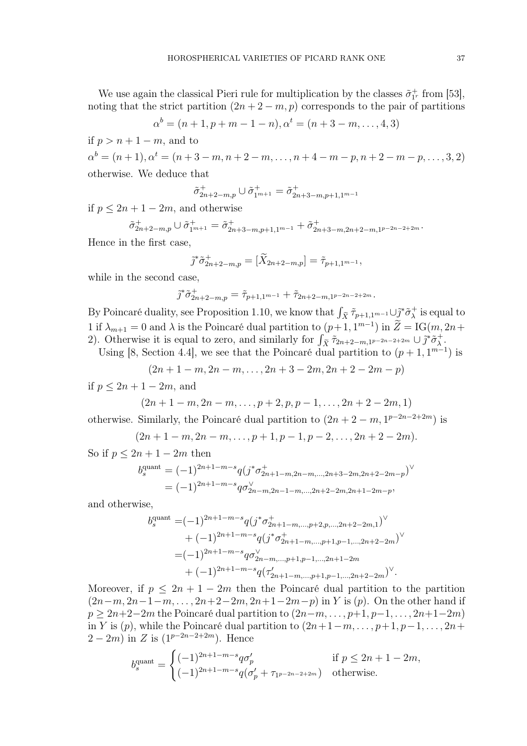We use again the classical Pieri rule for multiplication by the classes  $\tilde{\sigma}_{1r}^{+}$  from [53], noting that the strict partition  $(2n + 2 - m, p)$  corresponds to the pair of partitions

$$
\alpha^{b} = (n+1, p+m-1-n), \alpha^{t} = (n+3-m, \dots, 4, 3)
$$

if  $p > n + 1 - m$ , and to

 $\alpha^{b} = (n+1), \alpha^{t} = (n+3-m, n+2-m, \ldots, n+4-m-p, n+2-m-p, \ldots, 3, 2)$ otherwise. We deduce that

$$
\tilde{\sigma}_{2n+2-m,p}^+ \cup \tilde{\sigma}_{1^{m+1}}^+ = \tilde{\sigma}_{2n+3-m,p+1,1^{m-1}}^+
$$

if  $p \leq 2n + 1 - 2m$ , and otherwise

$$
\tilde{\sigma}_{2n+2-m,p}^+ \cup \tilde{\sigma}_{1^{m+1}}^+ = \tilde{\sigma}_{2n+3-m,p+1,1^{m-1}}^+ + \tilde{\sigma}_{2n+3-m,2n+2-m,1^{p-2n-2+2m}}^+.
$$

Hence in the first case,

$$
\tilde{j}^*\tilde{\sigma}_{2n+2-m,p}^+ = [\tilde{X}_{2n+2-m,p}] = \tilde{\tau}_{p+1,1^{m-1}},
$$

while in the second case,

$$
\tilde{j}^*\tilde{\sigma}_{2n+2-m,p}^+ = \tilde{\tau}_{p+1,1^{m-1}} + \tilde{\tau}_{2n+2-m,1^{p-2n-2+2m}}.
$$

By Poincaré duality, see Proposition 1.10, we know that  $\int_{\tilde{X}} \tilde{\tau}_{p+1,1^{m-1}} \cup \tilde{\mathcal{J}}^* \tilde{\sigma}^+_{\lambda}$  $\lambda^+$  is equal to 1 if  $\lambda_{m+1} = 0$  and  $\lambda$  is the Poincaré dual partition to  $(p+1, 1^{m-1})$  in  $Z = IG(m, 2n+1)$ 2). Otherwise it is equal to zero, and similarly for  $\int_{\tilde{X}} \tilde{\tau}_{2n+2-m,1^{p-2n-2+2m}} \cup \tilde{j}^* \tilde{\sigma}_{\lambda}^+$  $\frac{+}{\lambda}$  .

Using [8, Section 4.4], we see that the Poincaré dual partition to  $(p+1, 1^{m-1})$  is

$$
(2n+1-m, 2n-m, ..., 2n+3-2m, 2n+2-2m-p)
$$

if  $p < 2n + 1 - 2m$ , and

$$
(2n+1-m, 2n-m, \ldots, p+2, p, p-1, \ldots, 2n+2-2m, 1)
$$

otherwise. Similarly, the Poincaré dual partition to  $(2n + 2 - m, 1^{p-2n-2+2m})$  is

$$
(2n+1-m, 2n-m, \ldots, p+1, p-1, p-2, \ldots, 2n+2-2m).
$$

So if  $p \leq 2n + 1 - 2m$  then

$$
b_s^{\text{quant}} = (-1)^{2n+1-m-s} q(j^* \sigma_{2n+1-m,2n-m,\dots,2n+3-2m,2n+2-2m-p}^+)
$$
  
= 
$$
(-1)^{2n+1-m-s} q \sigma_{2n-m,2n-1-m,\dots,2n+2-2m,2n+1-2m-p}^{\vee},
$$

and otherwise,

$$
b_s^{\text{quant}} = (-1)^{2n+1-m-s} q(j^* \sigma_{2n+1-m,\dots,p+2,p,\dots,2n+2-2m,1}^+)
$$
  
+  $(-1)^{2n+1-m-s} q(j^* \sigma_{2n+1-m,\dots,p+1,p-1,\dots,2n+2-2m}^+)$   
=  $(-1)^{2n+1-m-s} q \sigma_{2n-m,\dots,p+1,p-1,\dots,2n+1-2m}^+$   
+  $(-1)^{2n+1-m-s} q(\tau_{2n+1-m,\dots,p+1,p-1,\dots,2n+2-2m}^+)^\vee$ .

Moreover, if  $p \leq 2n + 1 - 2m$  then the Poincaré dual partition to the partition  $(2n-m, 2n-1-m, \ldots, 2n+2-2m, 2n+1-2m-p)$  in Y is  $(p)$ . On the other hand if  $p \geq 2n+2-2m$  the Poincaré dual partition to  $(2n-m,\ldots,p+1,p-1,\ldots,2n+1-2m)$ in Y is  $(p)$ , while the Poincaré dual partition to  $(2n+1-m, \ldots, p+1, p-1, \ldots, 2n+1)$  $2 - 2m$ ) in Z is  $(1^{p-2n-2+2m})$ . Hence

$$
b_s^{\text{quant}} = \begin{cases} (-1)^{2n+1-m-s} q \sigma'_p & \text{if } p \le 2n+1-2m, \\ (-1)^{2n+1-m-s} q (\sigma'_p + \tau_{1^{p-2n-2+2m}}) & \text{otherwise.} \end{cases}
$$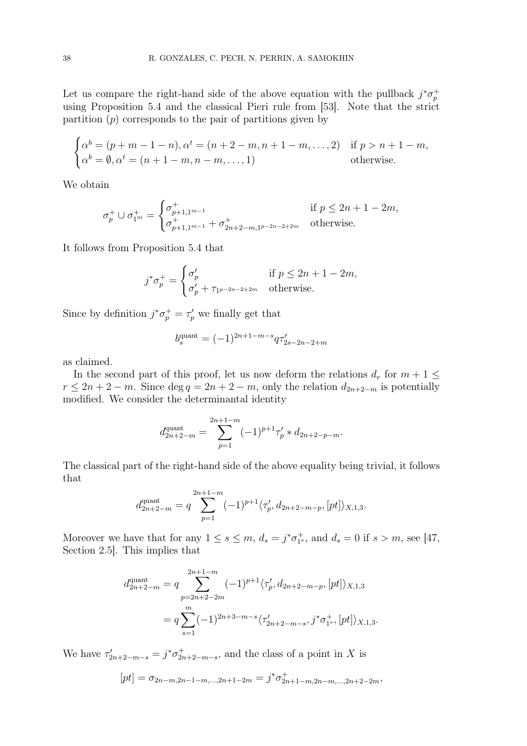Let us compare the right-hand side of the above equation with the pullback  $j^*\sigma_p^+$ using Proposition 5.4 and the classical Pieri rule from [53]. Note that the strict partition  $(p)$  corresponds to the pair of partitions given by

$$
\begin{cases}\n\alpha^b = (p + m - 1 - n), \alpha^t = (n + 2 - m, n + 1 - m, \dots, 2) & \text{if } p > n + 1 - m, \\
\alpha^b = \emptyset, \alpha^t = (n + 1 - m, n - m, \dots, 1) & \text{otherwise.} \n\end{cases}
$$

We obtain

$$
\sigma_p^+ \cup \sigma_{1^m}^+ = \begin{cases} \sigma_{p+1,1^{m-1}}^+ & \text{if } p \le 2n+1-2m, \\ \sigma_{p+1,1^{m-1}}^+ + \sigma_{2n+2-m,1^{p-2n-2+2m}}^+ & \text{otherwise.} \end{cases}
$$

It follows from Proposition 5.4 that

$$
j^*\sigma_p^+ = \begin{cases} \sigma_p' & \text{if } p \le 2n + 1 - 2m, \\ \sigma_p' + \tau_{1^{p-2n-2+2m}} & \text{otherwise.} \end{cases}
$$

Since by definition  $j^*\sigma_p^+ = \tau_p'$  we finally get that

$$
b_s^{\text{quant}} = (-1)^{2n+1-m-s} q \tau'_{2s-2n-2+m}
$$

as claimed.

In the second part of this proof, let us now deform the relations  $d_r$  for  $m + 1 \leq$  $r \leq 2n + 2 - m$ . Since deg  $q = 2n + 2 - m$ , only the relation  $d_{2n+2-m}$  is potentially modified. We consider the determinantal identity

$$
d_{2n+2-m}^{\text{quant}} = \sum_{p=1}^{2n+1-m} (-1)^{p+1} \tau'_p * d_{2n+2-p-m}.
$$

The classical part of the right-hand side of the above equality being trivial, it follows that

$$
d_{2n+2-m}^{\text{quant}} = q \sum_{p=1}^{2n+1-m} (-1)^{p+1} \langle \tau'_p, d_{2n+2-m-p}, [pt] \rangle_{X,1,3}.
$$

Moreover we have that for any  $1 \le s \le m$ ,  $d_s = j^* \sigma_{1^*}^+$ , and  $d_s = 0$  if  $s > m$ , see [47, Section 2.5]. This implies that

$$
d_{2n+2-m}^{\text{quant}} = q \sum_{p=2n+2-2m}^{2n+1-m} (-1)^{p+1} \langle \tau'_p, d_{2n+2-m-p}, [pt] \rangle_{X,1,3}
$$
  
=  $q \sum_{s=1}^m (-1)^{2n+3-m-s} \langle \tau'_{2n+2-m-s}, j^* \sigma_1^+, [pt] \rangle_{X,1,3}.$ 

We have  $\tau'_{2n+2-m-s} = j^* \sigma^+_{2n+2-m-s}$ , and the class of a point in X is

$$
[pt] = \sigma_{2n-m,2n-1-m,...,2n+1-2m} = j^* \sigma_{2n+1-m,2n-m,...,2n+2-2m}^+,
$$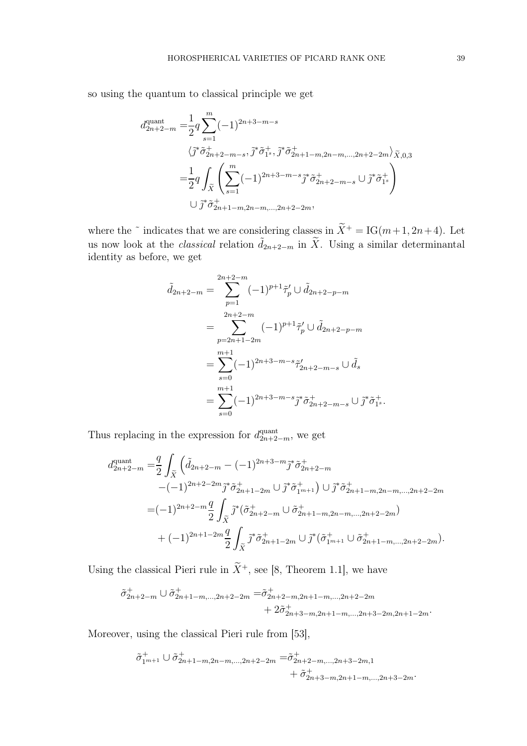so using the quantum to classical principle we get

$$
d_{2n+2-m}^{\text{quant}} = \frac{1}{2} q \sum_{s=1}^{m} (-1)^{2n+3-m-s}
$$
  

$$
\langle j^* \tilde{\sigma}_{2n+2-m-s}^+ , j^* \tilde{\sigma}_{1s}^+, j^* \tilde{\sigma}_{2n+1-m,2n-m,\dots,2n+2-2m}^+ \rangle \tilde{\chi}_{,0,3}
$$
  

$$
= \frac{1}{2} q \int_{\tilde{X}} \left( \sum_{s=1}^{m} (-1)^{2n+3-m-s} \tilde{\sigma}_{2n+2-m-s}^+ \cup j^* \tilde{\sigma}_{1s}^+ \right)
$$
  

$$
\cup j^* \tilde{\sigma}_{2n+1-m,2n-m,\dots,2n+2-2m}^+ ,
$$

where the  $\tilde{\ }$  indicates that we are considering classes in  $\tilde{X}^+ = IG(m+1, 2n+4)$ . Let us now look at the *classical* relation  $\tilde{d}_{2n+2-m}$  in  $\tilde{X}$ . Using a similar determinantal identity as before, we get

$$
\tilde{d}_{2n+2-m} = \sum_{p=1}^{2n+2-m} (-1)^{p+1} \tilde{\tau}'_p \cup \tilde{d}_{2n+2-p-m}
$$
  
\n
$$
= \sum_{p=2n+1-2m}^{2n+2-m} (-1)^{p+1} \tilde{\tau}'_p \cup \tilde{d}_{2n+2-p-m}
$$
  
\n
$$
= \sum_{s=0}^{m+1} (-1)^{2n+3-m-s} \tilde{\tau}'_{2n+2-m-s} \cup \tilde{d}_s
$$
  
\n
$$
= \sum_{s=0}^{m+1} (-1)^{2n+3-m-s} \tilde{j}^* \tilde{\sigma}^+_{2n+2-m-s} \cup \tilde{j}^* \tilde{\sigma}^+_{1s}.
$$

Thus replacing in the expression for  $d_{2n+2-m}^{\text{quant}}$ , we get

$$
d_{2n+2-m}^{\text{quant}} = \frac{q}{2} \int_{\tilde{X}} \left( \tilde{d}_{2n+2-m} - (-1)^{2n+3-m} \tilde{j}^* \tilde{\sigma}_{2n+2-m}^+ \right. \\
\left. - (-1)^{2n+2-2m} \tilde{j}^* \tilde{\sigma}_{2n+1-2m}^+ \cup \tilde{j}^* \tilde{\sigma}_{1m+1}^+ \right) \cup \tilde{j}^* \tilde{\sigma}_{2n+1-m,2n-m,\dots,2n+2-2m}^+ \\
= (-1)^{2n+2-m} \frac{q}{2} \int_{\tilde{X}} \tilde{j}^* (\tilde{\sigma}_{2n+2-m}^+ \cup \tilde{\sigma}_{2n+1-m,2n-m,\dots,2n+2-2m}^+) \\
+ (-1)^{2n+1-2m} \frac{q}{2} \int_{\tilde{X}} \tilde{j}^* \tilde{\sigma}_{2n+1-2m}^+ \cup \tilde{j}^* (\tilde{\sigma}_{1m+1}^+ \cup \tilde{\sigma}_{2n+1-m,\dots,2n+2-2m}^+).
$$

Using the classical Pieri rule in  $\widetilde{X}^+$ , see [8, Theorem 1.1], we have

$$
\tilde{\sigma}_{2n+2-m}^{+} \cup \tilde{\sigma}_{2n+1-m,\dots,2n+2-2m}^{+} = \tilde{\sigma}_{2n+2-m,2n+1-m,\dots,2n+2-2m}^{+} \n+ 2\tilde{\sigma}_{2n+3-m,2n+1-m,\dots,2n+3-2m,2n+1-2m}^{+}.
$$

Moreover, using the classical Pieri rule from [53],

$$
\tilde{\sigma}_{1^{m+1}}^+ \cup \tilde{\sigma}_{2n+1-m,2n-m,\dots,2n+2-2m}^+ = \tilde{\sigma}_{2n+2-m,\dots,2n+3-2m,1}^+ \n+ \tilde{\sigma}_{2n+3-m,2n+1-m,\dots,2n+3-2m}^+.
$$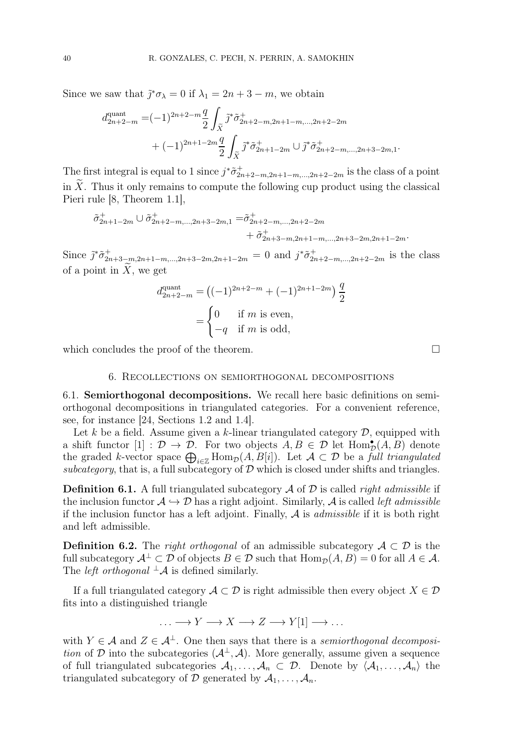Since we saw that  $\tilde{j}^* \sigma_\lambda = 0$  if  $\lambda_1 = 2n + 3 - m$ , we obtain

$$
d_{2n+2-m}^{\text{quant}} = (-1)^{2n+2-m} \frac{q}{2} \int_{\tilde{X}} \tilde{j}^* \tilde{\sigma}_{2n+2-m,2n+1-m,\dots,2n+2-2m}^{+} + (-1)^{2n+1-2m} \frac{q}{2} \int_{\tilde{X}} \tilde{j}^* \tilde{\sigma}_{2n+1-2m}^{+} \cup \tilde{j}^* \tilde{\sigma}_{2n+2-m,\dots,2n+3-2m,1}^{+}.
$$

The first integral is equal to 1 since  $j^*\tilde{\sigma}_{2n+2-m,2n+1-m,\dots,2n+2-2m}^+$  is the class of a point in  $\tilde{X}$ . Thus it only remains to compute the following cup product using the classical Pieri rule [8, Theorem 1.1],

$$
\tilde{\sigma}_{2n+1-2m}^+ \cup \tilde{\sigma}_{2n+2-m,\dots,2n+3-2m,1}^+ = \tilde{\sigma}_{2n+2-m,\dots,2n+2-2m}^+ + \tilde{\sigma}_{2n+3-m,2n+1-m,\dots,2n+3-2m,2n+1-2m}^+.
$$

Since  $\tilde{j}^*\tilde{\sigma}_{2n+3-m,2n+1-m,...,2n+3-2m,2n+1-2m}^+ = 0$  and  $j^*\tilde{\sigma}_{2n+2-m,...,2n+2-2m}^+$  is the class of a point in  $\tilde{X}$ , we get

$$
d_{2n+2-m}^{\text{quant}} = ((-1)^{2n+2-m} + (-1)^{2n+1-2m}) \frac{q}{2}
$$
  
= 
$$
\begin{cases} 0 & \text{if } m \text{ is even,} \\ -q & \text{if } m \text{ is odd,} \end{cases}
$$

which concludes the proof of the theorem.

6. Recollections on semiorthogonal decompositions

6.1. Semiorthogonal decompositions. We recall here basic definitions on semiorthogonal decompositions in triangulated categories. For a convenient reference, see, for instance [24, Sections 1.2 and 1.4].

Let k be a field. Assume given a k-linear triangulated category  $\mathcal{D}$ , equipped with a shift functor [1] :  $\mathcal{D} \to \mathcal{D}$ . For two objects  $A, B \in \mathcal{D}$  let  $\text{Hom}_{\mathcal{D}}^{\bullet}(A, B)$  denote the graded k-vector space  $\bigoplus_{i\in\mathbb{Z}}\text{Hom}_{\mathcal{D}}(A, B[i])$ . Let  $\mathcal{A}\subset\mathcal{D}$  be a full triangulated subcategory, that is, a full subcategory of  $\mathcal D$  which is closed under shifts and triangles.

**Definition 6.1.** A full triangulated subcategory  $\mathcal A$  of  $\mathcal D$  is called *right admissible* if the inclusion functor  $\mathcal{A} \hookrightarrow \mathcal{D}$  has a right adjoint. Similarly,  $\mathcal{A}$  is called *left admissible* if the inclusion functor has a left adjoint. Finally,  $A$  is *admissible* if it is both right and left admissible.

**Definition 6.2.** The *right orthogonal* of an admissible subcategory  $A \subset \mathcal{D}$  is the full subcategory  $\mathcal{A}^{\perp} \subset \mathcal{D}$  of objects  $B \in \mathcal{D}$  such that  $\text{Hom}_{\mathcal{D}}(A, B) = 0$  for all  $A \in \mathcal{A}$ . The *left orthogonal*  $^{\perp}\mathcal{A}$  is defined similarly.

If a full triangulated category  $A \subset \mathcal{D}$  is right admissible then every object  $X \in \mathcal{D}$ fits into a distinguished triangle

$$
\ldots \longrightarrow Y \longrightarrow X \longrightarrow Z \longrightarrow Y[1] \longrightarrow \ldots
$$

with  $Y \in \mathcal{A}$  and  $Z \in \mathcal{A}^{\perp}$ . One then says that there is a semiorthogonal decomposition of D into the subcategories  $(\mathcal{A}^{\perp}, \mathcal{A})$ . More generally, assume given a sequence of full triangulated subcategories  $A_1, \ldots, A_n \subset \mathcal{D}$ . Denote by  $\langle A_1, \ldots, A_n \rangle$  the triangulated subcategory of D generated by  $A_1, \ldots, A_n$ .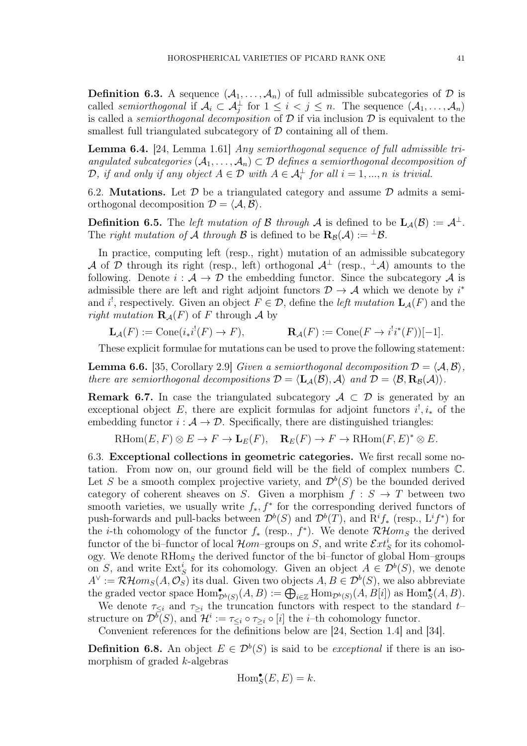**Definition 6.3.** A sequence  $(A_1, \ldots, A_n)$  of full admissible subcategories of  $D$  is called semiorthogonal if  $A_i \subset A_j^{\perp}$  for  $1 \leq i < j \leq n$ . The sequence  $(A_1, \ldots, A_n)$ is called a *semiorthogonal decomposition* of  $D$  if via inclusion  $D$  is equivalent to the smallest full triangulated subcategory of  $\mathcal D$  containing all of them.

Lemma 6.4. [24, Lemma 1.61] Any semiorthogonal sequence of full admissible triangulated subcategories  $(A_1, \ldots, A_n) \subset \mathcal{D}$  defines a semiorthogonal decomposition of  $\mathcal{D},$  if and only if any object  $A \in \mathcal{D}$  with  $A \in \mathcal{A}_i^{\perp}$  for all  $i = 1, ..., n$  is trivial.

6.2. **Mutations.** Let  $\mathcal{D}$  be a triangulated category and assume  $\mathcal{D}$  admits a semiorthogonal decomposition  $\mathcal{D} = \langle \mathcal{A}, \mathcal{B} \rangle$ .

**Definition 6.5.** The left mutation of B through A is defined to be  $\mathbf{L}_{\mathcal{A}}(\mathcal{B}) := \mathcal{A}^{\perp}$ . The right mutation of A through B is defined to be  $\mathbf{R}_{\mathcal{B}}(\mathcal{A}) := \perp \mathcal{B}$ .

In practice, computing left (resp., right) mutation of an admissible subcategory A of D through its right (resp., left) orthogonal  $A^{\perp}$  (resp.,  $^{\perp}A$ ) amounts to the following. Denote  $i : A \rightarrow \mathcal{D}$  the embedding functor. Since the subcategory A is admissible there are left and right adjoint functors  $\mathcal{D} \to \mathcal{A}$  which we denote by  $i^*$ and i<sup>t</sup>, respectively. Given an object  $F \in \mathcal{D}$ , define the *left mutation*  $\mathbf{L}_{\mathcal{A}}(F)$  and the right mutation  $\mathbf{R}_A(F)$  of F through A by

$$
\mathbf{L}_{\mathcal{A}}(F) := \mathrm{Cone}(i_*i^!(F) \to F), \qquad \mathbf{R}_{\mathcal{A}}(F) := \mathrm{Cone}(F \to i^!i^*(F))[-1].
$$

These explicit formulae for mutations can be used to prove the following statement:

**Lemma 6.6.** [35, Corollary 2.9] Given a semiorthogonal decomposition  $\mathcal{D} = \langle \mathcal{A}, \mathcal{B} \rangle$ , there are semiorthogonal decompositions  $\mathcal{D} = \langle L_A(\mathcal{B}), \mathcal{A} \rangle$  and  $\mathcal{D} = \langle \mathcal{B}, R_{\mathcal{B}}(\mathcal{A}) \rangle$ .

**Remark 6.7.** In case the triangulated subcategory  $A \subset \mathcal{D}$  is generated by an exceptional object E, there are explicit formulas for adjoint functors  $i^!, i_*$  of the embedding functor  $i : A \rightarrow \mathcal{D}$ . Specifically, there are distinguished triangles:

RHom $(E, F) \otimes E \to F \to \mathbf{L}_E(F)$ ,  $\mathbf{R}_E(F) \to F \to \mathrm{RHom}(F, E)^* \otimes E$ .

6.3. Exceptional collections in geometric categories. We first recall some notation. From now on, our ground field will be the field of complex numbers C. Let S be a smooth complex projective variety, and  $\mathcal{D}^b(S)$  be the bounded derived category of coherent sheaves on S. Given a morphism  $f : S \to T$  between two smooth varieties, we usually write  $f_*, f^*$  for the corresponding derived functors of push-forwards and pull-backs between  $\mathcal{D}^b(S)$  and  $\mathcal{D}^b(T)$ , and  $R^if_*$  (resp.,  $L^if^*$ ) for the *i*-th cohomology of the functor  $f_*$  (resp.,  $f^*$ ). We denote  $\mathcal{RH}$ *om<sub>S</sub>* the derived functor of the bi–functor of local  $\mathcal{H}om$ –groups on S, and write  $\mathcal{E}xt^i_S$  for its cohomology. We denote  $RHom<sub>S</sub>$  the derived functor of the bi–functor of global Hom–groups on S, and write  $\mathrm{Ext}^i_S$  for its cohomology. Given an object  $A \in \mathcal{D}^b(S)$ , we denote  $A^{\vee} := \mathcal{RH}om_S(A,\mathcal{O}_S)$  its dual. Given two objects  $A, B \in \mathcal{D}^b(S)$ , we also abbreviate the graded vector space  $\text{Hom}_{\mathcal{D}^b(S)}^{\bullet}(A, B) := \bigoplus_{i \in \mathbb{Z}} \text{Hom}_{\mathcal{D}^b(S)}(A, B[i])$  as  $\text{Hom}_{S}^{\bullet}(A, B)$ .

We denote  $\tau_{\leq i}$  and  $\tau_{\geq i}$  the truncation functors with respect to the standard t– structure on  $\mathcal{D}^b(S)$ , and  $\mathcal{H}^i := \tau_{\leq i} \circ \tau_{\geq i} \circ [i]$  the *i*-th cohomology functor.

Convenient references for the definitions below are [24, Section 1.4] and [34].

**Definition 6.8.** An object  $E \in \mathcal{D}^b(S)$  is said to be *exceptional* if there is an isomorphism of graded k-algebras

$$
\operatorname{Hom}_S^\bullet(E,E)=k.
$$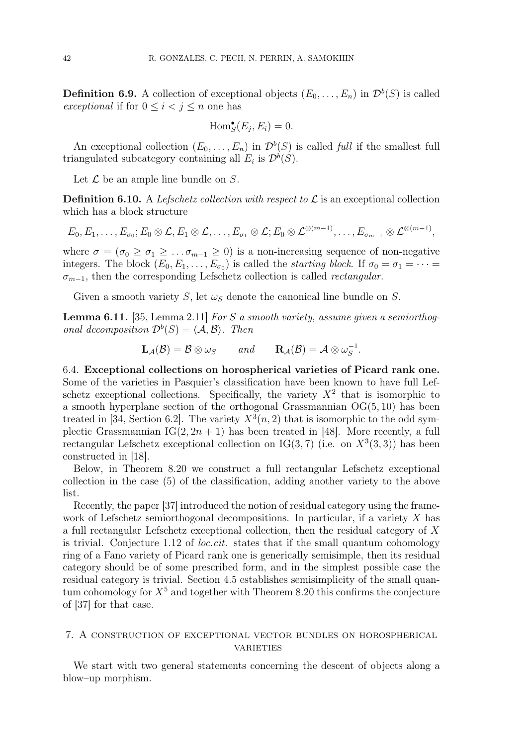**Definition 6.9.** A collection of exceptional objects  $(E_0, \ldots, E_n)$  in  $\mathcal{D}^b(S)$  is called exceptional if for  $0 \leq i < j \leq n$  one has

$$
\operatorname{Hom}^{\bullet}_{S}(E_j, E_i) = 0.
$$

An exceptional collection  $(E_0, \ldots, E_n)$  in  $\mathcal{D}^b(S)$  is called full if the smallest full triangulated subcategory containing all  $E_i$  is  $\mathcal{D}^b(S)$ .

Let  $\mathcal L$  be an ample line bundle on  $S$ .

**Definition 6.10.** A Lefschetz collection with respect to  $\mathcal{L}$  is an exceptional collection which has a block structure

$$
E_0, E_1, \ldots, E_{\sigma_0}; E_0 \otimes \mathcal{L}, E_1 \otimes \mathcal{L}, \ldots, E_{\sigma_1} \otimes \mathcal{L}; E_0 \otimes \mathcal{L}^{\otimes (m-1)}, \ldots, E_{\sigma_{m-1}} \otimes \mathcal{L}^{\otimes (m-1)},
$$

where  $\sigma = (\sigma_0 \ge \sigma_1 \ge \dots \sigma_{m-1} \ge 0)$  is a non-increasing sequence of non-negative integers. The block  $(E_0, E_1, \ldots, E_{\sigma_0})$  is called the *starting block*. If  $\sigma_0 = \sigma_1 = \cdots =$  $\sigma_{m-1}$ , then the corresponding Lefschetz collection is called *rectangular*.

Given a smooth variety S, let  $\omega_s$  denote the canonical line bundle on S.

Lemma 6.11. [35, Lemma 2.11] For S a smooth variety, assume given a semiorthogonal decomposition  $\mathcal{D}^b(S) = \langle \mathcal{A}, \mathcal{B} \rangle$ . Then

$$
\mathbf{L}_{\mathcal{A}}(\mathcal{B}) = \mathcal{B} \otimes \omega_{S} \quad \text{and} \quad \mathbf{R}_{\mathcal{A}}(\mathcal{B}) = \mathcal{A} \otimes \omega_{S}^{-1}.
$$

6.4. Exceptional collections on horospherical varieties of Picard rank one. Some of the varieties in Pasquier's classification have been known to have full Lefschetz exceptional collections. Specifically, the variety  $X^2$  that is isomorphic to a smooth hyperplane section of the orthogonal Grassmannian  $OG(5, 10)$  has been treated in [34, Section 6.2]. The variety  $X^3(n, 2)$  that is isomorphic to the odd symplectic Grassmannian  $IG(2, 2n + 1)$  has been treated in [48]. More recently, a full rectangular Lefschetz exceptional collection on  $IG(3, 7)$  (i.e. on  $X^3(3, 3)$ ) has been constructed in [18].

Below, in Theorem 8.20 we construct a full rectangular Lefschetz exceptional collection in the case (5) of the classification, adding another variety to the above list.

Recently, the paper [37] introduced the notion of residual category using the framework of Lefschetz semiorthogonal decompositions. In particular, if a variety  $X$  has a full rectangular Lefschetz exceptional collection, then the residual category of X is trivial. Conjecture 1.12 of *loc.cit.* states that if the small quantum cohomology ring of a Fano variety of Picard rank one is generically semisimple, then its residual category should be of some prescribed form, and in the simplest possible case the residual category is trivial. Section 4.5 establishes semisimplicity of the small quantum cohomology for  $X^5$  and together with Theorem 8.20 this confirms the conjecture of [37] for that case.

#### 7. A construction of exceptional vector bundles on horospherical **VARIETIES**

We start with two general statements concerning the descent of objects along a blow–up morphism.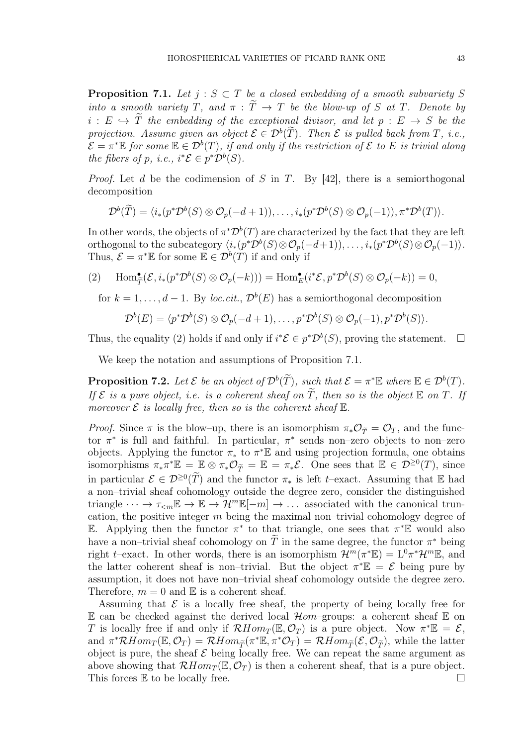**Proposition 7.1.** Let  $j : S \subset T$  be a closed embedding of a smooth subvariety S into a smooth variety T, and  $\pi : \widetilde{T} \to T$  be the blow-up of S at T. Denote by  $i: E \hookrightarrow T$  the embedding of the exceptional divisor, and let  $p: E \to S$  be the projection. Assume given an object  $\mathcal{E} \in \mathcal{D}^b(T)$ . Then  $\mathcal E$  is pulled back from  $T$ , i.e.,  $\mathcal{E}=\pi^*\mathbb{E}$  for some  $\mathbb{E}\in\mathcal{D}^b(T)$ , if and only if the restriction of  $\mathcal E$  to  $E$  is trivial along the fibers of p, i.e.,  $i^*{\mathcal{E}} \in p^*{\mathcal{D}}^b(S)$ .

*Proof.* Let d be the codimension of S in T. By [42], there is a semiorthogonal decomposition

$$
\mathcal{D}^{b}(\tilde{T})=\langle i_{*}(p^{*}\mathcal{D}^{b}(S)\otimes \mathcal{O}_{p}(-d+1)),\ldots,i_{*}(p^{*}\mathcal{D}^{b}(S)\otimes \mathcal{O}_{p}(-1)),\pi^{*}\mathcal{D}^{b}(T)\rangle.
$$

In other words, the objects of  $\pi^* \mathcal{D}^b(T)$  are characterized by the fact that they are left orthogonal to the subcategory  $\langle i_*(p^*\mathcal{D}^b(S) \otimes \mathcal{O}_p(-d+1)), \ldots, i_*(p^*\mathcal{D}^b(S) \otimes \mathcal{O}_p(-1) \rangle$ . Thus,  $\mathcal{E} = \pi^* \mathbb{E}$  for some  $\mathbb{E} \in \mathcal{D}^b(T)$  if and only if

(2)  $\text{Hom}_{\widetilde{T}}^{\bullet}(\mathcal{E}, i_*(p^*\mathcal{D}^b(S) \otimes \mathcal{O}_p(-k))) = \text{Hom}_{E}^{\bullet}(i^*\mathcal{E}, p^*\mathcal{D}^b(S) \otimes \mathcal{O}_p(-k)) = 0,$ 

for  $k = 1, ..., d - 1$ . By loc.cit.,  $\mathcal{D}^b(E)$  has a semiorthogonal decomposition

$$
\mathcal{D}^{b}(E) = \langle p^* \mathcal{D}^{b}(S) \otimes \mathcal{O}_p(-d+1), \ldots, p^* \mathcal{D}^{b}(S) \otimes \mathcal{O}_p(-1), p^* \mathcal{D}^{b}(S) \rangle.
$$

Thus, the equality (2) holds if and only if  $i^*\mathcal{E} \in p^*\mathcal{D}^b(S)$ , proving the statement.  $\Box$ 

We keep the notation and assumptions of Proposition 7.1.

**Proposition 7.2.** Let  $\mathcal{E}$  be an object of  $\mathcal{D}^b(\widetilde{T})$ , such that  $\mathcal{E} = \pi^* \mathbb{E}$  where  $\mathbb{E} \in \mathcal{D}^b(T)$ . If  ${\cal E}$  is a pure object, i.e. is a coherent sheaf on  $\widetilde{T}$ , then so is the object  ${\Bbb E}$  on  $T$ . If moreover  $\mathcal E$  is locally free, then so is the coherent sheaf  $\mathbb E$ .

*Proof.* Since  $\pi$  is the blow–up, there is an isomorphism  $\pi_*\mathcal{O}_{\widetilde{T}} = \mathcal{O}_T$ , and the functor  $\pi^*$  is full and faithful. In particular,  $\pi^*$  sends non-zero objects to non-zero objects. Applying the functor  $\pi_*$  to  $\pi^* \mathbb{E}$  and using projection formula, one obtains isomorphisms  $\pi_* \pi^* \mathbb{E} = \mathbb{E} \otimes \pi_* \mathcal{O}_{\widetilde{T}} = \mathbb{E} = \pi_* \mathcal{E}$ . One sees that  $\mathbb{E} \in \mathcal{D}^{\geq 0}(T)$ , since in particular  $\mathcal{E} \in \mathcal{D}^{\geq 0}(\tilde{T})$  and the functor  $\pi_*$  is left t–exact. Assuming that  $\mathbb E$  had a non–trivial sheaf cohomology outside the degree zero, consider the distinguished triangle  $\cdots \to \tau_{\leq m} \mathbb{E} \to \mathbb{E} \to \mathcal{H}^m \mathbb{E}[-m] \to \ldots$  associated with the canonical truncation, the positive integer  $m$  being the maximal non–trivial cohomology degree of E. Applying then the functor  $\pi^*$  to that triangle, one sees that  $\pi^* \mathbb{E}$  would also have a non–trivial sheaf cohomology on T in the same degree, the functor  $\pi^*$  being right t–exact. In other words, there is an isomorphism  $\mathcal{H}^m(\pi^*\mathbb{E}) = L^0\pi^*\mathcal{H}^m\mathbb{E}$ , and the latter coherent sheaf is non–trivial. But the object  $\pi^* \mathbb{E} = \mathcal{E}$  being pure by assumption, it does not have non–trivial sheaf cohomology outside the degree zero. Therefore,  $m = 0$  and  $\mathbb E$  is a coherent sheaf.

Assuming that  $\mathcal E$  is a locally free sheaf, the property of being locally free for E can be checked against the derived local  $\mathcal{H}om$ -groups: a coherent sheaf E on T is locally free if and only if  $\mathcal{R}Hom_T(\mathbb{E}, \mathcal{O}_T)$  is a pure object. Now  $\pi^*\mathbb{E} = \mathcal{E}$ , and  $\pi^* \mathcal{R} Hom_T(\mathbb{E}, \mathcal{O}_T) = \mathcal{R} Hom_{\widetilde{T}}(\pi^* \mathbb{E}, \pi^* \mathcal{O}_T) = \mathcal{R} Hom_{\widetilde{T}}(\mathcal{E}, \mathcal{O}_{\widetilde{T}})$ , while the latter object is pure, the sheaf  $\mathcal E$  being locally free. We can repeat the same argument as above showing that  $\mathcal{R}Hom_{T}(\mathbb{E}, \mathcal{O}_{T})$  is then a coherent sheaf, that is a pure object. This forces  $\mathbb E$  to be locally free.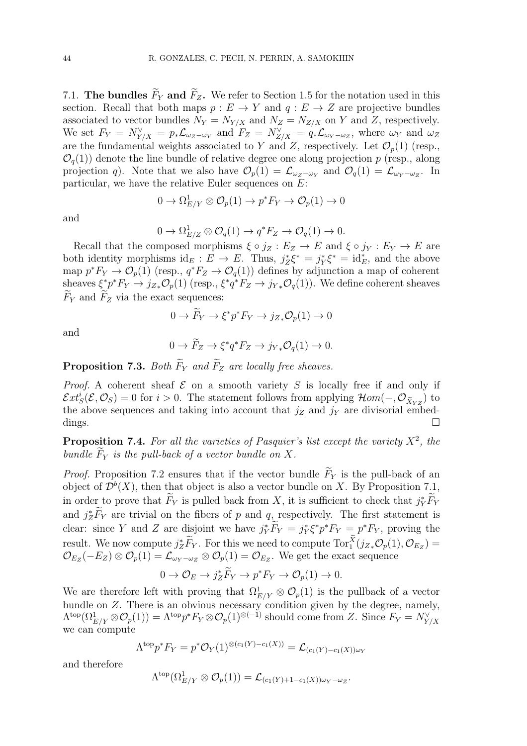7.1. The bundles  $\widetilde{F}_Y$  and  $\widetilde{F}_Z$ . We refer to Section 1.5 for the notation used in this section. Recall that both maps  $p : E \to Y$  and  $q : E \to Z$  are projective bundles associated to vector bundles  $N_Y = N_{Y/X}$  and  $N_Z = N_{Z/X}$  on Y and Z, respectively. We set  $F_Y = N_{Y/X}^{\vee} = p_* \mathcal{L}_{\omega_Z - \omega_Y}$  and  $F_Z = N_{Z/X}^{\vee} = q_* \mathcal{L}_{\omega_Y - \omega_Z}$ , where  $\omega_Y$  and  $\omega_Z$ are the fundamental weights associated to Y and Z, respectively. Let  $\mathcal{O}_p(1)$  (resp.,  $\mathcal{O}_q(1)$  denote the line bundle of relative degree one along projection p (resp., along projection q). Note that we also have  $\mathcal{O}_p(1) = \mathcal{L}_{\omega_Z - \omega_Y}$  and  $\mathcal{O}_q(1) = \mathcal{L}_{\omega_Y - \omega_Z}$ . In particular, we have the relative Euler sequences on  $E$ :

$$
0 \to \Omega^1_{E/Y} \otimes \mathcal{O}_p(1) \to p^* F_Y \to \mathcal{O}_p(1) \to 0
$$

and

$$
0 \to \Omega_{E/Z}^1 \otimes \mathcal{O}_q(1) \to q^* F_Z \to \mathcal{O}_q(1) \to 0.
$$

Recall that the composed morphisms  $\xi \circ j_Z : E_Z \to E$  and  $\xi \circ j_Y : E_Y \to E$  are both identity morphisms  $id_E : E \to E$ . Thus,  $j_Z^* \xi^* = j_Y^* \xi^* = id_E^*$ , and the above map  $p^*F_Y \to \mathcal{O}_p(1)$  (resp.,  $q^*F_Z \to \mathcal{O}_q(1)$ ) defines by adjunction a map of coherent sheaves  $\xi^* p^* F_Y \to j_{Z*} \mathcal{O}_p(1)$  (resp.,  $\xi^* q^* F_Z \to j_{Y*} \mathcal{O}_q(1)$ ). We define coherent sheaves  $F_Y$  and  $F_Z$  via the exact sequences:

$$
0 \to \tilde{F}_Y \to \xi^* p^* F_Y \to j_{Z*} \mathcal{O}_p(1) \to 0
$$

and

$$
0 \to \widetilde{F}_Z \to \xi^* q^* F_Z \to j_{Y*} \mathcal{O}_q(1) \to 0.
$$

**Proposition 7.3.** Both  $\widetilde{F}_Y$  and  $\widetilde{F}_Z$  are locally free sheaves.

*Proof.* A coherent sheaf  $\mathcal E$  on a smooth variety  $S$  is locally free if and only if  $\mathcal{E}xt^i_S(\mathcal{E},\mathcal{O}_S)=0$  for  $i>0$ . The statement follows from applying  $\mathcal{H}om(-,\mathcal{O}_{\widetilde{X}_YZ})$  to the above sequences and taking into account that  $j_Z$  and  $j_Y$  are divisorial embeddings.  $\square$ 

**Proposition 7.4.** For all the varieties of Pasquier's list except the variety  $X^2$ , the bundle  $\widetilde{F}_Y$  is the pull-back of a vector bundle on X.

*Proof.* Proposition 7.2 ensures that if the vector bundle  $\widetilde{F}_Y$  is the pull-back of an object of  $\mathcal{D}^b(X)$ , then that object is also a vector bundle on X. By Proposition 7.1, in order to prove that  $\tilde{F}_Y$  is pulled back from X, it is sufficient to check that  $j_Y^* \tilde{F}_Y$ and  $j_Z^* \overline{F}_Y$  are trivial on the fibers of p and  $q$ , respectively. The first statement is clear: since Y and Z are disjoint we have  $j_Y^* \overline{F}_Y = j_Y^* \xi^* p^* F_Y = p^* F_Y$ , proving the result. We now compute  $j_Z^* \widetilde{F}_Y$ . For this we need to compute  $\text{Tor}_1^X(j_{Z*} \mathcal{O}_p(1), \mathcal{O}_{E_Z})$  $\mathcal{O}_{E_Z}(-E_Z)\otimes \mathcal{O}_p(1)=\mathcal{L}_{\omega_Y-\omega_Z}\otimes \mathcal{O}_p(1)=\mathcal{O}_{E_Z}.$  We get the exact sequence

$$
0 \to \mathcal{O}_E \to j_Z^* \widetilde{F}_Y \to p^* F_Y \to \mathcal{O}_p(1) \to 0.
$$

We are therefore left with proving that  $\Omega^1_{E/Y} \otimes \mathcal{O}_p(1)$  is the pullback of a vector bundle on Z. There is an obvious necessary condition given by the degree, namely,  $\Lambda^{\text{top}}(\Omega^1_{E/Y}\otimes{\mathcal O}_p(1))=\Lambda^{\text{top}}p^*F_Y\otimes{\mathcal O}_p(1)^{\otimes(-1)}$  should come from Z. Since  $F_Y=N^\vee_{Y/X}$ we can compute

$$
\Lambda^{\text{top}} p^* F_Y = p^* \mathcal{O}_Y(1)^{\otimes (c_1(Y) - c_1(X))} = \mathcal{L}_{(c_1(Y) - c_1(X)) \omega_Y}
$$

and therefore

$$
\Lambda^{\text{top}}(\Omega^1_{E/Y} \otimes \mathcal{O}_p(1)) = \mathcal{L}_{(c_1(Y)+1-c_1(X))\omega_Y - \omega_Z}.
$$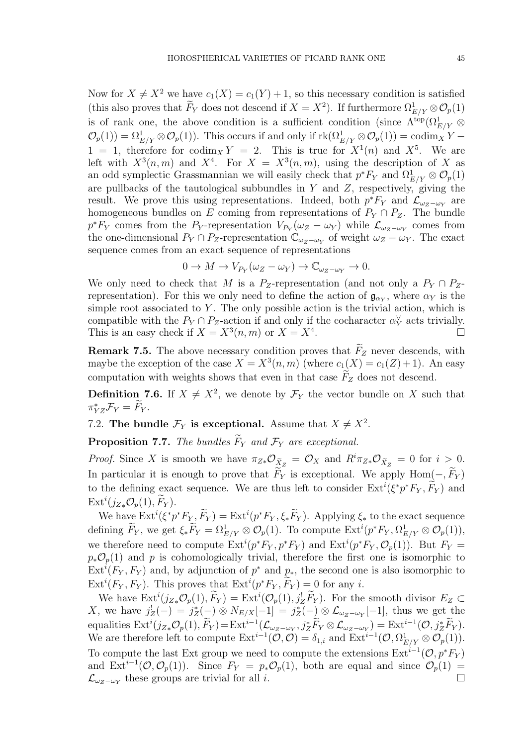Now for  $X \neq X^2$  we have  $c_1(X) = c_1(Y) + 1$ , so this necessary condition is satisfied (this also proves that  $F_Y$  does not descend if  $X = X^2$ ). If furthermore  $\Omega^1_{E/Y} \otimes \mathcal{O}_p(1)$ is of rank one, the above condition is a sufficient condition (since  $\Lambda^{\text{top}}(\Omega^1_{E/Y} \otimes$  $\mathcal{O}_p(1) = \Omega^1_{E/Y} \otimes \mathcal{O}_p(1)$ . This occurs if and only if  $\text{rk}(\Omega^1_{E/Y} \otimes \mathcal{O}_p(1)) = \text{codim}_X Y 1 = 1$ , therefore for  $\text{codim}_X Y = 2$ . This is true for  $X^1(n)$  and  $X^5$ . We are left with  $X^3(n,m)$  and  $X^4$ . For  $X = X^3(n,m)$ , using the description of X as an odd symplectic Grassmannian we will easily check that  $p^*F_Y$  and  $\Omega^1_{E/Y} \otimes \mathcal{O}_p(1)$ are pullbacks of the tautological subbundles in  $Y$  and  $Z$ , respectively, giving the result. We prove this using representations. Indeed, both  $p^*F_Y$  and  $\mathcal{L}_{\omega_Z-\omega_Y}$  are homogeneous bundles on E coming from representations of  $P_Y \cap P_Z$ . The bundle  $p^*F_Y$  comes from the P<sub>Y</sub>-representation  $V_{P_Y}(\omega_Z - \omega_Y)$  while  $\mathcal{L}_{\omega_Z - \omega_Y}$  comes from the one-dimensional  $P_Y \cap P_Z$ -representation  $\mathbb{C}_{\omega_Z - \omega_Y}$  of weight  $\omega_Z - \omega_Y$ . The exact sequence comes from an exact sequence of representations

$$
0 \to M \to V_{P_Y}(\omega_Z - \omega_Y) \to \mathbb{C}_{\omega_Z - \omega_Y} \to 0.
$$

We only need to check that M is a P<sub>Z</sub>-representation (and not only a  $P_Y \cap P_Z$ representation). For this we only need to define the action of  $\mathfrak{g}_{\alpha_Y}$ , where  $\alpha_Y$  is the simple root associated to  $Y$ . The only possible action is the trivial action, which is compatible with the  $P_Y \cap P_Z$ -action if and only if the cocharacter  $\alpha_Y^{\vee}$  acts trivially. This is an easy check if  $X = X^3(n, m)$  or  $X = X^4$ .

**Remark 7.5.** The above necessary condition proves that  $F_Z$  never descends, with maybe the exception of the case  $X = X^3(n, m)$  (where  $c_1(X) = c_1(Z) + 1$ ). An easy computation with weights shows that even in that case  $F_Z$  does not descend.

**Definition 7.6.** If  $X \neq X^2$ , we denote by  $\mathcal{F}_Y$  the vector bundle on X such that  $\pi_{YZ}^* \mathcal{F}_Y = F_Y.$ 

7.2. The bundle  $\mathcal{F}_Y$  is exceptional. Assume that  $X \neq X^2$ .

**Proposition 7.7.** The bundles  $\widetilde{F}_Y$  and  $\mathcal{F}_Y$  are exceptional.

*Proof.* Since X is smooth we have  $\pi_{Z*}\mathcal{O}_{\tilde{X}_Z} = \mathcal{O}_X$  and  $R^i\pi_{Z*}\mathcal{O}_{\tilde{X}_Z} = 0$  for  $i > 0$ . In particular it is enough to prove that  $F_Y$  is exceptional. We apply Hom $(-, F_Y)$ to the defining exact sequence. We are thus left to consider  $\text{Ext}^i(\xi^* p^* F_Y, \widetilde{F}_Y)$  and  $\mathrm{Ext}^i(j_{Z*}\mathcal{O}_p(1), \widetilde{F}_Y).$ 

We have  $\mathrm{Ext}^i(\xi^* p^* F_{Y}, \widetilde{F}_Y) = \mathrm{Ext}^i(p^* F_Y, \xi_* \widetilde{F}_Y)$ . Applying  $\xi_*$  to the exact sequence defining  $\widetilde{F}_Y$ , we get  $\xi_* \widetilde{F}_Y = \Omega^1_{E/Y} \otimes \mathcal{O}_p(1)$ . To compute  $\mathrm{Ext}^i(p^* F_Y, \Omega^1_{E/Y} \otimes \mathcal{O}_p(1)),$ we therefore need to compute  $\text{Ext}^i(p^*F_Y, p^*F_Y)$  and  $\text{Ext}^i(p^*F_Y, \mathcal{O}_p(1))$ . But  $F_Y =$  $p_*\mathcal{O}_p(1)$  and p is cohomologically trivial, therefore the first one is isomorphic to  $\text{Ext}^i(F_Y, F_Y)$  and, by adjunction of  $p^*$  and  $p_*,$  the second one is also isomorphic to  $\text{Ext}^i(F_Y, F_Y)$ . This proves that  $\text{Ext}^i(p^*F_Y, \tilde{F}_Y) = 0$  for any *i*.

We have  $\text{Ext}^i(j_{Z*}\mathcal{O}_p(1), \tilde{F}_Y) = \text{Ext}^i(\mathcal{O}_p(1), j_Z^!\tilde{F}_Y)$ . For the smooth divisor  $E_Z \subset$ X, we have  $j_Z^!(-) = j_Z^*(-) \otimes N_{E/X}[-1] = j_Z^*(-) \otimes \mathcal{L}_{\omega_Z - \omega_Y}[-1]$ , thus we get the equalities  $\text{Ext}^i(j_{Z*}\mathcal{O}_p(1), \tilde{F}_Y) = \text{Ext}^{i-1}(\mathcal{L}_{\omega_Z - \omega_Y}, j_Z^* \tilde{F}_Y \otimes \mathcal{L}_{\omega_Z - \omega_Y}) = \text{Ext}^{i-1}(\mathcal{O}, j_Z^* \tilde{F}_Y).$ We are therefore left to compute  $\mathrm{Ext}^{i-1}(\mathcal{O}, \mathcal{O}) = \delta_{1,i}$  and  $\mathrm{Ext}^{i-1}(\mathcal{O}, \Omega^1_{E/Y} \otimes \mathcal{O}_p(1)).$ To compute the last Ext group we need to compute the extensions  $\text{Ext}^{i-1}(\mathcal{O}, p^*F_Y)$ and  $\text{Ext}^{i-1}(\mathcal{O}, \mathcal{O}_p(1))$ . Since  $F_Y = p_*\mathcal{O}_p(1)$ , both are equal and since  $\mathcal{O}_p(1)$  $\mathcal{L}_{\omega_Z - \omega_Y}$  these groups are trivial for all *i*.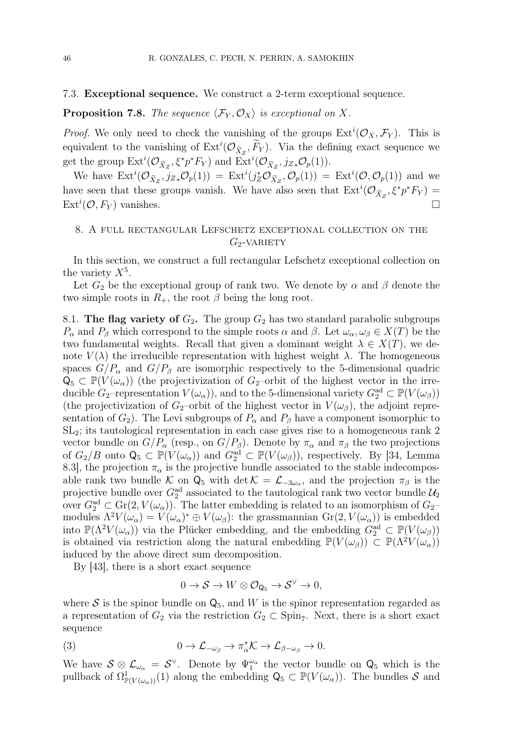#### 7.3. Exceptional sequence. We construct a 2-term exceptional sequence.

#### **Proposition 7.8.** The sequence  $\langle \mathcal{F}_Y, \mathcal{O}_X \rangle$  is exceptional on X.

*Proof.* We only need to check the vanishing of the groups  $\text{Ext}^i(\mathcal{O}_X, \mathcal{F}_Y)$ . This is equivalent to the vanishing of  $\text{Ext}^i(\mathcal{O}_{\tilde{X}_Z}, \tilde{F}_Y)$ . Via the defining exact sequence we get the group  $\text{Ext}^i(\mathcal{O}_{\tilde{X}_Z}, \xi^* p^* F_Y)$  and  $\text{Ext}^i(\mathcal{O}_{\tilde{X}_Z}, j_{Z*}\mathcal{O}_p(1)).$ 

We have  $\text{Ext}^i(\mathcal{O}_{\tilde{X}_Z}, j_{Z*}\mathcal{O}_p(1)) = \text{Ext}^i(j_Z^*\mathcal{O}_{\tilde{X}_Z}, \mathcal{O}_p(1)) = \text{Ext}^i(\mathcal{O}, \mathcal{O}_p(1))$  and we have seen that these groups vanish. We have also seen that  $\text{Ext}^i(\mathcal{O}_{\tilde{X}_Z}, \xi^* p^* F_Y) =$  $\text{Ext}^i(\mathcal{O}, F_Y)$  vanishes.

#### 8. A full rectangular Lefschetz exceptional collection on the  $G_2$ -VARIETY

In this section, we construct a full rectangular Lefschetz exceptional collection on the variety  $X^5$ .

Let  $G_2$  be the exceptional group of rank two. We denote by  $\alpha$  and  $\beta$  denote the two simple roots in  $R_+$ , the root  $\beta$  being the long root.

8.1. The flag variety of  $G_2$ . The group  $G_2$  has two standard parabolic subgroups  $P_{\alpha}$  and  $P_{\beta}$  which correspond to the simple roots  $\alpha$  and  $\beta$ . Let  $\omega_{\alpha}, \omega_{\beta} \in X(T)$  be the two fundamental weights. Recall that given a dominant weight  $\lambda \in X(T)$ , we denote  $V(\lambda)$  the irreducible representation with highest weight  $\lambda$ . The homogeneous spaces  $G/P_\alpha$  and  $G/P_\beta$  are isomorphic respectively to the 5-dimensional quadric  $Q_5 \subset \mathbb{P}(V(\omega_\alpha))$  (the projectivization of  $G_2$ -orbit of the highest vector in the irreducible  $G_2$ -representation  $V(\omega_\alpha)$ , and to the 5-dimensional variety  $G_2^{\rm ad} \subset \mathbb{P}(V(\omega_\beta))$ (the projectivization of  $G_2$ –orbit of the highest vector in  $V(\omega_\beta)$ , the adjoint representation of  $G_2$ ). The Levi subgroups of  $P_\alpha$  and  $P_\beta$  have a component isomorphic to SL2; its tautological representation in each case gives rise to a homogeneous rank 2 vector bundle on  $G/P_\alpha$  (resp., on  $G/P_\beta$ ). Denote by  $\pi_\alpha$  and  $\pi_\beta$  the two projections of  $G_2/B$  onto  $\mathsf{Q}_5 \subset \mathbb{P}(V(\omega_\alpha))$  and  $G_2^{\text{ad}} \subset \mathbb{P}(V(\omega_\beta))$ , respectively. By [34, Lemma 8.3], the projection  $\pi_{\alpha}$  is the projective bundle associated to the stable indecomposable rank two bundle K on  $Q_5$  with det  $\mathcal{K} = \mathcal{L}_{-3\omega_{\alpha}}$ , and the projection  $\pi_{\beta}$  is the projective bundle over  $G_2^{\text{ad}}$  associated to the tautological rank two vector bundle  $\mathcal{U}_2$ over  $G_2^{\rm ad} \subset$  Gr(2,  $V(\omega_\alpha)$ ). The latter embedding is related to an isomorphism of  $G_2$ modules  $\Lambda^2 V(\omega_\alpha) = V(\omega_\alpha)^* \oplus V(\omega_\beta)$ : the grassmannian  $\text{Gr}(2, V(\omega_\alpha))$  is embedded into  $\mathbb{P}(\Lambda^2 V(\omega_\alpha))$  via the Plücker embedding, and the embedding  $G_2^{\text{ad}} \subset \mathbb{P}(V(\omega_\beta))$ is obtained via restriction along the natural embedding  $\mathbb{P}(V(\omega_{\beta})) \subset \mathbb{P}(\Lambda^2 V(\omega_{\alpha}))$ induced by the above direct sum decomposition.

By [43], there is a short exact sequence

$$
0 \to \mathcal{S} \to W \otimes \mathcal{O}_{\mathsf{Q}_5} \to \mathcal{S}^{\vee} \to 0,
$$

where S is the spinor bundle on  $Q_5$ , and W is the spinor representation regarded as a representation of  $G_2$  via the restriction  $G_2 \subset \text{Spin}_7$ . Next, there is a short exact sequence

(3) 
$$
0 \to \mathcal{L}_{-\omega_{\beta}} \to \pi_{\alpha}^* \mathcal{K} \to \mathcal{L}_{\beta-\omega_{\beta}} \to 0.
$$

We have  $S \otimes \mathcal{L}_{\omega_{\alpha}} = S^{\vee}$ . Denote by  $\Psi_1^{\omega_{\alpha}}$  the vector bundle on  $\mathsf{Q}_5$  which is the pullback of  $\Omega^1_{\mathbb{P}(V(\omega_\alpha))}(1)$  along the embedding  $\mathsf{Q}_5 \subset \mathbb{P}(V(\omega_\alpha))$ . The bundles S and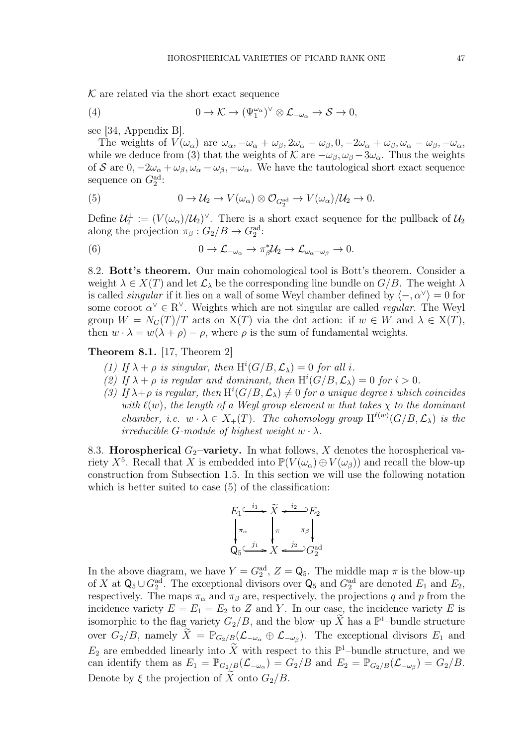$K$  are related via the short exact sequence

(4) 
$$
0 \to \mathcal{K} \to (\Psi_1^{\omega_{\alpha}})^{\vee} \otimes \mathcal{L}_{-\omega_{\alpha}} \to \mathcal{S} \to 0,
$$

see [34, Appendix B].

The weights of  $V(\omega_\alpha)$  are  $\omega_\alpha, -\omega_\alpha + \omega_\beta, 2\omega_\alpha - \omega_\beta, 0, -2\omega_\alpha + \omega_\beta, \omega_\alpha - \omega_\beta, -\omega_\alpha,$ while we deduce from (3) that the weights of K are  $-\omega_\beta$ ,  $\omega_\beta - 3\omega_\alpha$ . Thus the weights of S are  $0, -2\omega_{\alpha} + \omega_{\beta}, \omega_{\alpha} - \omega_{\beta}, -\omega_{\alpha}$ . We have the tautological short exact sequence sequence on  $G_2^{\text{ad}}$ :

(5) 
$$
0 \to \mathcal{U}_2 \to V(\omega_\alpha) \otimes \mathcal{O}_{G_2^{\text{ad}}} \to V(\omega_\alpha)/\mathcal{U}_2 \to 0.
$$

Define  $\mathcal{U}_2^{\perp} := (V(\omega_\alpha)/\mathcal{U}_2)^{\vee}$ . There is a short exact sequence for the pullback of  $\mathcal{U}_2$ along the projection  $\pi_{\beta}: G_2/B \to G_2^{\text{ad}}$ :

(6) 
$$
0 \to \mathcal{L}_{-\omega_{\alpha}} \to \pi_{\beta}^* \mathcal{U}_2 \to \mathcal{L}_{\omega_{\alpha}-\omega_{\beta}} \to 0.
$$

8.2. Bott's theorem. Our main cohomological tool is Bott's theorem. Consider a weight  $\lambda \in X(T)$  and let  $\mathcal{L}_{\lambda}$  be the corresponding line bundle on  $G/B$ . The weight  $\lambda$ is called *singular* if it lies on a wall of some Weyl chamber defined by  $\langle -, \alpha^{\vee} \rangle = 0$  for some coroot  $\alpha^{\vee} \in R^{\vee}$ . Weights which are not singular are called *regular*. The Weyl group  $W = N_G(T)/T$  acts on  $X(T)$  via the dot action: if  $w \in W$  and  $\lambda \in X(T)$ , then  $w \cdot \lambda = w(\lambda + \rho) - \rho$ , where  $\rho$  is the sum of fundamental weights.

Theorem 8.1. [17, Theorem 2]

- (1) If  $\lambda + \rho$  is singular, then  $H^i(G/B, \mathcal{L}_\lambda) = 0$  for all i.
- (2) If  $\lambda + \rho$  is regular and dominant, then  $H^{i}(G/B, \mathcal{L}_{\lambda}) = 0$  for  $i > 0$ .
- (3) If  $\lambda + \rho$  is regular, then  $H^i(G/B, \mathcal{L}_\lambda) \neq 0$  for a unique degree i which coincides with  $\ell(w)$ , the length of a Weyl group element w that takes  $\chi$  to the dominant chamber, i.e.  $w \cdot \lambda \in X_+(T)$ . The cohomology group  $H^{\ell(w)}(G/B, \mathcal{L}_{\lambda})$  is the irreducible G-module of highest weight  $w \cdot \lambda$ .

8.3. Horospherical  $G_2$ -variety. In what follows, X denotes the horospherical variety  $X^5$ . Recall that X is embedded into  $\mathbb{P}(V(\omega_\alpha) \oplus V(\omega_\beta))$  and recall the blow-up construction from Subsection 1.5. In this section we will use the following notation which is better suited to case  $(5)$  of the classification:



In the above diagram, we have  $Y = G_2^{\text{ad}}, Z = \mathsf{Q}_5$ . The middle map  $\pi$  is the blow-up of X at  $\mathsf{Q}_5 \cup G_2^{\text{ad}}$ . The exceptional divisors over  $\mathsf{Q}_5$  and  $G_2^{\text{ad}}$  are denoted  $E_1$  and  $E_2$ , respectively. The maps  $\pi_{\alpha}$  and  $\pi_{\beta}$  are, respectively, the projections q and p from the incidence variety  $E = E_1 = E_2$  to Z and Y. In our case, the incidence variety E is isomorphic to the flag variety  $G_2/B$ , and the blow–up  $\widetilde{X}$  has a  $\mathbb{P}^1$ –bundle structure over  $G_2/B$ , namely  $\widetilde{X} = \mathbb{P}_{G_2/B}(\mathcal{L}_{-\omega_{\alpha}} \oplus \mathcal{L}_{-\omega_{\beta}})$ . The exceptional divisors  $E_1$  and  $E_2$  are embedded linearly into  $\widetilde{X}$  with respect to this  $\mathbb{P}^1$ -bundle structure, and we can identify them as  $E_1 = \mathbb{P}_{G_2/B}(\mathcal{L}_{-\omega_\alpha}) = G_2/B$  and  $E_2 = \mathbb{P}_{G_2/B}(\mathcal{L}_{-\omega_\beta}) = G_2/B$ . Denote by  $\xi$  the projection of X onto  $G_2/B$ .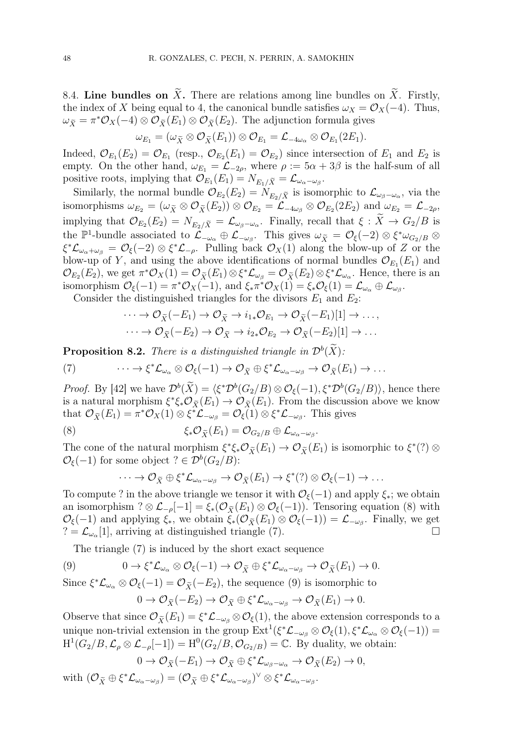8.4. Line bundles on  $\widetilde{X}$ . There are relations among line bundles on  $\widetilde{X}$ . Firstly, the index of X being equal to 4, the canonical bundle satisfies  $\omega_X = \mathcal{O}_X(-4)$ . Thus,  $\omega_{\tilde{X}} = \pi^* \mathcal{O}_X(-4) \otimes \mathcal{O}_{\tilde{X}}(E_1) \otimes \mathcal{O}_{\tilde{X}}(E_2)$ . The adjunction formula gives

$$
\omega_{E_1} = (\omega_{\widetilde{X}} \otimes {\mathcal O}_{\widetilde{X}}(E_1)) \otimes {\mathcal O}_{E_1} = {\mathcal L}_{-4\omega_{\alpha}} \otimes {\mathcal O}_{E_1}(2E_1).
$$

Indeed,  $\mathcal{O}_{E_1}(E_2) = \mathcal{O}_{E_1}$  (resp.,  $\mathcal{O}_{E_2}(E_1) = \mathcal{O}_{E_2}$ ) since intersection of  $E_1$  and  $E_2$  is empty. On the other hand,  $\omega_{E_1} = \mathcal{L}_{-2\rho}$ , where  $\rho := 5\alpha + 3\beta$  is the half-sum of all positive roots, implying that  $\mathcal{O}_{E_1}(E_1) = N_{E_1/\widetilde{X}} = \mathcal{L}_{\omega_{\alpha}-\omega_{\beta}}$ .

Similarly, the normal bundle  $\mathcal{O}_{E_2}(E_2) = N_{E_2/\tilde{X}}$  is isomorphic to  $\mathcal{L}_{\omega_\beta-\omega_\alpha}$ , via the isomorphisms  $\omega_{E_2} = (\omega_{\tilde{X}} \otimes \mathcal{O}_{\tilde{X}}(E_2)) \otimes \mathcal{O}_{E_2} = \mathcal{L}_{-4\omega_{\beta}} \otimes \mathcal{O}_{E_2}(2E_2)$  and  $\omega_{E_2} = \mathcal{L}_{-2\rho}$ , implying that  $\mathcal{O}_{E_2}(E_2) = N_{E_2/\tilde{X}} = \mathcal{L}_{\omega_\beta-\omega_\alpha}$ . Finally, recall that  $\xi: X \to G_2/B$  is the  $\mathbb{P}^1$ -bundle associated to  $\mathcal{L}_{-\omega_{\alpha}} \oplus \mathcal{L}_{-\omega_{\beta}}$ . This gives  $\omega_{\widetilde{X}} = \mathcal{O}_{\xi}(-2) \otimes \xi^* \omega_{G_2/B} \otimes$  $\xi^* \mathcal{L}_{\omega_{\alpha}+\omega_{\beta}} = \mathcal{O}_{\xi}(-2) \otimes \xi^* \mathcal{L}_{-\rho}$ . Pulling back  $\mathcal{O}_X(1)$  along the blow-up of Z or the blow-up of Y, and using the above identifications of normal bundles  $\mathcal{O}_{E_1}(E_1)$  and  $\mathcal{O}_{E_2}(E_2)$ , we get  $\pi^*\mathcal{O}_X(1) = \mathcal{O}_{\widetilde{X}}(E_1) \otimes \xi^*\mathcal{L}_{\omega_\beta} = \mathcal{O}_{\widetilde{X}}(E_2) \otimes \xi^*\mathcal{L}_{\omega_\alpha}$ . Hence, there is an isomorphism  $\mathcal{O}_{\xi}(-1) = \pi^* \mathcal{O}_X(-1)$ , and  $\xi_* \pi^* \mathcal{O}_X(1) = \xi_* \mathcal{O}_{\xi}(1) = \mathcal{L}_{\omega_{\alpha}} \oplus \mathcal{L}_{\omega_{\beta}}$ .

Consider the distinguished triangles for the divisors  $E_1$  and  $E_2$ :

$$
\cdots \to \mathcal{O}_{\widetilde{X}}(-E_1) \to \mathcal{O}_{\widetilde{X}} \to i_{1*}\mathcal{O}_{E_1} \to \mathcal{O}_{\widetilde{X}}(-E_1)[1] \to \ldots,
$$
  

$$
\cdots \to \mathcal{O}_{\widetilde{X}}(-E_2) \to \mathcal{O}_{\widetilde{X}} \to i_{2*}\mathcal{O}_{E_2} \to \mathcal{O}_{\widetilde{X}}(-E_2)[1] \to \ldots
$$

**Proposition 8.2.** There is a distinguished triangle in  $\mathcal{D}^b(X)$ :

(7) 
$$
\cdots \to \xi^* \mathcal{L}_{\omega_{\alpha}} \otimes \mathcal{O}_{\xi}(-1) \to \mathcal{O}_{\widetilde{X}} \oplus \xi^* \mathcal{L}_{\omega_{\alpha}-\omega_{\beta}} \to \mathcal{O}_{\widetilde{X}}(E_1) \to \cdots
$$

*Proof.* By [42] we have  $\mathcal{D}^b(X) = \langle \xi^* \mathcal{D}^b(G_2/B) \otimes \mathcal{O}_{\xi}(-1), \xi^* \mathcal{D}^b(G_2/B) \rangle$ , hence there is a natural morphism  $\xi^* \xi_* \mathcal{O}_{\widetilde{X}}(E_1) \to \mathcal{O}_{\widetilde{X}}(E_1)$ . From the discussion above we know that  $\mathcal{O}_{\widetilde{X}}(E_1) = \pi^* \mathcal{O}_X(1) \otimes \xi^* \mathcal{L}_{-\omega_\beta} = \mathcal{O}_{\xi}(1) \otimes \xi^* \mathcal{L}_{-\omega_\beta}$ . This gives

(8) 
$$
\xi_* \mathcal{O}_{\widetilde{X}}(E_1) = \mathcal{O}_{G_2/B} \oplus \mathcal{L}_{\omega_{\alpha}-\omega_{\beta}}.
$$

The cone of the natural morphism  $\xi^*\xi_*\mathcal{O}_{\tilde{X}}(E_1) \to \mathcal{O}_{\tilde{X}}(E_1)$  is isomorphic to  $\xi^*(?)\otimes$  $\mathcal{O}_{\xi}(-1)$  for some object ?  $\in \mathcal{D}^b(G_2/B)$ :

$$
\cdots \to \mathcal{O}_{\tilde{X}} \oplus \xi^* \mathcal{L}_{\omega_{\alpha}-\omega_{\beta}} \to \mathcal{O}_{\tilde{X}}(E_1) \to \xi^*(?) \otimes \mathcal{O}_{\xi}(-1) \to \dots
$$

To compute ? in the above triangle we tensor it with  $\mathcal{O}_{\xi}(-1)$  and apply  $\xi_*$ ; we obtain an isomorphism ?  $\otimes$  L<sub>-p</sub>[-1] =  $\xi_*(\mathcal{O}_{\tilde{X}}(E_1) \otimes \mathcal{O}_{\xi}(-1))$ . Tensoring equation (8) with  $\mathcal{O}_{\xi}(-1)$  and applying  $\xi_*$ , we obtain  $\xi_*(\mathcal{O}_{\widetilde{X}}(E_1) \otimes \mathcal{O}_{\xi}(-1)) = \mathcal{L}_{-\omega_{\beta}}$ . Finally, we get  $? = \mathcal{L}_{\omega_{\alpha}}[1]$ , arriving at distinguished triangle (7).

The triangle (7) is induced by the short exact sequence

$$
(9) \t\t 0 \to \xi^* \mathcal{L}_{\omega_\alpha} \otimes \mathcal{O}_{\xi}(-1) \to \mathcal{O}_{\widetilde{X}} \oplus \xi^* \mathcal{L}_{\omega_\alpha - \omega_\beta} \to \mathcal{O}_{\widetilde{X}}(E_1) \to 0.
$$

Since  $\xi^* \mathcal{L}_{\omega_\alpha} \otimes \mathcal{O}_\xi(-1) = \mathcal{O}_{\widetilde{X}}(-E_2)$ , the sequence (9) is isomorphic to

$$
0 \to \mathcal{O}_{\widetilde{X}}(-E_2) \to \mathcal{O}_{\widetilde{X}} \oplus \xi^* \mathcal{L}_{\omega_{\alpha}-\omega_{\beta}} \to \mathcal{O}_{\widetilde{X}}(E_1) \to 0.
$$

Observe that since  $\mathcal{O}_{\tilde{X}}(E_1) = \xi^* \mathcal{L}_{-\omega_\beta} \otimes \mathcal{O}_{\xi}(1)$ , the above extension corresponds to a unique non-trivial extension in the group  $\text{Ext}^1(\xi^*\mathcal{L}_{-\omega_\beta} \otimes \mathcal{O}_\xi(1), \xi^*\mathcal{L}_{\omega_\alpha} \otimes \mathcal{O}_\xi(-1)) =$  $H^1(G_2/B, \mathcal{L}_{\rho} \otimes \mathcal{L}_{-\rho}[-1]) = H^0(G_2/B, \mathcal{O}_{G_2/B}) = \mathbb{C}.$  By duality, we obtain:

$$
0 \to \mathcal{O}_{\widetilde{X}}(-E_1) \to \mathcal{O}_{\widetilde{X}} \oplus \xi^* \mathcal{L}_{\omega_{\beta} - \omega_{\alpha}} \to \mathcal{O}_{\widetilde{X}}(E_2) \to 0,
$$

with  $(\mathcal{O}_{\widetilde{X}}\oplus \xi^*\mathcal{L}_{\omega_{\alpha}-\omega_{\beta}})=(\mathcal{O}_{\widetilde{X}}\oplus \xi^*\mathcal{L}_{\omega_{\alpha}-\omega_{\beta}})^{\vee}\otimes \xi^*\mathcal{L}_{\omega_{\alpha}-\omega_{\beta}}.$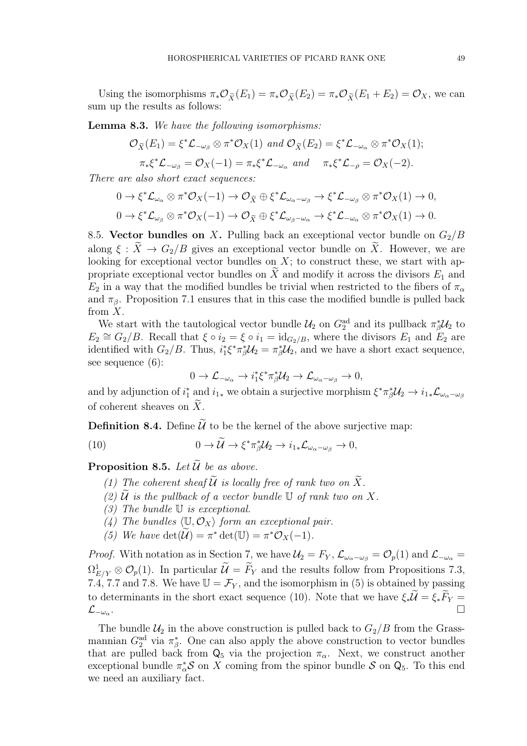Using the isomorphisms  $\pi_* \mathcal{O}_{\tilde{X}}(E_1) = \pi_* \mathcal{O}_{\tilde{X}}(E_2) = \pi_* \mathcal{O}_{\tilde{X}}(E_1 + E_2) = \mathcal{O}_X$ , we can sum up the results as follows:

Lemma 8.3. We have the following isomorphisms:

$$
\mathcal{O}_{\widetilde{X}}(E_1) = \xi^* \mathcal{L}_{-\omega_\beta} \otimes \pi^* \mathcal{O}_X(1) \text{ and } \mathcal{O}_{\widetilde{X}}(E_2) = \xi^* \mathcal{L}_{-\omega_\alpha} \otimes \pi^* \mathcal{O}_X(1);
$$
  

$$
\pi_* \xi^* \mathcal{L}_{-\omega_\beta} = \mathcal{O}_X(-1) = \pi_* \xi^* \mathcal{L}_{-\omega_\alpha} \text{ and } \pi_* \xi^* \mathcal{L}_{-\rho} = \mathcal{O}_X(-2).
$$

There are also short exact sequences:

$$
0 \to \xi^* \mathcal{L}_{\omega_\alpha} \otimes \pi^* \mathcal{O}_X(-1) \to \mathcal{O}_{\widetilde{X}} \oplus \xi^* \mathcal{L}_{\omega_\alpha - \omega_\beta} \to \xi^* \mathcal{L}_{-\omega_\beta} \otimes \pi^* \mathcal{O}_X(1) \to 0,
$$
  

$$
0 \to \xi^* \mathcal{L}_{\omega_\beta} \otimes \pi^* \mathcal{O}_X(-1) \to \mathcal{O}_{\widetilde{X}} \oplus \xi^* \mathcal{L}_{\omega_\beta - \omega_\alpha} \to \xi^* \mathcal{L}_{-\omega_\alpha} \otimes \pi^* \mathcal{O}_X(1) \to 0.
$$

8.5. Vector bundles on X. Pulling back an exceptional vector bundle on  $G_2/B$ along  $\xi : \widetilde{X} \to G_2/B$  gives an exceptional vector bundle on  $\widetilde{X}$ . However, we are looking for exceptional vector bundles on  $X$ ; to construct these, we start with appropriate exceptional vector bundles on  $\tilde{X}$  and modify it across the divisors  $E_1$  and  $E_2$  in a way that the modified bundles be trivial when restricted to the fibers of  $\pi_\alpha$ and  $\pi_{\beta}$ . Proposition 7.1 ensures that in this case the modified bundle is pulled back from  $X$ .

We start with the tautological vector bundle  $\mathcal{U}_2$  on  $G_2^{\text{ad}}$  and its pullback  $\pi_{\beta}^* \mathcal{U}_2$  to  $E_2 \cong G_2/B$ . Recall that  $\xi \circ i_2 = \xi \circ i_1 = \text{id}_{G_2/B}$ , where the divisors  $E_1$  and  $E_2$  are identified with  $G_2/B$ . Thus,  $i_1^*\xi^*\pi_\beta^*U_2 = \pi_\beta^*U_2$ , and we have a short exact sequence, see sequence (6):

$$
0\to \mathcal{L}_{-\omega_{\alpha}}\to i_1^*\xi^*\pi_{\beta}^*\mathcal{U}_2\to \mathcal{L}_{\omega_{\alpha}-\omega_{\beta}}\to 0,
$$

and by adjunction of  $i_1^*$  and  $i_{1*}$  we obtain a surjective morphism  $\xi^* \pi_\beta^* \mathcal{U}_2 \to i_{1*} \mathcal{L}_{\omega_\alpha - \omega_\beta}$ of coherent sheaves on  $\widetilde{X}$ .

**Definition 8.4.** Define  $\widetilde{U}$  to be the kernel of the above surjective map:

(10) 
$$
0 \to \tilde{\mathcal{U}} \to \xi^* \pi_{\beta}^* \mathcal{U}_2 \to i_{1*} \mathcal{L}_{\omega_{\alpha} - \omega_{\beta}} \to 0,
$$

**Proposition 8.5.** Let  $\widetilde{\mathcal{U}}$  be as above.

- (1) The coherent sheaf  $\widetilde{U}$  is locally free of rank two on  $\widetilde{X}$ .
- (2)  $\hat{U}$  is the pullback of a vector bundle  $\mathbb U$  of rank two on X.
- (3) The bundle U is exceptional.
- (4) The bundles  $\langle \mathbb{U}, \mathcal{O}_X \rangle$  form an exceptional pair.
- (5) We have  $\det(\widetilde{\mathcal{U}}) = \pi^* \det(\mathbb{U}) = \pi^* \mathcal{O}_X(-1)$ .

*Proof.* With notation as in Section 7, we have  $\mathcal{U}_2 = F_Y$ ,  $\mathcal{L}_{\omega_{\alpha}-\omega_{\beta}} = \mathcal{O}_p(1)$  and  $\mathcal{L}_{-\omega_{\alpha}} =$  $\Omega_{E/Y}^1 \otimes \mathcal{O}_p(1)$ . In particular  $\mathcal{U} = \overline{F}_Y$  and the results follow from Propositions 7.3, 7.4, 7.7 and 7.8. We have  $\mathbb{U} = \mathcal{F}_Y$ , and the isomorphism in (5) is obtained by passing to determinants in the short exact sequence (10). Note that we have  $\xi_* \mathcal{U} = \xi_* F_Y =$  $\mathcal{L}_{-\omega_{\alpha}}$ . . The contract of the contract of the contract of the contract of the contract of the contract of the contract of  $\Box$ 

The bundle  $\mathcal{U}_2$  in the above construction is pulled back to  $G_2/B$  from the Grassmannian  $G_2^{\text{ad}}$  via  $\pi^*_{\beta}$ . One can also apply the above construction to vector bundles that are pulled back from  $Q_5$  via the projection  $\pi_{\alpha}$ . Next, we construct another exceptional bundle  $\pi_{\alpha}^* S$  on X coming from the spinor bundle S on  $Q_5$ . To this end we need an auxiliary fact.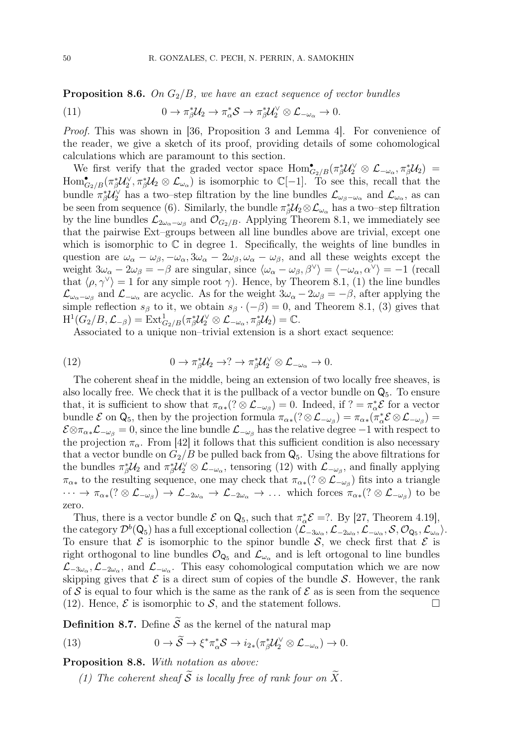**Proposition 8.6.** On  $G_2/B$ , we have an exact sequence of vector bundles

(11) 
$$
0 \to \pi_{\beta}^* \mathcal{U}_2 \to \pi_{\alpha}^* \mathcal{S} \to \pi_{\beta}^* \mathcal{U}_2^{\vee} \otimes \mathcal{L}_{-\omega_{\alpha}} \to 0.
$$

Proof. This was shown in [36, Proposition 3 and Lemma 4]. For convenience of the reader, we give a sketch of its proof, providing details of some cohomological calculations which are paramount to this section.

We first verify that the graded vector space  $\text{Hom}_{G_2/B}^{\bullet}(\pi_{\beta}^*\mathcal{U}_2^{\vee}\otimes\mathcal{L}_{-\omega_{\alpha}},\pi_{\beta}^*\mathcal{U}_2)$  $\text{Hom}_{G_2/B}^{\bullet}(\pi_{\beta}^* \mathcal{U}_2^{\vee}, \pi_{\beta}^* \mathcal{U}_2 \otimes \mathcal{L}_{\omega_{\alpha}})$  is isomorphic to  $\mathbb{C}[-1]$ . To see this, recall that the bundle  $\pi_{\beta}^* \mathcal{U}_2^{\vee}$  has a two–step filtration by the line bundles  $\mathcal{L}_{\omega_{\beta}-\omega_{\alpha}}$  and  $\mathcal{L}_{\omega_{\alpha}}$ , as can be seen from sequence (6). Similarly, the bundle  $\pi_{\beta}^{*}\mathcal{U}_{2}\otimes\mathcal{L}_{\omega_{\alpha}}$  has a two–step filtration by the line bundles  $\mathcal{L}_{2\omega_{\alpha}-\omega_{\beta}}$  and  $\mathcal{O}_{G_2/B}$ . Applying Theorem 8.1, we immediately see that the pairwise Ext–groups between all line bundles above are trivial, except one which is isomorphic to  $\mathbb C$  in degree 1. Specifically, the weights of line bundles in question are  $\omega_{\alpha} - \omega_{\beta}$ ,  $-\omega_{\alpha}$ ,  $3\omega_{\alpha} - 2\omega_{\beta}$ ,  $\omega_{\alpha} - \omega_{\beta}$ , and all these weights except the weight  $3\omega_{\alpha} - 2\omega_{\beta} = -\beta$  are singular, since  $\langle \omega_{\alpha} - \omega_{\beta}, \beta^{\vee} \rangle = \langle -\omega_{\alpha}, \alpha^{\vee} \rangle = -1$  (recall that  $\langle \rho, \gamma^{\vee} \rangle = 1$  for any simple root  $\gamma$ ). Hence, by Theorem 8.1, (1) the line bundles  $\mathcal{L}_{\omega_{\alpha}-\omega_{\beta}}$  and  $\mathcal{L}_{-\omega_{\alpha}}$  are acyclic. As for the weight  $3\omega_{\alpha}-2\omega_{\beta}=-\beta$ , after applying the simple reflection  $s_{\beta}$  to it, we obtain  $s_{\beta} \cdot (-\beta) = 0$ , and Theorem 8.1, (3) gives that  $\mathrm{H}^1(G_2/B, \mathcal{L}_{-\beta}) = \mathrm{Ext}^1_{G_2/B}(\pi_\beta^*\mathcal{U}_2^\vee \otimes \mathcal{L}_{-\omega_\alpha}, \pi_\beta^*\mathcal{U}_2) = \mathbb{C}.$ 

Associated to a unique non–trivial extension is a short exact sequence:

(12) 
$$
0 \to \pi_{\beta}^* \mathcal{U}_2 \to ? \to \pi_{\beta}^* \mathcal{U}_2^{\vee} \otimes \mathcal{L}_{-\omega_{\alpha}} \to 0.
$$

The coherent sheaf in the middle, being an extension of two locally free sheaves, is also locally free. We check that it is the pullback of a vector bundle on  $\mathsf{Q}_5$ . To ensure that, it is sufficient to show that  $\pi_{\alpha*}(? \otimes \mathcal{L}_{-\omega_{\beta}}) = 0$ . Indeed, if  $? = \pi_{\alpha}^* \mathcal{E}$  for a vector bundle  $\mathcal E$  on  $Q_5$ , then by the projection formula  $\pi_{\alpha*}(? \otimes \mathcal L_{-\omega_\beta}) = \pi_{\alpha*}(\pi_\alpha^* \mathcal E \otimes \mathcal L_{-\omega_\beta}) =$  $\mathcal{E} \otimes \pi_{\alpha *} \mathcal{L}_{-\omega_\beta} = 0$ , since the line bundle  $\mathcal{L}_{-\omega_\beta}$  has the relative degree  $-1$  with respect to the projection  $\pi_{\alpha}$ . From [42] it follows that this sufficient condition is also necessary that a vector bundle on  $G_2/B$  be pulled back from  $\mathsf{Q}_5$ . Using the above filtrations for the bundles  $\pi_{\beta}^* \mathcal{U}_2$  and  $\pi_{\beta}^* \mathcal{U}_2^{\vee} \otimes \mathcal{L}_{-\omega_{\alpha}}$ , tensoring (12) with  $\mathcal{L}_{-\omega_{\beta}}$ , and finally applying  $\pi_{\alpha*}$  to the resulting sequence, one may check that  $\pi_{\alpha*}(? \otimes \mathcal{L}_{-\omega_{\beta}})$  fits into a triangle  $\cdots \to \pi_{\alpha*}(? \otimes {\mathcal L}_{-\omega_\beta}) \to {\mathcal L}_{-2\omega_\alpha} \to {\mathcal L}_{-2\omega_\alpha} \to \ldots$  which forces  $\pi_{\alpha*}(? \otimes {\mathcal L}_{-\omega_\beta})$  to be zero.

Thus, there is a vector bundle  $\mathcal E$  on  $\mathsf Q_5$ , such that  $\pi_\alpha^* \mathcal E = ?$ . By [27, Theorem 4.19], the category  $\mathcal{D}^b(\mathsf{Q}_5)$  has a full exceptional collection  $\langle \mathcal{L}_{-3\omega_\alpha}, \mathcal{L}_{-2\omega_\alpha}, \mathcal{L}_{-\omega_\alpha}, \mathcal{S}, \mathcal{O}_{\mathsf{Q}_5}, \mathcal{L}_{\omega_\alpha} \rangle$ . To ensure that  $\mathcal E$  is isomorphic to the spinor bundle  $\mathcal S$ , we check first that  $\mathcal E$  is right orthogonal to line bundles  $\mathcal{O}_{Q_5}$  and  $\mathcal{L}_{\omega_{\alpha}}$  and is left ortogonal to line bundles  $\mathcal{L}_{-3\omega_\alpha},\mathcal{L}_{-2\omega_\alpha}$ , and  $\mathcal{L}_{-\omega_\alpha}$ . This easy cohomological computation which we are now skipping gives that  $\mathcal E$  is a direct sum of copies of the bundle  $\mathcal S$ . However, the rank of S is equal to four which is the same as the rank of  $\mathcal E$  as is seen from the sequence (12). Hence,  $\mathcal{E}$  is isomorphic to  $\mathcal{S}$ , and the statement follows.

**Definition 8.7.** Define  $\widetilde{S}$  as the kernel of the natural map

(13) 
$$
0 \to \widetilde{S} \to \xi^* \pi_\alpha^* S \to i_{2*} (\pi_\beta^* \mathcal{U}_2^\vee \otimes \mathcal{L}_{-\omega_\alpha}) \to 0.
$$

Proposition 8.8. With notation as above:

(1) The coherent sheaf  $\widetilde{S}$  is locally free of rank four on  $\widetilde{X}$ .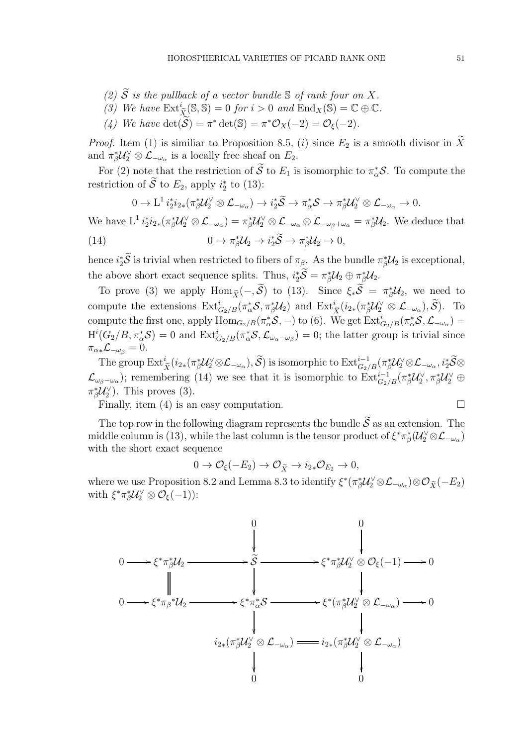- (2)  $\widetilde{S}$  is the pullback of a vector bundle  $\mathbb S$  of rank four on X. (3) We have  $\text{Ext}^i_{\tilde{X}}(\mathbb{S}, \mathbb{S}) = 0$  for  $i > 0$  and  $\text{End}_X(\mathbb{S}) = \mathbb{C} \oplus \mathbb{C}$ .
- (4) We have  $\det(\widetilde{S}) = \pi^* \det(\mathbb{S}) = \pi^* \mathcal{O}_X(-2) = \mathcal{O}_{\xi}(-2)$ .

*Proof.* Item (1) is similiar to Proposition 8.5, (i) since  $E_2$  is a smooth divisor in  $\widetilde{X}$ and  $\pi_{\beta}^* \mathcal{U}_2^{\vee} \otimes \mathcal{L}_{-\omega_{\alpha}}$  is a locally free sheaf on  $E_2$ .

For (2) note that the restriction of  $S$  to  $E_1$  is isomorphic to  $\pi^*_{\alpha}S$ . To compute the restriction of  $\overline{S}$  to  $E_2$ , apply  $i_2^*$  to (13):

$$
0 \to L^1 i_2^* i_{2*} (\pi_\beta^* \mathcal{U}_2^\vee \otimes \mathcal{L}_{-\omega_\alpha}) \to i_2^* \widetilde{\mathcal{S}} \to \pi_\alpha^* \mathcal{S} \to \pi_\beta^* \mathcal{U}_2^\vee \otimes \mathcal{L}_{-\omega_\alpha} \to 0.
$$

We have  $L^1 i_2^* i_{2*} (\pi_\beta^* \mathcal{U}_2^{\vee} \otimes \mathcal{L}_{-\omega_\alpha}) = \pi_\beta^* \mathcal{U}_2^{\vee} \otimes \mathcal{L}_{-\omega_\alpha} \otimes \mathcal{L}_{-\omega_\beta + \omega_\alpha} = \pi_\beta^* \mathcal{U}_2.$  We deduce that (14)  $0 \to \pi_{\beta}^* \mathcal{U}_2 \to i_2^* \widetilde{S} \to \pi_{\beta}^* \mathcal{U}_2 \to 0,$ 

hence  $i_2^*\mathcal{S}$  is trivial when restricted to fibers of  $\pi_\beta$ . As the bundle  $\pi_\beta^*\mathcal{U}_2$  is exceptional, the above short exact sequence splits. Thus,  $i_2^*\mathcal{S} = \pi_\beta^*\mathcal{U}_2 \oplus \pi_\beta^*\mathcal{U}_2$ .

To prove (3) we apply Hom  $\tilde{\chi}(-, \tilde{S})$  to (13). Since  $\xi_*\tilde{S} = \pi_{\tilde{\beta}}^* \mathcal{U}_2$ , we need to compute the extensions  $\text{Ext}^i_{G_2/B}(\pi_\alpha^* \mathcal{S}, \pi_\beta^* \mathcal{U}_2)$  and  $\text{Ext}^i_{\tilde{X}}(i_{2*}(\pi_\beta^* \mathcal{U}_2^{\vee} \otimes \mathcal{L}_{-\omega_\alpha}), \tilde{\mathcal{S}})$ . To compute the first one, apply  $\text{Hom}_{G_2/B}(\pi_\alpha^*\mathcal{S},-)$  to (6). We get  $\text{Ext}_{G_2/B}^i(\pi_\alpha^*\mathcal{S},\mathcal{L}_{-\omega_\alpha})$  $H^{i}(G_{2}/B, \pi_{\alpha}^{*}S) = 0$  and  $\text{Ext}_{G_{2}/B}^{i}(\pi_{\alpha}^{*}S, \mathcal{L}_{\omega_{\alpha}-\omega_{\beta}}) = 0$ ; the latter group is trivial since  $\pi_{\alpha*}\mathcal{L}_{-\omega_{\beta}}=0.$ 

The group  $\mathrm{Ext}^i_{\widetilde{X}}(i_{2*}(\pi_{\beta}^*\mathcal{U}_2^{\vee} \otimes \mathcal{L}_{-\omega_{\alpha}}), \widetilde{\mathcal{S}})$  is isomorphic to  $\mathrm{Ext}^{i-1}_{G_2/B}(\pi_{\beta}^*\mathcal{U}_2^{\vee} \otimes \mathcal{L}_{-\omega_{\alpha}}, i_2^*\widetilde{\mathcal{S}} \otimes$  $\mathcal{L}_{\omega_{\beta}-\omega_{\alpha}}$ ); remembering (14) we see that it is isomorphic to  $\text{Ext}^{i-1}_{G_2/B}(\pi_{\beta}^* \mathcal{U}_2^{\vee}, \pi_{\beta}^* \mathcal{U}_2^{\vee} \oplus$  $\pi_{\beta}^* \mathcal{U}_2^{\vee}$ ). This proves (3).

Finally, item (4) is an easy computation.  $\Box$ 

The top row in the following diagram represents the bundle  $\tilde{S}$  as an extension. The middle column is (13), while the last column is the tensor product of  $\xi^*\pi^*_\beta(\mathcal{U}_2^\vee\otimes\mathcal{L}_{-\omega_\alpha})$ with the short exact sequence

$$
0 \to \mathcal{O}_{\xi}(-E_2) \to \mathcal{O}_{\widetilde{X}} \to i_{2*}\mathcal{O}_{E_2} \to 0,
$$

where we use Proposition 8.2 and Lemma 8.3 to identify  $\xi^*(\pi_\beta^* \mathcal{U}_2^{\vee} \otimes \mathcal{L}_{-\omega_\alpha}) \otimes \mathcal{O}_{\widetilde{X}}(-E_2)$ with  $\xi^* \pi_{\beta}^* \mathcal{U}_2^{\vee} \otimes \mathcal{O}_{\xi}(-1)$ :

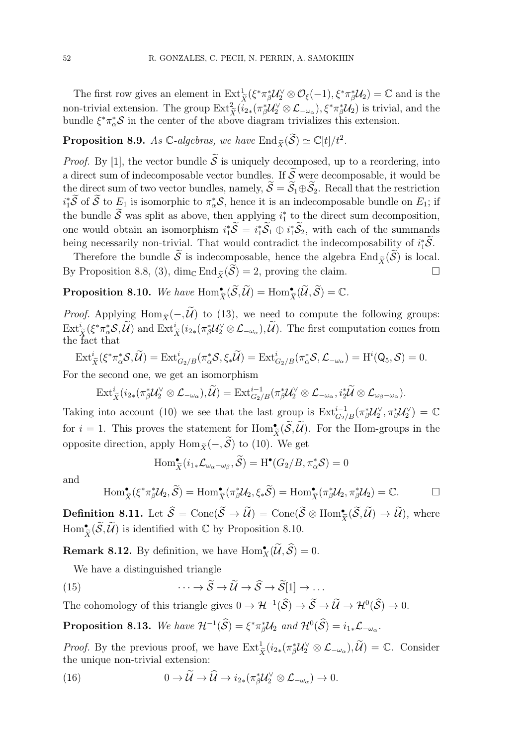The first row gives an element in  $\operatorname{Ext}^1_{\tilde{X}}(\xi^*\pi^*_{\beta}\mathcal{U}_2^{\vee}\otimes\mathcal{O}_{\xi}(-1),\xi^*\pi^*_{\beta}\mathcal{U}_2)=\mathbb{C}$  and is the non-trivial extension. The group  $\text{Ext}^2_{\tilde{X}}(i_{2*}(\pi_{\beta}^*\mathcal{U}_{2}^{\vee}\otimes\mathcal{L}_{-\omega_{\alpha}}),\xi^*\pi_{\beta}^*\mathcal{U}_{2})$  is trivial, and the bundle  $\xi^* \pi^*_{\alpha} S$  in the center of the above diagram trivializes this extension.

## **Proposition 8.9.** As  $\mathbb{C}$ -algebras, we have  $\text{End}_{\widetilde{X}}(\widetilde{S}) \simeq \mathbb{C}[t]/t^2$ .

*Proof.* By [1], the vector bundle  $\tilde{S}$  is uniquely decomposed, up to a reordering, into a direct sum of indecomposable vector bundles. If  $\widetilde{S}$  were decomposable, it would be the direct sum of two vector bundles, namely,  $\widetilde{S} = \widetilde{S}_1 \oplus \widetilde{S}_2$ . Recall that the restriction  $i_1^*\mathcal{S}$  of  $\mathcal{S}$  to  $E_1$  is isomorphic to  $\pi^*_\alpha\mathcal{S}$ , hence it is an indecomposable bundle on  $E_1$ ; if the bundle  $\tilde{S}$  was split as above, then applying  $i_1^*$  to the direct sum decomposition, one would obtain an isomorphism  $i_1^*\mathcal{S} = i_1^*\mathcal{S}_1 \oplus i_1^*\mathcal{S}_2$ , with each of the summands being necessarily non-trivial. That would contradict the indecomposability of  $i_1^*\mathcal{S}$ .

Therefore the bundle  $\widetilde{S}$  is indecomposable, hence the algebra End $_{\widetilde{Y}}(\widetilde{S})$  is local. By Proposition 8.8, (3),  $\dim_{\mathbb{C}} \text{End}_{\widetilde{X}}(\widetilde{S}) = 2$ , proving the claim.

**Proposition 8.10.** We have  $\text{Hom}_{\tilde{X}}^{\bullet}(\widetilde{\mathcal{S}}, \widetilde{\mathcal{U}}) = \text{Hom}_{\widetilde{X}}^{\bullet}(\widetilde{\mathcal{U}}, \widetilde{\mathcal{S}}) = \mathbb{C}.$ 

*Proof.* Applying Hom $_{\tilde{x}}(-, \tilde{U})$  to (13), we need to compute the following groups:  $\operatorname{Ext}^i_{\widetilde{X}}(\xi^*\pi^*_{\alpha}\mathcal{S}, \widetilde{\mathcal{U}})$  and  $\operatorname{Ext}^i_{\widetilde{X}}(i_{2*}(\pi^*_{\beta}\mathcal{U}^{\vee}_2 \otimes \mathcal{L}_{-\omega_{\alpha}}), \widetilde{\mathcal{U}})$ . The first computation comes from the fact that

$$
\text{Ext}^i_{\widetilde{X}}(\xi^*\pi_\alpha^*\mathcal{S}, \widetilde{\mathcal{U}})=\text{Ext}^i_{G_2/B}(\pi_\alpha^*\mathcal{S}, \xi_*\widetilde{\mathcal{U}})=\text{Ext}^i_{G_2/B}(\pi_\alpha^*\mathcal{S}, \mathcal{L}_{-\omega_\alpha})=\text{H}^i(Q_5, \mathcal{S})=0.
$$

For the second one, we get an isomorphism

$$
\mathrm{Ext}^i_{\widetilde{X}}(i_{2*}(\pi_\beta^* \mathcal{U}_2^\vee \otimes \mathcal{L}_{-\omega_\alpha}),\widetilde{\mathcal{U}})=\mathrm{Ext}^{i-1}_{G_2/B}(\pi_\beta^* \mathcal{U}_2^\vee \otimes \mathcal{L}_{-\omega_\alpha},i_2^*\widetilde{\mathcal{U}} \otimes \mathcal{L}_{\omega_\beta-\omega_\alpha}).
$$

Taking into account (10) we see that the last group is  $\text{Ext}_{G_2/B}^{i-1}(\pi_\beta^*\mathcal{U}_2^\vee, \pi_\beta^*\mathcal{U}_2^\vee) = \mathbb{C}$ for  $i = 1$ . This proves the statement for  $\text{Hom}_{\tilde{X}}(\tilde{\mathcal{S}}, \tilde{\mathcal{U}})$ . For the Hom-groups in the opposite direction, apply Hom $_{\widetilde{X}}(-, \widetilde{S})$  to (10). We get

$$
\operatorname{Hom}_{\widetilde{X}}^{\bullet}(i_{1*}\mathcal{L}_{\omega_{\alpha}-\omega_{\beta}}, \widetilde{\mathcal{S}}) = \operatorname{H}^{\bullet}(G_{2}/B, \pi_{\alpha}^{*}\mathcal{S}) = 0
$$

and

$$
\operatorname{Hom}_{\tilde{X}}^{\bullet}(\xi^*\pi_{\beta}^*{\mathcal U}_2,\widetilde{\mathcal S})=\operatorname{Hom}_{\tilde{X}}^{\bullet}(\pi_{\beta}^*{\mathcal U}_2,\xi_*\widetilde{\mathcal S})=\operatorname{Hom}_{\tilde{X}}^{\bullet}(\pi_{\beta}^*{\mathcal U}_2,\pi_{\beta}^*{\mathcal U}_2)=\mathbb{C}.\hspace{1cm}\square
$$

Definition 8.11. Let  $\widehat{S} = \text{Cone}(\widetilde{S} \to \widetilde{\mathcal{U}}) = \text{Cone}(\widetilde{S} \otimes \text{Hom}_{\widetilde{X}}^{\bullet}(\widetilde{S}, \widetilde{\mathcal{U}}) \to \widetilde{\mathcal{U}})$ , where  $\text{Hom}_{\tilde{X}}^{\bullet}(\tilde{\mathcal{S}}, \tilde{\mathcal{U}})$  is identified with  $\mathbb C$  by Proposition 8.10.

**Remark 8.12.** By definition, we have  $Hom_X(\mathcal{U}, \mathcal{S}) = 0$ .

We have a distinguished triangle

(15) 
$$
\cdots \to \widetilde{S} \to \widetilde{\mathcal{U}} \to \widehat{S} \to \widetilde{S}[1] \to \dots
$$

The cohomology of this triangle gives  $0 \to \mathcal{H}^{-1}(\mathcal{S}) \to \mathcal{S} \to \mathcal{U} \to \mathcal{H}^0(\mathcal{S}) \to 0$ .

**Proposition 8.13.** We have  $\mathcal{H}^{-1}(\mathcal{S}) = \xi^* \pi_{\beta}^* \mathcal{U}_2$  and  $\mathcal{H}^0(\mathcal{S}) = i_{1*} \mathcal{L}_{-\omega_{\alpha}}$ .

*Proof.* By the previous proof, we have  $\text{Ext}^1_{\tilde{X}}(i_{2*}(\pi_{\beta}^*\mathcal{U}_{2}^{\vee}\otimes\mathcal{L}_{-\omega_{\alpha}}),\tilde{\mathcal{U}})=\mathbb{C}$ . Consider the unique non-trivial extension:

(16) 
$$
0 \to \widetilde{\mathcal{U}} \to \widehat{\mathcal{U}} \to i_{2*}(\pi_{\beta}^* \mathcal{U}_2^{\vee} \otimes \mathcal{L}_{-\omega_{\alpha}}) \to 0.
$$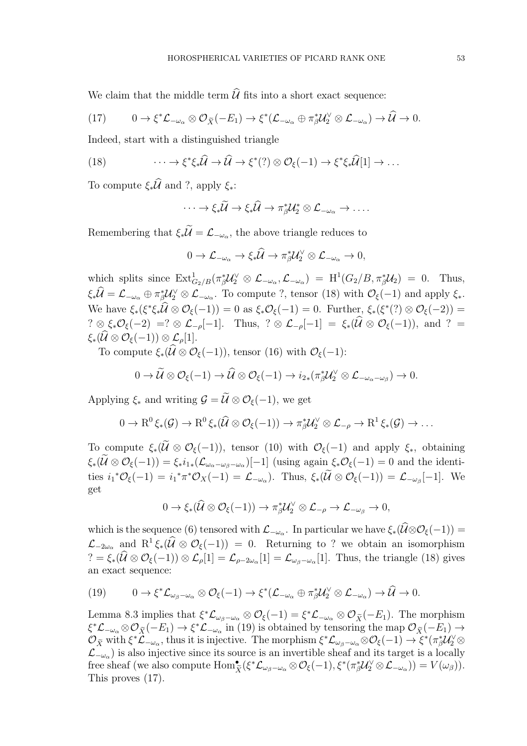We claim that the middle term  $\widehat{\mathcal{U}}$  fits into a short exact sequence:

$$
(17) \qquad 0 \to \xi^* \mathcal{L}_{-\omega_\alpha} \otimes \mathcal{O}_{\widetilde{X}}(-E_1) \to \xi^* (\mathcal{L}_{-\omega_\alpha} \oplus \pi_\beta^* \mathcal{U}_2^{\vee} \otimes \mathcal{L}_{-\omega_\alpha}) \to \widetilde{\mathcal{U}} \to 0.
$$

Indeed, start with a distinguished triangle

(18) 
$$
\cdots \to \xi^* \xi_* \widehat{\mathcal{U}} \to \widehat{\mathcal{U}} \to \xi^* (?) \otimes \mathcal{O}_{\xi} (-1) \to \xi^* \xi_* \widehat{\mathcal{U}} [1] \to \ldots
$$

To compute  $\xi_*\widehat{\mathcal{U}}$  and ?, apply  $\xi_*$ :

$$
\cdots \to \xi_*\widetilde{\mathcal{U}} \to \xi_*\widehat{\mathcal{U}} \to \pi_{\beta}^* \mathcal{U}_2^* \otimes \mathcal{L}_{-\omega_{\alpha}} \to \ldots.
$$

Remembering that  $\xi_* \mathcal{U} = \mathcal{L}_{-\omega_\alpha}$ , the above triangle reduces to

$$
0 \to \mathcal{L}_{-\omega_{\alpha}} \to \xi_*\widehat{\mathcal{U}} \to \pi_{\beta}^*\mathcal{U}_2^{\vee} \otimes \mathcal{L}_{-\omega_{\alpha}} \to 0,
$$

which splits since  $\text{Ext}^1_{G_2/B}(\pi_\beta^* \mathcal{U}_2^{\vee} \otimes \mathcal{L}_{-\omega_\alpha}, \mathcal{L}_{-\omega_\alpha}) = \text{H}^1(G_2/B, \pi_\beta^* \mathcal{U}_2) = 0$ . Thus,  $\xi_*\hat{\mathcal{U}} = \mathcal{L}_{-\omega_{\alpha}} \oplus \pi_{\beta}^*\mathcal{U}_{2}^{\vee} \otimes \mathcal{L}_{-\omega_{\alpha}}$ . To compute ?, tensor (18) with  $\mathcal{O}_{\xi}(-1)$  and apply  $\xi_*$ . We have  $\xi_*(\xi^*\xi_*\mathcal{U}\otimes\mathcal{O}_\xi(-1))=0$  as  $\xi_*\mathcal{O}_\xi(-1)=0$ . Further,  $\xi_*(\xi^*(?)\otimes\mathcal{O}_\xi(-2))=0$  $? \otimes \xi_*\mathcal{O}_{\xi}(-2) = ? \otimes \mathcal{L}_{-\rho}[-1]$ . Thus,  $? \otimes \mathcal{L}_{-\rho}[-1] = \xi_*\left(\widehat{\mathcal{U}} \otimes \mathcal{O}_{\xi}(-1)\right)$ , and  $? =$  $\xi_*(\widehat{\mathcal{U}} \otimes \mathcal{O}_{\xi}(-1)) \otimes \mathcal{L}_o[1].$ 

To compute  $\xi_*(\widehat{\mathcal{U}} \otimes \mathcal{O}_{\xi}(-1))$ , tensor (16) with  $\mathcal{O}_{\xi}(-1)$ :

$$
0 \to \widetilde{\mathcal{U}} \otimes \mathcal{O}_{\xi}(-1) \to \widehat{\mathcal{U}} \otimes \mathcal{O}_{\xi}(-1) \to i_{2*}(\pi_{\beta}^{*}\mathcal{U}_{2}^{\vee} \otimes \mathcal{L}_{-\omega_{\alpha}-\omega_{\beta}}) \to 0.
$$

Applying  $\xi_*$  and writing  $\mathcal{G} = \widetilde{\mathcal{U}} \otimes \mathcal{O}_{\xi}(-1)$ , we get

$$
0 \to R^0 \xi_*(\mathcal{G}) \to R^0 \xi_*(\widehat{\mathcal{U}} \otimes \mathcal{O}_{\xi}(-1)) \to \pi_{\beta}^* \mathcal{U}_2^{\vee} \otimes \mathcal{L}_{-\rho} \to R^1 \xi_*(\mathcal{G}) \to \dots
$$

To compute  $\xi_*(\widetilde{\mathcal{U}} \otimes \mathcal{O}_{\xi}(-1))$ , tensor (10) with  $\mathcal{O}_{\xi}(-1)$  and apply  $\xi_*,$  obtaining  $\xi_*(\mathcal{U}\otimes\mathcal{O}_\xi(-1))=\xi_*i_{1*}(\mathcal{L}_{\omega_\alpha-\omega_\beta-\omega_\alpha})[-1]$  (using again  $\xi_*\mathcal{O}_\xi(-1)=0$  and the identities  $i_1^* \mathcal{O}_{\xi}(-1) = i_1^* \pi^* \mathcal{O}_X(-1) = \mathcal{L}_{-\omega_\alpha}$ . Thus,  $\xi_* (\mathcal{U} \otimes \mathcal{O}_{\xi}(-1)) = \mathcal{L}_{-\omega_\beta}[-1]$ . We get

$$
0 \to \xi_*(\widehat{\mathcal{U}} \otimes \mathcal{O}_{\xi}(-1)) \to \pi_{\beta}^* \mathcal{U}_2^{\vee} \otimes \mathcal{L}_{-\rho} \to \mathcal{L}_{-\omega_{\beta}} \to 0,
$$

which is the sequence (6) tensored with  $\mathcal{L}_{-\omega_{\alpha}}$ . In particular we have  $\xi_*(\mathcal{U}\otimes\mathcal{O}_{\xi}(-1))=$  $\mathcal{L}_{-2\omega_{\alpha}}$  and  $R^1\xi_*(\widehat{\mathcal{U}}\otimes\mathcal{O}_{\xi}(-1))=0$ . Returning to ? we obtain an isomorphism  $? = \xi_*(\mathcal{U} \otimes \mathcal{O}_{\xi}(-1)) \otimes \mathcal{L}_{\rho}[1] = \mathcal{L}_{\rho-2\omega_{\alpha}}[1] = \mathcal{L}_{\omega_{\beta}-\omega_{\alpha}}[1]$ . Thus, the triangle (18) gives an exact sequence:

(19) 
$$
0 \to \xi^* \mathcal{L}_{\omega_{\beta}-\omega_{\alpha}} \otimes \mathcal{O}_{\xi}(-1) \to \xi^* (\mathcal{L}_{-\omega_{\alpha}} \oplus \pi_{\beta}^* \mathcal{U}_{2}^{\vee} \otimes \mathcal{L}_{-\omega_{\alpha}}) \to \widehat{\mathcal{U}} \to 0.
$$

Lemma 8.3 implies that  $\xi^*{\mathcal L}_{\omega_{\beta}-\omega_{\alpha}} \otimes {\mathcal O}_{\xi}(-1) = \xi^*{\mathcal L}_{-\omega_{\alpha}} \otimes {\mathcal O}_{\widetilde{X}}(-E_1)$ . The morphism  $\xi^*$  $\mathcal{L}_{-\omega_\alpha} \otimes \mathcal{O}_{\widetilde{X}}(-E_1) \to \xi^* \mathcal{L}_{-\omega_\alpha}$  in (19) is obtained by tensoring the map  $\mathcal{O}_{\widetilde{X}}(-E_1) \to$  $\mathcal{O}_{\tilde{X}}$  with  $\xi^*\mathcal{L}_{-\omega_\alpha}$ , thus it is injective. The morphism  $\xi^*\mathcal{L}_{\omega_\beta-\omega_\alpha}\otimes\mathcal{O}_\xi(-1) \to \xi^*(\pi_\beta^*\mathcal{U}_2^{\vee}\otimes\mathcal{O}_\xi)$  $\mathcal{L}_{-\omega_{\alpha}}$ ) is also injective since its source is an invertible sheaf and its target is a locally free sheaf (we also compute  $\text{Hom}_{\tilde{X}}^{\bullet}(\xi^*\mathcal{L}_{\omega_{\beta}-\omega_{\alpha}}\otimes\mathcal{O}_{\xi}(-1),\xi^*(\pi_{\beta}^*\mathcal{U}_{2}^{\vee}\otimes\mathcal{L}_{-\omega_{\alpha}}))=V(\omega_{\beta})).$ This proves (17).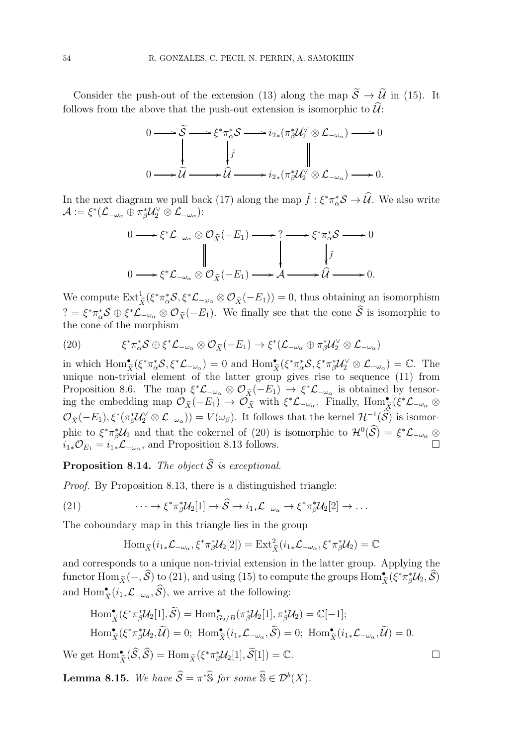Consider the push-out of the extension (13) along the map  $\widetilde{S} \to \widetilde{\mathcal{U}}$  in (15). It follows from the above that the push-out extension is isomorphic to  $\hat{\mathcal{U}}$ :



In the next diagram we pull back (17) along the map  $\tilde{f}$  :  $\xi^* \pi^*_{\alpha} S \to \hat{U}$ . We also write  $\mathcal{A}:=\xi^*(\mathcal{L}_{-\omega_{\alpha}}\oplus \pi_\beta^* \mathcal{U}_2^\vee\otimes \mathcal{L}_{-\omega_{\alpha}})$ :

$$
0 \longrightarrow \xi^* \mathcal{L}_{-\omega_\alpha} \otimes \mathcal{O}_{\widetilde{X}}(-E_1) \longrightarrow ? \longrightarrow \xi^* \pi_\alpha^* \mathcal{S} \longrightarrow 0
$$
  

$$
\downarrow \qquad \qquad \downarrow \qquad \qquad \downarrow \qquad \qquad \downarrow \qquad \qquad \downarrow \qquad \qquad \downarrow \qquad \qquad \downarrow \qquad \qquad \downarrow
$$
  

$$
0 \longrightarrow \xi^* \mathcal{L}_{-\omega_\alpha} \otimes \mathcal{O}_{\widetilde{X}}(-E_1) \longrightarrow \mathcal{A} \longrightarrow \widehat{\mathcal{U}} \longrightarrow 0.
$$

We compute  $\text{Ext}^1_{\widetilde{X}}(\xi^*\pi^*_\alpha\mathcal{S},\xi^*\mathcal{L}_{-\omega_\alpha}\otimes\mathcal{O}_{\widetilde{X}}(-E_1))=0$ , thus obtaining an isomorphism  $\mathcal{C} = \xi^* \pi_\alpha^* \mathcal{S} \oplus \xi^* \mathcal{L}_{-\omega_\alpha} \otimes \mathcal{O}_{\widetilde{X}}(-E_1)$ . We finally see that the cone  $\widetilde{\mathcal{S}}$  is isomorphic to the cone of the morphism

(20) 
$$
\xi^* \pi_\alpha^* \mathcal{S} \oplus \xi^* \mathcal{L}_{-\omega_\alpha} \otimes \mathcal{O}_{\widetilde{X}}(-E_1) \to \xi^* (\mathcal{L}_{-\omega_\alpha} \oplus \pi_\beta^* \mathcal{U}_2^\vee \otimes \mathcal{L}_{-\omega_\alpha})
$$

in which  $\text{Hom}_{\tilde{X}}^{\bullet}(\xi^*\pi_{\alpha}^*\mathcal{S},\xi^*\mathcal{L}_{-\omega_{\alpha}})=0$  and  $\text{Hom}_{\tilde{X}}^{\bullet}(\xi^*\pi_{\alpha}^*\mathcal{S},\xi^*\pi_{\beta}^*\mathcal{U}_{2}^{\vee}\otimes\mathcal{L}_{-\omega_{\alpha}})=\mathbb{C}.$  The unique non-trivial element of the latter group gives rise to sequence (11) from Proposition 8.6. The map  $\xi^*\mathcal{L}_{-\omega_\alpha} \otimes \mathcal{O}_{\tilde{X}}(-E_1) \to \xi^*\mathcal{L}_{-\omega_\alpha}$  is obtained by tensoring the embedding map  $\mathcal{O}_{\widetilde{X}}(-E_1) \to \mathcal{O}_{\widetilde{X}}$  with  $\xi^*\mathcal{L}_{-\omega_{\alpha}}$ . Finally,  $\text{Hom}_{\widetilde{X}}^{\bullet}(\xi^*\mathcal{L}_{-\omega_{\alpha}} \otimes$  $\mathcal{O}_{\widetilde{X}}(-E_1), \xi^*(\pi_{\beta}^*\mathcal{U}_{2}^{\vee}\otimes\mathcal{L}_{-\omega_{\alpha}}))=V(\omega_{\beta}).$  It follows that the kernel  $\mathcal{H}^{-1}(\mathcal{S})$  is isomorphic to  $\xi^* \pi_{\beta}^* \mathcal{U}_2$  and that the cokernel of (20) is isomorphic to  $\mathcal{H}^0(\mathcal{S}) = \xi^* \mathcal{L}_{-\omega_{\alpha}} \otimes$  $i_{1*}\mathcal{O}_{E_1} = i_1 \mathcal{L}_{-\omega_{\alpha}}$ , and Proposition 8.13 follows.

**Proposition 8.14.** The object  $\widehat{S}$  is exceptional.

Proof. By Proposition 8.13, there is a distinguished triangle:

(21) 
$$
\cdots \to \xi^* \pi_{\beta}^* \mathcal{U}_2[1] \to \widehat{\mathcal{S}} \to i_{1*} \mathcal{L}_{-\omega_{\alpha}} \to \xi^* \pi_{\beta}^* \mathcal{U}_2[2] \to \dots
$$

The coboundary map in this triangle lies in the group

$$
\operatorname{Hom}_{\widetilde{X}}(i_{1*}\mathcal{L}_{-\omega_{\alpha}}, \xi^* \pi_{\beta}^* \mathcal{U}_2[2]) = \operatorname{Ext}^2_{\widetilde{X}}(i_{1*}\mathcal{L}_{-\omega_{\alpha}}, \xi^* \pi_{\beta}^* \mathcal{U}_2) = \mathbb{C}
$$

and corresponds to a unique non-trivial extension in the latter group. Applying the functor  $\text{Hom}_{\widetilde{X}}(-, \widehat{\mathcal{S}})$  to (21), and using (15) to compute the groups  $\text{Hom}_{\widetilde{X}}^{\bullet}(\xi^*\pi_{\beta}^*\mathcal{U}_2, \widehat{\mathcal{S}})$ and  $\text{Hom}_{\tilde{X}}^{\bullet}(i_{1*}\mathcal{L}_{-\omega_{\alpha}}, \widehat{\mathcal{S}})$ , we arrive at the following:

$$
\operatorname{Hom}^{\bullet}_{\widetilde{X}}(\xi^* \pi_{\beta}^* \mathcal{U}_2[1], \widetilde{\mathcal{S}}) = \operatorname{Hom}^{\bullet}_{G_2/B}(\pi_{\beta}^* \mathcal{U}_2[1], \pi_{\beta}^* \mathcal{U}_2) = \mathbb{C}[-1];
$$
  
\n
$$
\operatorname{Hom}^{\bullet}_{\widetilde{X}}(\xi^* \pi_{\beta}^* \mathcal{U}_2, \widetilde{\mathcal{U}}) = 0; \ \operatorname{Hom}^{\bullet}_{\widetilde{X}}(i_{1*}\mathcal{L}_{-\omega_{\alpha}}, \widetilde{\mathcal{S}}) = 0; \ \operatorname{Hom}^{\bullet}_{\widetilde{X}}(i_{1*}\mathcal{L}_{-\omega_{\alpha}}, \widetilde{\mathcal{U}}) = 0.
$$

We get  $\text{Hom}_{\tilde{X}}^{\bullet}(\hat{\mathcal{S}}, \hat{\mathcal{S}}) = \text{Hom}_{\tilde{X}}(\xi^* \pi_{\beta}^* \mathcal{U}_2[1], \tilde{\mathcal{S}}[1]) = \mathbb{C}.$ 

**Lemma 8.15.** We have  $\widehat{S} = \pi^* \widehat{S}$  for some  $\widehat{S} \in \mathcal{D}^b(X)$ .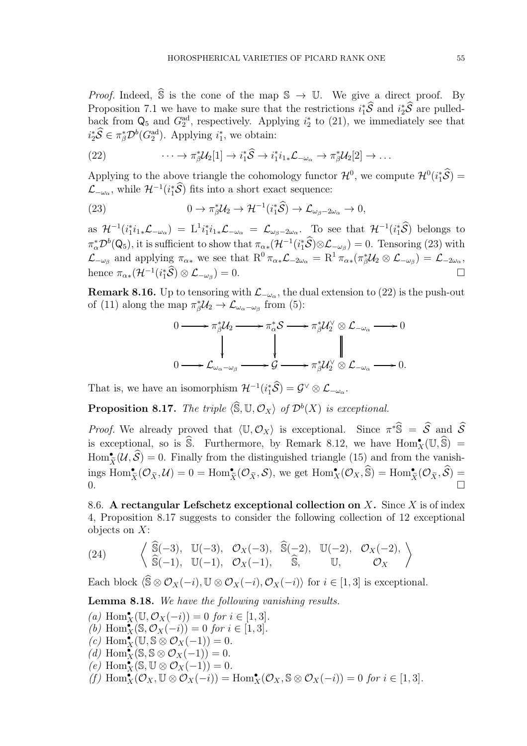*Proof.* Indeed,  $\hat{\mathbb{S}}$  is the cone of the map  $\mathbb{S} \to \mathbb{U}$ . We give a direct proof. By Proposition 7.1 we have to make sure that the restrictions  $i_1^*\mathcal{S}$  and  $i_2^*\mathcal{S}$  are pulledback from  $\mathsf{Q}_5$  and  $G_2^{\text{ad}}$ , respectively. Applying  $i_2^*$  to (21), we immediately see that  $i_2^*\hat{\mathcal{S}} \in \pi_\beta^*\mathcal{D}^b(G_2^{\text{ad}})$ . Applying  $i_1^*$ , we obtain:

(22) 
$$
\cdots \to \pi_{\beta}^* \mathcal{U}_2[1] \to i_1^* \widehat{S} \to i_1^* i_{1*} \mathcal{L}_{-\omega_{\alpha}} \to \pi_{\beta}^* \mathcal{U}_2[2] \to \dots
$$

Applying to the above triangle the cohomology functor  $\mathcal{H}^0$ , we compute  $\mathcal{H}^0(i_1^*\mathcal{S})$  =  $\mathcal{L}_{-\omega_{\alpha}}$ , while  $\mathcal{H}^{-1}(i_{1}^{*}\mathcal{S})$  fits into a short exact sequence:

(23) 
$$
0 \to \pi_{\beta}^* \mathcal{U}_2 \to \mathcal{H}^{-1}(i_1^* \hat{\mathcal{S}}) \to \mathcal{L}_{\omega_{\beta} - 2\omega_{\alpha}} \to 0,
$$

as  $\mathcal{H}^{-1}(i_1^*i_1_*\mathcal{L}_{-\omega_\alpha}) = L^1i_1^*i_1_*\mathcal{L}_{-\omega_\alpha} = \mathcal{L}_{\omega_\beta-2\omega_\alpha}$ . To see that  $\mathcal{H}^{-1}(i_1^*\widehat{\mathcal{S}})$  belongs to  $\pi_\alpha^* \mathcal{D}^b(\mathsf{Q}_5)$ , it is sufficient to show that  $\pi_{\alpha*}(\mathcal{H}^{-1}(i_1^*\mathcal{S}) \otimes \mathcal{L}_{-\omega_\beta}) = 0$ . Tensoring (23) with  $\mathcal{L}_{-\omega_{\beta}}$  and applying  $\pi_{\alpha*}$  we see that  $R^0 \pi_{\alpha*} \mathcal{L}_{-2\omega_{\alpha}} = R^1 \pi_{\alpha*} (\pi_{\beta}^* \mathcal{U}_2 \otimes \mathcal{L}_{-\omega_{\beta}}) = \mathcal{L}_{-2\omega_{\alpha}}$ , hence  $\pi_{\alpha *}(\mathcal{H}^{-1}(i_{1}^{*}\mathcal{\widehat{S}})\otimes\mathcal{L}_{-\omega_{\beta}})$  $) = 0.$ 

**Remark 8.16.** Up to tensoring with  $\mathcal{L}_{-\omega_{\alpha}}$ , the dual extension to (22) is the push-out of (11) along the map  $\pi_{\beta}^* \mathcal{U}_2 \to \mathcal{L}_{\omega_{\alpha}-\omega_{\beta}}$  from (5):

$$
0 \longrightarrow \pi_{\beta}^{*}\mathcal{U}_{2} \longrightarrow \pi_{\alpha}^{*}\mathcal{S} \longrightarrow \pi_{\beta}^{*}\mathcal{U}_{2}^{\vee} \otimes \mathcal{L}_{-\omega_{\alpha}} \longrightarrow 0
$$
  
\n
$$
\downarrow \qquad \qquad \downarrow \qquad \qquad \downarrow \qquad \qquad \downarrow
$$
  
\n
$$
0 \longrightarrow \mathcal{L}_{\omega_{\alpha}-\omega_{\beta}} \longrightarrow \mathcal{G} \longrightarrow \pi_{\beta}^{*}\mathcal{U}_{2}^{\vee} \otimes \mathcal{L}_{-\omega_{\alpha}} \longrightarrow 0.
$$

That is, we have an isomorphism  $\mathcal{H}^{-1}(i_1^*\mathcal{S}) = \mathcal{G}^{\vee} \otimes \mathcal{L}_{-\omega_{\alpha}}$ .

**Proposition 8.17.** The triple  $\langle \widehat{\mathbb{S}}, \mathbb{U}, \mathcal{O}_X \rangle$  of  $\mathcal{D}^b(X)$  is exceptional.

*Proof.* We already proved that  $\langle \mathbb{U}, \mathcal{O}_X \rangle$  is exceptional. Since  $\pi^* \widehat{\mathbb{S}} = \widehat{\mathcal{S}}$  and  $\widehat{\mathcal{S}}$ is exceptional, so is  $\hat{\mathbb{S}}$ . Furthermore, by Remark 8.12, we have  $\text{Hom}_{X}^{\bullet}(\mathbb{U},\hat{\mathbb{S}})$  =  $\text{Hom}_{\tilde{X}}^{\bullet}(\mathcal{U},\widehat{S})=0.$  Finally from the distinguished triangle (15) and from the vanish- $\lim_{\tilde{X}} \text{Hom}_{\tilde{X}}^{\bullet}(\mathcal{O}_{\tilde{X}},\mathcal{U})=0=\text{Hom}_{\tilde{X}}^{\bullet}(\mathcal{O}_{\tilde{X}},\mathcal{S}),$  we get  $\text{Hom}_{X}^{\bullet}(\mathcal{O}_{X},\widehat{\mathbb{S}})=\text{Hom}_{\tilde{X}}^{\bullet}(\mathcal{O}_{\tilde{X}},\widehat{\mathcal{S}})=$ 0.

8.6. A rectangular Lefschetz exceptional collection on  $X$ . Since  $X$  is of index 4, Proposition 8.17 suggests to consider the following collection of 12 exceptional objects on X:

(24) 
$$
\left\langle \begin{array}{cc} \widehat{\mathbb{S}}(-3), & \mathbb{U}(-3), & \mathcal{O}_X(-3), & \widehat{\mathbb{S}}(-2), & \mathbb{U}(-2), & \mathcal{O}_X(-2), \\ \widehat{\mathbb{S}}(-1), & \mathbb{U}(-1), & \mathcal{O}_X(-1), & \widehat{\mathbb{S}}, & \mathbb{U}, & \mathcal{O}_X \end{array} \right\rangle
$$

Each block  $\langle \hat{S} \otimes \mathcal{O}_X(-i), \mathbb{U} \otimes \mathcal{O}_X(-i), \mathcal{O}_X(-i) \rangle$  for  $i \in [1, 3]$  is exceptional.

Lemma 8.18. We have the following vanishing results.

(a)  $\text{Hom}_X^{\bullet}(\mathbb{U}, \mathcal{O}_X(-i)) = 0$  for  $i \in [1, 3]$ . (b)  $\text{Hom}_X^{\bullet}(\mathbb{S}, \mathcal{O}_X(-i)) = 0$  for  $i \in [1, 3]$ .  $(c)$  Hom $_X^{\bullet}(\mathbb{U}, \mathbb{S} \otimes \mathcal{O}_X(-1)) = 0.$ (d)  $\text{Hom}_X^{\bullet}(\mathbb{S}, \mathbb{S} \otimes \mathcal{O}_X(-1)) = 0.$  $(e)$  Hom $_X^{\bullet}(\mathbb{S}, \mathbb{U} \otimes \mathcal{O}_X(-1)) = 0.$ (f)  $\text{Hom}_X^{\bullet}(\mathcal{O}_X, \mathbb{U} \otimes \mathcal{O}_X(-i)) = \text{Hom}_X^{\bullet}(\mathcal{O}_X, \mathbb{S} \otimes \mathcal{O}_X(-i)) = 0$  for  $i \in [1, 3]$ .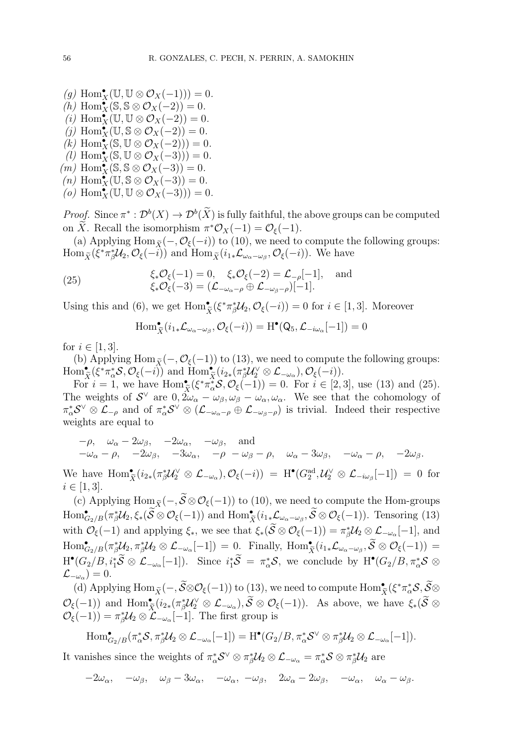(g)  $\text{Hom}_X^{\bullet}(\mathbb{U}, \mathbb{U} \otimes \mathcal{O}_X(-1))) = 0.$ (h) Hom $_X^{\bullet}(\mathbb{S}, \mathbb{S} \otimes \mathcal{O}_X(-2)) = 0.$  $(i)$  Hom $_X(\mathbb{U}, \mathbb{U} \otimes \mathcal{O}_X(-2)) = 0.$ (j)  $\text{Hom}_X^{\bullet}(\mathbb{U}, \mathbb{S} \otimes \mathcal{O}_X(-2)) = 0.$  $(k)$  Hom $_{X}^{\bullet}(\mathbb{S},\mathbb{U}\otimes\mathcal{O}_{X}(-2)))=0.$  $(i)$  Hom $_{X}^{\bullet}(\mathbb{S}, \mathbb{U} \otimes \mathcal{O}_{X}(-3))) = 0.$  $(m)$  Hom $_X^{\bullet}(\mathbb{S}, \mathbb{S} \otimes \mathcal{O}_X(-3)) = 0.$  $(n)$  Hom $_X(\mathbb{U}, \mathbb{S} \otimes \mathcal{O}_X(-3)) = 0.$ 

 $(o)$  Hom $_{X}^{\bullet}(\mathbb{U},\mathbb{U}\otimes\mathcal{O}_{X}(-3)))=0.$ 

*Proof.* Since  $\pi^*: \mathcal{D}^b(X) \to \mathcal{D}^b(\overline{X})$  is fully faithful, the above groups can be computed on X. Recall the isomorphism  $\pi^* \mathcal{O}_X(-1) = \mathcal{O}_\xi(-1)$ .

(a) Applying Hom $_{\tilde{X}}(-, \mathcal{O}_{\xi}(-i))$  to (10), we need to compute the following groups:  $\text{Hom}_{\widetilde{X}}(\xi^*\pi_\beta^*\mathcal{U}_2, \mathcal{O}_{\xi}(-i))$  and  $\text{Hom}_{\widetilde{X}}(i_1_*\mathcal{L}_{\omega_\alpha-\omega_\beta}, \mathcal{O}_{\xi}(-i))$ . We have

(25) 
$$
\xi_* \mathcal{O}_{\xi}(-1) = 0, \quad \xi_* \mathcal{O}_{\xi}(-2) = \mathcal{L}_{-\rho}[-1], \text{ and} \n\xi_* \mathcal{O}_{\xi}(-3) = (\mathcal{L}_{-\omega_{\alpha}-\rho} \oplus \mathcal{L}_{-\omega_{\beta}-\rho})[-1].
$$

Using this and (6), we get  $\text{Hom}_{\tilde{X}}^{\bullet}(\xi^*\pi_{\beta}^*\mathcal{U}_2, \mathcal{O}_{\xi}(-i)) = 0$  for  $i \in [1,3]$ . Moreover

$$
\operatorname{Hom}_{\widetilde{X}}^{\bullet}(i_{1*}\mathcal{L}_{\omega_{\alpha}-\omega_{\beta}},\mathcal{O}_{\xi}(-i))=\operatorname{H}^{\bullet}(Q_{5},\mathcal{L}_{-i\omega_{\alpha}}[-1])=0
$$

for  $i \in [1, 3]$ .

(b) Applying Hom  $\tilde{\chi}$  (−,  $\mathcal{O}_{\xi}$ (−1)) to (13), we need to compute the following groups:  $\text{Hom}_{\tilde{X}}^{\bullet}(\xi^*\pi_{\alpha}^*\mathcal{S},\mathcal{O}_{\xi}(-i)) \text{ and } \text{Hom}_{\tilde{X}}^{\bullet}(i_{2*}(\pi_{\beta}^*\mathcal{U}_{2}^{\vee}\otimes\mathcal{L}_{-\omega_{\alpha}}),\mathcal{O}_{\xi}(-i)).$ 

For  $i = 1$ , we have  $\text{Hom}_{\tilde{X}}^{\bullet}(\xi^*\pi_{\alpha}^*\mathcal{S}, \mathcal{O}_{\xi}(-1)) = 0$ . For  $i \in [2,3]$ , use (13) and (25). The weights of  $S^{\vee}$  are  $0, 2\omega_{\alpha} - \omega_{\beta}, \omega_{\beta} - \omega_{\alpha}, \omega_{\alpha}$ . We see that the cohomology of  $\pi_{\alpha}^* S^{\vee} \otimes \mathcal{L}_{-\rho}$  and of  $\pi_{\alpha}^* S^{\vee} \otimes (\mathcal{L}_{-\omega_{\alpha}-\rho} \oplus \mathcal{L}_{-\omega_{\beta}-\rho})$  is trivial. Indeed their respective weights are equal to

$$
\begin{aligned}\n-\rho, \quad &\omega_{\alpha} - 2\omega_{\beta}, \quad -2\omega_{\alpha}, \quad -\omega_{\beta}, \quad \text{and} \\
-\omega_{\alpha} - \rho, \quad -2\omega_{\beta}, \quad -3\omega_{\alpha}, \quad -\rho \quad -\omega_{\beta} - \rho, \quad \omega_{\alpha} - 3\omega_{\beta}, \quad -\omega_{\alpha} - \rho, \quad -2\omega_{\beta}.\n\end{aligned}
$$

We have  $\text{Hom}_{\tilde{X}}^{\bullet}(i_{2*}(\pi_{\beta}^{*}\mathcal{U}_{2}^{\vee} \otimes \mathcal{L}_{-\omega_{\alpha}}),\mathcal{O}_{\xi}(-i)) = \text{H}^{\bullet}(G_{2}^{\text{ad}},\mathcal{U}_{2}^{\vee} \otimes \mathcal{L}_{-i\omega_{\beta}}[-1]) = 0$  for  $i \in [1, 3].$ 

(c) Applying Hom $_{\tilde{X}}(-, \tilde{\mathcal{S}} \otimes \mathcal{O}_{\xi}(-1))$  to (10), we need to compute the Hom-groups  $\text{Hom}^{\bullet}_{G_2/B}(\pi_{\beta}^*\mathcal{U}_2, \xi_*(\widetilde{\mathcal{S}} \otimes \mathcal{O}_{\xi}(-1)) \text{ and } \text{Hom}^{\bullet}_{\widetilde{X}}(i_{1*}\mathcal{L}_{\omega_{\alpha}-\omega_{\beta}}, \widetilde{\mathcal{S}} \otimes \mathcal{O}_{\xi}(-1)).$  Tensoring (13) with  $\mathcal{O}_{\xi}(-1)$  and applying  $\xi_*$ , we see that  $\xi_*(\mathcal{S} \otimes \mathcal{O}_{\xi}(-1)) = \pi_{\beta}^* \mathcal{U}_2 \otimes \mathcal{L}_{-\omega_{\alpha}}[-1]$ , and  $\text{Hom}^{\bullet}_{G_2/B}(\pi_{\beta}^* \mathcal{U}_2, \pi_{\beta}^* \mathcal{U}_2 \otimes \mathcal{L}_{-\omega_{\alpha}}[-1]) = 0.$  Finally,  $\text{Hom}_{\widetilde{X}}^{\bullet}(i_{1*}\mathcal{L}_{\omega_{\alpha}-\omega_{\beta}}, \widetilde{S} \otimes \mathcal{O}_{\xi}(-1)) =$  $\boldsymbol{X}$  $H^{\bullet}(G_2/B, i_1^*\widetilde{S} \otimes \mathcal{L}_{-\omega_{\alpha}}[-1])$ . Since  $i_1^*\widetilde{S} = \pi_{\alpha}^*\mathcal{S}$ , we conclude by  $H^{\bullet}(G_2/B, \pi_{\alpha}^*\mathcal{S} \otimes \mathcal{L}_{-\omega_{\alpha}}[-1])$ .  $\mathcal{L}_{-\omega_{\alpha}})=0.$ 

(d) Applying  $\text{Hom}_{\widetilde{X}}(-, \widetilde{S} \otimes \mathcal{O}_{\xi}(-1))$  to (13), we need to compute  $\text{Hom}_{\widetilde{X}}^{\bullet}(\xi^* \pi_{\alpha}^* \mathcal{S}, \widetilde{S} \otimes$  $\mathcal{O}_{\xi}(-1)$  and  $\text{Hom}_{\tilde{X}}^{\bullet}(i_{2*}(\pi_{\beta}^{*}\mathcal{U}_{2}^{\vee}\otimes\mathcal{L}_{-\omega_{\alpha}}), \widetilde{S}\otimes\mathcal{O}_{\xi}(-1))$ . As above, we have  $\xi_{*}(\widetilde{S}\otimes\mathcal{O}_{\xi})$  $\mathcal{O}_{\xi}(-1)$  and  $\lim_{X \setminus \iota_{X}} \chi_{\iota_{X}}(\Lambda_{\beta}e^{i\lambda_{X}}) \propto \mathcal{Z}^{-\omega_{\alpha}}$ ,  $\mathcal{O}_{\xi}(-1) = \pi_{\beta}^* \mathcal{U}_2 \otimes \mathcal{L}_{-\omega_{\alpha}}[-1]$ . The first group is

$$
\text{Hom}_{G_2/B}^{\bullet}(\pi_{\alpha}^*\mathcal{S},\pi_{\beta}^*\mathcal{U}_2 \otimes \mathcal{L}_{-\omega_{\alpha}}[-1]) = \text{H}^{\bullet}(G_2/B,\pi_{\alpha}^*\mathcal{S}^{\vee} \otimes \pi_{\beta}^*\mathcal{U}_2 \otimes \mathcal{L}_{-\omega_{\alpha}}[-1]).
$$

It vanishes since the weights of  $\pi_{\alpha}^* S^\vee \otimes \pi_{\beta}^* \mathcal{U}_2 \otimes \mathcal{L}_{-\omega_{\alpha}} = \pi_{\alpha}^* \mathcal{S} \otimes \pi_{\beta}^* \mathcal{U}_2$  are

$$
-2\omega_{\alpha}, \quad -\omega_{\beta}, \quad \omega_{\beta} - 3\omega_{\alpha}, \quad -\omega_{\alpha}, \quad -\omega_{\beta}, \quad 2\omega_{\alpha} - 2\omega_{\beta}, \quad -\omega_{\alpha}, \quad \omega_{\alpha} - \omega_{\beta}.
$$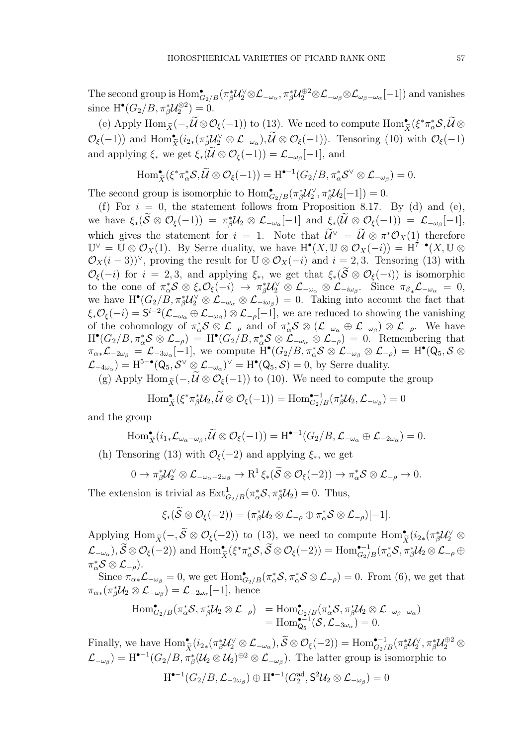The second group is  $\mathrm{Hom}^{\bullet}_{G_2/B}(\pi_{\beta}^* \mathcal{U}_2^{\vee} \otimes \mathcal{L}_{-\omega_{\alpha}}, \pi_{\beta}^* \mathcal{U}_2^{\oplus 2} \otimes \mathcal{L}_{-\omega_{\beta}} \otimes \mathcal{L}_{\omega_{\beta}-\omega_{\alpha}}[-1])$  and vanishes since  $H^{\bullet}(G_2/B, \pi_{\beta}^*\mathcal{U}_2^{\otimes 2}) = 0.$ 

(e) Apply  $\text{Hom}_{\widetilde{X}}(-,\widetilde{\mathcal{U}}\otimes\mathcal{O}_{\xi}(-1))$  to (13). We need to compute  $\text{Hom}_{\widetilde{X}}^{\bullet}(\xi^*\pi_{\alpha}^*\mathcal{S},\widetilde{\mathcal{U}}\otimes$  $\mathcal{O}_{\xi}(-1)$  and  $\text{Hom}_{\tilde{X}}^{\bullet}(i_{2*}(\pi_{\beta}^{*}\mathcal{U}_{2}^{\vee}\otimes\mathcal{L}_{-\omega_{\alpha}}),\tilde{\mathcal{U}}\otimes\mathcal{O}_{\xi}(-1))$ . Tensoring (10) with  $\mathcal{O}_{\xi}(-1)$ and applying  $\xi_*$  we get  $\xi_*(\mathcal{U} \otimes \mathcal{O}_{\xi}(-1)) = \mathcal{L}_{-\omega_\beta}[-1]$ , and

$$
\operatorname{Hom}_{\widetilde{X}}^{\bullet}(\xi^*\pi_{\alpha}^*\mathcal{S}, \widetilde{\mathcal{U}}\otimes\mathcal{O}_{\xi}(-1))=\operatorname{H}^{\bullet-1}(G_2/B, \pi_{\alpha}^*\mathcal{S}^{\vee}\otimes\mathcal{L}_{-\omega_{\beta}})=0.
$$

The second group is isomorphic to  $\text{Hom}_{G_2/B}^{\bullet}(\pi_{\beta}^*\mathcal{U}_2^{\vee}, \pi_{\beta}^*\mathcal{U}_2[-1]) = 0.$ 

(f) For  $i = 0$ , the statement follows from Proposition 8.17. By (d) and (e), we have  $\xi_*(\mathcal{S} \otimes \mathcal{O}_{\xi}(-1)) = \pi_{\beta}^* \mathcal{U}_2 \otimes \mathcal{L}_{-\omega_{\alpha}}[-1]$  and  $\xi_*(\mathcal{U} \otimes \mathcal{O}_{\xi}(-1)) = \mathcal{L}_{-\omega_{\beta}}[-1],$ which gives the statement for  $i = 1$ . Note that  $\mathcal{U}^{\vee} = \mathcal{U} \otimes \pi^* \mathcal{O}_X(1)$  therefore  $\mathbb{U}^{\vee} = \mathbb{U} \otimes \mathcal{O}_X(1)$ . By Serre duality, we have  $H^{\bullet}(X, \mathbb{U} \otimes \mathcal{O}_X(-i)) = H^{\uparrow - \bullet}(X, \mathbb{U} \otimes \mathcal{O}_X(-i))$  $\mathcal{O}_X(i-3)$ <sup> $\vee$ </sup>, proving the result for  $\mathbb{U} \otimes \mathcal{O}_X(-i)$  and  $i=2,3$ . Tensoring (13) with  $\mathcal{O}_{\xi}(-i)$  for  $i = 2, 3$ , and applying  $\xi_*$ , we get that  $\xi_*(\mathcal{S} \otimes \mathcal{O}_{\xi}(-i))$  is isomorphic to the cone of  $\pi_{\alpha}^* S \otimes \xi_* \mathcal{O}_{\xi}(-i) \to \pi_{\beta}^* \mathcal{U}_2^{\vee} \otimes \mathcal{L}_{-\omega_{\alpha}} \otimes \mathcal{L}_{-i\omega_{\beta}}$ . Since  $\pi_{\beta} \mathcal{L}_{-\omega_{\alpha}} = 0$ , we have  $H^{\bullet}(G_2/B, \pi_{\beta}^* \mathcal{U}_2^{\vee} \otimes \mathcal{L}_{-\omega_{\alpha}} \otimes \mathcal{L}_{-\omega_{\beta}}) = 0$ . Taking into account the fact that  $\xi_*\mathcal{O}_{\xi}(-i) = \mathsf{S}^{i-2}(\mathcal{L}_{-\omega_{\alpha}} \oplus \mathcal{L}_{-\omega_{\beta}}) \otimes \mathcal{L}_{-\rho}[-1]$ , we are reduced to showing the vanishing of the cohomology of  $\pi_{\alpha}^* S \otimes \mathcal{L}_{-\rho}$  and of  $\pi_{\alpha}^* S \otimes (\mathcal{L}_{-\omega_{\alpha}} \oplus \mathcal{L}_{-\omega_{\beta}}) \otimes \mathcal{L}_{-\rho}$ . We have  $H^{\bullet}(G_2/B, \pi_{\alpha}^* S \otimes \mathcal{L}_{-\rho}) = H^{\bullet}(G_2/B, \pi_{\alpha}^* S \otimes \mathcal{L}_{-\omega_{\alpha}} \otimes \mathcal{L}_{-\rho}) = 0.$  Remembering that  $\pi_{\alpha *} {\cal L}_{-2\omega_\beta} = {\cal L}_{-3\omega_\alpha}[-1], \text{ we compute } \overline{\rm H}^\bullet(G_2/B, \pi_\alpha^* {\cal S} \otimes {\cal L}_{-\omega_\beta} \otimes {\cal L}_{-\rho}) \, = \, \rm H^\bullet(Q_5, {\cal S} \otimes {\cal K}_{-\omega_\beta})$  $\mathcal{L}_{-4\omega_{\alpha}}$  = H<sup>5-•</sup>( $Q_5, \mathcal{S}^{\vee} \otimes \mathcal{L}_{-\omega_{\alpha}}$ )<sup> $\vee$ </sup> = H<sup>•</sup>( $Q_5, \mathcal{S}$ ) = 0, by Serre duality.

(g) Apply Hom  $\tilde{\chi}(-, \tilde{\mathcal{U}} \otimes \mathcal{O}_{\xi}(-1))$  to (10). We need to compute the group

$$
\operatorname{Hom}^{\bullet}_{\widetilde{X}}(\xi^*\pi_{\beta}^*U_2,\widetilde{\mathcal{U}}\otimes\mathcal{O}_{\xi}(-1))=\operatorname{Hom}^{\bullet-1}_{G_2/B}(\pi_{\beta}^*U_2,\mathcal{L}_{-\omega_{\beta}})=0
$$

and the group

$$
\operatorname{Hom}_{\widetilde{X}}^{\bullet}(i_{1*}\mathcal{L}_{\omega_{\alpha}-\omega_{\beta}}, \widetilde{\mathcal{U}} \otimes \mathcal{O}_{\xi}(-1)) = \operatorname{H}^{\bullet-1}(G_{2}/B, \mathcal{L}_{-\omega_{\alpha}} \oplus \mathcal{L}_{-2\omega_{\alpha}}) = 0.
$$

(h) Tensoring (13) with  $\mathcal{O}_{\xi}(-2)$  and applying  $\xi_*$ , we get

$$
0 \to \pi_{\beta}^* \mathcal{U}_2^{\vee} \otimes \mathcal{L}_{-\omega_{\alpha}-2\omega_{\beta}} \to \mathrm{R}^1 \xi_*(\widetilde{\mathcal{S}} \otimes \mathcal{O}_{\xi}(-2)) \to \pi_{\alpha}^* \mathcal{S} \otimes \mathcal{L}_{-\rho} \to 0.
$$

The extension is trivial as  $\text{Ext}^1_{G_2/B}(\pi_\alpha^* \mathcal{S}, \pi_\beta^* \mathcal{U}_2) = 0$ . Thus,

$$
\xi_*(\widetilde{S}\otimes \mathcal{O}_{\xi}(-2))=(\pi_{\beta}^* \mathcal{U}_2\otimes \mathcal{L}_{-\rho}\oplus \pi_{\alpha}^* \mathcal{S}\otimes \mathcal{L}_{-\rho})[-1].
$$

Applying  $\text{Hom}_{\widetilde{X}}(-, \widetilde{S} \otimes \mathcal{O}_{\xi}(-2))$  to (13), we need to compute  $\text{Hom}_{\widetilde{X}}^{\bullet}(i_{2*}(\pi_{\beta}^{*}\mathcal{U}_{2}^{\vee} \otimes$  $(\mathcal{L}_{-\omega_{\alpha}}), \widetilde{\mathcal{S}} \otimes \mathcal{O}_{\xi}(-2))$  and  $\text{Hom}_{\widetilde{X}}^{\bullet}(\xi^*\pi_{\alpha}^*\mathcal{S}, \widetilde{\mathcal{S}} \otimes \mathcal{O}_{\xi}(-2)) = \text{Hom}_{G_2/B}^{\bullet-1}(\pi_{\alpha}^*\mathcal{S}, \pi_{\beta}^*\mathcal{U}_2 \otimes \mathcal{L}_{-\rho} \oplus \xi)$  $\pi_\alpha^*\mathcal S \otimes {\mathcal L}_{-\rho}).$ 

Since  $\pi_{\alpha *} \mathcal{L}_{-\omega_{\beta}} = 0$ , we get  $\text{Hom}_{G_2/B}^{\bullet}(\pi_{\alpha}^* S, \pi_{\alpha}^* S \otimes \mathcal{L}_{-\rho}) = 0$ . From (6), we get that  $\pi_{\alpha*}(\pi_{\beta}^* \mathcal{U}_2 \otimes \mathcal{L}_{-\omega_{\beta}}) = \mathcal{L}_{-2\omega_{\alpha}}[-1]$ , hence

$$
\begin{array}{lll} \operatorname{Hom}^{\bullet}_{G_2/B}(\pi^{*}_{\alpha}\mathcal{S},\pi^{*}_{\beta}\mathcal{U}_2 \otimes \mathcal{L}_{-\rho}) & = \operatorname{Hom}^{\bullet}_{G_2/B}(\pi^{*}_{\alpha}\mathcal{S},\pi^{*}_{\beta}\mathcal{U}_2 \otimes \mathcal{L}_{-\omega_{\beta}-\omega_{\alpha}}) \\ & = \operatorname{Hom}^{\bullet}_{\mathsf{Q}_5}(\mathcal{S},\mathcal{L}_{-3\omega_{\alpha}}) = 0. \end{array}
$$

Finally, we have  $\text{Hom}_{\tilde{X}}^{\bullet}(i_{2*}(\pi_{\beta}^{*}\mathcal{U}_{2}^{\vee}\otimes\mathcal{L}_{-\omega_{\alpha}}), \tilde{\mathcal{S}}\otimes\mathcal{O}_{\xi}(-2)) = \text{Hom}_{G_{2}/B}^{\bullet-1}(\pi_{\beta}^{*}\mathcal{U}_{2}^{\vee}, \pi_{\beta}^{*}\mathcal{U}_{2}^{\oplus 2}\otimes\mathcal{O}_{\xi}(-2))$  $\mathcal{L}_{-\omega_{\beta}}) = \text{H}^{\bullet-1}(G_2/B, \pi_{\beta}^*(\mathcal{U}_2 \otimes \mathcal{U}_2)^{\oplus 2} \otimes \mathcal{L}_{-\omega_{\beta}}).$  The latter group is isomorphic to

$$
\textnormal{H}^{\bullet-1}(G_2/B, \mathcal{L}_{-2\omega_\beta}) \oplus \textnormal{H}^{\bullet-1}(G_2^{\textnormal{ad}}, \textnormal{S}^2\mathcal{U}_2 \otimes \mathcal{L}_{-\omega_\beta}) = 0
$$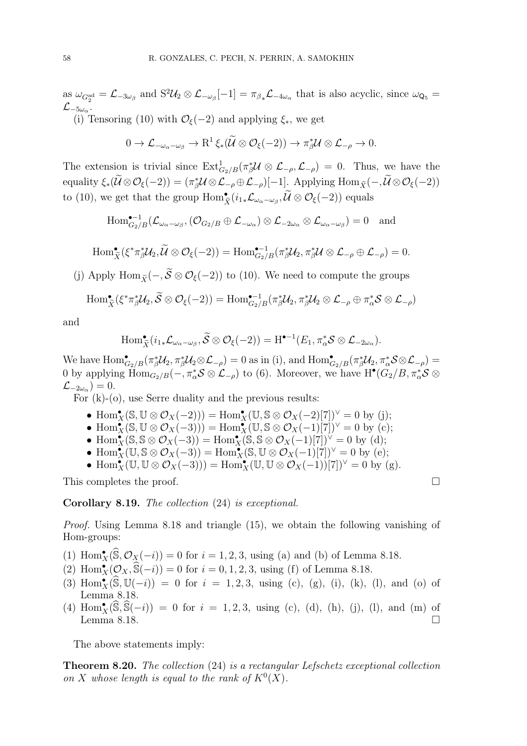as  $\omega_{G_2^{\text{ad}}} = \mathcal{L}_{-3\omega_\beta}$  and  $S^2 \mathcal{U}_2 \otimes \mathcal{L}_{-\omega_\beta}[-1] = \pi_{\beta_*} \mathcal{L}_{-4\omega_\alpha}$  that is also acyclic, since  $\omega_{\mathsf{Q}_5} =$  $\mathcal{L}_{-5\omega_\alpha}.$ 

(i) Tensoring (10) with  $\mathcal{O}_{\xi}(-2)$  and applying  $\xi_*$ , we get

$$
0 \to \mathcal{L}_{-\omega_{\alpha}-\omega_{\beta}} \to \mathrm{R}^1\xi_*(\widetilde{\mathcal{U}} \otimes \mathcal{O}_{\xi}(-2)) \to \pi_{\beta}^*\mathcal{U} \otimes \mathcal{L}_{-\rho} \to 0.
$$

The extension is trivial since  $\text{Ext}^1_{G_2/B}(\pi_{\beta}^* \mathcal{U} \otimes \mathcal{L}_{-\rho}, \mathcal{L}_{-\rho}) = 0$ . Thus, we have the  $\text{equality } \xi_*(\mathcal{U} \otimes \mathcal{O}_{\xi}(-2)) = (\pi_{\beta}^* \mathcal{U} \otimes \mathcal{L}_{-\rho} \oplus \mathcal{L}_{-\rho})[-1]$ . Applying  $\text{Hom}_{\widetilde{X}}(-, \mathcal{U} \otimes \mathcal{O}_{\xi}(-2))$ to (10), we get that the group  $\text{Hom}_{\tilde{X}}^{\bullet}(i_{1*}\mathcal{L}_{\omega_{\alpha}-\omega_{\beta}}, \tilde{\mathcal{U}} \otimes \mathcal{O}_{\xi}(-2))$  equals

$$
\mathrm{Hom}^{\bullet-1}_{G_2/B}(\mathcal{L}_{\omega_{\alpha}-\omega_{\beta}},(\mathcal{O}_{G_2/B} \oplus \mathcal{L}_{-\omega_{\alpha}}) \otimes \mathcal{L}_{-2\omega_{\alpha}} \otimes \mathcal{L}_{\omega_{\alpha}-\omega_{\beta}}) = 0 \text{ and }
$$

$$
\operatorname{Hom}^{\bullet}_{\widetilde{X}}(\xi^*\pi_{\beta}^*{\mathcal U}_2, \widetilde{{\mathcal U}} \otimes {\mathcal O}_{\xi}(-2)) = \operatorname{Hom}^{\bullet-1}_{G_2/B}(\pi_{\beta}^*{\mathcal U}_2, \pi_{\beta}^*{\mathcal U} \otimes {\mathcal L}_{-\rho} \oplus {\mathcal L}_{-\rho}) = 0.
$$

(j) Apply Hom  $\tilde{\chi}(-, \tilde{\mathcal{S}} \otimes \mathcal{O}_{\xi}(-2))$  to (10). We need to compute the groups

$$
\operatorname{Hom}_{\widetilde{X}}^{\bullet}(\xi^*\pi_{\beta}^*{\mathcal U}_2, \widetilde{S}\otimes {\mathcal O}_{\xi}(-2))=\operatorname{Hom}_{G_2/B}^{\bullet-1}(\pi_{\beta}^*{\mathcal U}_2, \pi_{\beta}^*{\mathcal U}_2\otimes {\mathcal L}_{-\rho}\oplus \pi_{\alpha}^*{\mathcal S}\otimes {\mathcal L}_{-\rho})
$$

and

$$
\operatorname{Hom}_{\widetilde{X}}^{\bullet}(i_{1*}\mathcal{L}_{\omega_{\alpha}-\omega_{\beta}}, \widetilde{S}\otimes \mathcal{O}_{\xi}(-2))=\operatorname{H}^{\bullet-1}(E_{1}, \pi_{\alpha}^{*}S\otimes \mathcal{L}_{-2\omega_{\alpha}}).
$$

We have  $\text{Hom}_{G_2/B}^{\bullet}(\pi_{\beta}^* \mathcal{U}_2, \pi_{\beta}^* \mathcal{U}_2 \otimes \mathcal{L}_{-\rho}) = 0$  as in (i), and  $\text{Hom}_{G_2/B}^{\bullet}(\pi_{\beta}^* \mathcal{U}_2, \pi_{\alpha}^* \mathcal{S} \otimes \mathcal{L}_{-\rho}) =$ 0 by applying  $\overline{\text{Hom}}_{G_2/B}(-, \pi_{\alpha}^* S \otimes \mathcal{L}_{-\rho})$  to (6). Moreover, we have  $\text{H}^{\bullet}(G_2/B, \pi_{\alpha}^* S \otimes$  $\mathcal{L}_{-2\omega_{\alpha}})=0.$ 

For (k)-(o), use Serre duality and the previous results:

- Hom $_{X}^{\bullet}(\mathbb{S},\mathbb{U}\otimes\mathcal{O}_{X}(-2)))=\text{Hom}_{X}^{\bullet}(\mathbb{U},\mathbb{S}\otimes\mathcal{O}_{X}(-2)[7])^{\vee}=0$  by (j);
- Hom $\mathbf{F}_X(\mathbb{S}, \mathbb{U} \otimes \mathcal{O}_X(-3))) = \text{Hom}_{X}(\mathbb{U}, \mathbb{S} \otimes \mathcal{O}_X(-1)[7])^\vee = 0$  by (c);
- Hom $\mathbf{F}_X(\mathbb{S}, \mathbb{S} \otimes \mathcal{O}_X(-3)) = \text{Hom}_X(\mathbb{S}, \mathbb{S} \otimes \mathcal{O}_X(-1)[7])^\vee = 0$  by (d);
- Hom $\mathbf{F}_X(\mathbb{U}, \mathbb{S} \otimes \mathcal{O}_X(-3)) = \text{Hom}_X(\mathbb{S}, \mathbb{U} \otimes \mathcal{O}_X(-1)[7])^\vee = 0$  by (e);
- Hom $_{X}^{\bullet}(\mathbb{U},\mathbb{U}\otimes\mathcal{O}_{X}(-3)))=\mathrm{Hom}_{X}^{\bullet}(\mathbb{U},\mathbb{U}\otimes\mathcal{O}_{X}(-1))[7])^{\vee}=0$  by (g).

This completes the proof.

Corollary 8.19. The collection (24) is exceptional.

Proof. Using Lemma 8.18 and triangle (15), we obtain the following vanishing of Hom-groups:

(1)  $\text{Hom}_X^{\bullet}(\widehat{\mathbb{S}}, \mathcal{O}_X(-i)) = 0$  for  $i = 1, 2, 3$ , using (a) and (b) of Lemma 8.18.

- (2)  $\text{Hom}_X^{\bullet}(\mathcal{O}_X, \widehat{\mathbb{S}}(-i)) = 0$  for  $i = 0, 1, 2, 3$ , using (f) of Lemma 8.18.
- (3)  $\text{Hom}_X^{\bullet}(\widehat{\mathbb{S}}, \mathbb{U}(-i)) = 0$  for  $i = 1, 2, 3$ , using (c), (g), (i), (k), (l), and (o) of Lemma 8.18.
- (4)  $\text{Hom}_X^{\bullet}(\widehat{\mathbb{S}}, \widehat{\mathbb{S}}(-i)) = 0$  for  $i = 1, 2, 3$ , using (c), (d), (h), (j), (l), and (m) of Lemma 8.18.  $\Box$

The above statements imply:

Theorem 8.20. The collection (24) is a rectangular Lefschetz exceptional collection on X whose length is equal to the rank of  $K^0(X)$ .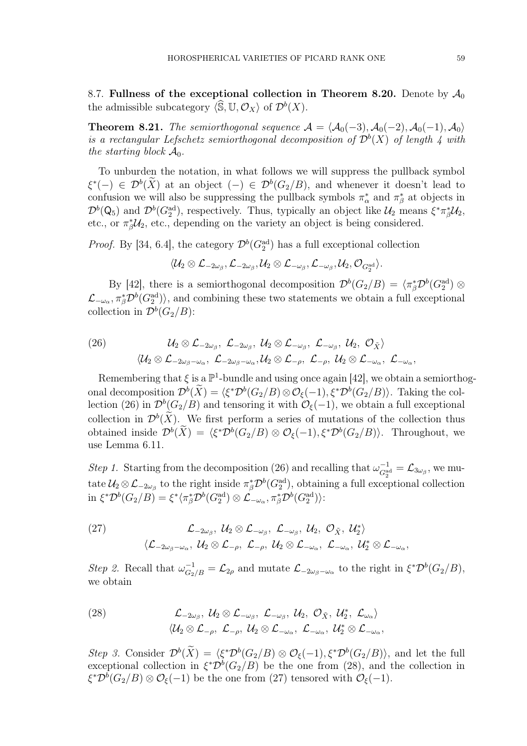8.7. Fullness of the exceptional collection in Theorem 8.20. Denote by  $\mathcal{A}_0$ the admissible subcategory  $\langle \widehat{\mathbb{S}}, \mathbb{U}, \mathcal{O}_X \rangle$  of  $\mathcal{D}^b(X)$ .

**Theorem 8.21.** The semiorthogonal sequence  $A = \langle A_0(-3), A_0(-2), A_0(-1), A_0 \rangle$ is a rectangular Lefschetz semiorthogonal decomposition of  $\mathcal{D}^b(X)$  of length 4 with the starting block  $\mathcal{A}_0$ .

To unburden the notation, in what follows we will suppress the pullback symbol  $\xi^*(-) \in \mathcal{D}^b(\overline{X})$  at an object  $(-) \in \mathcal{D}^b(G_2/B)$ , and whenever it doesn't lead to confusion we will also be suppressing the pullback symbols  $\pi^*_{\alpha}$  and  $\pi^*_{\beta}$  at objects in  $\mathcal{D}^b(\mathsf{Q}_5)$  and  $\mathcal{D}^b(G_2^{\text{ad}})$ , respectively. Thus, typically an object like  $\mathcal{U}_2$  means  $\xi^*\pi^*_\beta\mathcal{U}_2$ , etc., or  $\pi_{\beta}^* \mathcal{U}_2$ , etc., depending on the variety an object is being considered.

*Proof.* By [34, 6.4], the category  $\mathcal{D}^b(G_2^{\text{ad}})$  has a full exceptional collection

 $\langle \mathcal U_2\otimes {\mathcal L}_{-2\omega_\beta}, {\mathcal L}_{-2\omega_\beta}, \mathcal U_2\otimes {\mathcal L}_{-\omega_\beta}, {\mathcal L}_{-\omega_\beta}, \mathcal U_2, \mathcal O_{G_2^{\operatorname{ad}}}\rangle.$ 

By [42], there is a semiorthogonal decomposition  $\mathcal{D}^b(G_2/B) = \langle \pi_\beta^* \mathcal{D}^b(G_2^{\text{ad}}) \otimes$  $\mathcal{L}_{-\omega_{\alpha}}, \pi_{\beta}^{*}\mathcal{D}^{b}(G_{2}^{\text{ad}})\rangle$ , and combining these two statements we obtain a full exceptional collection in  $\mathcal{D}^b(G_2/B)$ :

(26) 
$$
\mathcal{U}_2 \otimes \mathcal{L}_{-2\omega_{\beta}}, \ \mathcal{L}_{-2\omega_{\beta}}, \ \mathcal{U}_2 \otimes \mathcal{L}_{-\omega_{\beta}}, \ \mathcal{L}_{-\omega_{\beta}}, \ \mathcal{U}_2, \ \mathcal{O}_{\tilde{X}}\rangle
$$

$$
\langle \mathcal{U}_2 \otimes \mathcal{L}_{-2\omega_{\beta}-\omega_{\alpha}}, \ \mathcal{L}_{-2\omega_{\beta}-\omega_{\alpha}}, \mathcal{U}_2 \otimes \mathcal{L}_{-\rho}, \ \mathcal{L}_{-\rho}, \ \mathcal{U}_2 \otimes \mathcal{L}_{-\omega_{\alpha}}, \ \mathcal{L}_{-\omega_{\alpha}},
$$

Remembering that  $\xi$  is a  $\mathbb{P}^1$ -bundle and using once again [42], we obtain a semiorthogonal decomposition  $\mathcal{D}^b(\tilde{X}) = \langle \xi^* \mathcal{D}^b(G_2/B) \otimes \mathcal{O}_{\xi}(-1), \xi^* \mathcal{D}^b(G_2/B) \rangle$ . Taking the collection (26) in  $\mathcal{D}^b(G_2/B)$  and tensoring it with  $\mathcal{O}_{\xi}(-1)$ , we obtain a full exceptional collection in  $\mathcal{D}^b(X)$ . We first perform a series of mutations of the collection thus obtained inside  $\mathcal{D}^b(\tilde{X}) = \langle \xi^* \mathcal{D}^b(G_2/B) \otimes \mathcal{O}_{\xi}(-1), \xi^* \mathcal{D}^b(G_2/B) \rangle$ . Throughout, we use Lemma 6.11.

Step 1. Starting from the decomposition (26) and recalling that  $\omega_{G_2^{\text{ad}}}^{-1} = \mathcal{L}_{3\omega_\beta}$ , we mutate  $\mathcal{U}_2 \otimes \mathcal{L}_{-2\omega_\beta}$  to the right inside  $\pi_\beta^* \mathcal{D}^b(G_2^{\text{ad}})$ , obtaining a full exceptional collection  $\text{in } \xi^* \mathcal{D}^b(G_2/B) = \xi^* \langle \pi_\beta^* \mathcal{D}^b(G_2^{\text{ad}}) \otimes \mathcal{L}_{-\omega_\alpha}, \pi_\beta^* \mathcal{D}^b(G_2^{\text{ad}}) \rangle:$ 

(27) 
$$
\mathcal{L}_{-2\omega_{\beta}}, \mathcal{U}_{2} \otimes \mathcal{L}_{-\omega_{\beta}}, \mathcal{L}_{-\omega_{\beta}}, \mathcal{U}_{2}, \mathcal{O}_{\tilde{X}}, \mathcal{U}_{2}^{*} \rangle
$$

$$
\langle \mathcal{L}_{-2\omega_{\beta}-\omega_{\alpha}}, \mathcal{U}_{2} \otimes \mathcal{L}_{-\rho}, \mathcal{L}_{-\rho}, \mathcal{U}_{2} \otimes \mathcal{L}_{-\omega_{\alpha}}, \mathcal{L}_{-\omega_{\alpha}}, \mathcal{U}_{2}^{*} \otimes \mathcal{L}_{-\omega_{\alpha}},
$$

Step 2. Recall that  $\omega_{G_2/B}^{-1} = \mathcal{L}_{2\rho}$  and mutate  $\mathcal{L}_{-2\omega_{\beta}-\omega_{\alpha}}$  to the right in  $\xi^* \mathcal{D}^b(G_2/B)$ , we obtain

(28) 
$$
\mathcal{L}_{-2\omega_{\beta}}, \mathcal{U}_{2} \otimes \mathcal{L}_{-\omega_{\beta}}, \mathcal{L}_{-\omega_{\beta}}, \mathcal{U}_{2}, \mathcal{O}_{\tilde{X}}, \mathcal{U}_{2}^{*}, \mathcal{L}_{\omega_{\alpha}}\rangle
$$

$$
\langle \mathcal{U}_{2} \otimes \mathcal{L}_{-\rho}, \mathcal{L}_{-\rho}, \mathcal{U}_{2} \otimes \mathcal{L}_{-\omega_{\alpha}}, \mathcal{L}_{-\omega_{\alpha}}, \mathcal{U}_{2}^{*} \otimes \mathcal{L}_{-\omega_{\alpha}},
$$

Step 3. Consider  $\mathcal{D}^b(\tilde{X}) = \langle \xi^* \mathcal{D}^b(G_2/B) \otimes \mathcal{O}_{\xi}(-1), \xi^* \mathcal{D}^b(G_2/B) \rangle$ , and let the full exceptional collection in  $\xi^* \mathcal{D}^b(G_2/B)$  be the one from (28), and the collection in  $\xi^* \mathcal{D}^b(G_2/B) \otimes \mathcal{O}_{\xi}(-1)$  be the one from (27) tensored with  $\mathcal{O}_{\xi}(-1)$ .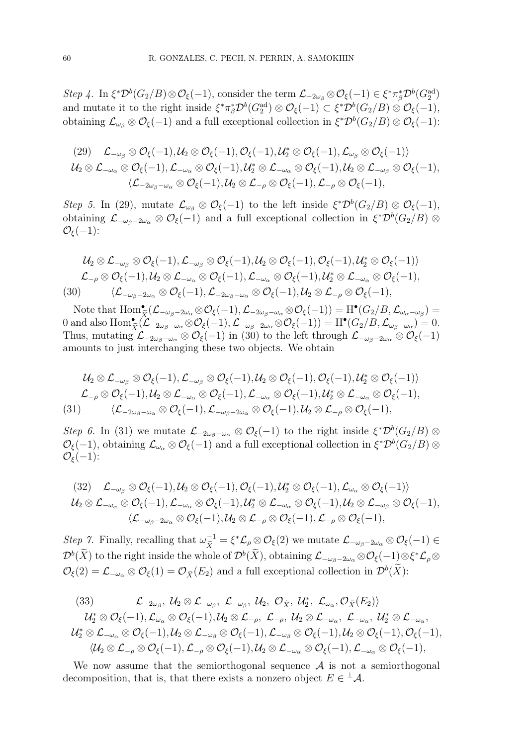Step 4. In  $\xi^* \mathcal{D}^b(G_2/B) \otimes \mathcal{O}_{\xi}(-1)$ , consider the term  $\mathcal{L}_{-\frac{2\omega_\beta}{\zeta}} \otimes \mathcal{O}_{\xi}(-1) \in \xi^* \pi_\beta^* \mathcal{D}^b(G_2^{\text{ad}})$ and mutate it to the right inside  $\xi^* \pi_\beta^* \mathcal{D}^b(G_2^{\text{ad}}) \otimes \mathcal{O}_\xi(-1) \subset \xi^* \mathcal{D}^b(G_2/B) \otimes \mathcal{O}_\xi(-1)$ , obtaining  $\mathcal{L}_{\omega_{\beta}} \otimes \mathcal{O}_{\xi}(-1)$  and a full exceptional collection in  $\xi^* \mathcal{D}^b(G_2/B) \otimes \mathcal{O}_{\xi}(-1)$ :

(29) 
$$
\mathcal{L}_{-\omega_{\beta}} \otimes \mathcal{O}_{\xi}(-1), \mathcal{U}_{2} \otimes \mathcal{O}_{\xi}(-1), \mathcal{O}_{\xi}(-1), \mathcal{U}_{2}^{*} \otimes \mathcal{O}_{\xi}(-1), \mathcal{L}_{\omega_{\beta}} \otimes \mathcal{O}_{\xi}(-1) \rangle
$$
  
\n $\mathcal{U}_{2} \otimes \mathcal{L}_{-\omega_{\alpha}} \otimes \mathcal{O}_{\xi}(-1), \mathcal{L}_{-\omega_{\alpha}} \otimes \mathcal{O}_{\xi}(-1), \mathcal{U}_{2}^{*} \otimes \mathcal{L}_{-\omega_{\alpha}} \otimes \mathcal{O}_{\xi}(-1), \mathcal{U}_{2} \otimes \mathcal{L}_{-\omega_{\beta}} \otimes \mathcal{O}_{\xi}(-1),$   
\n $\langle \mathcal{L}_{-2\omega_{\beta}-\omega_{\alpha}} \otimes \mathcal{O}_{\xi}(-1), \mathcal{U}_{2} \otimes \mathcal{L}_{-\rho} \otimes \mathcal{O}_{\xi}(-1), \mathcal{L}_{-\rho} \otimes \mathcal{O}_{\xi}(-1),$ 

Step 5. In (29), mutate  $\mathcal{L}_{\omega_{\beta}} \otimes \mathcal{O}_{\xi}(-1)$  to the left inside  $\xi^*\mathcal{D}^b(G_2/B) \otimes \mathcal{O}_{\xi}(-1)$ , obtaining  $\mathcal{L}_{-\omega_{\beta}-2\omega_{\alpha}} \otimes \mathcal{O}_{\xi}(-1)$  and a full exceptional collection in  $\xi^*\mathcal{D}^b(G_2/B) \otimes$  $\mathcal{O}_{\varepsilon}(-1)$ :

$$
\mathcal{U}_2 \otimes \mathcal{L}_{-\omega_\beta} \otimes \mathcal{O}_{\xi}(-1), \mathcal{L}_{-\omega_\beta} \otimes \mathcal{O}_{\xi}(-1), \mathcal{U}_2 \otimes \mathcal{O}_{\xi}(-1), \mathcal{O}_{\xi}(-1), \mathcal{U}_2^* \otimes \mathcal{O}_{\xi}(-1) \rangle \mathcal{L}_{-\rho} \otimes \mathcal{O}_{\xi}(-1), \mathcal{U}_2 \otimes \mathcal{L}_{-\omega_\alpha} \otimes \mathcal{O}_{\xi}(-1), \mathcal{L}_{-\omega_\alpha} \otimes \mathcal{O}_{\xi}(-1), \mathcal{U}_2^* \otimes \mathcal{L}_{-\omega_\alpha} \otimes \mathcal{O}_{\xi}(-1), (30) \qquad \langle \mathcal{L}_{-\omega_\beta - 2\omega_\alpha} \otimes \mathcal{O}_{\xi}(-1), \mathcal{L}_{-2\omega_\beta - \omega_\alpha} \otimes \mathcal{O}_{\xi}(-1), \mathcal{U}_2 \otimes \mathcal{L}_{-\rho} \otimes \mathcal{O}_{\xi}(-1),
$$

Note that  $\text{Hom}_{\tilde{X}}^{\bullet}(\mathcal{L}_{-\omega_{\beta}-2\omega_{\alpha}}\otimes\mathcal{O}_{\xi}(-1),\mathcal{L}_{-2\omega_{\beta}-\omega_{\alpha}}\otimes\mathcal{O}_{\xi}(-1))=\text{H}^{\bullet}(G_2/B,\mathcal{L}_{\omega_{\alpha}-\omega_{\beta}})=$ 0 and also  $\text{Hom}_{\tilde{X}}^{\bullet}(\mathcal{L}_{-2\omega_{\beta}-\omega_{\alpha}}\otimes\mathcal{O}_{\xi}(-1),\mathcal{L}_{-\omega_{\beta}-2\omega_{\alpha}}\otimes\mathcal{O}_{\xi}(-1))=\text{H}^{\bullet}(G_{2}/B,\mathcal{L}_{\omega_{\beta}-\omega_{\alpha}})=0.$ Thus, mutating  $\mathcal{L}_{-2\omega_{\beta}-\omega_{\alpha}} \otimes \mathcal{O}_{\xi}(-1)$  in (30) to the left through  $\mathcal{L}_{-\omega_{\beta}-2\omega_{\alpha}} \otimes \mathcal{O}_{\xi}(-1)$ amounts to just interchanging these two objects. We obtain

$$
\mathcal{U}_2 \otimes \mathcal{L}_{-\omega_\beta} \otimes \mathcal{O}_{\xi}(-1), \mathcal{L}_{-\omega_\beta} \otimes \mathcal{O}_{\xi}(-1), \mathcal{U}_2 \otimes \mathcal{O}_{\xi}(-1), \mathcal{O}_{\xi}(-1), \mathcal{U}_2^* \otimes \mathcal{O}_{\xi}(-1) \rangle \mathcal{L}_{-\rho} \otimes \mathcal{O}_{\xi}(-1), \mathcal{U}_2 \otimes \mathcal{L}_{-\omega_\alpha} \otimes \mathcal{O}_{\xi}(-1), \mathcal{L}_{-\omega_\alpha} \otimes \mathcal{O}_{\xi}(-1), \mathcal{U}_2^* \otimes \mathcal{L}_{-\omega_\alpha} \otimes \mathcal{O}_{\xi}(-1), (31) \qquad \langle \mathcal{L}_{-2\omega_\beta-\omega_\alpha} \otimes \mathcal{O}_{\xi}(-1), \mathcal{L}_{-\omega_\beta-2\omega_\alpha} \otimes \mathcal{O}_{\xi}(-1), \mathcal{U}_2 \otimes \mathcal{L}_{-\rho} \otimes \mathcal{O}_{\xi}(-1),
$$

Step 6. In (31) we mutate  $\mathcal{L}_{-2\omega_{\beta}-\omega_{\alpha}} \otimes \mathcal{O}_{\xi}(-1)$  to the right inside  $\xi^*\mathcal{D}^b(G_2/B) \otimes$  $\mathcal{O}_{\xi}(-1)$ , obtaining  $\mathcal{L}_{\omega_{\alpha}} \otimes \mathcal{O}_{\xi}(-1)$  and a full exceptional collection in  $\xi^* \mathcal{D}^b(G_2/B) \otimes$  $\mathcal{O}_{\xi}(-1)$ :

(32) 
$$
\mathcal{L}_{-\omega_{\beta}} \otimes \mathcal{O}_{\xi}(-1), \mathcal{U}_{2} \otimes \mathcal{O}_{\xi}(-1), \mathcal{O}_{\xi}(-1), \mathcal{U}_{2}^{*} \otimes \mathcal{O}_{\xi}(-1), \mathcal{L}_{\omega_{\alpha}} \otimes \mathcal{O}_{\xi}(-1) \rangle
$$
  
\n $\mathcal{U}_{2} \otimes \mathcal{L}_{-\omega_{\alpha}} \otimes \mathcal{O}_{\xi}(-1), \mathcal{L}_{-\omega_{\alpha}} \otimes \mathcal{O}_{\xi}(-1), \mathcal{U}_{2}^{*} \otimes \mathcal{L}_{-\omega_{\alpha}} \otimes \mathcal{O}_{\xi}(-1), \mathcal{U}_{2} \otimes \mathcal{L}_{-\omega_{\beta}} \otimes \mathcal{O}_{\xi}(-1),$   
\n $\langle \mathcal{L}_{-\omega_{\beta}-2\omega_{\alpha}} \otimes \mathcal{O}_{\xi}(-1), \mathcal{U}_{2} \otimes \mathcal{L}_{-\rho} \otimes \mathcal{O}_{\xi}(-1), \mathcal{L}_{-\rho} \otimes \mathcal{O}_{\xi}(-1),$ 

Step 7. Finally, recalling that  $\omega_{\tilde{X}}^{-1} = \xi^* \mathcal{L}_{\rho \otimes} \mathcal{O}_{\xi}(2)$  we mutate  $\mathcal{L}_{-\omega_{\beta}-2\omega_{\alpha}} \otimes \mathcal{O}_{\xi}(-1) \in$  $\mathcal{D}^b(X)$  to the right inside the whole of  $\mathcal{D}^b(X)$ , obtaining  $\mathcal{L}_{-\omega_\beta-2\omega_\alpha}\otimes\mathcal{O}_\xi(-1) \otimes \xi^*\mathcal{L}_\rho\otimes$  $\mathcal{O}_{\xi}(2) = \mathcal{L}_{-\omega_{\alpha}} \otimes \mathcal{O}_{\xi}(1) = \mathcal{O}_{\widetilde{X}}(E_2)$  and a full exceptional collection in  $\mathcal{D}^b(X)$ :

(33) 
$$
\mathcal{L}_{-2\omega_{\beta}}, \mathcal{U}_2 \otimes \mathcal{L}_{-\omega_{\beta}}, \mathcal{L}_{-\omega_{\beta}}, \mathcal{U}_2, \mathcal{O}_{\tilde{X}}, \mathcal{U}_2^*, \mathcal{L}_{\omega_{\alpha}}, \mathcal{O}_{\tilde{X}}(E_2) \rangle
$$
  
\n $\mathcal{U}_2^* \otimes \mathcal{O}_{\xi}(-1), \mathcal{L}_{\omega_{\alpha}} \otimes \mathcal{O}_{\xi}(-1), \mathcal{U}_2 \otimes \mathcal{L}_{-\rho}, \mathcal{L}_{-\rho}, \mathcal{U}_2 \otimes \mathcal{L}_{-\omega_{\alpha}}, \mathcal{L}_{-\omega_{\alpha}}, \mathcal{U}_2^* \otimes \mathcal{L}_{-\omega_{\alpha}},$   
\n $\mathcal{U}_2^* \otimes \mathcal{L}_{-\omega_{\alpha}} \otimes \mathcal{O}_{\xi}(-1), \mathcal{U}_2 \otimes \mathcal{L}_{-\omega_{\beta}} \otimes \mathcal{O}_{\xi}(-1), \mathcal{L}_{-\omega_{\beta}} \otimes \mathcal{O}_{\xi}(-1), \mathcal{U}_2 \otimes \mathcal{O}_{\xi}(-1), \mathcal{O}_{\xi}(-1),$   
\n $\langle \mathcal{U}_2 \otimes \mathcal{L}_{-\rho} \otimes \mathcal{O}_{\xi}(-1), \mathcal{L}_{-\rho} \otimes \mathcal{O}_{\xi}(-1), \mathcal{U}_2 \otimes \mathcal{L}_{-\omega_{\alpha}} \otimes \mathcal{O}_{\xi}(-1), \mathcal{L}_{-\omega_{\alpha}} \otimes \mathcal{O}_{\xi}(-1),$ 

We now assume that the semiorthogonal sequence  $A$  is not a semiorthogonal decomposition, that is, that there exists a nonzero object  $E \in {}^{\perp} \mathcal{A}$ .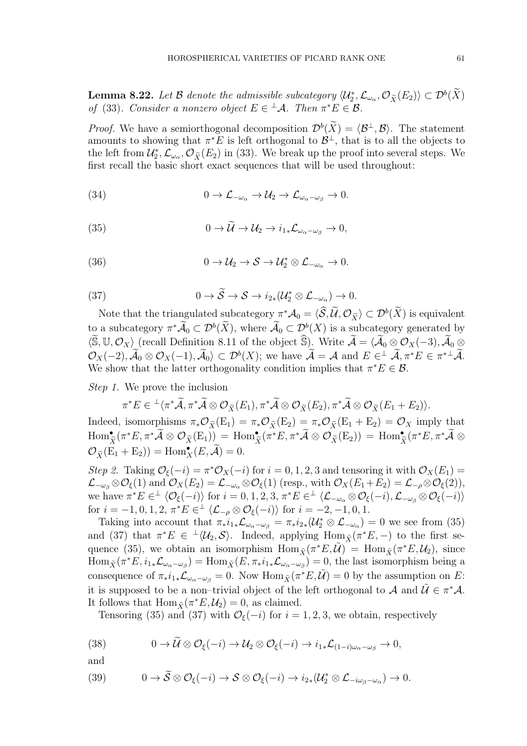**Lemma 8.22.** Let B denote the admissible subcategory  $\langle \mathcal{U}_2^*, \mathcal{L}_{\omega_\alpha}, \mathcal{O}_{\widetilde{X}}(E_2) \rangle \subset \mathcal{D}^b(\widetilde{X})$ of (33). Consider a nonzero object  $E \in {}^{\perp} \mathcal{A}$ . Then  $\pi^* E \in \mathcal{B}$ .

*Proof.* We have a semiorthogonal decomposition  $\mathcal{D}^b(\tilde{X}) = \langle \mathcal{B}^{\perp}, \mathcal{B} \rangle$ . The statement amounts to showing that  $\pi^*E$  is left orthogonal to  $\mathcal{B}^{\perp}$ , that is to all the objects to the left from  $\mathcal{U}_2^*, \mathcal{L}_{\omega_{\alpha}}, \mathcal{O}_{\tilde{X}}(E_2)$  in (33). We break up the proof into several steps. We first recall the basic short exact sequences that will be used throughout:

(34) 
$$
0 \to \mathcal{L}_{-\omega_{\alpha}} \to \mathcal{U}_2 \to \mathcal{L}_{\omega_{\alpha}-\omega_{\beta}} \to 0.
$$

(35) 
$$
0 \to \widetilde{\mathcal{U}} \to \mathcal{U}_2 \to i_{1*}\mathcal{L}_{\omega_{\alpha}-\omega_{\beta}} \to 0,
$$

(36) 
$$
0 \to \mathcal{U}_2 \to \mathcal{S} \to \mathcal{U}_2^* \otimes \mathcal{L}_{-\omega_{\alpha}} \to 0.
$$

(37) 
$$
0 \to \widetilde{S} \to S \to i_{2*}(\mathcal{U}_{2}^{*} \otimes \mathcal{L}_{-\omega_{\alpha}}) \to 0.
$$

Note that the triangulated subcategory  $\pi^*\mathcal{A}_0 = \langle \mathcal{S}, \mathcal{U}, \mathcal{O}_{\tilde{X}} \rangle \subset \mathcal{D}^b(X)$  is equivalent to a subcategory  $\pi^*\hat{\mathcal{A}}_0 \subset \mathcal{D}^b(\hat{X})$ , where  $\hat{\mathcal{A}}_0 \subset \mathcal{D}^b(X)$  is a subcategory generated by  $\langle \widetilde{\mathbb{S}}, \mathbb{U}, \mathcal{O}_X \rangle$  (recall Definition 8.11 of the object  $\widehat{\mathbb{S}}$ ). Write  $\widetilde{\mathcal{A}} = \langle \widetilde{\mathcal{A}}_0 \otimes \mathcal{O}_X(-3), \widetilde{\mathcal{A}}_0 \otimes \mathcal{O}_X(-3) \rangle$  $\mathcal{O}_X(-2)$ ,  $\mathcal{A}_0 \otimes \mathcal{O}_X(-1)$ ,  $\mathcal{A}_0 \rangle \subset \mathcal{D}^b(X)$ ; we have  $\mathcal{A} = \mathcal{A}$  and  $E \in \mathcal{A}, \pi^*E \in \pi^{*\perp}\mathcal{A}$ . We show that the latter orthogonality condition implies that  $\pi^* E \in \mathcal{B}$ .

Step 1. We prove the inclusion

$$
\pi^*E \in {}^{\perp}\langle \pi^*\tilde{\mathcal{A}}, \pi^*\tilde{\mathcal{A}} \otimes \mathcal{O}_{\widetilde{X}}(E_1), \pi^*\tilde{\mathcal{A}} \otimes \mathcal{O}_{\widetilde{X}}(E_2), \pi^*\tilde{\mathcal{A}} \otimes \mathcal{O}_{\widetilde{X}}(E_1+E_2) \rangle.
$$

Indeed, isomorphisms  $\pi_*\mathcal{O}_{\widetilde{X}}(E_1) = \pi_*\mathcal{O}_{\widetilde{X}}(E_2) = \pi_*\mathcal{O}_{\widetilde{X}}(E_1 + E_2) = \mathcal{O}_X$  imply that  $\mathrm{Hom}_{\widetilde{X}}^{\bullet}(\pi^*E, \pi^*\widetilde{\mathcal{A}}\otimes \mathcal{O}_{\widetilde{X}}(\mathrm{E}_1))= \mathrm{Hom}_{\widetilde{X}}^{\bullet}(\pi^*E, \pi^*\widetilde{\mathcal{A}}\otimes \mathcal{O}_{\widetilde{X}}(\mathrm{E}_2))= \mathrm{Hom}_{\widetilde{X}}^{\bullet}(\pi^*E, \pi^*\widetilde{\mathcal{A}}\otimes \mathcal{O}_{\widetilde{X}})$  $\mathcal{O}_{\widetilde{X}}(\mathrm{E}_1 + \mathrm{E}_2)) = \mathrm{Hom}_X^{\bullet}(E, \widetilde{\mathcal{A}}) = 0.$ 

Step 2. Taking  $\mathcal{O}_{\xi}(-i) = \pi^* \mathcal{O}_X(-i)$  for  $i = 0, 1, 2, 3$  and tensoring it with  $\mathcal{O}_X(E_1) =$  $\mathcal{L}_{-\omega_{\beta}} \otimes \mathcal{O}_{\xi}(1)$  and  $\mathcal{O}_{X}(E_2) = \mathcal{L}_{-\omega_{\alpha}} \otimes \mathcal{O}_{\xi}(1)$  (resp., with  $\mathcal{O}_{X}(E_1+E_2) = \mathcal{L}_{-\rho} \otimes \mathcal{O}_{\xi}(2)$ ), we have  $\pi^* E \in^{\perp} \langle \mathcal{O}_{\xi}(-i) \rangle$  for  $i = 0, 1, 2, 3, \pi^* E \in^{\perp} \langle \mathcal{L}_{-\omega_{\alpha}} \otimes \mathcal{O}_{\xi}(-i), \mathcal{L}_{-\omega_{\beta}} \otimes \mathcal{O}_{\xi}(-i) \rangle$ for  $i = -1, 0, 1, 2, \pi^* E \in^{\perp} \langle \mathcal{L}_{-\rho} \otimes \mathcal{O}_{\xi}(-i) \rangle$  for  $i = -2, -1, 0, 1$ .

Taking into account that  $\pi_* i_{1*} \mathcal{L}_{\omega_\alpha-\omega_\beta} = \pi_* i_{2*} (\mathcal{U}_2^* \otimes \mathcal{L}_{-\omega_\alpha}) = 0$  we see from (35) and (37) that  $\pi^*E \in {}^{\perp}\langle \mathcal{U}_2, \mathcal{S} \rangle$ . Indeed, applying  $\text{Hom}_{\tilde{X}}(\pi^*E, -)$  to the first sequence (35), we obtain an isomorphism  $\text{Hom}_{\tilde{X}}(\pi^*E, \tilde{U}) = \text{Hom}_{\tilde{X}}(\pi^*E, \mathcal{U}_2)$ , since  $\text{Hom}_{\tilde{X}}(\pi^*E, i_1_*\mathcal{L}_{\omega_{\alpha}-\omega_{\beta}}) = \text{Hom}_{\tilde{X}}(E, \pi_*i_1_*\mathcal{L}_{\omega_{\alpha}-\omega_{\beta}}) = 0$ , the last isomorphism being a consequence of  $\pi_* i_{1*} \mathcal{L}_{\omega_\alpha-\omega_\beta} = 0$ . Now  $\text{Hom}_{\tilde{X}}(\pi^*E, \tilde{\mathcal{U}}) = 0$  by the assumption on E: it is supposed to be a non–trivial object of the left orthogonal to A and  $\tilde{U} \in \pi^* A$ . It follows that  $\text{Hom}_{\tilde{X}}(\pi^*E, \mathcal{U}_2) = 0$ , as claimed.

Tensoring (35) and (37) with  $\mathcal{O}_{\xi}(-i)$  for  $i = 1, 2, 3$ , we obtain, respectively

(38) 
$$
0 \to \mathcal{U} \otimes \mathcal{O}_{\xi}(-i) \to \mathcal{U}_2 \otimes \mathcal{O}_{\xi}(-i) \to i_{1*}\mathcal{L}_{(1-i)\omega_{\alpha}-\omega_{\beta}} \to 0,
$$

and

(39) 
$$
0 \to \widetilde{S} \otimes \mathcal{O}_{\xi}(-i) \to S \otimes \mathcal{O}_{\xi}(-i) \to i_{2*}(\mathcal{U}_{2}^{*} \otimes \mathcal{L}_{-i\omega_{\beta}-\omega_{\alpha}}) \to 0.
$$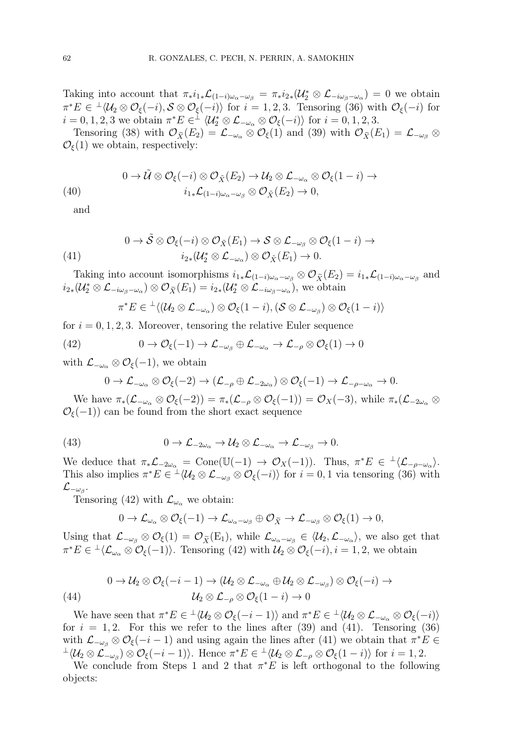Taking into account that  $\pi_* i_{1*} \mathcal{L}_{(1-i)\omega_\alpha - \omega_\beta} = \pi_* i_{2*} (\mathcal{U}_2^* \otimes \mathcal{L}_{-i\omega_\beta - \omega_\alpha}) = 0$  we obtain  $\pi^*E \in {}^{\perp} \langle \mathcal{U}_2 \otimes \mathcal{O}_{\xi}(-i), \mathcal{S} \otimes \mathcal{O}_{\xi}(-i) \rangle$  for  $i = 1, 2, 3$ . Tensoring (36) with  $\mathcal{O}_{\xi}(-i)$  for  $i = 0, 1, 2, 3$  we obtain  $\pi^* E \in^{\perp} \langle \mathcal{U}_2^* \otimes \mathcal{L}_{-\omega_\alpha} \otimes \mathcal{O}_{\xi}(-i) \rangle$  for  $i = 0, 1, 2, 3$ .

Tensoring (38) with  $\mathcal{O}_{\tilde{X}}(E_2) = \mathcal{L}_{-\omega_{\alpha}} \otimes \mathcal{O}_{\xi}(1)$  and (39) with  $\mathcal{O}_{\tilde{X}}(E_1) = \mathcal{L}_{-\omega_{\beta}} \otimes$  $\mathcal{O}_{\xi}(1)$  we obtain, respectively:

(40) 
$$
0 \to \tilde{\mathcal{U}} \otimes \mathcal{O}_{\xi}(-i) \otimes \mathcal{O}_{\tilde{X}}(E_2) \to \mathcal{U}_2 \otimes \mathcal{L}_{-\omega_{\alpha}} \otimes \mathcal{O}_{\xi}(1-i) \to
$$

$$
i_{1*}\mathcal{L}_{(1-i)\omega_{\alpha}-\omega_{\beta}} \otimes \mathcal{O}_{\tilde{X}}(E_2) \to 0,
$$

and

(41) 
$$
0 \to \tilde{S} \otimes \mathcal{O}_{\xi}(-i) \otimes \mathcal{O}_{\tilde{X}}(E_1) \to S \otimes \mathcal{L}_{-\omega_{\beta}} \otimes \mathcal{O}_{\xi}(1-i) \to
$$

$$
i_{2*}(\mathcal{U}_{2}^{*} \otimes \mathcal{L}_{-\omega_{\alpha}}) \otimes \mathcal{O}_{\tilde{X}}(E_1) \to 0.
$$

Taking into account isomorphisms  $i_{1*}\mathcal{L}_{(1-i)\omega_{\alpha}-\omega_{\beta}} \otimes \mathcal{O}_{\widetilde{X}}(E_2) = i_{1*}\mathcal{L}_{(1-i)\omega_{\alpha}-\omega_{\beta}}$  and  $i_{2*}(\mathcal{U}_{2}^{*}\otimes\mathcal{L}_{-i\omega_{\beta}-\omega_{\alpha}})\otimes\mathcal{O}_{\widetilde{X}}(E_{1})=i_{2*}(\mathcal{U}_{2}^{*}\otimes\mathcal{L}_{-i\omega_{\beta}-\omega_{\alpha}}),$  we obtain

$$
\pi^*E\in {}^\perp\langle(\mathcal{U}_2\otimes\mathcal{L}_{-\omega_\alpha})\otimes\mathcal{O}_\xi(1-i),(\mathcal{S}\otimes\mathcal{L}_{-\omega_\beta})\otimes\mathcal{O}_\xi(1-i)\rangle
$$

for  $i = 0, 1, 2, 3$ . Moreover, tensoring the relative Euler sequence

(42) 
$$
0 \to \mathcal{O}_{\xi}(-1) \to \mathcal{L}_{-\omega_{\beta}} \oplus \mathcal{L}_{-\omega_{\alpha}} \to \mathcal{L}_{-\rho} \otimes \mathcal{O}_{\xi}(1) \to 0
$$

with  $\mathcal{L}_{-\omega_{\alpha}} \otimes \mathcal{O}_{\xi}(-1)$ , we obtain

$$
0 \to \mathcal{L}_{-\omega_{\alpha}} \otimes \mathcal{O}_{\xi}(-2) \to (\mathcal{L}_{-\rho} \oplus \mathcal{L}_{-2\omega_{\alpha}}) \otimes \mathcal{O}_{\xi}(-1) \to \mathcal{L}_{-\rho-\omega_{\alpha}} \to 0.
$$

We have  $\pi_*(\mathcal{L}_{-\omega_\alpha} \otimes \mathcal{O}_{\xi}(-2)) = \pi_*(\mathcal{L}_{-\rho} \otimes \mathcal{O}_{\xi}(-1)) = \mathcal{O}_X(-3)$ , while  $\pi_*(\mathcal{L}_{-2\omega_\alpha} \otimes \mathcal{O}_{\xi}(-2)) = \pi_*(\mathcal{L}_{-\rho} \otimes \mathcal{O}_{\xi}(-1))$  $\mathcal{O}_{\xi}(-1)$  can be found from the short exact sequence

(43) 
$$
0 \to \mathcal{L}_{-2\omega_{\alpha}} \to \mathcal{U}_{2} \otimes \mathcal{L}_{-\omega_{\alpha}} \to \mathcal{L}_{-\omega_{\beta}} \to 0.
$$

We deduce that  $\pi_*\mathcal{L}_{-2\omega_\alpha} = \text{Cone}(\mathbb{U}(-1) \to \mathcal{O}_X(-1)).$  Thus,  $\pi^*E \in {}^{\perp}\langle \mathcal{L}_{-\rho-\omega_\alpha} \rangle$ . This also implies  $\pi^* E \in {}^{\perp} \langle \mathcal{U}_2 \otimes \mathcal{L}_{-\omega_\beta} \otimes \mathcal{O}_{\xi}(-i) \rangle$  for  $i = 0, 1$  via tensoring (36) with  $\mathcal{L}_{-\omega_{\beta}}.$ 

Tensoring (42) with  $\mathcal{L}_{\omega_{\alpha}}$  we obtain:

$$
0 \to \mathcal{L}_{\omega_{\alpha}} \otimes \mathcal{O}_{\xi}(-1) \to \mathcal{L}_{\omega_{\alpha}-\omega_{\beta}} \oplus \mathcal{O}_{\widetilde{X}} \to \mathcal{L}_{-\omega_{\beta}} \otimes \mathcal{O}_{\xi}(1) \to 0,
$$

Using that  $\mathcal{L}_{-\omega_{\beta}} \otimes \mathcal{O}_{\xi}(1) = \mathcal{O}_{\widetilde{X}}(E_1)$ , while  $\mathcal{L}_{\omega_{\alpha}-\omega_{\beta}} \in \langle \mathcal{U}_2, \mathcal{L}_{-\omega_{\alpha}} \rangle$ , we also get that  $\pi^*E \in {}^{\perp}\langle \mathcal{L}_{\omega_\alpha} \otimes \mathcal{O}_{\xi}(-1) \rangle$ . Tensoring (42) with  $\mathcal{U}_2 \otimes \mathcal{O}_{\xi}(-i), i = 1, 2$ , we obtain

(44)  
\n
$$
0 \to \mathcal{U}_2 \otimes \mathcal{O}_{\xi}(-i-1) \to (\mathcal{U}_2 \otimes \mathcal{L}_{-\omega_{\alpha}} \oplus \mathcal{U}_2 \otimes \mathcal{L}_{-\omega_{\beta}}) \otimes \mathcal{O}_{\xi}(-i) \to
$$
\n
$$
\mathcal{U}_2 \otimes \mathcal{L}_{-\rho} \otimes \mathcal{O}_{\xi}(1-i) \to 0
$$

We have seen that  $\pi^* E \in {}^{\perp} \langle \mathcal{U}_2 \otimes \mathcal{O}_{\xi}(-i-1) \rangle$  and  $\pi^* E \in {}^{\perp} \langle \mathcal{U}_2 \otimes \mathcal{L}_{-\omega_{\alpha}} \otimes \mathcal{O}_{\xi}(-i) \rangle$ for  $i = 1, 2$ . For this we refer to the lines after (39) and (41). Tensoring (36) with  $\mathcal{L}_{-\omega_{\beta}} \otimes \mathcal{O}_{\xi}(-i-1)$  and using again the lines after (41) we obtain that  $\pi^* E \in$  $\perp \langle \mathcal{U}_2 \otimes \mathcal{L}_{-\omega_\beta} \rangle \otimes \mathcal{O}_{\xi}(-i-1) \rangle$ . Hence  $\pi^* E \in \perp \langle \mathcal{U}_2 \otimes \mathcal{L}_{-\rho} \otimes \mathcal{O}_{\xi}(1-i) \rangle$  for  $i=1,2$ .

We conclude from Steps 1 and 2 that  $\pi^*E$  is left orthogonal to the following objects: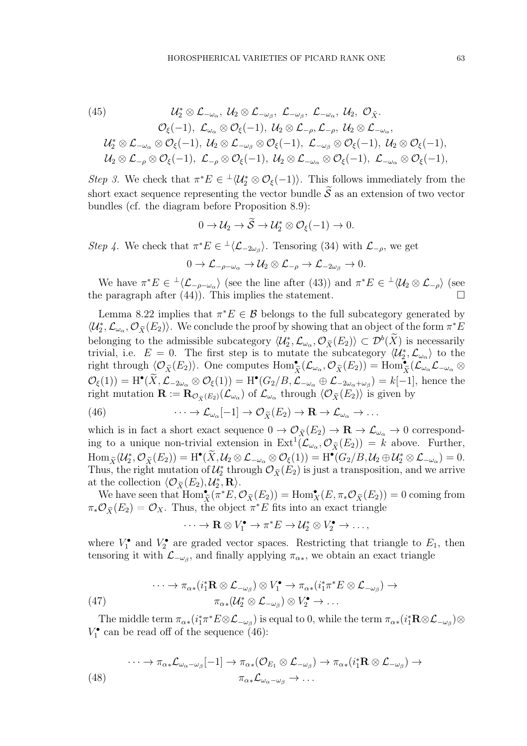(45) 
$$
\mathcal{U}_{2}^{*} \otimes \mathcal{L}_{-\omega_{\alpha}}, \ \mathcal{U}_{2} \otimes \mathcal{L}_{-\omega_{\beta}}, \ \mathcal{L}_{-\omega_{\beta}}, \ \mathcal{L}_{-\omega_{\alpha}}, \ \mathcal{U}_{2}, \ \mathcal{O}_{\tilde{X}}.
$$

$$
\mathcal{O}_{\xi}(-1), \ \mathcal{L}_{\omega_{\alpha}} \otimes \mathcal{O}_{\xi}(-1), \ \mathcal{U}_{2} \otimes \mathcal{L}_{-\rho}, \mathcal{L}_{-\rho}, \ \mathcal{U}_{2} \otimes \mathcal{L}_{-\omega_{\alpha}},
$$

$$
\mathcal{U}_{2}^{*} \otimes \mathcal{L}_{-\omega_{\alpha}} \otimes \mathcal{O}_{\xi}(-1), \ \mathcal{U}_{2} \otimes \mathcal{L}_{-\omega_{\beta}} \otimes \mathcal{O}_{\xi}(-1), \ \mathcal{L}_{-\omega_{\beta}} \otimes \mathcal{O}_{\xi}(-1), \ \mathcal{U}_{2} \otimes \mathcal{L}_{-\rho} \otimes \mathcal{O}_{\xi}(-1),
$$

$$
\mathcal{U}_{2} \otimes \mathcal{L}_{-\rho} \otimes \mathcal{O}_{\xi}(-1), \ \mathcal{L}_{-\rho} \otimes \mathcal{O}_{\xi}(-1), \ \mathcal{U}_{2} \otimes \mathcal{L}_{-\omega_{\alpha}} \otimes \mathcal{O}_{\xi}(-1), \ \mathcal{L}_{-\omega_{\alpha}} \otimes \mathcal{O}_{\xi}(-1),
$$

Step 3. We check that  $\pi^*E \in \langle \mathcal{U}_2^* \otimes \mathcal{O}_{\xi}(-1) \rangle$ . This follows immediately from the short exact sequence representing the vector bundle  $\tilde{S}$  as an extension of two vector bundles (cf. the diagram before Proposition 8.9):

$$
0 \to \mathcal{U}_2 \to \widetilde{\mathcal{S}} \to \mathcal{U}_2^* \otimes \mathcal{O}_{\xi}(-1) \to 0.
$$

Step 4. We check that  $\pi^* E \in {}^{\perp} \langle \mathcal{L}_{-2\omega_\beta} \rangle$ . Tensoring (34) with  $\mathcal{L}_{-\rho}$ , we get

$$
0 \to \mathcal{L}_{-\rho-\omega_{\alpha}} \to \mathcal{U}_2 \otimes \mathcal{L}_{-\rho} \to \mathcal{L}_{-2\omega_{\beta}} \to 0.
$$

We have  $\pi^*E \in {}^{\perp}\langle\mathcal{L}_{-\rho-\omega_{\alpha}}\rangle$  (see the line after (43)) and  $\pi^*E \in {}^{\perp}\langle\mathcal{U}_2 \otimes \mathcal{L}_{-\rho}\rangle$  (see the paragraph after (44)). This implies the statement.  $\square$ 

Lemma 8.22 implies that  $\pi^*E \in \mathcal{B}$  belongs to the full subcategory generated by  $\langle U_2^*, \mathcal{L}_{\omega_{\alpha}}, \mathcal{O}_{\widetilde{X}}(E_2) \rangle$ . We conclude the proof by showing that an object of the form  $\pi^* E$ belonging to the admissible subcategory  $\langle \mathcal{U}_2^*, \mathcal{L}_{\omega_\alpha}, \mathcal{O}_{\widetilde{X}}(E_2) \rangle \subset \mathcal{D}^b(X)$  is necessarily trivial, i.e.  $E = 0$ . The first step is to mutate the subcategory  $\langle \mathcal{U}_2^*, \mathcal{L}_{\omega_{\alpha}} \rangle$  to the right through  $\langle \mathcal{O}_{\tilde{X}}(E_2) \rangle$ . One computes  $\text{Hom}_{\tilde{X}}^{\bullet}(\mathcal{L}_{\omega_{\alpha}}, \mathcal{O}_{\tilde{X}}(E_2)) = \text{Hom}_{\tilde{X}}^{\bullet}(\mathcal{L}_{\omega_{\alpha}}\mathcal{L}_{-\omega_{\alpha}} \otimes$  $\mathcal{O}_{\xi}(1) = \mathrm{H}^{\bullet}(\widetilde{X}, \mathcal{L}_{-2\omega_{\alpha}} \otimes \mathcal{O}_{\xi}(1)) = \mathrm{H}^{\bullet}(G_2/B, \mathcal{L}_{-\omega_{\alpha}} \oplus \mathcal{L}_{-2\omega_{\alpha}+\omega_{\beta}}) = k[-1],$  hence the right mutation  $\mathbf{R} := \mathbf{R}_{\mathcal{O}_{\widetilde{X}}(E_2)}(\mathcal{L}_{\omega_\alpha})$  of  $\mathcal{L}_{\omega_\alpha}$  through  $\langle \mathcal{O}_{\widetilde{X}}(E_2) \rangle$  is given by

(46) 
$$
\cdots \to \mathcal{L}_{\omega_{\alpha}}[-1] \to \mathcal{O}_{\widetilde{X}}(E_2) \to \mathbf{R} \to \mathcal{L}_{\omega_{\alpha}} \to \dots
$$

which is in fact a short exact sequence  $0 \to \mathcal{O}_{\widetilde{X}}(E_2) \to \mathbf{R} \to \mathcal{L}_{\omega_{\alpha}} \to 0$  corresponding to a unique non-trivial extension in  $\text{Ext}^1(\mathcal{L}_{\omega_\alpha}, \mathcal{O}_{\tilde{X}}(E_2)) = k$  above. Further,  $\operatorname{Hom}_{\widetilde X}(\mathcal U_2^*, \mathcal O_{\widetilde X}(E_2)) = \operatorname{H}^\bullet(\widetilde X, \mathcal U_2 \otimes {\mathcal L}_{-\omega_\alpha} \otimes \mathcal O_\xi(1)) = \operatorname{H}^\bullet(G_2/B, \mathcal U_2 \oplus \mathcal U_2^* \otimes {\mathcal L}_{-\omega_\alpha}) = 0.$ Thus, the right mutation of  $\mathcal{U}_2^*$  through  $\mathcal{O}_{\tilde{X}}(E_2)$  is just a transposition, and we arrive at the collection  $\langle \mathcal{O}_{\tilde{X}}(E_2), \mathcal{U}_2^*, \mathbf{R} \rangle$ .

We have seen that  $\text{Hom}_{\tilde{X}}^{\bullet}(\bar{\pi}^*E, \mathcal{O}_{\tilde{X}}(E_2)) = \text{Hom}_{X}^{\bullet}(E, \pi_*\mathcal{O}_{\tilde{X}}(E_2)) = 0$  coming from  $\pi_* \mathcal{O}_{\widetilde{X}}(E_2) = \mathcal{O}_X$ . Thus, the object  $\pi^* E$  fits into an exact triangle

$$
\cdots \to \mathbf{R} \otimes V_1^{\bullet} \to \pi^* E \to \mathcal{U}_2^* \otimes V_2^{\bullet} \to \ldots,
$$

where  $V_1^{\bullet}$  and  $V_2^{\bullet}$  are graded vector spaces. Restricting that triangle to  $E_1$ , then tensoring it with  $\mathcal{L}_{-\omega_{\beta}}$ , and finally applying  $\pi_{\alpha*}$ , we obtain an exact triangle

(47) 
$$
\cdots \to \pi_{\alpha*}(i_1^* \mathbf{R} \otimes \mathcal{L}_{-\omega_\beta}) \otimes V_1^{\bullet} \to \pi_{\alpha*}(i_1^* \pi^* E \otimes \mathcal{L}_{-\omega_\beta}) \to \pi_{\alpha*}(\mathcal{U}_2^* \otimes \mathcal{L}_{-\omega_\beta}) \otimes V_2^{\bullet} \to \dots
$$

The middle term  $\pi_{\alpha*}(i_1^*\pi^*E \otimes \mathcal{L}_{-\omega_\beta})$  is equal to 0, while the term  $\pi_{\alpha*}(i_1^*R \otimes \mathcal{L}_{-\omega_\beta}) \otimes$  $V_1^{\bullet}$  can be read off of the sequence (46):

$$
\cdots \to \pi_{\alpha*} \mathcal{L}_{\omega_{\alpha}-\omega_{\beta}}[-1] \to \pi_{\alpha*}(\mathcal{O}_{E_1} \otimes \mathcal{L}_{-\omega_{\beta}}) \to \pi_{\alpha*}(i_1^* \mathbf{R} \otimes \mathcal{L}_{-\omega_{\beta}}) \to
$$
  
(48) 
$$
\pi_{\alpha*} \mathcal{L}_{\omega_{\alpha}-\omega_{\beta}} \to \dots
$$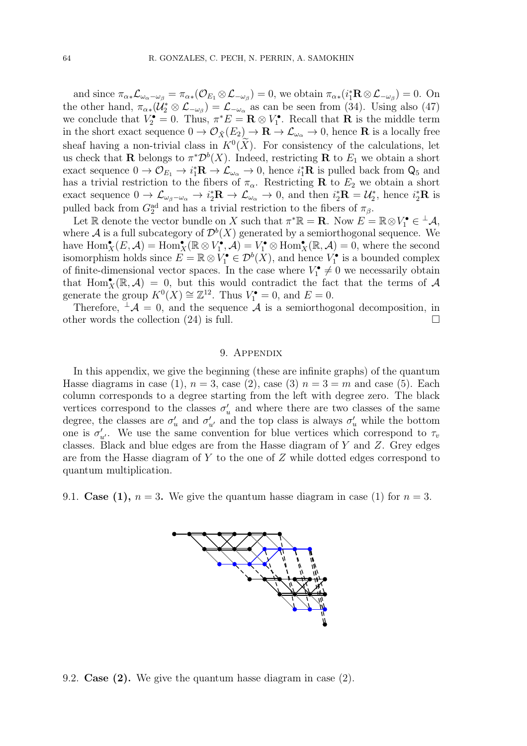and since  $\pi_{\alpha\ast}\mathcal{L}_{\omega_{\alpha}-\omega_{\beta}} = \pi_{\alpha\ast}(\mathcal{O}_{E_1} \otimes \mathcal{L}_{-\omega_{\beta}}) = 0$ , we obtain  $\pi_{\alpha\ast}(i_1^* \mathbf{R} \otimes \mathcal{L}_{-\omega_{\beta}}) = 0$ . On the other hand,  $\pi_{\alpha*}(\mathcal{U}_2^* \otimes \mathcal{L}_{-\omega_{\beta}}) = \mathcal{L}_{-\omega_{\alpha}}$  as can be seen from (34). Using also (47) we conclude that  $V_2^{\bullet} = 0$ . Thus,  $\pi^* E = \mathbf{R} \otimes V_1^{\bullet}$ . Recall that **R** is the middle term in the short exact sequence  $0 \to \mathcal{O}_{\tilde{X}}(E_2) \to \mathbf{R} \to \mathcal{L}_{\omega_{\alpha}} \to 0$ , hence **R** is a locally free sheaf having a non-trivial class in  $K^0(X)$ . For consistency of the calculations, let us check that **R** belongs to  $\pi^* \mathcal{D}^b(X)$ . Indeed, restricting **R** to  $E_1$  we obtain a short exact sequence  $0 \to \mathcal{O}_{E_1} \to i_1^* \mathbf{R} \to \mathcal{L}_{\omega_\alpha} \to 0$ , hence  $i_1^* \mathbf{R}$  is pulled back from  $\mathsf{Q}_5$  and has a trivial restriction to the fibers of  $\pi_{\alpha}$ . Restricting **R** to  $E_2$  we obtain a short exact sequence  $0 \to \mathcal{L}_{\omega_{\beta}-\omega_{\alpha}} \to i^*_{2}R \to \mathcal{L}_{\omega_{\alpha}} \to 0$ , and then  $i^*_{2}R = \mathcal{U}^*_{2}$ , hence  $i^*_{2}R$  is pulled back from  $G_2^{\text{ad}}$  and has a trivial restriction to the fibers of  $\pi_\beta$ .

Let R denote the vector bundle on X such that  $\pi^* \mathbb{R} = \mathbb{R}$ . Now  $E = \mathbb{R} \otimes V_1^{\bullet} \in {}^{\perp} \mathcal{A}$ , where  $\mathcal A$  is a full subcategory of  $\mathcal D^b(X)$  generated by a semiorthogonal sequence. We have  $\text{Hom}_X^{\bullet}(E, \mathcal{A}) = \text{Hom}_X^{\bullet}(\mathbb{R} \otimes V_1^{\bullet}, \mathcal{A}) = V_1^{\bullet} \otimes \text{Hom}_X^{\bullet}(\mathbb{R}, \mathcal{A}) = 0$ , where the second isomorphism holds since  $E = \mathbb{R} \otimes V_1^{\bullet} \in \mathcal{D}^b(\tilde{X})$ , and hence  $V_1^{\bullet}$  is a bounded complex of finite-dimensional vector spaces. In the case where  $V_1^{\bullet} \neq 0$  we necessarily obtain that Hom $_{X}^{\bullet}(\mathbb{R}, \mathcal{A}) = 0$ , but this would contradict the fact that the terms of  $\mathcal{A}$ generate the group  $K^0(X) \cong \mathbb{Z}^{12}$ . Thus  $V_1^{\bullet} = 0$ , and  $E = 0$ .

Therefore,  $\mathcal{A} = 0$ , and the sequence A is a semiorthogonal decomposition, in other words the collection  $(24)$  is full.

#### 9. Appendix

In this appendix, we give the beginning (these are infinite graphs) of the quantum Hasse diagrams in case (1),  $n = 3$ , case (2), case (3)  $n = 3 = m$  and case (5). Each column corresponds to a degree starting from the left with degree zero. The black vertices correspond to the classes  $\sigma'_{u}$  and where there are two classes of the same degree, the classes are  $\sigma'_u$  and  $\sigma'_{u'}$  and the top class is always  $\sigma'_u$  while the bottom one is  $\sigma'_{u'}$ . We use the same convention for blue vertices which correspond to  $\tau_v$ classes. Black and blue edges are from the Hasse diagram of Y and Z. Grey edges are from the Hasse diagram of Y to the one of Z while dotted edges correspond to quantum multiplication.

9.1. Case (1),  $n = 3$ . We give the quantum hasse diagram in case (1) for  $n = 3$ .



#### 9.2. Case (2). We give the quantum hasse diagram in case (2).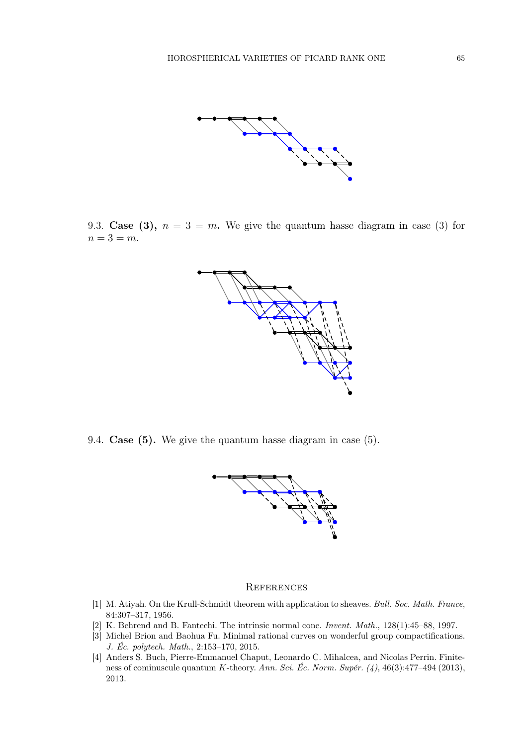

9.3. Case (3),  $n = 3 = m$ . We give the quantum hasse diagram in case (3) for  $n=3=m$ .



9.4. Case (5). We give the quantum hasse diagram in case (5).



#### **REFERENCES**

- [1] M. Atiyah. On the Krull-Schmidt theorem with application to sheaves. Bull. Soc. Math. France, 84:307–317, 1956.
- [2] K. Behrend and B. Fantechi. The intrinsic normal cone. Invent. Math., 128(1):45–88, 1997.
- [3] Michel Brion and Baohua Fu. Minimal rational curves on wonderful group compactifications. J. Éc. polytech. Math., 2:153–170, 2015.
- [4] Anders S. Buch, Pierre-Emmanuel Chaput, Leonardo C. Mihalcea, and Nicolas Perrin. Finiteness of cominuscule quantum K-theory. Ann. Sci. Éc. Norm. Supér. (4), 46(3):477–494 (2013), 2013.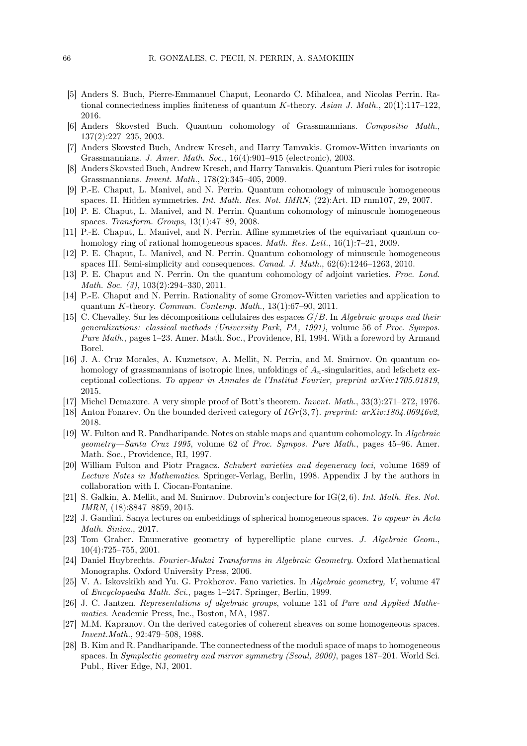- [5] Anders S. Buch, Pierre-Emmanuel Chaput, Leonardo C. Mihalcea, and Nicolas Perrin. Rational connectedness implies finiteness of quantum K-theory. Asian J. Math.,  $20(1):117-122$ , 2016.
- [6] Anders Skovsted Buch. Quantum cohomology of Grassmannians. Compositio Math., 137(2):227–235, 2003.
- [7] Anders Skovsted Buch, Andrew Kresch, and Harry Tamvakis. Gromov-Witten invariants on Grassmannians. J. Amer. Math. Soc., 16(4):901–915 (electronic), 2003.
- [8] Anders Skovsted Buch, Andrew Kresch, and Harry Tamvakis. Quantum Pieri rules for isotropic Grassmannians. Invent. Math., 178(2):345–405, 2009.
- [9] P.-E. Chaput, L. Manivel, and N. Perrin. Quantum cohomology of minuscule homogeneous spaces. II. Hidden symmetries. Int. Math. Res. Not. IMRN, (22):Art. ID rnm107, 29, 2007.
- [10] P. E. Chaput, L. Manivel, and N. Perrin. Quantum cohomology of minuscule homogeneous spaces. Transform. Groups, 13(1):47–89, 2008.
- [11] P.-E. Chaput, L. Manivel, and N. Perrin. Affine symmetries of the equivariant quantum cohomology ring of rational homogeneous spaces. *Math. Res. Lett.*, 16(1):7–21, 2009.
- [12] P. E. Chaput, L. Manivel, and N. Perrin. Quantum cohomology of minuscule homogeneous spaces III. Semi-simplicity and consequences. Canad. J. Math., 62(6):1246–1263, 2010.
- [13] P. E. Chaput and N. Perrin. On the quantum cohomology of adjoint varieties. Proc. Lond. Math. Soc. (3), 103(2):294-330, 2011.
- [14] P.-E. Chaput and N. Perrin. Rationality of some Gromov-Witten varieties and application to quantum K-theory. Commun. Contemp. Math.,  $13(1):67-90$ ,  $2011$ .
- [15] C. Chevalley. Sur les décompositions cellulaires des espaces  $G/B$ . In Algebraic groups and their generalizations: classical methods (University Park, PA, 1991), volume 56 of Proc. Sympos. Pure Math., pages 1–23. Amer. Math. Soc., Providence, RI, 1994. With a foreword by Armand Borel.
- [16] J. A. Cruz Morales, A. Kuznetsov, A. Mellit, N. Perrin, and M. Smirnov. On quantum cohomology of grassmannians of isotropic lines, unfoldings of  $A_n$ -singularities, and lefschetz exceptional collections. To appear in Annales de l'Institut Fourier, preprint arXiv:1705.01819, 2015.
- [17] Michel Demazure. A very simple proof of Bott's theorem. Invent. Math., 33(3):271–272, 1976.
- [18] Anton Fonarev. On the bounded derived category of  $IGr(3, 7)$ . preprint:  $arXiv:1804.06946v2$ , 2018.
- [19] W. Fulton and R. Pandharipande. Notes on stable maps and quantum cohomology. In Algebraic geometry—Santa Cruz 1995, volume 62 of Proc. Sympos. Pure Math., pages 45–96. Amer. Math. Soc., Providence, RI, 1997.
- [20] William Fulton and Piotr Pragacz. Schubert varieties and degeneracy loci, volume 1689 of Lecture Notes in Mathematics. Springer-Verlag, Berlin, 1998. Appendix J by the authors in collaboration with I. Ciocan-Fontanine.
- [21] S. Galkin, A. Mellit, and M. Smirnov. Dubrovin's conjecture for IG(2, 6). Int. Math. Res. Not. IMRN, (18):8847–8859, 2015.
- [22] J. Gandini. Sanya lectures on embeddings of spherical homogeneous spaces. To appear in Acta Math. Sinica., 2017.
- [23] Tom Graber. Enumerative geometry of hyperelliptic plane curves. J. Algebraic Geom., 10(4):725–755, 2001.
- [24] Daniel Huybrechts. Fourier-Mukai Transforms in Algebraic Geometry. Oxford Mathematical Monographs. Oxford University Press, 2006.
- [25] V. A. Iskovskikh and Yu. G. Prokhorov. Fano varieties. In Algebraic geometry, V, volume 47 of Encyclopaedia Math. Sci., pages 1–247. Springer, Berlin, 1999.
- [26] J. C. Jantzen. Representations of algebraic groups, volume 131 of Pure and Applied Mathematics. Academic Press, Inc., Boston, MA, 1987.
- [27] M.M. Kapranov. On the derived categories of coherent sheaves on some homogeneous spaces. Invent.Math., 92:479–508, 1988.
- [28] B. Kim and R. Pandharipande. The connectedness of the moduli space of maps to homogeneous spaces. In Symplectic geometry and mirror symmetry (Seoul, 2000), pages 187–201. World Sci. Publ., River Edge, NJ, 2001.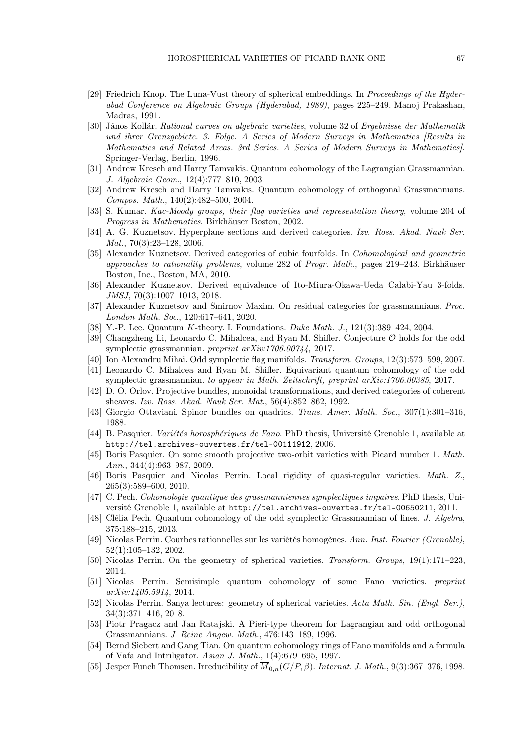- [29] Friedrich Knop. The Luna-Vust theory of spherical embeddings. In Proceedings of the Hyderabad Conference on Algebraic Groups (Hyderabad, 1989), pages 225–249. Manoj Prakashan, Madras, 1991.
- [30] János Kollár. Rational curves on algebraic varieties, volume 32 of Ergebnisse der Mathematik und ihrer Grenzgebiete. 3. Folge. A Series of Modern Surveys in Mathematics [Results in Mathematics and Related Areas. 3rd Series. A Series of Modern Surveys in Mathematics]. Springer-Verlag, Berlin, 1996.
- [31] Andrew Kresch and Harry Tamvakis. Quantum cohomology of the Lagrangian Grassmannian. J. Algebraic Geom., 12(4):777–810, 2003.
- [32] Andrew Kresch and Harry Tamvakis. Quantum cohomology of orthogonal Grassmannians. Compos. Math., 140(2):482–500, 2004.
- [33] S. Kumar. Kac-Moody groups, their flag varieties and representation theory, volume 204 of Progress in Mathematics. Birkhäuser Boston, 2002.
- [34] A. G. Kuznetsov. Hyperplane sections and derived categories. Izv. Ross. Akad. Nauk Ser. *Mat.*,  $70(3):23-128$ ,  $2006$ .
- [35] Alexander Kuznetsov. Derived categories of cubic fourfolds. In Cohomological and geometric approaches to rationality problems, volume 282 of Progr. Math., pages 219–243. Birkhäuser Boston, Inc., Boston, MA, 2010.
- [36] Alexander Kuznetsov. Derived equivalence of Ito-Miura-Okawa-Ueda Calabi-Yau 3-folds. JMSJ, 70(3):1007–1013, 2018.
- [37] Alexander Kuznetsov and Smirnov Maxim. On residual categories for grassmannians. Proc. London Math. Soc., 120:617–641, 2020.
- [38] Y.-P. Lee. Quantum K-theory. I. Foundations. *Duke Math. J.*, 121(3):389–424, 2004.
- [39] Changzheng Li, Leonardo C. Mihalcea, and Ryan M. Shifler. Conjecture O holds for the odd symplectic grassmannian. preprint arXiv:1706.00744, 2017.
- [40] Ion Alexandru Mihai. Odd symplectic flag manifolds. Transform. Groups, 12(3):573–599, 2007.
- [41] Leonardo C. Mihalcea and Ryan M. Shifler. Equivariant quantum cohomology of the odd symplectic grassmannian. to appear in Math. Zeitschrift, preprint arXiv:1706.00385, 2017.
- [42] D. O. Orlov. Projective bundles, monoidal transformations, and derived categories of coherent sheaves. Izv. Ross. Akad. Nauk Ser. Mat., 56(4):852–862, 1992.
- [43] Giorgio Ottaviani. Spinor bundles on quadrics. Trans. Amer. Math. Soc., 307(1):301–316, 1988.
- [44] B. Pasquier. Variétés horosphériques de Fano. PhD thesis, Université Grenoble 1, available at http://tel.archives-ouvertes.fr/tel-00111912, 2006.
- [45] Boris Pasquier. On some smooth projective two-orbit varieties with Picard number 1. Math. Ann., 344(4):963–987, 2009.
- [46] Boris Pasquier and Nicolas Perrin. Local rigidity of quasi-regular varieties. Math. Z., 265(3):589–600, 2010.
- [47] C. Pech. Cohomologie quantique des grassmanniennes symplectiques impaires. PhD thesis, Université Grenoble 1, available at http://tel.archives-ouvertes.fr/tel-00650211, 2011.
- [48] Clélia Pech. Quantum cohomology of the odd symplectic Grassmannian of lines. J. Algebra, 375:188–215, 2013.
- [49] Nicolas Perrin. Courbes rationnelles sur les variétés homogènes. Ann. Inst. Fourier (Grenoble), 52(1):105–132, 2002.
- [50] Nicolas Perrin. On the geometry of spherical varieties. Transform. Groups, 19(1):171–223, 2014.
- [51] Nicolas Perrin. Semisimple quantum cohomology of some Fano varieties. preprint arXiv:1405.5914, 2014.
- [52] Nicolas Perrin. Sanya lectures: geometry of spherical varieties. Acta Math. Sin. (Engl. Ser.), 34(3):371–416, 2018.
- [53] Piotr Pragacz and Jan Ratajski. A Pieri-type theorem for Lagrangian and odd orthogonal Grassmannians. J. Reine Angew. Math., 476:143–189, 1996.
- [54] Bernd Siebert and Gang Tian. On quantum cohomology rings of Fano manifolds and a formula of Vafa and Intriligator. Asian J. Math., 1(4):679–695, 1997.
- [55] Jesper Funch Thomsen. Irreducibility of  $\overline{M}_{0,n}(G/P, \beta)$ . Internat. J. Math., 9(3):367–376, 1998.